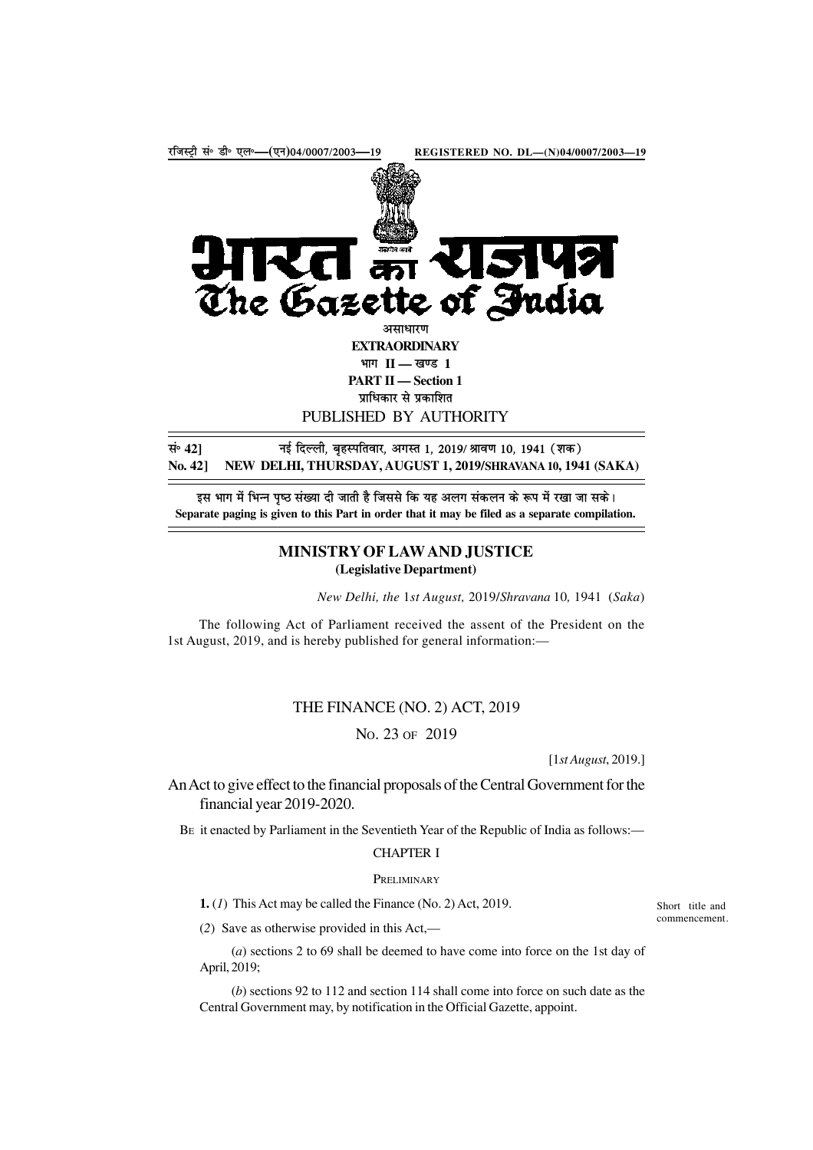

इस भाग में भिन्न पृष्ठ संख्या दी जाती है जिससे कि यह अलग संकलन के रूप में रखा जा सके। **Separate paging is given to this Part in order that it may be filed as a separate compilation.**

## **MINISTRY OF LAW AND JUSTICE (Legislative Department)**

*New Delhi, the* 1*st August,* 2019/*Shravana* 10*,* 1941 (*Saka*)

The following Act of Parliament received the assent of the President on the 1st August, 2019, and is hereby published for general information:—

# THE FINANCE (NO. 2) ACT, 2019

NO. 23 OF 2019

[1*st August*, 2019.]

An Act to give effect to the financial proposals of the Central Government for the financial year 2019-2020.

BE it enacted by Parliament in the Seventieth Year of the Republic of India as follows:—

## CHAPTER I

#### **PRELIMINARY**

**1.** (*1*) This Act may be called the Finance (No. 2) Act, 2019.

(*2*) Save as otherwise provided in this Act,—

(*a*) sections 2 to 69 shall be deemed to have come into force on the 1st day of April, 2019;

(*b*) sections 92 to 112 and section 114 shall come into force on such date as the Central Government may, by notification in the Official Gazette, appoint.

Short title and commencement.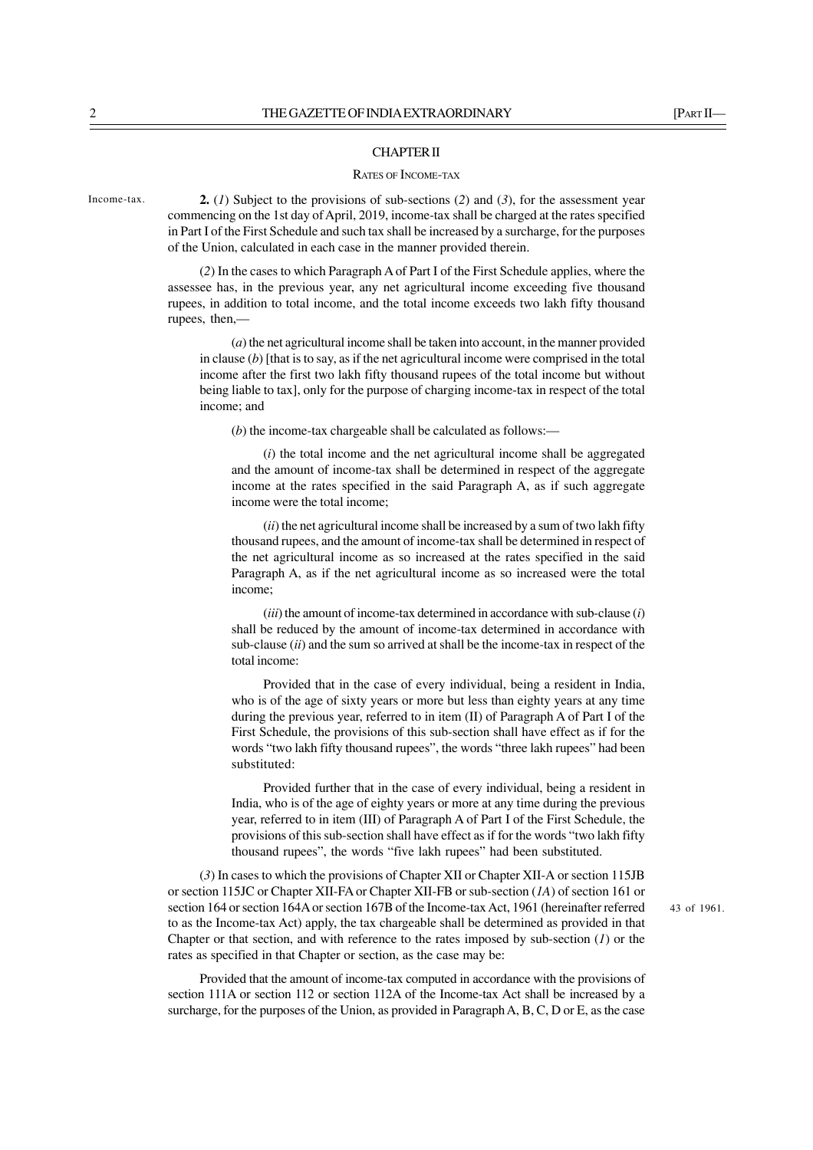#### CHAPTER II

### RATES OF INCOME-TAX

**2.** (*1*) Subject to the provisions of sub-sections (*2*) and (*3*), for the assessment year commencing on the 1st day of April, 2019, income-tax shall be charged at the rates specified in Part I of the First Schedule and such tax shall be increased by a surcharge, for the purposes of the Union, calculated in each case in the manner provided therein.

(*2*) In the cases to which Paragraph A of Part I of the First Schedule applies, where the assessee has, in the previous year, any net agricultural income exceeding five thousand rupees, in addition to total income, and the total income exceeds two lakh fifty thousand rupees, then,—

(*a*) the net agricultural income shall be taken into account, in the manner provided in clause  $(b)$  [that is to say, as if the net agricultural income were comprised in the total income after the first two lakh fifty thousand rupees of the total income but without being liable to tax], only for the purpose of charging income-tax in respect of the total income; and

(*b*) the income-tax chargeable shall be calculated as follows:—

(*i*) the total income and the net agricultural income shall be aggregated and the amount of income-tax shall be determined in respect of the aggregate income at the rates specified in the said Paragraph A, as if such aggregate income were the total income;

(*ii*) the net agricultural income shall be increased by a sum of two lakh fifty thousand rupees, and the amount of income-tax shall be determined in respect of the net agricultural income as so increased at the rates specified in the said Paragraph A, as if the net agricultural income as so increased were the total income;

(*iii*) the amount of income-tax determined in accordance with sub-clause (*i*) shall be reduced by the amount of income-tax determined in accordance with sub-clause (*ii*) and the sum so arrived at shall be the income-tax in respect of the total income:

Provided that in the case of every individual, being a resident in India, who is of the age of sixty years or more but less than eighty years at any time during the previous year, referred to in item (II) of Paragraph A of Part I of the First Schedule, the provisions of this sub-section shall have effect as if for the words "two lakh fifty thousand rupees", the words "three lakh rupees" had been substituted:

Provided further that in the case of every individual, being a resident in India, who is of the age of eighty years or more at any time during the previous year, referred to in item (III) of Paragraph A of Part I of the First Schedule, the provisions of this sub-section shall have effect as if for the words "two lakh fifty thousand rupees", the words "five lakh rupees" had been substituted.

(*3*) In cases to which the provisions of Chapter XII or Chapter XII-A or section 115JB or section 115JC or Chapter XII-FA or Chapter XII-FB or sub-section (*1A*) of section 161 or section 164 or section 164A or section 167B of the Income-tax Act, 1961 (hereinafter referred to as the Income-tax Act) apply, the tax chargeable shall be determined as provided in that Chapter or that section, and with reference to the rates imposed by sub-section (*1*) or the rates as specified in that Chapter or section, as the case may be:

Provided that the amount of income-tax computed in accordance with the provisions of section 111A or section 112 or section 112A of the Income-tax Act shall be increased by a surcharge, for the purposes of the Union, as provided in Paragraph A, B, C, D or E, as the case

43 of 1961.

Income-tax.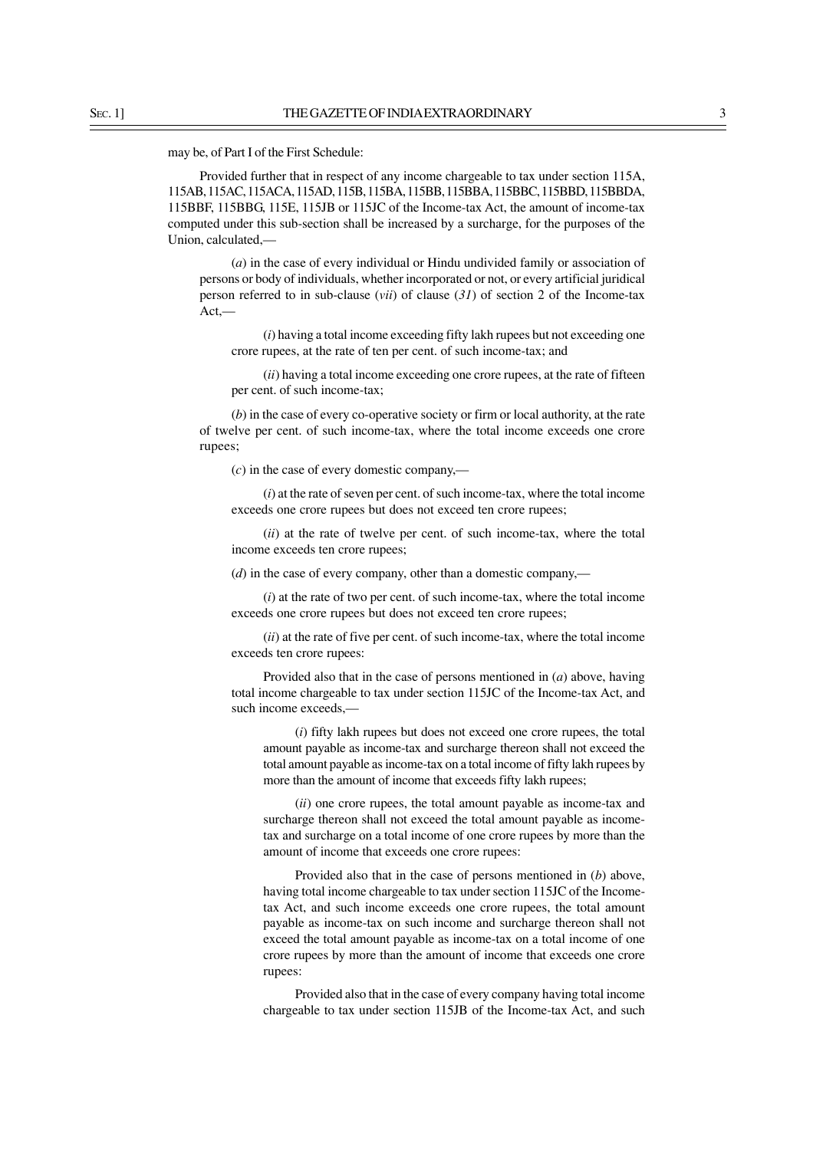may be, of Part I of the First Schedule:

Provided further that in respect of any income chargeable to tax under section 115A, 115AB, 115AC, 115ACA, 115AD, 115B, 115BA, 115BB, 115BBA, 115BBC, 115BBD, 115BBDA, 115BBF, 115BBG, 115E, 115JB or 115JC of the Income-tax Act, the amount of income-tax computed under this sub-section shall be increased by a surcharge, for the purposes of the Union, calculated,—

(*a*) in the case of every individual or Hindu undivided family or association of persons or body of individuals, whether incorporated or not, or every artificial juridical person referred to in sub-clause (*vii*) of clause (*31*) of section 2 of the Income-tax Act,—

(*i*) having a total income exceeding fifty lakh rupees but not exceeding one crore rupees, at the rate of ten per cent. of such income-tax; and

(*ii*) having a total income exceeding one crore rupees, at the rate of fifteen per cent. of such income-tax;

(*b*) in the case of every co-operative society or firm or local authority, at the rate of twelve per cent. of such income-tax, where the total income exceeds one crore rupees;

(*c*) in the case of every domestic company,—

(*i*) at the rate of seven per cent. of such income-tax, where the total income exceeds one crore rupees but does not exceed ten crore rupees;

(*ii*) at the rate of twelve per cent. of such income-tax, where the total income exceeds ten crore rupees;

(*d*) in the case of every company, other than a domestic company,—

(*i*) at the rate of two per cent. of such income-tax, where the total income exceeds one crore rupees but does not exceed ten crore rupees;

(*ii*) at the rate of five per cent. of such income-tax, where the total income exceeds ten crore rupees:

Provided also that in the case of persons mentioned in (*a*) above, having total income chargeable to tax under section 115JC of the Income-tax Act, and such income exceeds,—

(*i*) fifty lakh rupees but does not exceed one crore rupees, the total amount payable as income-tax and surcharge thereon shall not exceed the total amount payable as income-tax on a total income of fifty lakh rupees by more than the amount of income that exceeds fifty lakh rupees;

(*ii*) one crore rupees, the total amount payable as income-tax and surcharge thereon shall not exceed the total amount payable as incometax and surcharge on a total income of one crore rupees by more than the amount of income that exceeds one crore rupees:

Provided also that in the case of persons mentioned in (*b*) above, having total income chargeable to tax under section 115JC of the Incometax Act, and such income exceeds one crore rupees, the total amount payable as income-tax on such income and surcharge thereon shall not exceed the total amount payable as income-tax on a total income of one crore rupees by more than the amount of income that exceeds one crore rupees:

Provided also that in the case of every company having total income chargeable to tax under section 115JB of the Income-tax Act, and such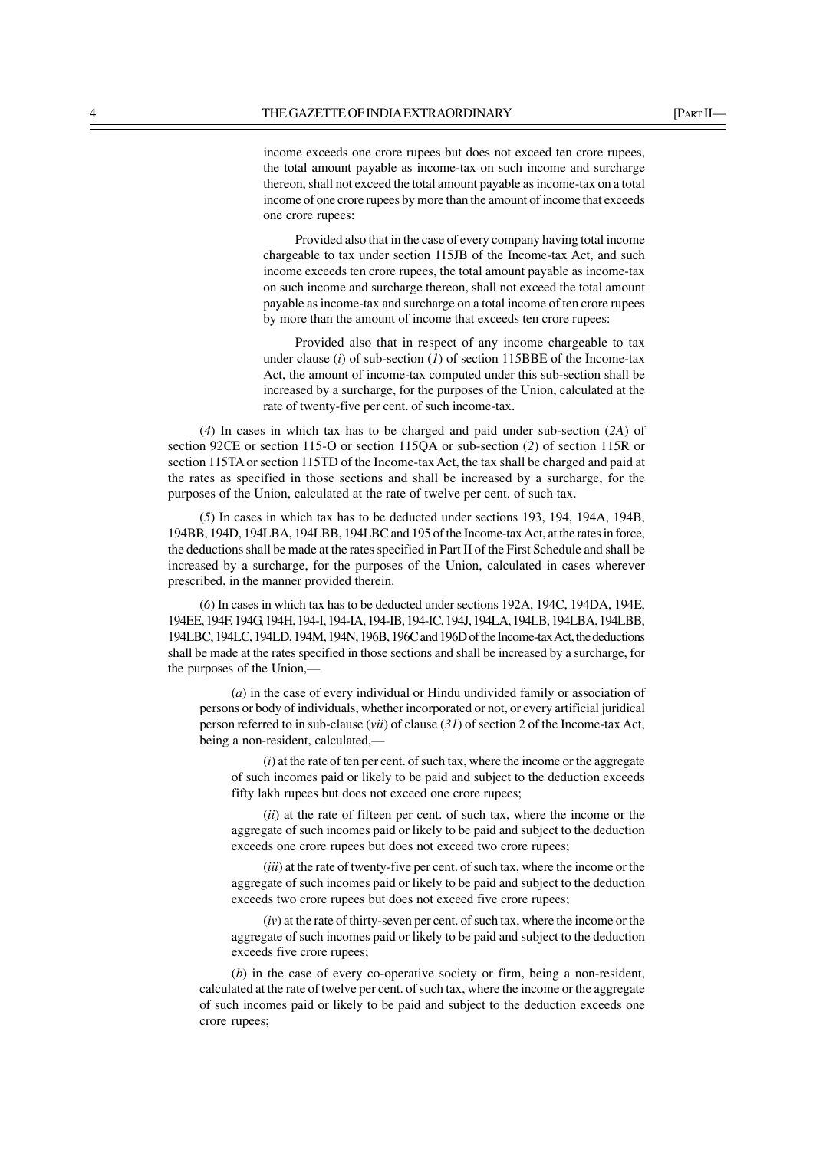income exceeds one crore rupees but does not exceed ten crore rupees, the total amount payable as income-tax on such income and surcharge thereon, shall not exceed the total amount payable as income-tax on a total income of one crore rupees by more than the amount of income that exceeds one crore rupees:

Provided also that in the case of every company having total income chargeable to tax under section 115JB of the Income-tax Act, and such income exceeds ten crore rupees, the total amount payable as income-tax on such income and surcharge thereon, shall not exceed the total amount payable as income-tax and surcharge on a total income of ten crore rupees by more than the amount of income that exceeds ten crore rupees:

Provided also that in respect of any income chargeable to tax under clause (*i*) of sub-section (*1*) of section 115BBE of the Income-tax Act, the amount of income-tax computed under this sub-section shall be increased by a surcharge, for the purposes of the Union, calculated at the rate of twenty-five per cent. of such income-tax.

(*4*) In cases in which tax has to be charged and paid under sub-section (*2A*) of section 92CE or section 115-O or section 115QA or sub-section (*2*) of section 115R or section 115TA or section 115TD of the Income-tax Act, the tax shall be charged and paid at the rates as specified in those sections and shall be increased by a surcharge, for the purposes of the Union, calculated at the rate of twelve per cent. of such tax.

(*5*) In cases in which tax has to be deducted under sections 193, 194, 194A, 194B, 194BB, 194D, 194LBA, 194LBB, 194LBC and 195 of the Income-tax Act, at the rates in force, the deductions shall be made at the rates specified in Part II of the First Schedule and shall be increased by a surcharge, for the purposes of the Union, calculated in cases wherever prescribed, in the manner provided therein.

(*6*) In cases in which tax has to be deducted under sections 192A, 194C, 194DA, 194E, 194EE, 194F, 194G, 194H, 194-I, 194-IA, 194-IB, 194-IC, 194J, 194LA, 194LB, 194LBA, 194LBB, 194LBC, 194LC, 194LD, 194M, 194N, 196B, 196C and 196D of the Income-tax Act, the deductions shall be made at the rates specified in those sections and shall be increased by a surcharge, for the purposes of the Union,—

(*a*) in the case of every individual or Hindu undivided family or association of persons or body of individuals, whether incorporated or not, or every artificial juridical person referred to in sub-clause (*vii*) of clause (*31*) of section 2 of the Income-tax Act, being a non-resident, calculated,—

(*i*) at the rate of ten per cent. of such tax, where the income or the aggregate of such incomes paid or likely to be paid and subject to the deduction exceeds fifty lakh rupees but does not exceed one crore rupees;

(*ii*) at the rate of fifteen per cent. of such tax, where the income or the aggregate of such incomes paid or likely to be paid and subject to the deduction exceeds one crore rupees but does not exceed two crore rupees;

(*iii*) at the rate of twenty-five per cent. of such tax, where the income or the aggregate of such incomes paid or likely to be paid and subject to the deduction exceeds two crore rupees but does not exceed five crore rupees;

(*iv*) at the rate of thirty-seven per cent. of such tax, where the income or the aggregate of such incomes paid or likely to be paid and subject to the deduction exceeds five crore rupees;

(*b*) in the case of every co-operative society or firm, being a non-resident, calculated at the rate of twelve per cent. of such tax, where the income or the aggregate of such incomes paid or likely to be paid and subject to the deduction exceeds one crore rupees;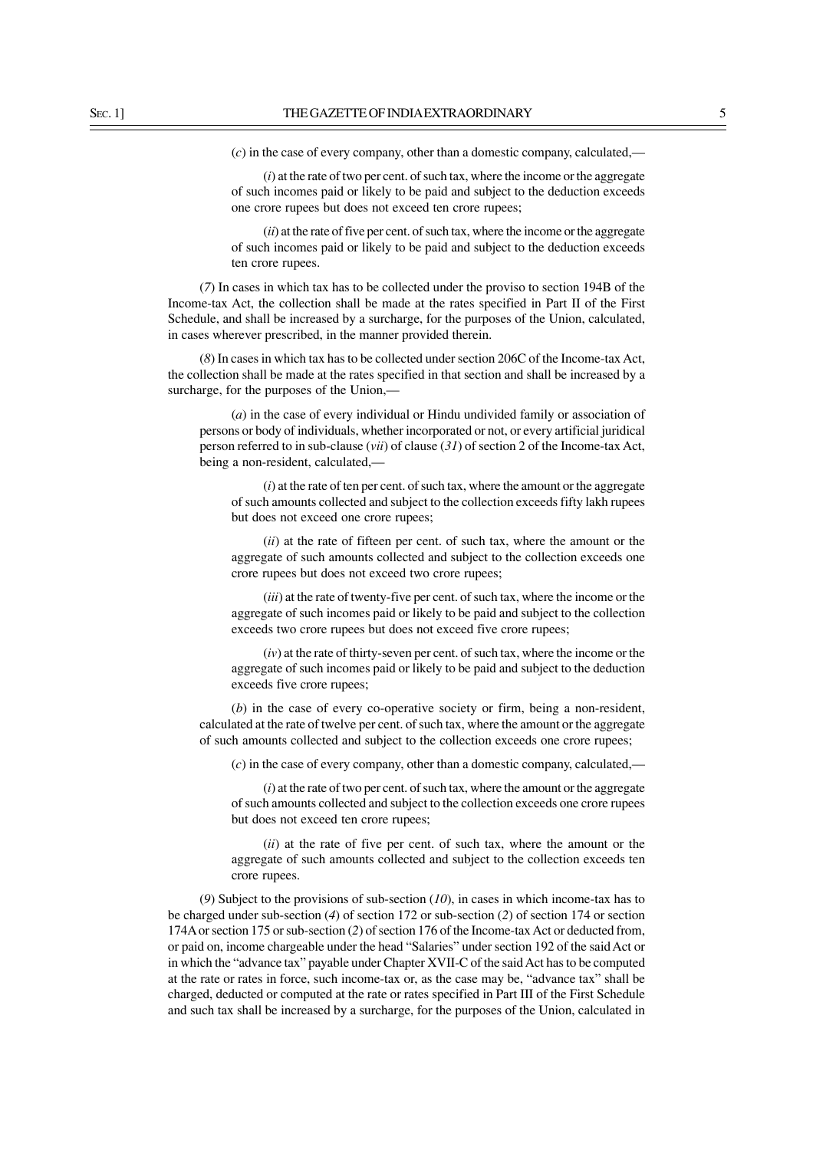(*c*) in the case of every company, other than a domestic company, calculated,—

(*i*) at the rate of two per cent. of such tax, where the income or the aggregate of such incomes paid or likely to be paid and subject to the deduction exceeds one crore rupees but does not exceed ten crore rupees;

(*ii*) at the rate of five per cent. of such tax, where the income or the aggregate of such incomes paid or likely to be paid and subject to the deduction exceeds ten crore rupees.

(*7*) In cases in which tax has to be collected under the proviso to section 194B of the Income-tax Act, the collection shall be made at the rates specified in Part II of the First Schedule, and shall be increased by a surcharge, for the purposes of the Union, calculated, in cases wherever prescribed, in the manner provided therein.

(*8*) In cases in which tax has to be collected under section 206C of the Income-tax Act, the collection shall be made at the rates specified in that section and shall be increased by a surcharge, for the purposes of the Union,—

(*a*) in the case of every individual or Hindu undivided family or association of persons or body of individuals, whether incorporated or not, or every artificial juridical person referred to in sub-clause (*vii*) of clause (*31*) of section 2 of the Income-tax Act, being a non-resident, calculated,—

(*i*) at the rate of ten per cent. of such tax, where the amount or the aggregate of such amounts collected and subject to the collection exceeds fifty lakh rupees but does not exceed one crore rupees;

(*ii*) at the rate of fifteen per cent. of such tax, where the amount or the aggregate of such amounts collected and subject to the collection exceeds one crore rupees but does not exceed two crore rupees;

(*iii*) at the rate of twenty-five per cent. of such tax, where the income or the aggregate of such incomes paid or likely to be paid and subject to the collection exceeds two crore rupees but does not exceed five crore rupees;

(*iv*) at the rate of thirty-seven per cent. of such tax, where the income or the aggregate of such incomes paid or likely to be paid and subject to the deduction exceeds five crore rupees;

(*b*) in the case of every co-operative society or firm, being a non-resident, calculated at the rate of twelve per cent. of such tax, where the amount or the aggregate of such amounts collected and subject to the collection exceeds one crore rupees;

(*c*) in the case of every company, other than a domestic company, calculated,—

(*i*) at the rate of two per cent. of such tax, where the amount or the aggregate of such amounts collected and subject to the collection exceeds one crore rupees but does not exceed ten crore rupees;

(*ii*) at the rate of five per cent. of such tax, where the amount or the aggregate of such amounts collected and subject to the collection exceeds ten crore rupees.

(*9*) Subject to the provisions of sub-section (*10*), in cases in which income-tax has to be charged under sub-section (*4*) of section 172 or sub-section (*2*) of section 174 or section 174A or section 175 or sub-section (*2*) of section 176 of the Income-tax Act or deducted from, or paid on, income chargeable under the head "Salaries" under section 192 of the said Act or in which the "advance tax" payable under Chapter XVII-C of the said Act has to be computed at the rate or rates in force, such income-tax or, as the case may be, "advance tax" shall be charged, deducted or computed at the rate or rates specified in Part III of the First Schedule and such tax shall be increased by a surcharge, for the purposes of the Union, calculated in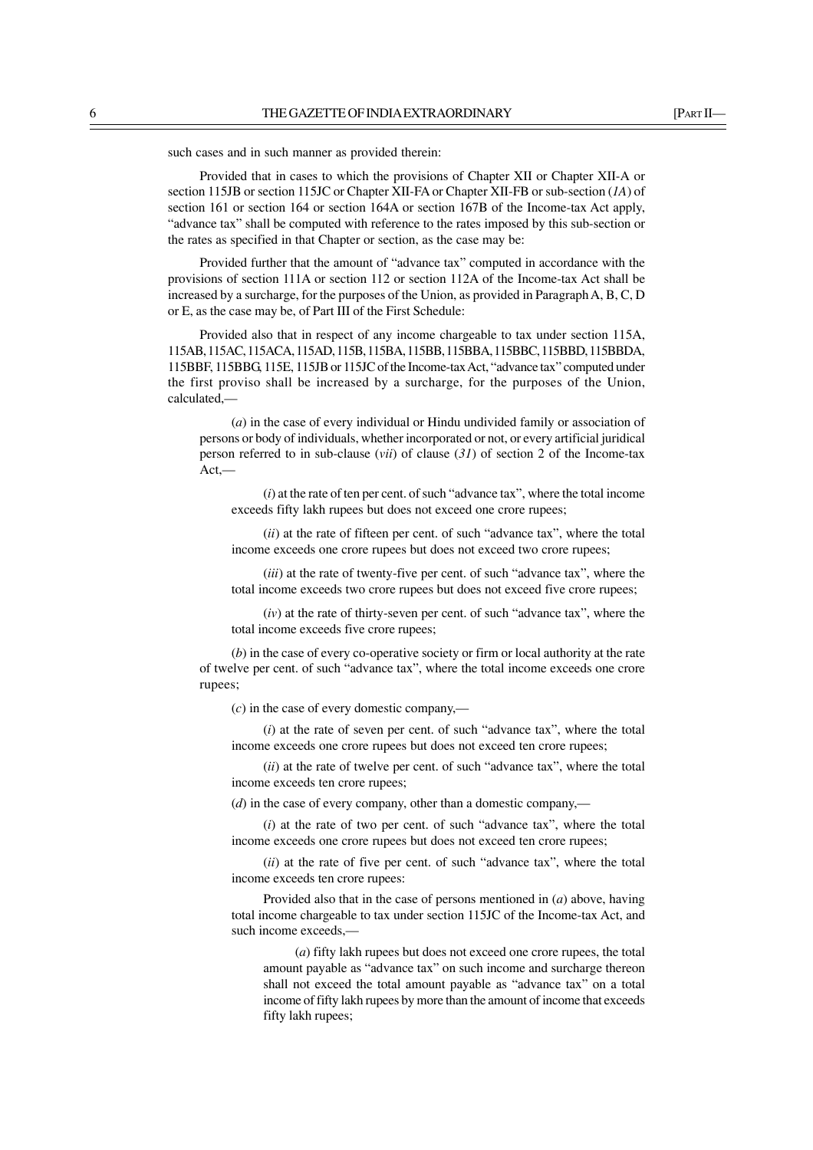such cases and in such manner as provided therein:

Provided that in cases to which the provisions of Chapter XII or Chapter XII-A or section 115JB or section 115JC or Chapter XII-FA or Chapter XII-FB or sub-section (*1A*) of section 161 or section 164 or section 164A or section 167B of the Income-tax Act apply, "advance tax" shall be computed with reference to the rates imposed by this sub-section or the rates as specified in that Chapter or section, as the case may be:

Provided further that the amount of "advance tax" computed in accordance with the provisions of section 111A or section 112 or section 112A of the Income-tax Act shall be increased by a surcharge, for the purposes of the Union, as provided in Paragraph A, B, C, D or E, as the case may be, of Part III of the First Schedule:

Provided also that in respect of any income chargeable to tax under section 115A, 115AB, 115AC, 115ACA, 115AD, 115B, 115BA, 115BB, 115BBA, 115BBC, 115BBD, 115BBDA, 115BBF, 115BBG, 115E, 115JB or 115JC of the Income-tax Act, "advance tax" computed under the first proviso shall be increased by a surcharge, for the purposes of the Union, calculated,—

(*a*) in the case of every individual or Hindu undivided family or association of persons or body of individuals, whether incorporated or not, or every artificial juridical person referred to in sub-clause (*vii*) of clause (*31*) of section 2 of the Income-tax Act,—

(*i*) at the rate of ten per cent. of such "advance tax", where the total income exceeds fifty lakh rupees but does not exceed one crore rupees;

(*ii*) at the rate of fifteen per cent. of such "advance tax", where the total income exceeds one crore rupees but does not exceed two crore rupees;

(*iii*) at the rate of twenty-five per cent. of such "advance tax", where the total income exceeds two crore rupees but does not exceed five crore rupees;

(*iv*) at the rate of thirty-seven per cent. of such "advance tax", where the total income exceeds five crore rupees;

(*b*) in the case of every co-operative society or firm or local authority at the rate of twelve per cent. of such "advance tax", where the total income exceeds one crore rupees;

(*c*) in the case of every domestic company,—

(*i*) at the rate of seven per cent. of such "advance tax", where the total income exceeds one crore rupees but does not exceed ten crore rupees;

(*ii*) at the rate of twelve per cent. of such "advance tax", where the total income exceeds ten crore rupees;

(*d*) in the case of every company, other than a domestic company,—

(*i*) at the rate of two per cent. of such "advance tax", where the total income exceeds one crore rupees but does not exceed ten crore rupees;

(*ii*) at the rate of five per cent. of such "advance tax", where the total income exceeds ten crore rupees:

Provided also that in the case of persons mentioned in (*a*) above, having total income chargeable to tax under section 115JC of the Income-tax Act, and such income exceeds,—

(*a*) fifty lakh rupees but does not exceed one crore rupees, the total amount payable as "advance tax" on such income and surcharge thereon shall not exceed the total amount payable as "advance tax" on a total income of fifty lakh rupees by more than the amount of income that exceeds fifty lakh rupees;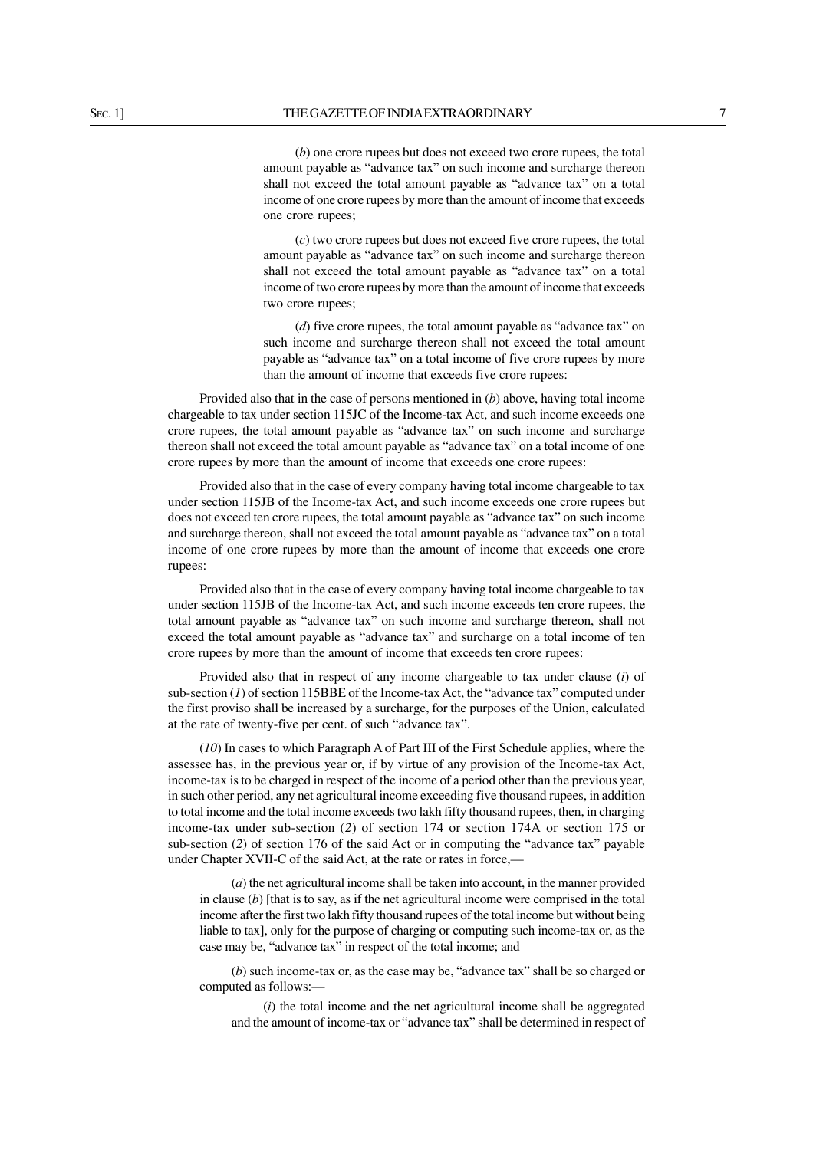(*b*) one crore rupees but does not exceed two crore rupees, the total amount payable as "advance tax" on such income and surcharge thereon shall not exceed the total amount payable as "advance tax" on a total income of one crore rupees by more than the amount of income that exceeds one crore rupees;

(*c*) two crore rupees but does not exceed five crore rupees, the total amount payable as "advance tax" on such income and surcharge thereon shall not exceed the total amount payable as "advance tax" on a total income of two crore rupees by more than the amount of income that exceeds two crore rupees;

(*d*) five crore rupees, the total amount payable as "advance tax" on such income and surcharge thereon shall not exceed the total amount payable as "advance tax" on a total income of five crore rupees by more than the amount of income that exceeds five crore rupees:

Provided also that in the case of persons mentioned in (*b*) above, having total income chargeable to tax under section 115JC of the Income-tax Act, and such income exceeds one crore rupees, the total amount payable as "advance tax" on such income and surcharge thereon shall not exceed the total amount payable as "advance tax" on a total income of one crore rupees by more than the amount of income that exceeds one crore rupees:

Provided also that in the case of every company having total income chargeable to tax under section 115JB of the Income-tax Act, and such income exceeds one crore rupees but does not exceed ten crore rupees, the total amount payable as "advance tax" on such income and surcharge thereon, shall not exceed the total amount payable as "advance tax" on a total income of one crore rupees by more than the amount of income that exceeds one crore rupees:

Provided also that in the case of every company having total income chargeable to tax under section 115JB of the Income-tax Act, and such income exceeds ten crore rupees, the total amount payable as "advance tax" on such income and surcharge thereon, shall not exceed the total amount payable as "advance tax" and surcharge on a total income of ten crore rupees by more than the amount of income that exceeds ten crore rupees:

Provided also that in respect of any income chargeable to tax under clause (*i*) of sub-section (*1*) of section 115BBE of the Income-tax Act, the "advance tax" computed under the first proviso shall be increased by a surcharge, for the purposes of the Union, calculated at the rate of twenty-five per cent. of such "advance tax".

(*10*) In cases to which Paragraph A of Part III of the First Schedule applies, where the assessee has, in the previous year or, if by virtue of any provision of the Income-tax Act, income-tax is to be charged in respect of the income of a period other than the previous year, in such other period, any net agricultural income exceeding five thousand rupees, in addition to total income and the total income exceeds two lakh fifty thousand rupees, then, in charging income-tax under sub-section (*2*) of section 174 or section 174A or section 175 or sub-section (*2*) of section 176 of the said Act or in computing the "advance tax" payable under Chapter XVII-C of the said Act, at the rate or rates in force,—

(*a*) the net agricultural income shall be taken into account, in the manner provided in clause (*b*) [that is to say, as if the net agricultural income were comprised in the total income after the first two lakh fifty thousand rupees of the total income but without being liable to tax], only for the purpose of charging or computing such income-tax or, as the case may be, "advance tax" in respect of the total income; and

(*b*) such income-tax or, as the case may be, "advance tax" shall be so charged or computed as follows:—

(*i*) the total income and the net agricultural income shall be aggregated and the amount of income-tax or "advance tax" shall be determined in respect of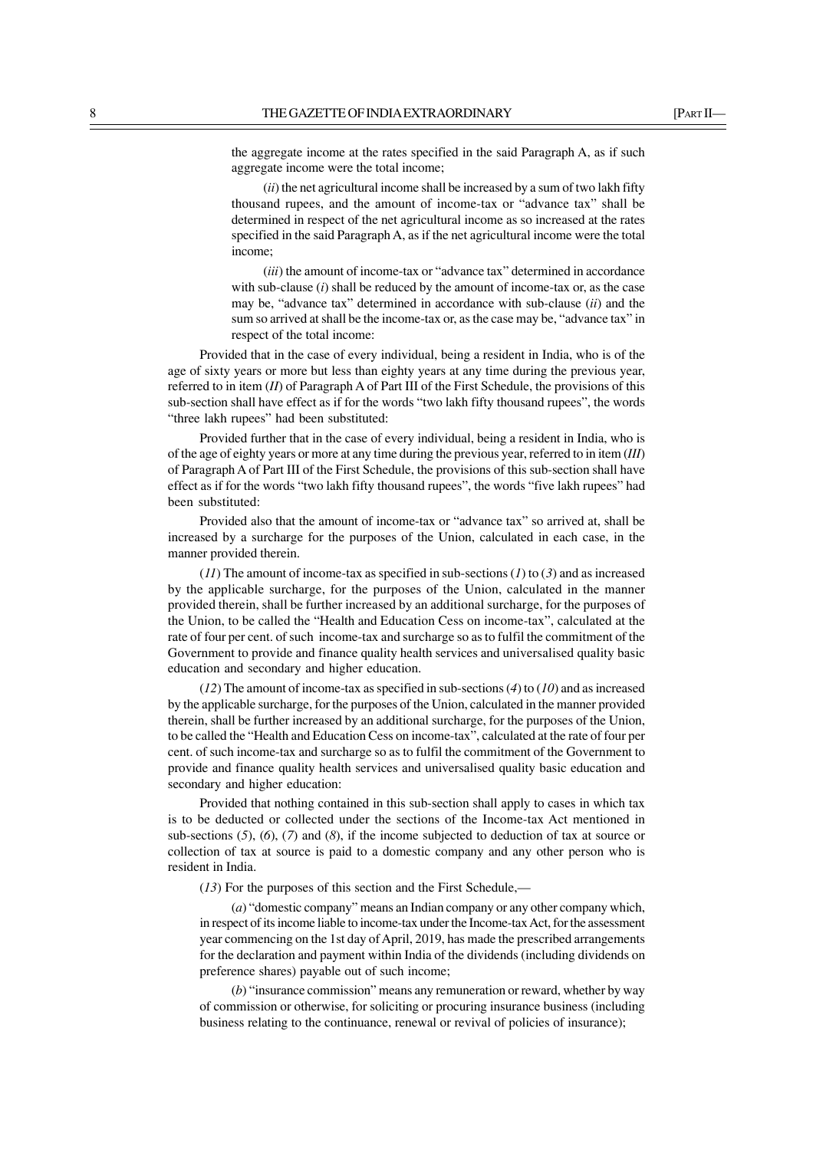the aggregate income at the rates specified in the said Paragraph A, as if such aggregate income were the total income;

(*ii*) the net agricultural income shall be increased by a sum of two lakh fifty thousand rupees, and the amount of income-tax or "advance tax" shall be determined in respect of the net agricultural income as so increased at the rates specified in the said Paragraph A, as if the net agricultural income were the total income;

(*iii*) the amount of income-tax or "advance tax" determined in accordance with sub-clause (*i*) shall be reduced by the amount of income-tax or, as the case may be, "advance tax" determined in accordance with sub-clause (*ii*) and the sum so arrived at shall be the income-tax or, as the case may be, "advance tax" in respect of the total income:

Provided that in the case of every individual, being a resident in India, who is of the age of sixty years or more but less than eighty years at any time during the previous year, referred to in item (*II*) of Paragraph A of Part III of the First Schedule, the provisions of this sub-section shall have effect as if for the words "two lakh fifty thousand rupees", the words "three lakh rupees" had been substituted:

Provided further that in the case of every individual, being a resident in India, who is of the age of eighty years or more at any time during the previous year, referred to in item (*III*) of Paragraph A of Part III of the First Schedule, the provisions of this sub-section shall have effect as if for the words "two lakh fifty thousand rupees", the words "five lakh rupees" had been substituted:

Provided also that the amount of income-tax or "advance tax" so arrived at, shall be increased by a surcharge for the purposes of the Union, calculated in each case, in the manner provided therein.

(*11*) The amount of income-tax as specified in sub-sections (*1*) to (*3*) and as increased by the applicable surcharge, for the purposes of the Union, calculated in the manner provided therein, shall be further increased by an additional surcharge, for the purposes of the Union, to be called the "Health and Education Cess on income-tax", calculated at the rate of four per cent. of such income-tax and surcharge so as to fulfil the commitment of the Government to provide and finance quality health services and universalised quality basic education and secondary and higher education.

(*12*) The amount of income-tax as specified in sub-sections (*4*) to (*10*) and as increased by the applicable surcharge, for the purposes of the Union, calculated in the manner provided therein, shall be further increased by an additional surcharge, for the purposes of the Union, to be called the "Health and Education Cess on income-tax", calculated at the rate of four per cent. of such income-tax and surcharge so as to fulfil the commitment of the Government to provide and finance quality health services and universalised quality basic education and secondary and higher education:

Provided that nothing contained in this sub-section shall apply to cases in which tax is to be deducted or collected under the sections of the Income-tax Act mentioned in sub-sections (*5*), (*6*), (*7*) and (*8*), if the income subjected to deduction of tax at source or collection of tax at source is paid to a domestic company and any other person who is resident in India.

(*13*) For the purposes of this section and the First Schedule,—

(*a*) "domestic company" means an Indian company or any other company which, in respect of its income liable to income-tax under the Income-tax Act, for the assessment year commencing on the 1st day of April, 2019, has made the prescribed arrangements for the declaration and payment within India of the dividends (including dividends on preference shares) payable out of such income;

(*b*) "insurance commission" means any remuneration or reward, whether by way of commission or otherwise, for soliciting or procuring insurance business (including business relating to the continuance, renewal or revival of policies of insurance);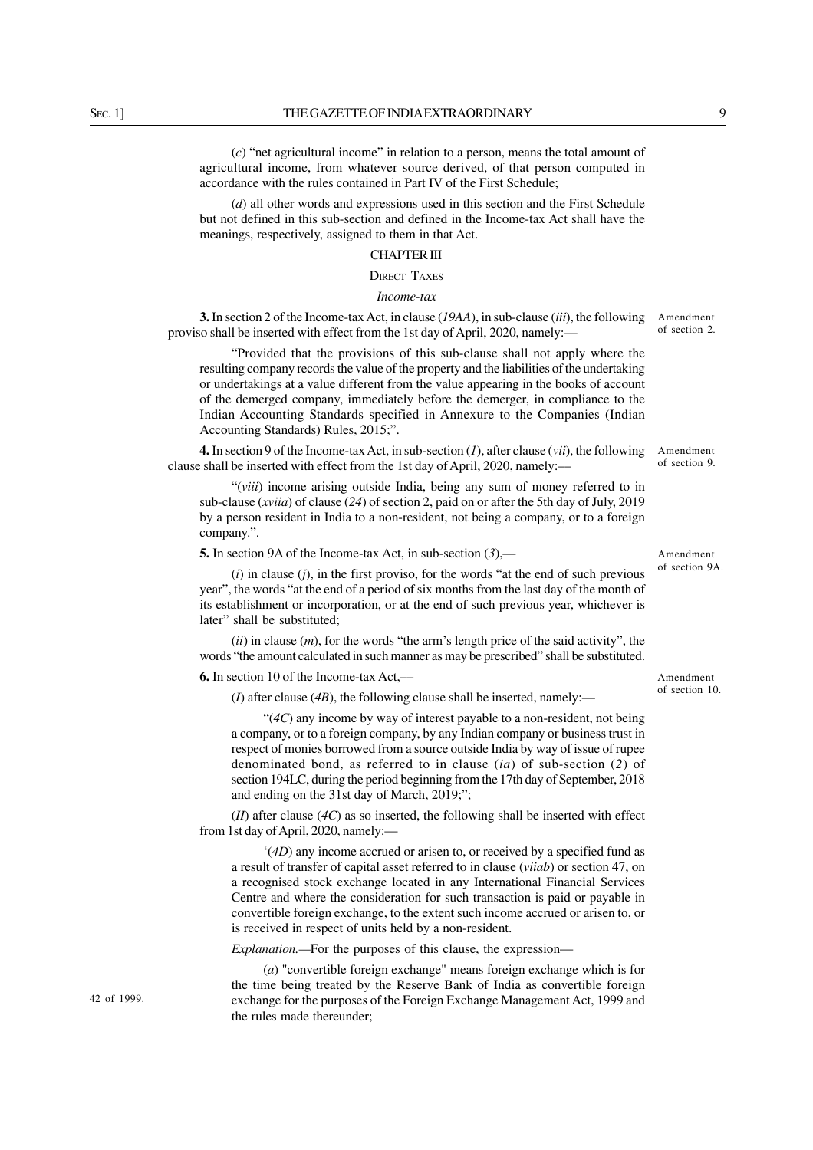(*c*) "net agricultural income" in relation to a person, means the total amount of agricultural income, from whatever source derived, of that person computed in accordance with the rules contained in Part IV of the First Schedule;

(*d*) all other words and expressions used in this section and the First Schedule but not defined in this sub-section and defined in the Income-tax Act shall have the meanings, respectively, assigned to them in that Act.

#### CHAPTER III

DIRECT TAXES

#### *Income-tax*

**3.** In section 2 of the Income-tax Act, in clause (*19AA*), in sub-clause (*iii*), the following proviso shall be inserted with effect from the 1st day of April, 2020, namely:—

"Provided that the provisions of this sub-clause shall not apply where the resulting company records the value of the property and the liabilities of the undertaking or undertakings at a value different from the value appearing in the books of account of the demerged company, immediately before the demerger, in compliance to the Indian Accounting Standards specified in Annexure to the Companies (Indian Accounting Standards) Rules, 2015;".

**4.** In section 9 of the Income-tax Act, in sub-section (*1*), after clause (*vii*), the following clause shall be inserted with effect from the 1st day of April, 2020, namely:––

"(*viii*) income arising outside India, being any sum of money referred to in sub-clause (*xviia*) of clause (*24*) of section 2, paid on or after the 5th day of July, 2019 by a person resident in India to a non-resident, not being a company, or to a foreign company.".

**5.** In section 9A of the Income-tax Act, in sub-section (*3*),––

(*i*) in clause (*j*), in the first proviso, for the words "at the end of such previous year", the words "at the end of a period of six months from the last day of the month of its establishment or incorporation, or at the end of such previous year, whichever is later" shall be substituted;

(*ii*) in clause (*m*), for the words "the arm's length price of the said activity", the words "the amount calculated in such manner as may be prescribed" shall be substituted.

**6.** In section 10 of the Income-tax Act,––

(*I*) after clause (*4B*), the following clause shall be inserted, namely:—

"(*4C*) any income by way of interest payable to a non-resident, not being a company, or to a foreign company, by any Indian company or business trust in respect of monies borrowed from a source outside India by way of issue of rupee denominated bond, as referred to in clause (*ia*) of sub-section (*2*) of section 194LC, during the period beginning from the 17th day of September, 2018 and ending on the 31st day of March, 2019;";

(*II*) after clause (*4C*) as so inserted, the following shall be inserted with effect from 1st day of April, 2020, namely:—

'(*4D*) any income accrued or arisen to, or received by a specified fund as a result of transfer of capital asset referred to in clause (*viiab*) or section 47, on a recognised stock exchange located in any International Financial Services Centre and where the consideration for such transaction is paid or payable in convertible foreign exchange, to the extent such income accrued or arisen to, or is received in respect of units held by a non-resident.

*Explanation.—*For the purposes of this clause, the expression—

(*a*) "convertible foreign exchange" means foreign exchange which is for the time being treated by the Reserve Bank of India as convertible foreign exchange for the purposes of the Foreign Exchange Management Act, 1999 and the rules made thereunder;

42 of 1999.

Amendment of section 10.

Amendment of section 2.

Amendment of section 9.

Amendment of section 9A.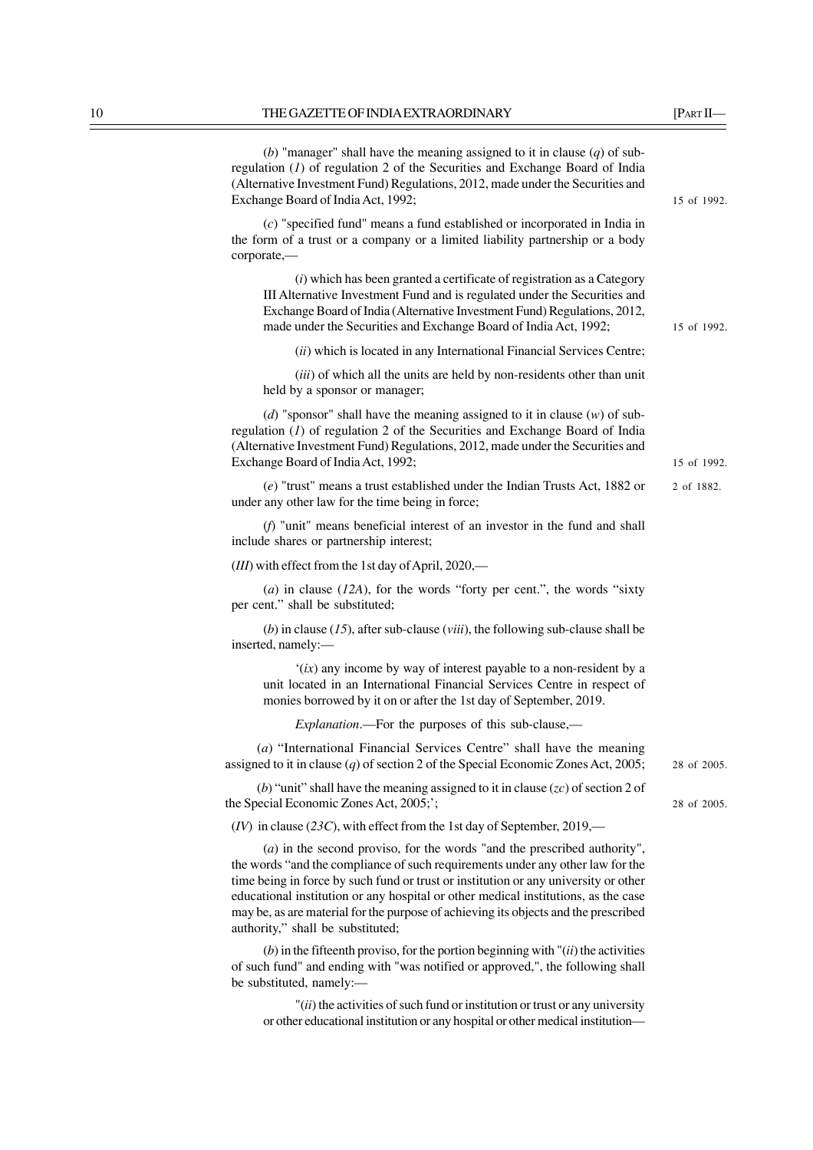corporate,—

regulation (*1*) of regulation 2 of the Securities and Exchange Board of India (Alternative Investment Fund) Regulations, 2012, made under the Securities and Exchange Board of India Act, 1992; (*c*) "specified fund" means a fund established or incorporated in India in the form of a trust or a company or a limited liability partnership or a body (*i*) which has been granted a certificate of registration as a Category III Alternative Investment Fund and is regulated under the Securities and Exchange Board of India (Alternative Investment Fund) Regulations, 2012, made under the Securities and Exchange Board of India Act, 1992; (*ii*) which is located in any International Financial Services Centre; (*iii*) of which all the units are held by non-residents other than unit held by a sponsor or manager; (*d*) "sponsor" shall have the meaning assigned to it in clause (*w*) of subregulation (*1*) of regulation 2 of the Securities and Exchange Board of India (Alternative Investment Fund) Regulations, 2012, made under the Securities and Exchange Board of India Act, 1992; (*e*) "trust" means a trust established under the Indian Trusts Act, 1882 or under any other law for the time being in force; (*f*) "unit" means beneficial interest of an investor in the fund and shall include shares or partnership interest; (*III*) with effect from the 1st day of April, 2020,–– (*a*) in clause (*12A*), for the words "forty per cent.", the words "sixty per cent." shall be substituted; (*b*) in clause (*15*), after sub-clause (*viii*), the following sub-clause shall be inserted, namely:— '(*ix*) any income by way of interest payable to a non-resident by a unit located in an International Financial Services Centre in respect of monies borrowed by it on or after the 1st day of September, 2019. *Explanation*.—For the purposes of this sub-clause,— (*a*) "International Financial Services Centre" shall have the meaning assigned to it in clause (*q*) of section 2 of the Special Economic Zones Act, 2005; (*b*) "unit" shall have the meaning assigned to it in clause (*zc*) of section 2 of the Special Economic Zones Act, 2005;'; (*IV*) in clause (*23C*), with effect from the 1st day of September, 2019,— (*a*) in the second proviso, for the words "and the prescribed authority", the words "and the compliance of such requirements under any other law for the time being in force by such fund or trust or institution or any university or other educational institution or any hospital or other medical institutions, as the case may be, as are material for the purpose of achieving its objects and the prescribed authority," shall be substituted;  $(b)$  in the fifteenth proviso, for the portion beginning with  $\ddot{a}$  (*ii*) the activities of such fund" and ending with "was notified or approved,", the following shall be substituted, namely:— 15 of 1992. 15 of 1992. 15 of 1992. 2 of 1882. 28 of 2005. 28 of 2005.

"(*ii*) the activities of such fund or institution or trust or any university or other educational institution or any hospital or other medical institution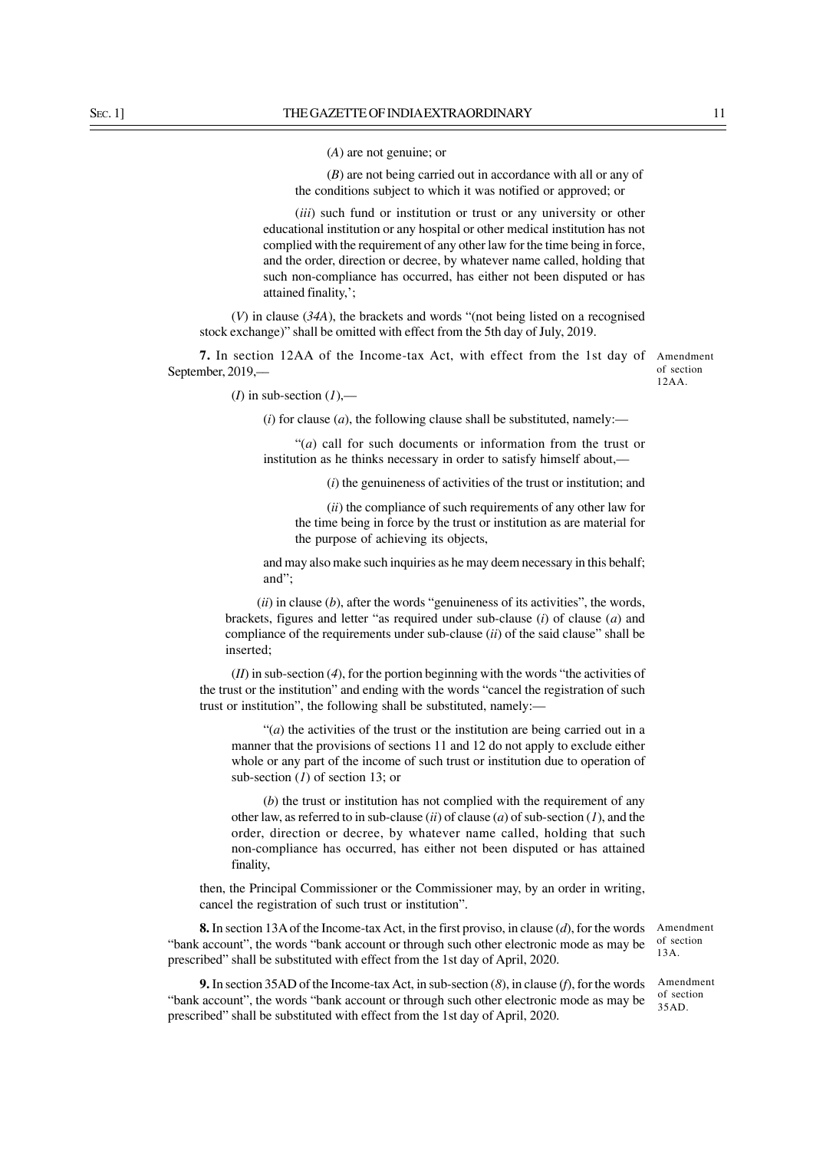(*A*) are not genuine; or

(*B*) are not being carried out in accordance with all or any of the conditions subject to which it was notified or approved; or

(*iii*) such fund or institution or trust or any university or other educational institution or any hospital or other medical institution has not complied with the requirement of any other law for the time being in force, and the order, direction or decree, by whatever name called, holding that such non-compliance has occurred, has either not been disputed or has attained finality,';

(*V*) in clause (*34A*), the brackets and words "(not being listed on a recognised stock exchange)" shall be omitted with effect from the 5th day of July, 2019.

**7.** In section 12AA of the Income-tax Act, with effect from the 1st day of September, 2019,––

Amendment of section 12AA.

(*I*) in sub-section  $(1)$ ,—

 $(i)$  for clause  $(a)$ , the following clause shall be substituted, namely:—

"(*a*) call for such documents or information from the trust or institution as he thinks necessary in order to satisfy himself about,––

(*i*) the genuineness of activities of the trust or institution; and

(*ii*) the compliance of such requirements of any other law for the time being in force by the trust or institution as are material for the purpose of achieving its objects,

and may also make such inquiries as he may deem necessary in this behalf; and";

(*ii*) in clause (*b*), after the words "genuineness of its activities", the words, brackets, figures and letter "as required under sub-clause (*i*) of clause (*a*) and compliance of the requirements under sub-clause (*ii*) of the said clause" shall be inserted;

(*II*) in sub-section (*4*), for the portion beginning with the words "the activities of the trust or the institution" and ending with the words "cancel the registration of such trust or institution", the following shall be substituted, namely:––

"(*a*) the activities of the trust or the institution are being carried out in a manner that the provisions of sections 11 and 12 do not apply to exclude either whole or any part of the income of such trust or institution due to operation of sub-section (*1*) of section 13; or

(*b*) the trust or institution has not complied with the requirement of any other law, as referred to in sub-clause (*ii*) of clause (*a*) of sub-section (*1*), and the order, direction or decree, by whatever name called, holding that such non-compliance has occurred, has either not been disputed or has attained finality,

then, the Principal Commissioner or the Commissioner may, by an order in writing, cancel the registration of such trust or institution".

**8.** In section 13A of the Income-tax Act, in the first proviso, in clause (*d*), for the words "bank account", the words "bank account or through such other electronic mode as may be prescribed" shall be substituted with effect from the 1st day of April, 2020.

Amendment of section 13A.

**9.** In section 35AD of the Income-tax Act, in sub-section (*8*), in clause (*f*), for the words "bank account", the words "bank account or through such other electronic mode as may be prescribed" shall be substituted with effect from the 1st day of April, 2020.

Amendment of section

35AD.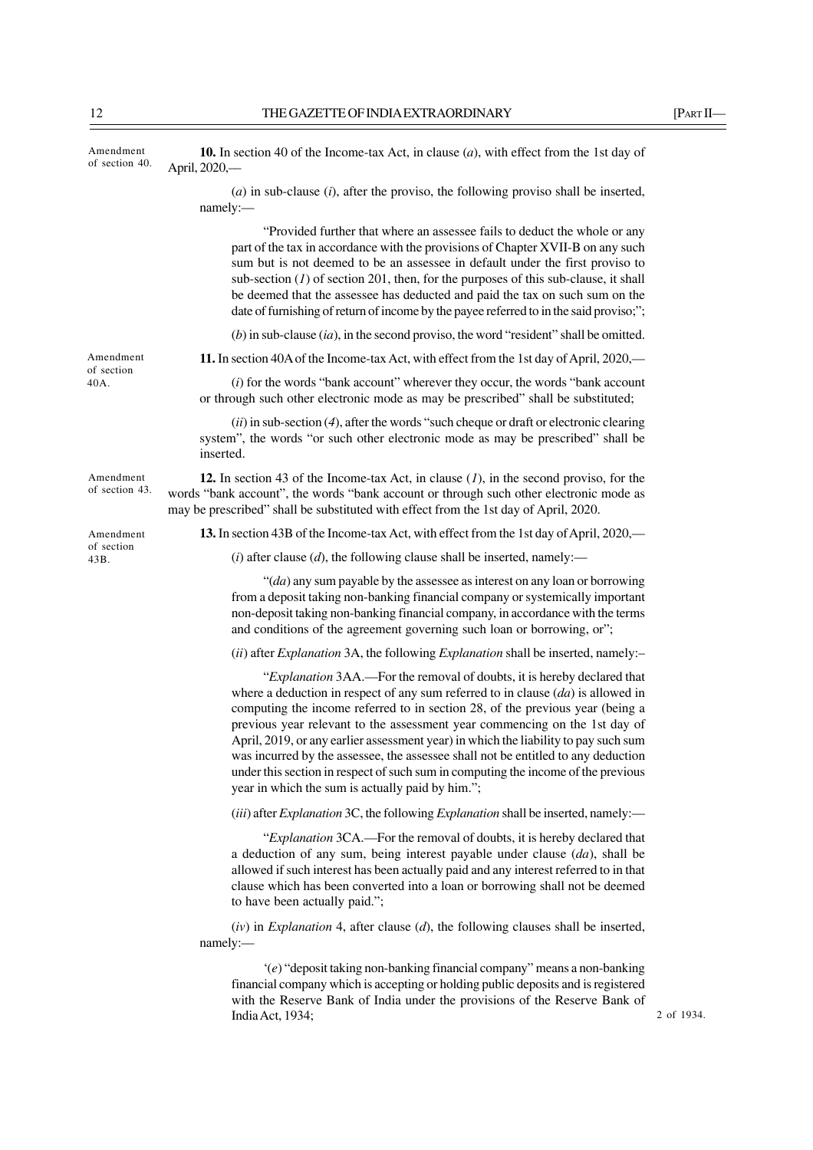| Amendment<br>of section 40. | <b>10.</b> In section 40 of the Income-tax Act, in clause $(a)$ , with effect from the 1st day of<br>April, 2020,-                                                                                                                                                                                                                                                                                                                                                                                                                                                                                                                                |
|-----------------------------|---------------------------------------------------------------------------------------------------------------------------------------------------------------------------------------------------------------------------------------------------------------------------------------------------------------------------------------------------------------------------------------------------------------------------------------------------------------------------------------------------------------------------------------------------------------------------------------------------------------------------------------------------|
|                             | $(a)$ in sub-clause $(i)$ , after the proviso, the following proviso shall be inserted,<br>namely:                                                                                                                                                                                                                                                                                                                                                                                                                                                                                                                                                |
|                             | "Provided further that where an assessee fails to deduct the whole or any<br>part of the tax in accordance with the provisions of Chapter XVII-B on any such<br>sum but is not deemed to be an assessee in default under the first proviso to<br>sub-section $(I)$ of section 201, then, for the purposes of this sub-clause, it shall<br>be deemed that the assessee has deducted and paid the tax on such sum on the<br>date of furnishing of return of income by the payee referred to in the said proviso;";                                                                                                                                  |
|                             | $(b)$ in sub-clause $(ia)$ , in the second proviso, the word "resident" shall be omitted.                                                                                                                                                                                                                                                                                                                                                                                                                                                                                                                                                         |
| Amendment                   | 11. In section 40A of the Income-tax Act, with effect from the 1st day of April, 2020,—                                                                                                                                                                                                                                                                                                                                                                                                                                                                                                                                                           |
| of section<br>40A.          | (i) for the words "bank account" wherever they occur, the words "bank account"<br>or through such other electronic mode as may be prescribed" shall be substituted;                                                                                                                                                                                                                                                                                                                                                                                                                                                                               |
|                             | $(ii)$ in sub-section (4), after the words "such cheque or draft or electronic clearing<br>system", the words "or such other electronic mode as may be prescribed" shall be<br>inserted.                                                                                                                                                                                                                                                                                                                                                                                                                                                          |
| Amendment<br>of section 43. | 12. In section 43 of the Income-tax Act, in clause $(1)$ , in the second proviso, for the<br>words "bank account", the words "bank account or through such other electronic mode as<br>may be prescribed" shall be substituted with effect from the 1st day of April, 2020.                                                                                                                                                                                                                                                                                                                                                                       |
| Amendment                   | 13. In section 43B of the Income-tax Act, with effect from the 1st day of April, 2020,—                                                                                                                                                                                                                                                                                                                                                                                                                                                                                                                                                           |
| of section<br>43B.          | (i) after clause (d), the following clause shall be inserted, namely:—                                                                                                                                                                                                                                                                                                                                                                                                                                                                                                                                                                            |
|                             | " $(da)$ any sum payable by the assessee as interest on any loan or borrowing<br>from a deposit taking non-banking financial company or systemically important<br>non-deposit taking non-banking financial company, in accordance with the terms<br>and conditions of the agreement governing such loan or borrowing, or";                                                                                                                                                                                                                                                                                                                        |
|                             | (ii) after <i>Explanation</i> 3A, the following <i>Explanation</i> shall be inserted, namely:-                                                                                                                                                                                                                                                                                                                                                                                                                                                                                                                                                    |
|                             | "Explanation 3AA.—For the removal of doubts, it is hereby declared that<br>where a deduction in respect of any sum referred to in clause $(da)$ is allowed in<br>computing the income referred to in section 28, of the previous year (being a<br>previous year relevant to the assessment year commencing on the 1st day of<br>April, 2019, or any earlier assessment year) in which the liability to pay such sum<br>was incurred by the assessee, the assessee shall not be entitled to any deduction<br>under this section in respect of such sum in computing the income of the previous<br>year in which the sum is actually paid by him."; |
|                             | (iii) after <i>Explanation</i> 3C, the following <i>Explanation</i> shall be inserted, namely:—                                                                                                                                                                                                                                                                                                                                                                                                                                                                                                                                                   |
|                             | "Explanation 3CA.—For the removal of doubts, it is hereby declared that<br>a deduction of any sum, being interest payable under clause $(da)$ , shall be<br>allowed if such interest has been actually paid and any interest referred to in that<br>clause which has been converted into a loan or borrowing shall not be deemed<br>to have been actually paid.";                                                                                                                                                                                                                                                                                 |
|                             | $(iv)$ in <i>Explanation</i> 4, after clause $(d)$ , the following clauses shall be inserted,<br>namely:-                                                                                                                                                                                                                                                                                                                                                                                                                                                                                                                                         |
|                             | $(e)$ "deposit taking non-banking financial company" means a non-banking<br>financial company which is accepting or holding public deposits and is registered<br>with the Reserve Bank of India under the provisions of the Reserve Bank of<br>India Act, 1934;<br>$\overline{\mathbf{c}}$                                                                                                                                                                                                                                                                                                                                                        |

2 of 1934.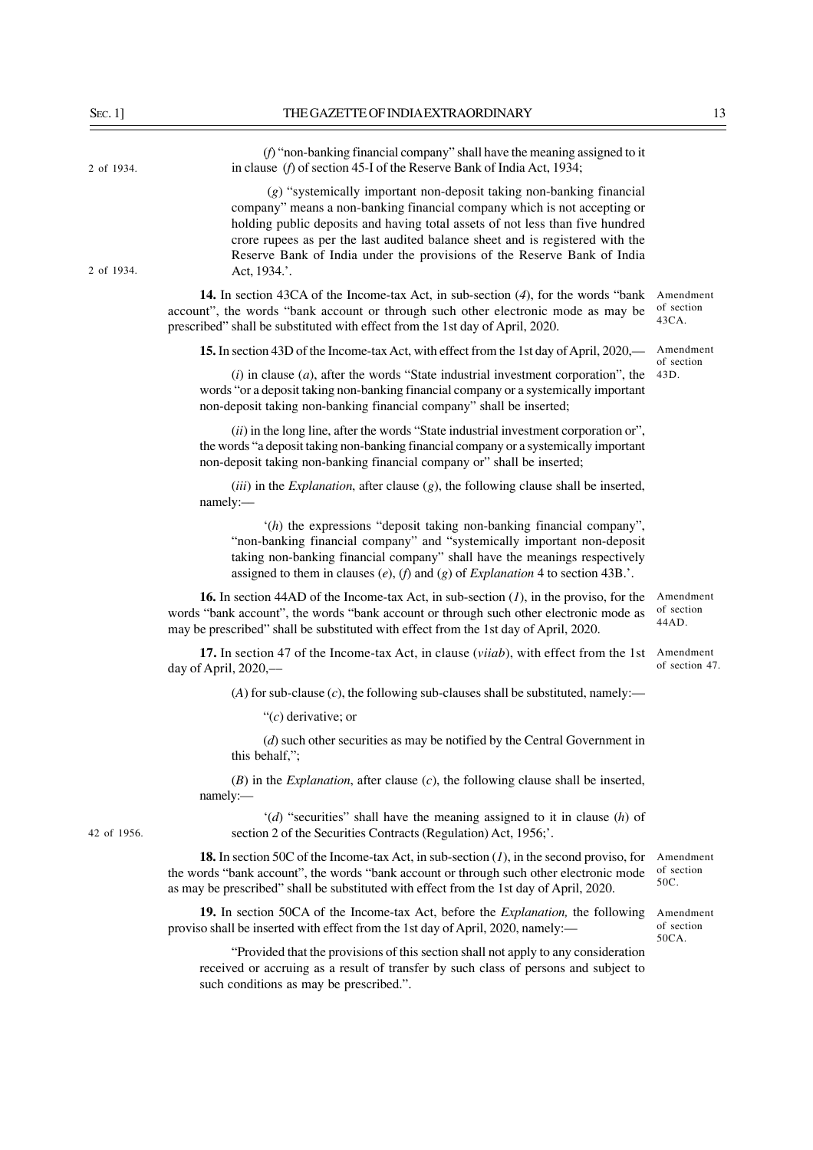| $S_{EC}.1]$ | THE GAZETTE OF INDIA EXTRAORDINARY                                                                                                                                                                                                                                                                                                                                                                            | 13                               |
|-------------|---------------------------------------------------------------------------------------------------------------------------------------------------------------------------------------------------------------------------------------------------------------------------------------------------------------------------------------------------------------------------------------------------------------|----------------------------------|
| 2 of 1934.  | $(f)$ "non-banking financial company" shall have the meaning assigned to it<br>in clause ( $f$ ) of section 45-I of the Reserve Bank of India Act, 1934;                                                                                                                                                                                                                                                      |                                  |
| 2 of 1934.  | (g) "systemically important non-deposit taking non-banking financial<br>company" means a non-banking financial company which is not accepting or<br>holding public deposits and having total assets of not less than five hundred<br>crore rupees as per the last audited balance sheet and is registered with the<br>Reserve Bank of India under the provisions of the Reserve Bank of India<br>Act, 1934.'. |                                  |
|             | <b>14.</b> In section 43CA of the Income-tax Act, in sub-section (4), for the words "bank<br>account", the words "bank account or through such other electronic mode as may be<br>prescribed" shall be substituted with effect from the 1st day of April, 2020.                                                                                                                                               | Amendment<br>of section<br>43CA. |
|             | 15. In section 43D of the Income-tax Act, with effect from the 1st day of April, 2020,—                                                                                                                                                                                                                                                                                                                       | Amendment                        |
|             | $(i)$ in clause $(a)$ , after the words "State industrial investment corporation", the<br>words "or a deposit taking non-banking financial company or a systemically important<br>non-deposit taking non-banking financial company" shall be inserted;                                                                                                                                                        | of section<br>43D.               |
|             | $(ii)$ in the long line, after the words "State industrial investment corporation or",<br>the words "a deposit taking non-banking financial company or a systemically important<br>non-deposit taking non-banking financial company or" shall be inserted;                                                                                                                                                    |                                  |
|             | $(iii)$ in the <i>Explanation</i> , after clause $(g)$ , the following clause shall be inserted,<br>namely:-                                                                                                                                                                                                                                                                                                  |                                  |
|             | (h) the expressions "deposit taking non-banking financial company",<br>"non-banking financial company" and "systemically important non-deposit<br>taking non-banking financial company" shall have the meanings respectively<br>assigned to them in clauses (e), (f) and (g) of Explanation 4 to section 43B                                                                                                  |                                  |
|             | <b>16.</b> In section 44AD of the Income-tax Act, in sub-section $(I)$ , in the proviso, for the<br>words "bank account", the words "bank account or through such other electronic mode as<br>may be prescribed" shall be substituted with effect from the 1st day of April, 2020.                                                                                                                            | Amendment<br>of section<br>44AD. |
|             | 17. In section 47 of the Income-tax Act, in clause (viiab), with effect from the 1st<br>day of April, $2020$ ,—                                                                                                                                                                                                                                                                                               | Amendment<br>of section 47.      |
|             | (A) for sub-clause $(c)$ , the following sub-clauses shall be substituted, namely:-                                                                                                                                                                                                                                                                                                                           |                                  |
|             | " $(c)$ derivative; or                                                                                                                                                                                                                                                                                                                                                                                        |                                  |
|             | $(d)$ such other securities as may be notified by the Central Government in<br>this behalf,";                                                                                                                                                                                                                                                                                                                 |                                  |
|             | $(B)$ in the <i>Explanation</i> , after clause $(c)$ , the following clause shall be inserted,<br>namely:                                                                                                                                                                                                                                                                                                     |                                  |
| 42 of 1956. | $'(d)$ "securities" shall have the meaning assigned to it in clause $(h)$ of<br>section 2 of the Securities Contracts (Regulation) Act, 1956;'.                                                                                                                                                                                                                                                               |                                  |
|             | <b>18.</b> In section 50C of the Income-tax Act, in sub-section $(1)$ , in the second proviso, for<br>the words "bank account", the words "bank account or through such other electronic mode<br>as may be prescribed" shall be substituted with effect from the 1st day of April, 2020.                                                                                                                      | Amendment<br>of section<br>50C.  |
|             | 19. In section 50CA of the Income-tax Act, before the <i>Explanation</i> , the following<br>proviso shall be inserted with effect from the 1st day of April, 2020, namely:—                                                                                                                                                                                                                                   | Amendment<br>of section<br>50CA. |
|             | "Provided that the provisions of this section shall not apply to any consideration<br>received or accruing as a result of transfer by such class of persons and subject to<br>such conditions as may be prescribed.".                                                                                                                                                                                         |                                  |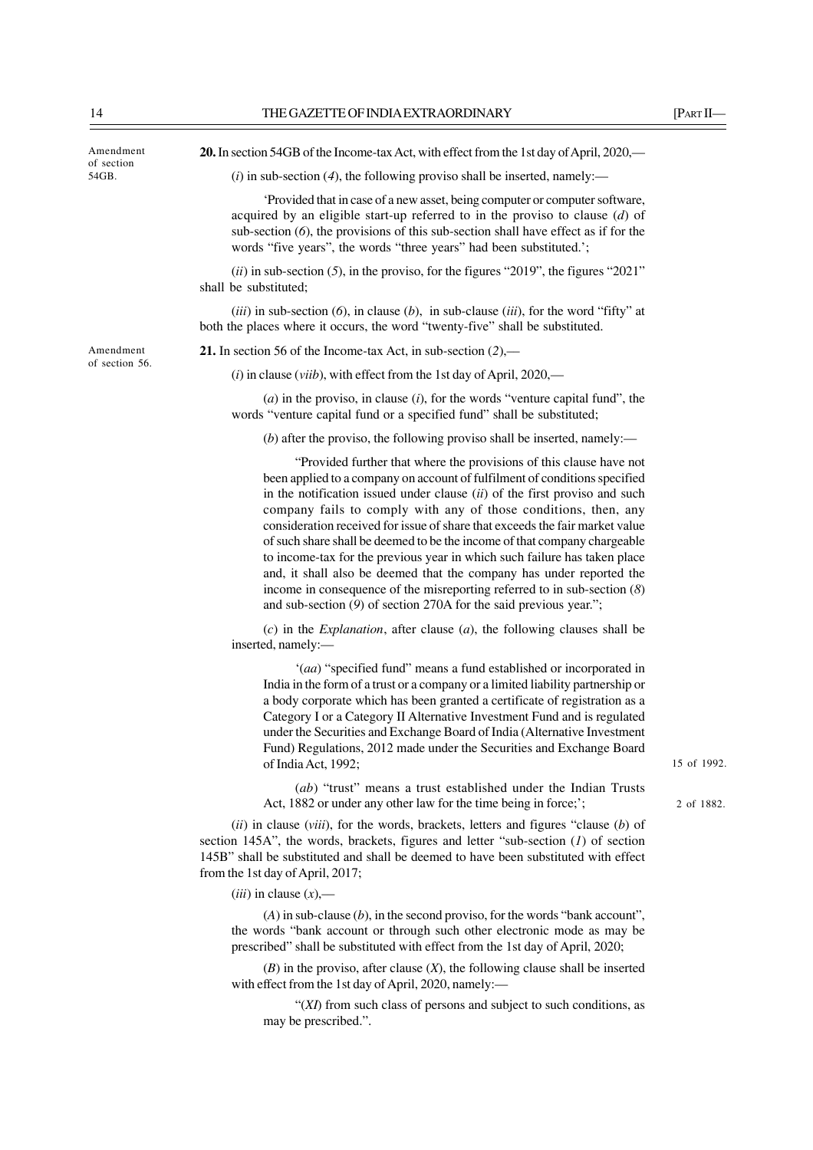| Amendment           | 20. In section 54GB of the Income-tax Act, with effect from the 1st day of April, 2020,—                                                                                                                                                                                                                                                                                                                                                                                                                                                                                                                                                                                                                                                                                    |             |
|---------------------|-----------------------------------------------------------------------------------------------------------------------------------------------------------------------------------------------------------------------------------------------------------------------------------------------------------------------------------------------------------------------------------------------------------------------------------------------------------------------------------------------------------------------------------------------------------------------------------------------------------------------------------------------------------------------------------------------------------------------------------------------------------------------------|-------------|
| of section<br>54GB. | $(i)$ in sub-section (4), the following proviso shall be inserted, namely:—                                                                                                                                                                                                                                                                                                                                                                                                                                                                                                                                                                                                                                                                                                 |             |
|                     | Provided that in case of a new asset, being computer or computer software,<br>acquired by an eligible start-up referred to in the proviso to clause $(d)$ of<br>sub-section $(6)$ , the provisions of this sub-section shall have effect as if for the<br>words "five years", the words "three years" had been substituted.';                                                                                                                                                                                                                                                                                                                                                                                                                                               |             |
|                     | $(ii)$ in sub-section (5), in the proviso, for the figures "2019", the figures "2021"<br>shall be substituted;                                                                                                                                                                                                                                                                                                                                                                                                                                                                                                                                                                                                                                                              |             |
|                     | $(iii)$ in sub-section $(6)$ , in clause $(b)$ , in sub-clause $(iii)$ , for the word "fifty" at<br>both the places where it occurs, the word "twenty-five" shall be substituted.                                                                                                                                                                                                                                                                                                                                                                                                                                                                                                                                                                                           |             |
| Amendment           | <b>21.</b> In section 56 of the Income-tax Act, in sub-section $(2)$ ,—                                                                                                                                                                                                                                                                                                                                                                                                                                                                                                                                                                                                                                                                                                     |             |
| of section 56.      | $(i)$ in clause ( <i>viib</i> ), with effect from the 1st day of April, 2020,—                                                                                                                                                                                                                                                                                                                                                                                                                                                                                                                                                                                                                                                                                              |             |
|                     | $(a)$ in the proviso, in clause $(i)$ , for the words "venture capital fund", the<br>words "venture capital fund or a specified fund" shall be substituted;                                                                                                                                                                                                                                                                                                                                                                                                                                                                                                                                                                                                                 |             |
|                     | (b) after the proviso, the following proviso shall be inserted, namely:—                                                                                                                                                                                                                                                                                                                                                                                                                                                                                                                                                                                                                                                                                                    |             |
|                     | "Provided further that where the provisions of this clause have not<br>been applied to a company on account of fulfilment of conditions specified<br>in the notification issued under clause $(ii)$ of the first proviso and such<br>company fails to comply with any of those conditions, then, any<br>consideration received for issue of share that exceeds the fair market value<br>of such share shall be deemed to be the income of that company chargeable<br>to income-tax for the previous year in which such failure has taken place<br>and, it shall also be deemed that the company has under reported the<br>income in consequence of the misreporting referred to in sub-section $(8)$<br>and sub-section $(9)$ of section 270A for the said previous year."; |             |
|                     | $(c)$ in the <i>Explanation</i> , after clause $(a)$ , the following clauses shall be<br>inserted, namely:-                                                                                                                                                                                                                                                                                                                                                                                                                                                                                                                                                                                                                                                                 |             |
|                     | '(aa) "specified fund" means a fund established or incorporated in<br>India in the form of a trust or a company or a limited liability partnership or<br>a body corporate which has been granted a certificate of registration as a<br>Category I or a Category II Alternative Investment Fund and is regulated<br>under the Securities and Exchange Board of India (Alternative Investment<br>Fund) Regulations, 2012 made under the Securities and Exchange Board<br>of India Act, 1992;                                                                                                                                                                                                                                                                                  | 15 of 1992. |
|                     | (ab) "trust" means a trust established under the Indian Trusts<br>Act, 1882 or under any other law for the time being in force;';                                                                                                                                                                                                                                                                                                                                                                                                                                                                                                                                                                                                                                           | 2 of 1882.  |
|                     | $(ii)$ in clause ( <i>viii</i> ), for the words, brackets, letters and figures "clause $(b)$ of<br>section 145A", the words, brackets, figures and letter "sub-section $(I)$ of section<br>145B" shall be substituted and shall be deemed to have been substituted with effect<br>from the 1st day of April, 2017;                                                                                                                                                                                                                                                                                                                                                                                                                                                          |             |

(*iii*) in clause (*x*),––

(*A*) in sub-clause (*b*), in the second proviso, for the words "bank account", the words "bank account or through such other electronic mode as may be prescribed" shall be substituted with effect from the 1st day of April, 2020;

(*B*) in the proviso, after clause (*X*), the following clause shall be inserted with effect from the 1st day of April, 2020, namely:—

"(*XI*) from such class of persons and subject to such conditions, as may be prescribed.".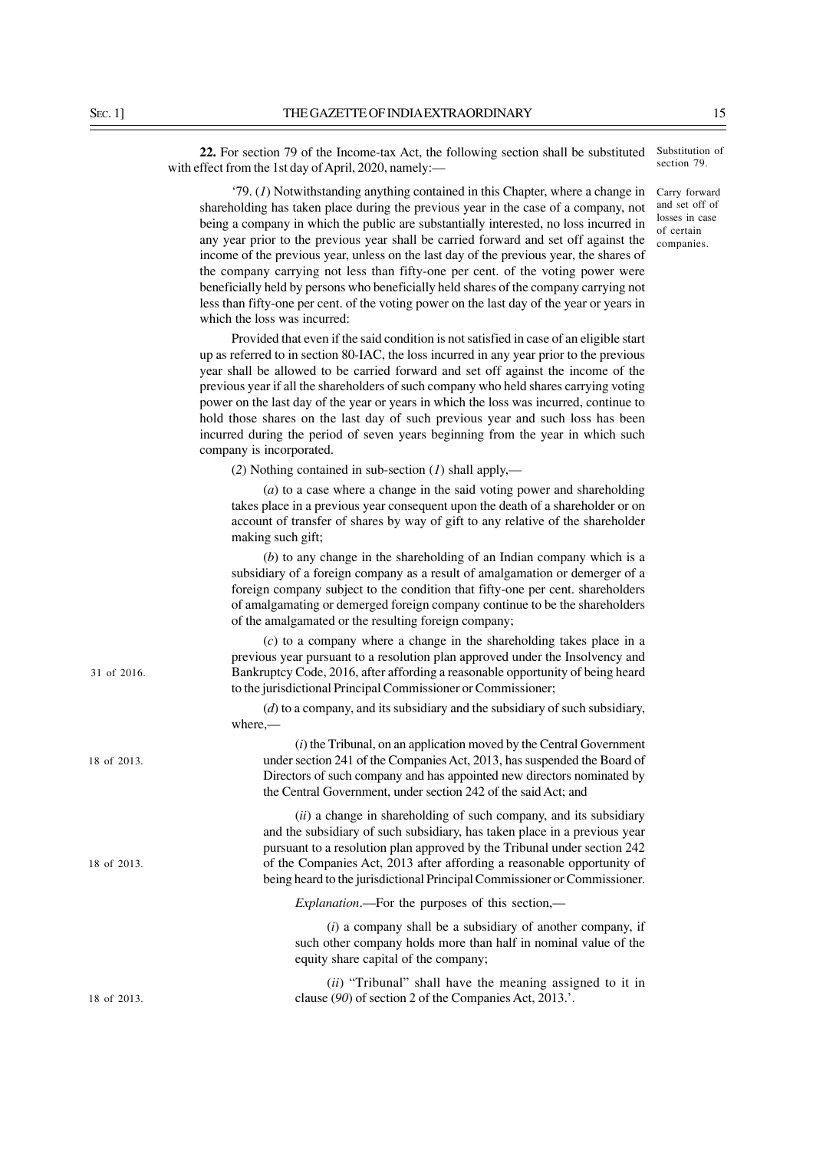section 79. **22.** For section 79 of the Income-tax Act, the following section shall be substituted with effect from the 1st day of April, 2020, namely:––

'79. (*1*) Notwithstanding anything contained in this Chapter, where a change in shareholding has taken place during the previous year in the case of a company, not being a company in which the public are substantially interested, no loss incurred in any year prior to the previous year shall be carried forward and set off against the income of the previous year, unless on the last day of the previous year, the shares of the company carrying not less than fifty-one per cent. of the voting power were beneficially held by persons who beneficially held shares of the company carrying not less than fifty-one per cent. of the voting power on the last day of the year or years in which the loss was incurred:

Provided that even if the said condition is not satisfied in case of an eligible start up as referred to in section 80-IAC, the loss incurred in any year prior to the previous year shall be allowed to be carried forward and set off against the income of the previous year if all the shareholders of such company who held shares carrying voting power on the last day of the year or years in which the loss was incurred, continue to hold those shares on the last day of such previous year and such loss has been incurred during the period of seven years beginning from the year in which such company is incorporated.

(*2*) Nothing contained in sub-section (*1*) shall apply,––

(*a*) to a case where a change in the said voting power and shareholding takes place in a previous year consequent upon the death of a shareholder or on account of transfer of shares by way of gift to any relative of the shareholder making such gift;

(*b*) to any change in the shareholding of an Indian company which is a subsidiary of a foreign company as a result of amalgamation or demerger of a foreign company subject to the condition that fifty-one per cent. shareholders of amalgamating or demerged foreign company continue to be the shareholders of the amalgamated or the resulting foreign company;

(*c*) to a company where a change in the shareholding takes place in a previous year pursuant to a resolution plan approved under the Insolvency and Bankruptcy Code, 2016, after affording a reasonable opportunity of being heard to the jurisdictional Principal Commissioner or Commissioner;

(*d*) to a company, and its subsidiary and the subsidiary of such subsidiary, where,––

(*i*) the Tribunal, on an application moved by the Central Government under section 241 of the Companies Act, 2013, has suspended the Board of Directors of such company and has appointed new directors nominated by the Central Government, under section 242 of the said Act; and

(*ii*) a change in shareholding of such company, and its subsidiary and the subsidiary of such subsidiary, has taken place in a previous year pursuant to a resolution plan approved by the Tribunal under section 242 of the Companies Act, 2013 after affording a reasonable opportunity of being heard to the jurisdictional Principal Commissioner or Commissioner.

*Explanation*.––For the purposes of this section,––

(*i*) a company shall be a subsidiary of another company, if such other company holds more than half in nominal value of the equity share capital of the company;

(*ii*) "Tribunal" shall have the meaning assigned to it in clause (*90*) of section 2 of the Companies Act, 2013.'.

Substitution of

Carry forward and set off of losses in case of certain companies.

31 of 2016.

18 of 2013.

18 of 2013.

18 of 2013.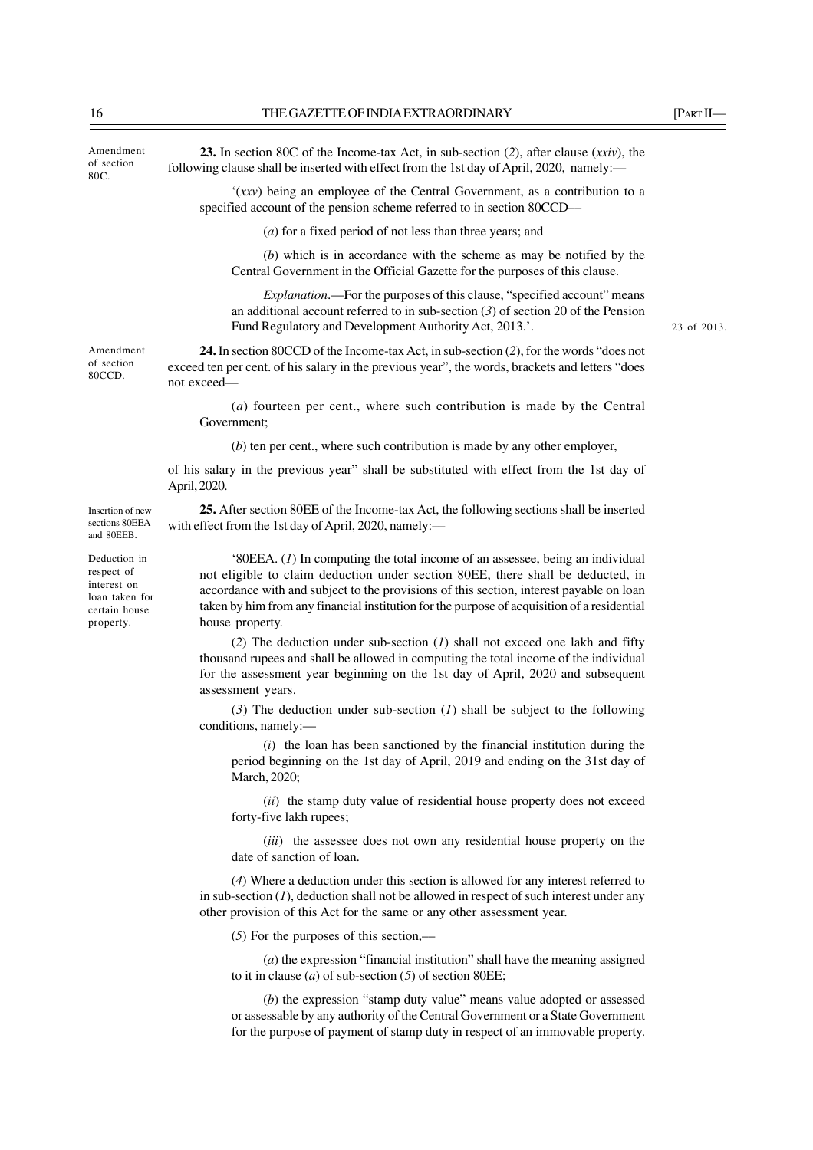Amendment of section 80C. 23 of 2013. Amendment of section 80CCD. Insertion of new sections 80EEA and 80EEB. Deduction in respect of interest on loan taken for certain house property. **23.** In section 80C of the Income-tax Act, in sub-section (*2*), after clause (*xxiv*), the following clause shall be inserted with effect from the 1st day of April, 2020, namely:— '(*xxv*) being an employee of the Central Government, as a contribution to a specified account of the pension scheme referred to in section 80CCD— (*a*) for a fixed period of not less than three years; and (*b*) which is in accordance with the scheme as may be notified by the Central Government in the Official Gazette for the purposes of this clause. *Explanation*.—For the purposes of this clause, "specified account" means an additional account referred to in sub-section (*3*) of section 20 of the Pension Fund Regulatory and Development Authority Act, 2013.'. **24.** In section 80CCD of the Income-tax Act, in sub-section (*2*), for the words "does not exceed ten per cent. of his salary in the previous year", the words, brackets and letters "does not exceed–– (*a*) fourteen per cent., where such contribution is made by the Central Government; (*b*) ten per cent., where such contribution is made by any other employer, of his salary in the previous year" shall be substituted with effect from the 1st day of April, 2020. **25.** After section 80EE of the Income-tax Act, the following sections shall be inserted with effect from the 1st day of April, 2020, namely:-'80EEA. (*1*) In computing the total income of an assessee, being an individual not eligible to claim deduction under section 80EE, there shall be deducted, in accordance with and subject to the provisions of this section, interest payable on loan taken by him from any financial institution for the purpose of acquisition of a residential house property. (*2*) The deduction under sub-section (*1*) shall not exceed one lakh and fifty thousand rupees and shall be allowed in computing the total income of the individual for the assessment year beginning on the 1st day of April, 2020 and subsequent assessment years. (*3*) The deduction under sub-section (*1*) shall be subject to the following conditions, namely:— (*i*) the loan has been sanctioned by the financial institution during the period beginning on the 1st day of April, 2019 and ending on the 31st day of March, 2020; (*ii*) the stamp duty value of residential house property does not exceed forty-five lakh rupees; (*iii*) the assessee does not own any residential house property on the date of sanction of loan. (*4*) Where a deduction under this section is allowed for any interest referred to in sub-section (*1*), deduction shall not be allowed in respect of such interest under any other provision of this Act for the same or any other assessment year.

(*5*) For the purposes of this section,––

(*a*) the expression "financial institution" shall have the meaning assigned to it in clause (*a*) of sub-section (*5*) of section 80EE;

(*b*) the expression "stamp duty value" means value adopted or assessed or assessable by any authority of the Central Government or a State Government for the purpose of payment of stamp duty in respect of an immovable property.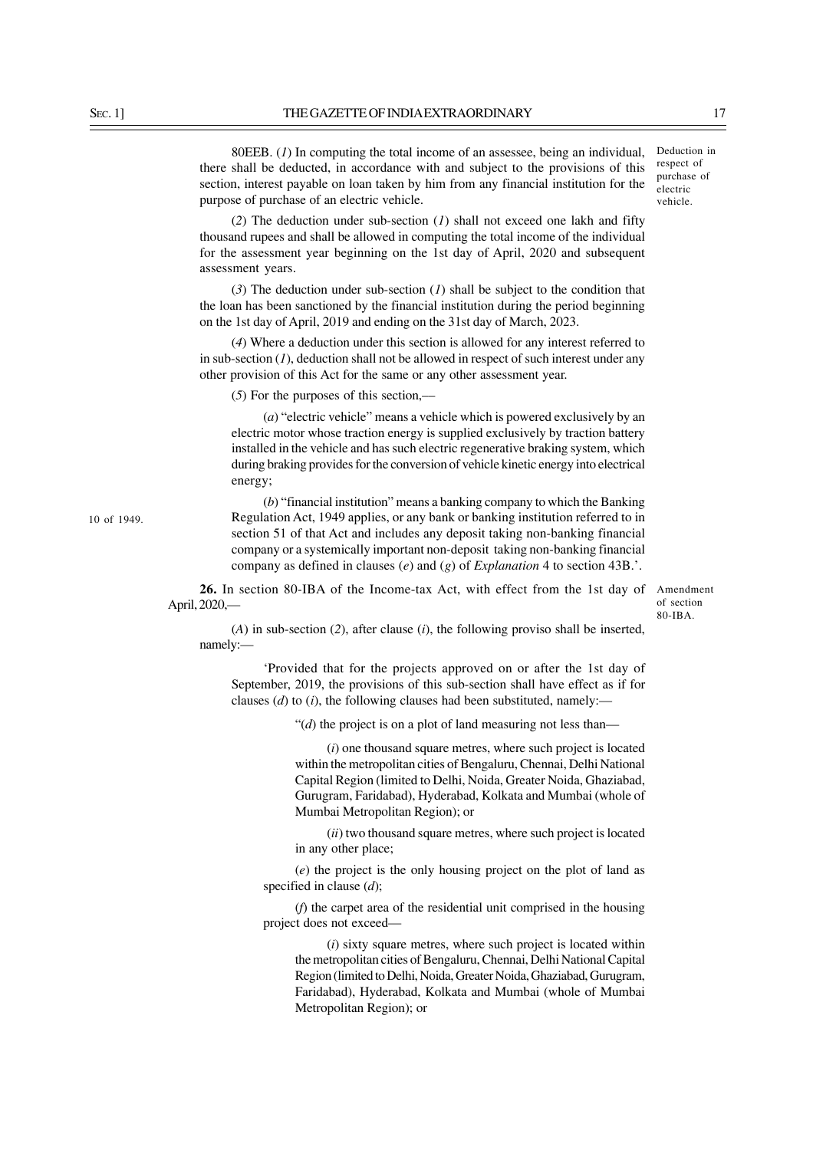80EEB. (*1*) In computing the total income of an assessee, being an individual, there shall be deducted, in accordance with and subject to the provisions of this section, interest payable on loan taken by him from any financial institution for the purpose of purchase of an electric vehicle.

(*2*) The deduction under sub-section (*1*) shall not exceed one lakh and fifty thousand rupees and shall be allowed in computing the total income of the individual for the assessment year beginning on the 1st day of April, 2020 and subsequent assessment years.

(*3*) The deduction under sub-section (*1*) shall be subject to the condition that the loan has been sanctioned by the financial institution during the period beginning on the 1st day of April, 2019 and ending on the 31st day of March, 2023.

(*4*) Where a deduction under this section is allowed for any interest referred to in sub-section (*1*), deduction shall not be allowed in respect of such interest under any other provision of this Act for the same or any other assessment year.

(*5*) For the purposes of this section,––

(*a*) "electric vehicle" means a vehicle which is powered exclusively by an electric motor whose traction energy is supplied exclusively by traction battery installed in the vehicle and has such electric regenerative braking system, which during braking provides for the conversion of vehicle kinetic energy into electrical energy;

(*b*) "financial institution" means a banking company to which the Banking Regulation Act, 1949 applies, or any bank or banking institution referred to in section 51 of that Act and includes any deposit taking non-banking financial company or a systemically important non-deposit taking non-banking financial company as defined in clauses (*e*) and (*g*) of *Explanation* 4 to section 43B.'.

26. In section 80-IBA of the Income-tax Act, with effect from the 1st day of Amendment April, 2020,—

of section  $80 - IRA$ 

(*A*) in sub-section (*2*), after clause (*i*), the following proviso shall be inserted, namely:—

'Provided that for the projects approved on or after the 1st day of September, 2019, the provisions of this sub-section shall have effect as if for clauses (*d*) to (*i*), the following clauses had been substituted, namely:––

"(*d*) the project is on a plot of land measuring not less than—

(*i*) one thousand square metres, where such project is located within the metropolitan cities of Bengaluru, Chennai, Delhi National Capital Region (limited to Delhi, Noida, Greater Noida, Ghaziabad, Gurugram, Faridabad), Hyderabad, Kolkata and Mumbai (whole of Mumbai Metropolitan Region); or

(*ii*) two thousand square metres, where such project is located in any other place;

(*e*) the project is the only housing project on the plot of land as specified in clause (*d*);

(*f*) the carpet area of the residential unit comprised in the housing project does not exceed—

(*i*) sixty square metres, where such project is located within the metropolitan cities of Bengaluru, Chennai, Delhi National Capital Region (limited to Delhi, Noida, Greater Noida, Ghaziabad, Gurugram, Faridabad), Hyderabad, Kolkata and Mumbai (whole of Mumbai Metropolitan Region); or

Deduction in respect of purchase of electric vehicle.

10 of 1949.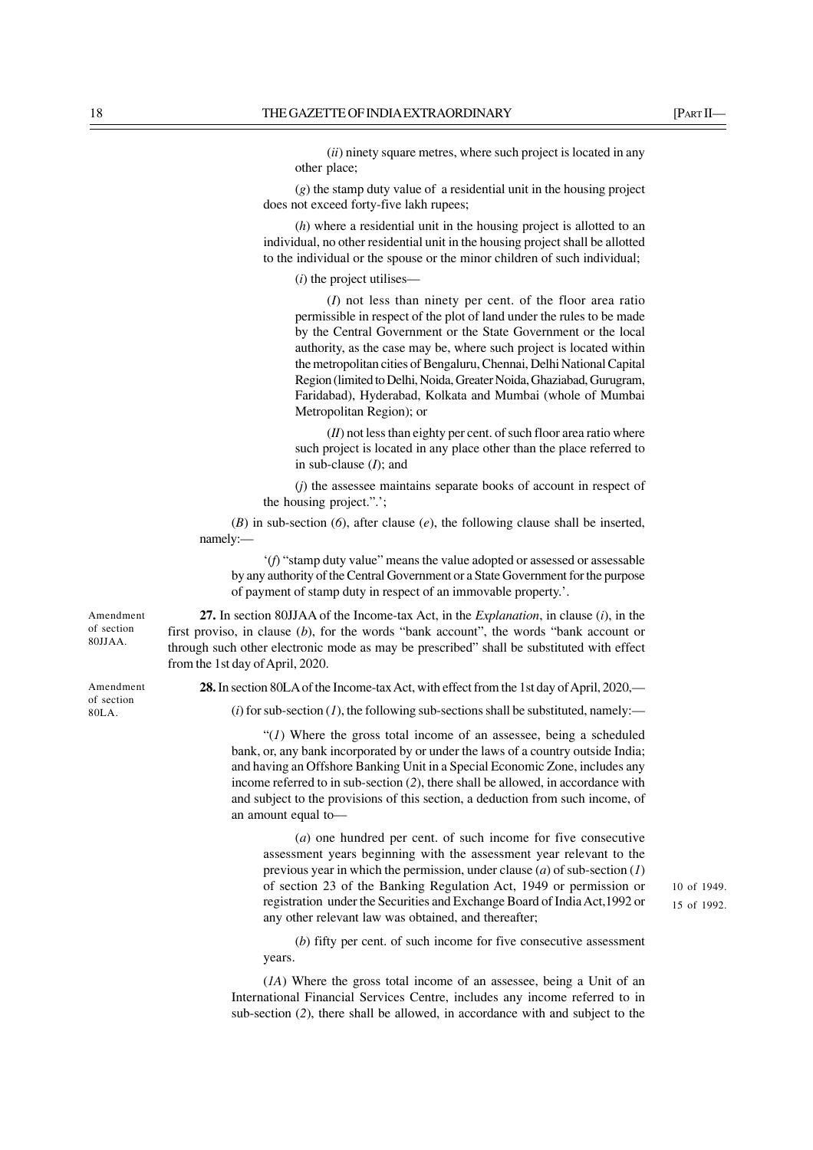(*ii*) ninety square metres, where such project is located in any other place;

(*g*) the stamp duty value of a residential unit in the housing project does not exceed forty-five lakh rupees;

(*h*) where a residential unit in the housing project is allotted to an individual, no other residential unit in the housing project shall be allotted to the individual or the spouse or the minor children of such individual;

(*i*) the project utilises—

(*I*) not less than ninety per cent. of the floor area ratio permissible in respect of the plot of land under the rules to be made by the Central Government or the State Government or the local authority, as the case may be, where such project is located within the metropolitan cities of Bengaluru, Chennai, Delhi National Capital Region (limited to Delhi, Noida, Greater Noida, Ghaziabad, Gurugram, Faridabad), Hyderabad, Kolkata and Mumbai (whole of Mumbai Metropolitan Region); or

(*II*) not less than eighty per cent. of such floor area ratio where such project is located in any place other than the place referred to in sub-clause (*I*); and

(*j*) the assessee maintains separate books of account in respect of the housing project.".';

(*B*) in sub-section (*6*), after clause (*e*), the following clause shall be inserted, namely:—

'(*f*) "stamp duty value" means the value adopted or assessed or assessable by any authority of the Central Government or a State Government for the purpose of payment of stamp duty in respect of an immovable property.'.

**27.** In section 80JJAA of the Income-tax Act, in the *Explanation*, in clause (*i*), in the first proviso, in clause (*b*), for the words "bank account", the words "bank account or through such other electronic mode as may be prescribed" shall be substituted with effect from the 1st day of April, 2020.

**28.** In section 80LA of the Income-tax Act, with effect from the 1st day of April, 2020,—

 $(i)$  for sub-section  $(I)$ , the following sub-sections shall be substituted, namely:—

"(*1*) Where the gross total income of an assessee, being a scheduled bank, or, any bank incorporated by or under the laws of a country outside India; and having an Offshore Banking Unit in a Special Economic Zone, includes any income referred to in sub-section (*2*), there shall be allowed, in accordance with and subject to the provisions of this section, a deduction from such income, of an amount equal to––

(*a*) one hundred per cent. of such income for five consecutive assessment years beginning with the assessment year relevant to the previous year in which the permission, under clause (*a*) of sub-section (*1*) of section 23 of the Banking Regulation Act, 1949 or permission or registration under the Securities and Exchange Board of India Act,1992 or any other relevant law was obtained, and thereafter;

(*b*) fifty per cent. of such income for five consecutive assessment years.

(*1A*) Where the gross total income of an assessee, being a Unit of an International Financial Services Centre, includes any income referred to in sub-section (*2*), there shall be allowed, in accordance with and subject to the

Amendment of section 80JJAA.

Amendment of section 80LA.

15 of 1992. 10 of 1949.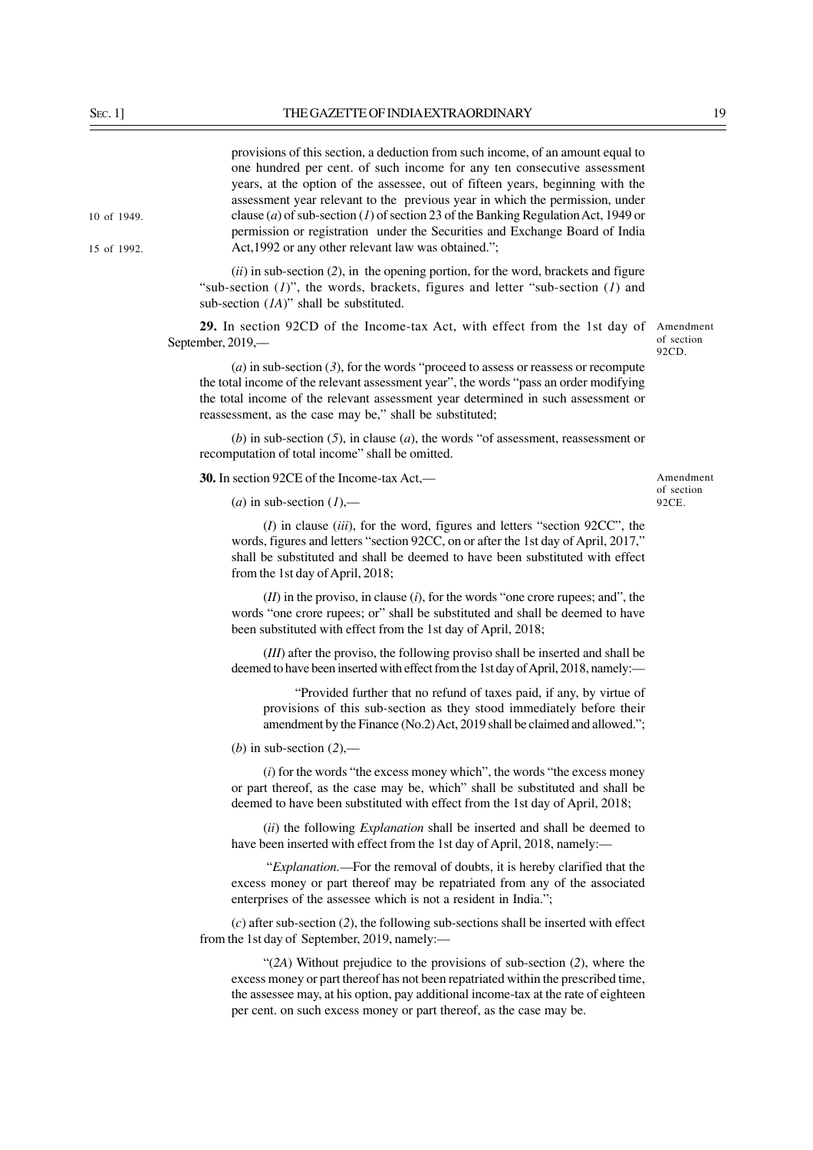15 of 1992.

10 of 1949.

provisions of this section, a deduction from such income, of an amount equal to one hundred per cent. of such income for any ten consecutive assessment years, at the option of the assessee, out of fifteen years, beginning with the assessment year relevant to the previous year in which the permission, under clause (*a*) of sub-section (*1*) of section 23 of the Banking Regulation Act, 1949 or permission or registration under the Securities and Exchange Board of India Act,1992 or any other relevant law was obtained.";

(*ii*) in sub-section (*2*), in the opening portion, for the word, brackets and figure "sub-section (*1*)", the words, brackets, figures and letter "sub-section (*1*) and sub-section (*1A*)" shall be substituted.

29. In section 92CD of the Income-tax Act, with effect from the 1st day of Amendment September, 2019,––

 $(a)$  in sub-section  $(3)$ , for the words "proceed to assess or reassess or recompute the total income of the relevant assessment year", the words "pass an order modifying the total income of the relevant assessment year determined in such assessment or reassessment, as the case may be," shall be substituted;

(*b*) in sub-section (*5*), in clause (*a*), the words "of assessment, reassessment or recomputation of total income" shall be omitted.

**30.** In section 92CE of the Income-tax Act,––

 $(a)$  in sub-section  $(I)$ ,—

Amendment of section 92CE.

of section 92CD.

(*I*) in clause (*iii*), for the word, figures and letters "section 92CC", the words, figures and letters "section 92CC, on or after the 1st day of April, 2017," shall be substituted and shall be deemed to have been substituted with effect from the 1st day of April, 2018;

(*II*) in the proviso, in clause (*i*), for the words "one crore rupees; and", the words "one crore rupees; or" shall be substituted and shall be deemed to have been substituted with effect from the 1st day of April, 2018;

(*III*) after the proviso, the following proviso shall be inserted and shall be deemed to have been inserted with effect from the 1st day of April, 2018, namely:—

"Provided further that no refund of taxes paid, if any, by virtue of provisions of this sub-section as they stood immediately before their amendment by the Finance (No.2) Act, 2019 shall be claimed and allowed.";

(*b*) in sub-section (*2*),––

(*i*) for the words "the excess money which", the words "the excess money or part thereof, as the case may be, which" shall be substituted and shall be deemed to have been substituted with effect from the 1st day of April, 2018;

(*ii*) the following *Explanation* shall be inserted and shall be deemed to have been inserted with effect from the 1st day of April, 2018, namely:-

 "*Explanation.––*For the removal of doubts, it is hereby clarified that the excess money or part thereof may be repatriated from any of the associated enterprises of the assessee which is not a resident in India.";

(*c*) after sub-section (*2*), the following sub-sections shall be inserted with effect from the 1st day of September, 2019, namely:—

"(*2A*) Without prejudice to the provisions of sub-section (*2*), where the excess money or part thereof has not been repatriated within the prescribed time, the assessee may, at his option, pay additional income-tax at the rate of eighteen per cent. on such excess money or part thereof, as the case may be.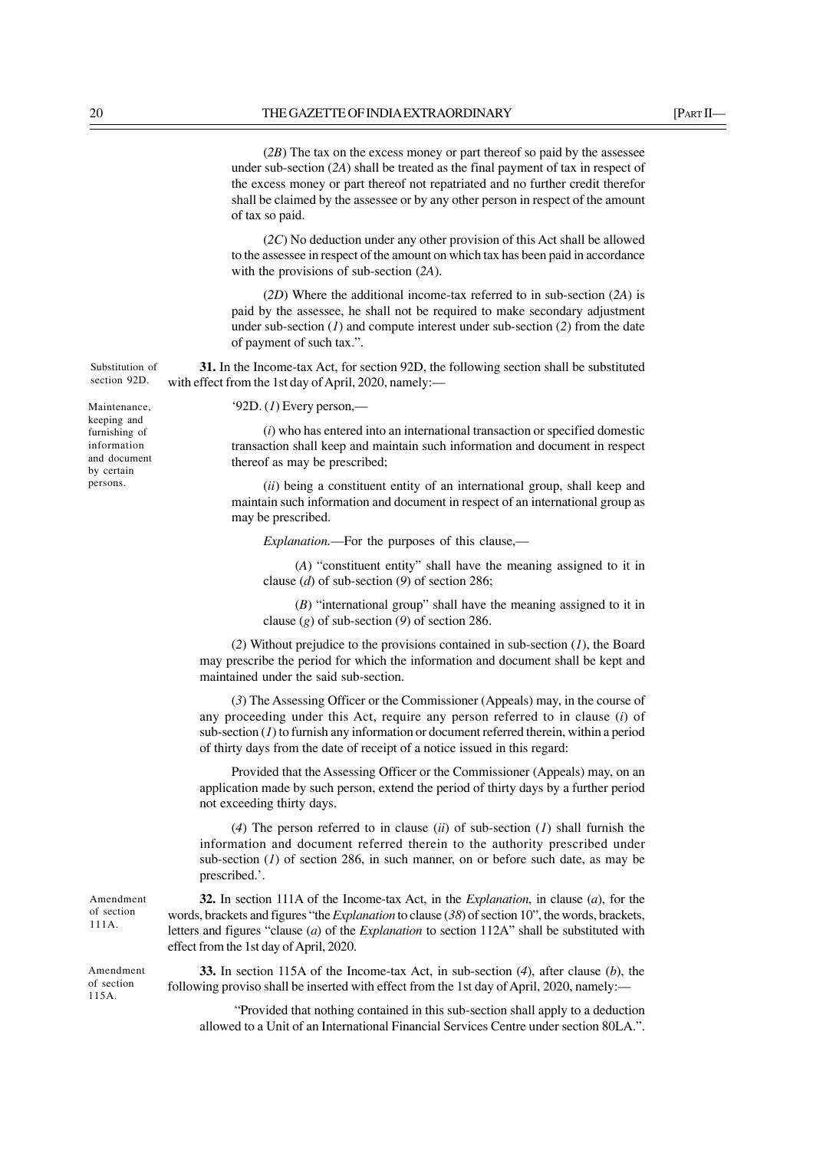(*2B*) The tax on the excess money or part thereof so paid by the assessee under sub-section (*2A*) shall be treated as the final payment of tax in respect of the excess money or part thereof not repatriated and no further credit therefor shall be claimed by the assessee or by any other person in respect of the amount of tax so paid.

(*2C*) No deduction under any other provision of this Act shall be allowed to the assessee in respect of the amount on which tax has been paid in accordance with the provisions of sub-section (*2A*).

(*2D*) Where the additional income-tax referred to in sub-section (*2A*) is paid by the assessee, he shall not be required to make secondary adjustment under sub-section (*1*) and compute interest under sub-section (*2*) from the date of payment of such tax.".

**31.** In the Income-tax Act, for section 92D, the following section shall be substituted with effect from the 1st day of April, 2020, namely:—

'92D. (*1*) Every person,––

(*i*) who has entered into an international transaction or specified domestic transaction shall keep and maintain such information and document in respect thereof as may be prescribed;

(*ii*) being a constituent entity of an international group, shall keep and maintain such information and document in respect of an international group as may be prescribed.

*Explanation.*––For the purposes of this clause,––

(*A*) "constituent entity" shall have the meaning assigned to it in clause (*d*) of sub-section (*9*) of section 286;

(*B*) "international group" shall have the meaning assigned to it in clause (*g*) of sub-section (*9*) of section 286.

(*2*) Without prejudice to the provisions contained in sub-section (*1*), the Board may prescribe the period for which the information and document shall be kept and maintained under the said sub-section.

(*3*) The Assessing Officer or the Commissioner (Appeals) may, in the course of any proceeding under this Act, require any person referred to in clause (*i*) of sub-section (*1*) to furnish any information or document referred therein, within a period of thirty days from the date of receipt of a notice issued in this regard:

Provided that the Assessing Officer or the Commissioner (Appeals) may, on an application made by such person, extend the period of thirty days by a further period not exceeding thirty days.

(*4*) The person referred to in clause (*ii*) of sub-section (*1*) shall furnish the information and document referred therein to the authority prescribed under sub-section  $(1)$  of section 286, in such manner, on or before such date, as may be prescribed.'.

**32.** In section 111A of the Income-tax Act, in the *Explanation*, in clause (*a*), for the words, brackets and figures "the *Explanation* to clause (*38*) of section 10", the words, brackets, letters and figures "clause (*a*) of the *Explanation* to section 112A" shall be substituted with effect from the 1st day of April, 2020.

**33.** In section 115A of the Income-tax Act, in sub-section (*4*), after clause (*b*), the following proviso shall be inserted with effect from the 1st day of April, 2020, namely:––

 "Provided that nothing contained in this sub-section shall apply to a deduction allowed to a Unit of an International Financial Services Centre under section 80LA.".

Maintenance, keeping and furnishing of

Substitution of section 92D.

information and document by certain persons.

Amendment of section 111A.

Amendment of section 115A.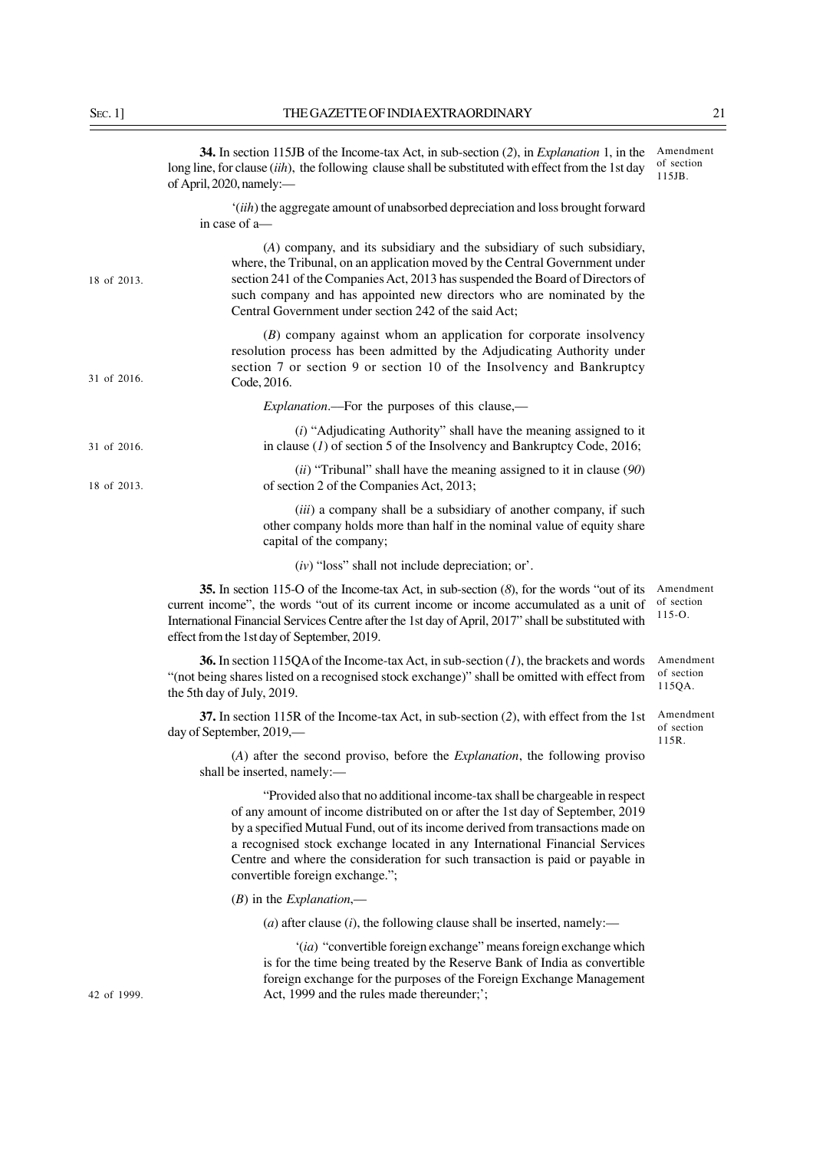|             | 34. In section 115JB of the Income-tax Act, in sub-section (2), in <i>Explanation</i> 1, in the<br>long line, for clause (iih), the following clause shall be substituted with effect from the 1st day<br>of April, 2020, namely:-                                                                                                                                                                                                                  | Amendment<br>of section<br>115JB.     |
|-------------|-----------------------------------------------------------------------------------------------------------------------------------------------------------------------------------------------------------------------------------------------------------------------------------------------------------------------------------------------------------------------------------------------------------------------------------------------------|---------------------------------------|
|             | '(iih) the aggregate amount of unabsorbed depreciation and loss brought forward<br>in case of a-                                                                                                                                                                                                                                                                                                                                                    |                                       |
| 18 of 2013. | (A) company, and its subsidiary and the subsidiary of such subsidiary,<br>where, the Tribunal, on an application moved by the Central Government under<br>section 241 of the Companies Act, 2013 has suspended the Board of Directors of<br>such company and has appointed new directors who are nominated by the<br>Central Government under section 242 of the said Act;                                                                          |                                       |
| 31 of 2016. | $(B)$ company against whom an application for corporate insolvency<br>resolution process has been admitted by the Adjudicating Authority under<br>section 7 or section 9 or section 10 of the Insolvency and Bankruptcy<br>Code, 2016.                                                                                                                                                                                                              |                                       |
|             | <i>Explanation</i> .—For the purposes of this clause,—                                                                                                                                                                                                                                                                                                                                                                                              |                                       |
| 31 of 2016. | $(i)$ "Adjudicating Authority" shall have the meaning assigned to it<br>in clause $(I)$ of section 5 of the Insolvency and Bankruptcy Code, 2016;                                                                                                                                                                                                                                                                                                   |                                       |
| 18 of 2013. | $(ii)$ "Tribunal" shall have the meaning assigned to it in clause (90)<br>of section 2 of the Companies Act, 2013;                                                                                                                                                                                                                                                                                                                                  |                                       |
|             | (iii) a company shall be a subsidiary of another company, if such<br>other company holds more than half in the nominal value of equity share<br>capital of the company;                                                                                                                                                                                                                                                                             |                                       |
|             | $(iv)$ "loss" shall not include depreciation; or'.                                                                                                                                                                                                                                                                                                                                                                                                  |                                       |
|             | 35. In section 115-O of the Income-tax Act, in sub-section $(8)$ , for the words "out of its<br>current income", the words "out of its current income or income accumulated as a unit of<br>International Financial Services Centre after the 1st day of April, 2017" shall be substituted with<br>effect from the 1st day of September, 2019.                                                                                                      | Amendment<br>of section<br>$115 - 0.$ |
|             | <b>36.</b> In section 115QA of the Income-tax Act, in sub-section $(1)$ , the brackets and words<br>"(not being shares listed on a recognised stock exchange)" shall be omitted with effect from<br>the 5th day of July, 2019.                                                                                                                                                                                                                      | Amendment<br>of section<br>115QA.     |
|             | 37. In section 115R of the Income-tax Act, in sub-section (2), with effect from the 1st<br>day of September, 2019,—                                                                                                                                                                                                                                                                                                                                 | Amendment<br>of section<br>115R.      |
|             | (A) after the second proviso, before the <i>Explanation</i> , the following proviso<br>shall be inserted, namely:-                                                                                                                                                                                                                                                                                                                                  |                                       |
|             | "Provided also that no additional income-tax shall be chargeable in respect<br>of any amount of income distributed on or after the 1st day of September, 2019<br>by a specified Mutual Fund, out of its income derived from transactions made on<br>a recognised stock exchange located in any International Financial Services<br>Centre and where the consideration for such transaction is paid or payable in<br>convertible foreign exchange."; |                                       |
|             | $(B)$ in the <i>Explanation</i> ,—                                                                                                                                                                                                                                                                                                                                                                                                                  |                                       |
|             | ( <i>a</i> ) after clause ( <i>i</i> ), the following clause shall be inserted, namely:—                                                                                                                                                                                                                                                                                                                                                            |                                       |
| 42 of 1999. | '(ia) "convertible foreign exchange" means foreign exchange which<br>is for the time being treated by the Reserve Bank of India as convertible<br>foreign exchange for the purposes of the Foreign Exchange Management<br>Act, 1999 and the rules made thereunder;';                                                                                                                                                                                |                                       |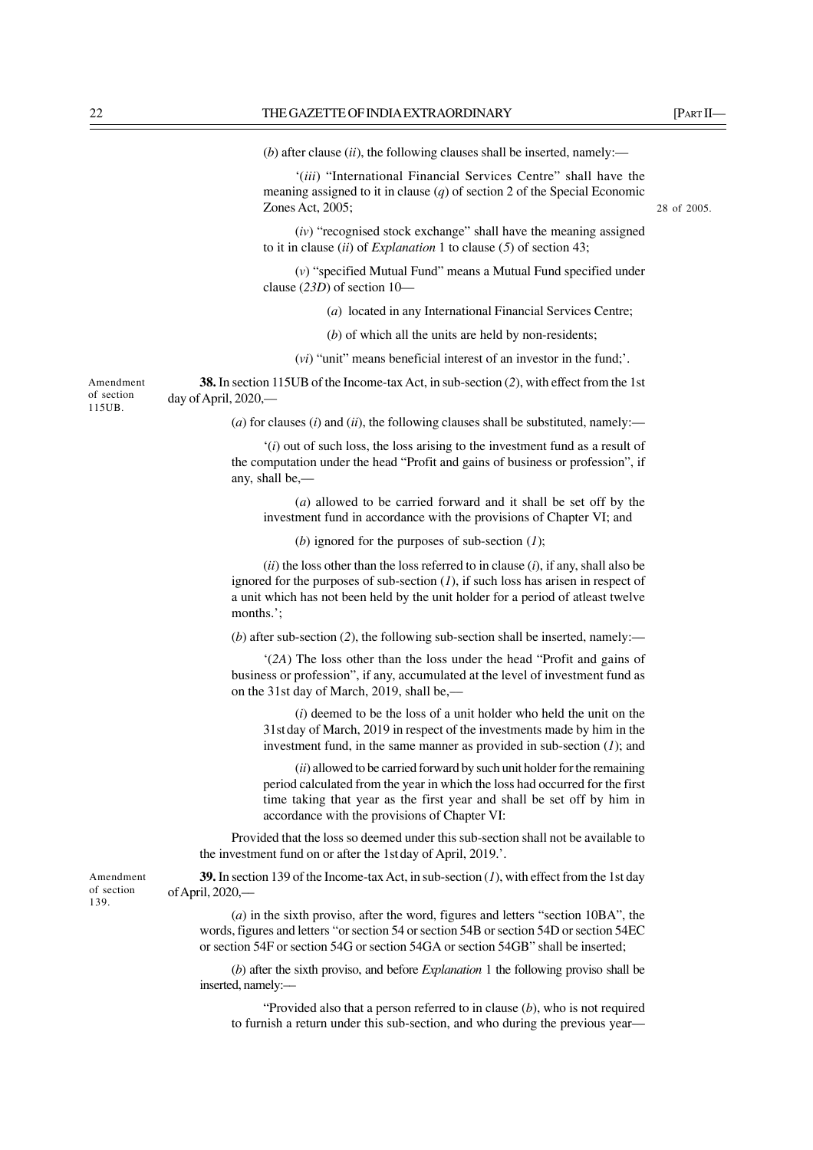(*b*) after clause (*ii*), the following clauses shall be inserted, namely:—

'(*iii*) "International Financial Services Centre" shall have the meaning assigned to it in clause (*q*) of section 2 of the Special Economic Zones Act, 2005;

28 of 2005.

(*iv*) "recognised stock exchange" shall have the meaning assigned to it in clause (*ii*) of *Explanation* 1 to clause (*5*) of section 43;

(*v*) "specified Mutual Fund" means a Mutual Fund specified under clause (*23D*) of section 10—

(*a*) located in any International Financial Services Centre;

(*b*) of which all the units are held by non-residents;

(*vi*) "unit" means beneficial interest of an investor in the fund;'.

**38.** In section 115UB of the Income-tax Act, in sub-section (*2*), with effect from the 1st day of April, 2020,––

 $(a)$  for clauses  $(i)$  and  $(ii)$ , the following clauses shall be substituted, namely:—

'(*i*) out of such loss, the loss arising to the investment fund as a result of the computation under the head "Profit and gains of business or profession", if any, shall be,––

(*a*) allowed to be carried forward and it shall be set off by the investment fund in accordance with the provisions of Chapter VI; and

(*b*) ignored for the purposes of sub-section (*1*);

(*ii*) the loss other than the loss referred to in clause (*i*), if any, shall also be ignored for the purposes of sub-section (*1*), if such loss has arisen in respect of a unit which has not been held by the unit holder for a period of atleast twelve months.';

(*b*) after sub-section (*2*), the following sub-section shall be inserted, namely:––

'(*2A*) The loss other than the loss under the head "Profit and gains of business or profession", if any, accumulated at the level of investment fund as on the 31st day of March, 2019, shall be,––

(*i*) deemed to be the loss of a unit holder who held the unit on the 31stday of March, 2019 in respect of the investments made by him in the investment fund, in the same manner as provided in sub-section (*1*); and

(*ii*) allowed to be carried forward by such unit holder for the remaining period calculated from the year in which the loss had occurred for the first time taking that year as the first year and shall be set off by him in accordance with the provisions of Chapter VI:

Provided that the loss so deemed under this sub-section shall not be available to the investment fund on or after the 1stday of April, 2019.'.

**39.** In section 139 of the Income-tax Act, in sub-section (*1*), with effect from the 1st day of April, 2020,––

(*a*) in the sixth proviso, after the word, figures and letters "section 10BA", the words, figures and letters "or section 54 or section 54B or section 54D or section 54EC or section 54F or section 54G or section 54GA or section 54GB" shall be inserted;

(*b*) after the sixth proviso, and before *Explanation* 1 the following proviso shall be inserted, namely:––

"Provided also that a person referred to in clause (*b*), who is not required to furnish a return under this sub-section, and who during the previous year––

Amendment of section 115UB.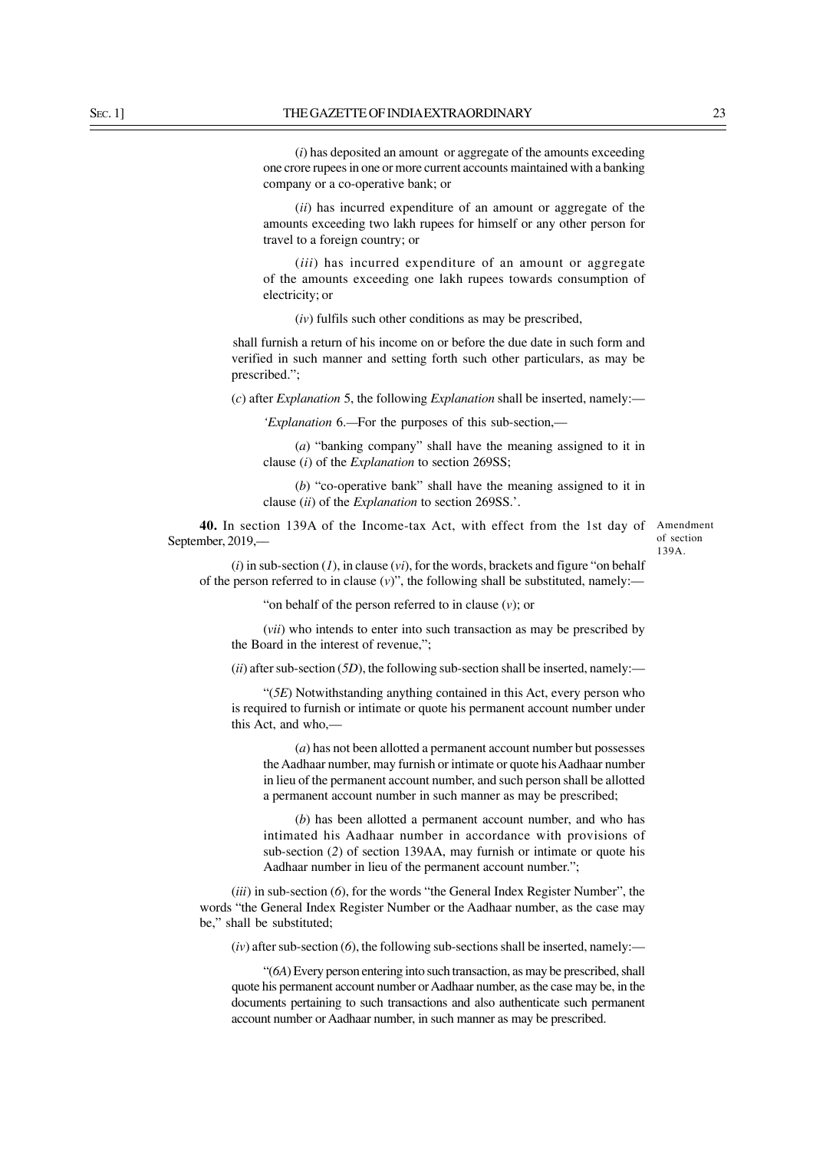(*i*) has deposited an amount or aggregate of the amounts exceeding one crore rupees in one or more current accounts maintained with a banking company or a co-operative bank; or

(*ii*) has incurred expenditure of an amount or aggregate of the amounts exceeding two lakh rupees for himself or any other person for travel to a foreign country; or

(*iii*) has incurred expenditure of an amount or aggregate of the amounts exceeding one lakh rupees towards consumption of electricity; or

(*iv*) fulfils such other conditions as may be prescribed,

shall furnish a return of his income on or before the due date in such form and verified in such manner and setting forth such other particulars, as may be prescribed.";

(*c*) after *Explanation* 5, the following *Explanation* shall be inserted, namely:––

*'Explanation* 6.*—*For the purposes of this sub-section,—

(*a*) "banking company" shall have the meaning assigned to it in clause (*i*) of the *Explanation* to section 269SS;

(*b*) "co-operative bank" shall have the meaning assigned to it in clause (*ii*) of the *Explanation* to section 269SS.'.

**40.** In section 139A of the Income-tax Act, with effect from the 1st day of Amendment September, 2019,––

of section 139A.

 $(i)$  in sub-section  $(I)$ , in clause  $(vi)$ , for the words, brackets and figure "on behalf of the person referred to in clause  $(v)$ ", the following shall be substituted, namely:-

"on behalf of the person referred to in clause (*v*); or

(*vii*) who intends to enter into such transaction as may be prescribed by the Board in the interest of revenue,";

 $(iii)$  after sub-section (*5D*), the following sub-section shall be inserted, namely:—

"(*5E*) Notwithstanding anything contained in this Act, every person who is required to furnish or intimate or quote his permanent account number under this Act, and who,––

(*a*) has not been allotted a permanent account number but possesses the Aadhaar number, may furnish or intimate or quote his Aadhaar number in lieu of the permanent account number, and such person shall be allotted a permanent account number in such manner as may be prescribed;

(*b*) has been allotted a permanent account number, and who has intimated his Aadhaar number in accordance with provisions of sub-section (*2*) of section 139AA, may furnish or intimate or quote his Aadhaar number in lieu of the permanent account number.";

(*iii*) in sub-section (*6*), for the words "the General Index Register Number", the words "the General Index Register Number or the Aadhaar number, as the case may be," shall be substituted;

 $(iv)$  after sub-section  $(6)$ , the following sub-sections shall be inserted, namely:—

"(*6A*) Every person entering into such transaction, as may be prescribed, shall quote his permanent account number or Aadhaar number, as the case may be, in the documents pertaining to such transactions and also authenticate such permanent account number or Aadhaar number, in such manner as may be prescribed.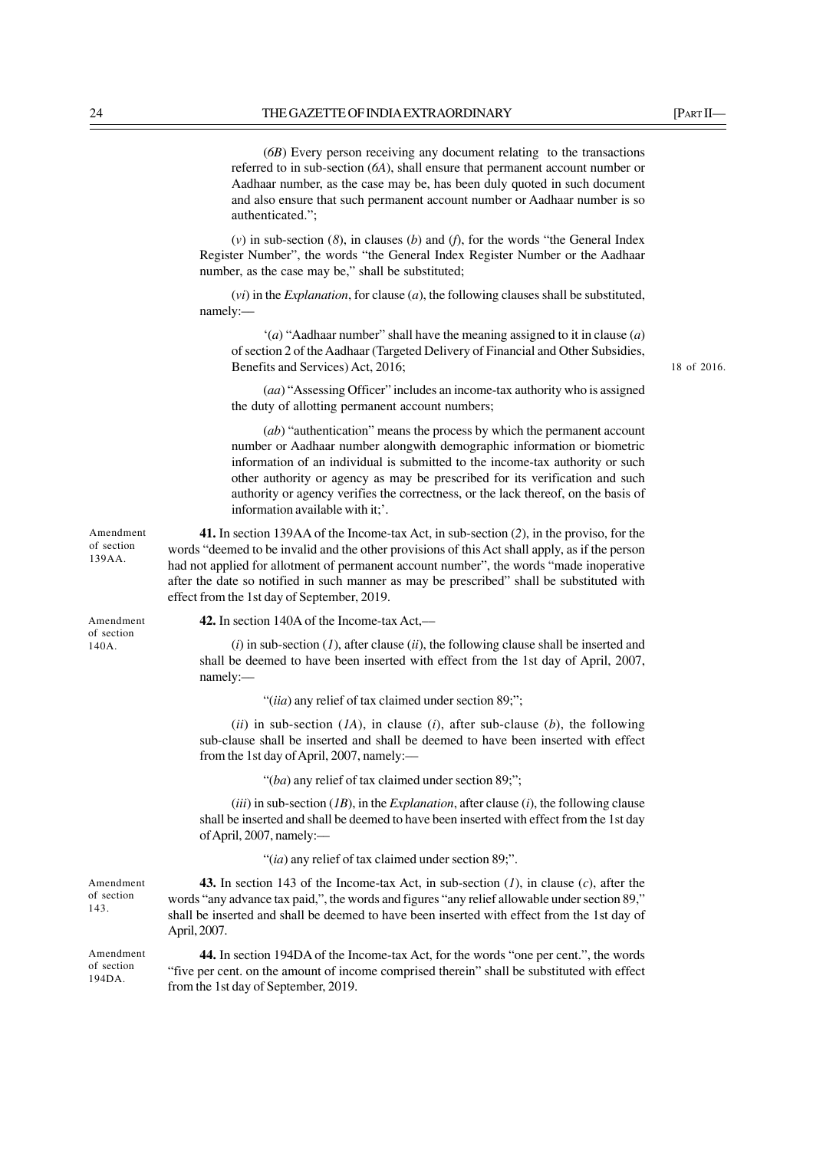(*6B*) Every person receiving any document relating to the transactions referred to in sub-section (*6A*), shall ensure that permanent account number or Aadhaar number, as the case may be, has been duly quoted in such document and also ensure that such permanent account number or Aadhaar number is so authenticated.";

(*v*) in sub-section (*8*), in clauses (*b*) and (*f*), for the words "the General Index Register Number", the words "the General Index Register Number or the Aadhaar number, as the case may be," shall be substituted;

(*vi*) in the *Explanation*, for clause (*a*), the following clauses shall be substituted, namely:––

'(*a*) "Aadhaar number" shall have the meaning assigned to it in clause (*a*) of section 2 of the Aadhaar (Targeted Delivery of Financial and Other Subsidies, Benefits and Services) Act, 2016;

18 of 2016.

(*aa*) "Assessing Officer" includes an income-tax authority who is assigned the duty of allotting permanent account numbers;

(*ab*) "authentication" means the process by which the permanent account number or Aadhaar number alongwith demographic information or biometric information of an individual is submitted to the income-tax authority or such other authority or agency as may be prescribed for its verification and such authority or agency verifies the correctness, or the lack thereof, on the basis of information available with it;'.

**41.** In section 139AA of the Income-tax Act, in sub-section (*2*), in the proviso, for the words "deemed to be invalid and the other provisions of this Act shall apply, as if the person had not applied for allotment of permanent account number", the words "made inoperative after the date so notified in such manner as may be prescribed" shall be substituted with effect from the 1st day of September, 2019.

Amendment of section 140A.

Amendment of section 194DA.

Amendment of section 143.

Amendment of section 139AA.

**42.** In section 140A of the Income-tax Act,––

(*i*) in sub-section (*1*), after clause (*ii*), the following clause shall be inserted and shall be deemed to have been inserted with effect from the 1st day of April, 2007, namely:––

"(*iia*) any relief of tax claimed under section 89;";

(*ii*) in sub-section (*1A*), in clause (*i*), after sub-clause (*b*), the following sub-clause shall be inserted and shall be deemed to have been inserted with effect from the 1st day of April, 2007, namely:-

"(*ba*) any relief of tax claimed under section 89;";

(*iii*) in sub-section (*1B*), in the *Explanation*, after clause (*i*), the following clause shall be inserted and shall be deemed to have been inserted with effect from the 1st day of April, 2007, namely:––

"(*ia*) any relief of tax claimed under section 89;".

**43.** In section 143 of the Income-tax Act, in sub-section (*1*), in clause (*c*), after the words "any advance tax paid,", the words and figures "any relief allowable under section 89," shall be inserted and shall be deemed to have been inserted with effect from the 1st day of April, 2007.

**44.** In section 194DA of the Income-tax Act, for the words "one per cent.", the words "five per cent. on the amount of income comprised therein" shall be substituted with effect from the 1st day of September, 2019.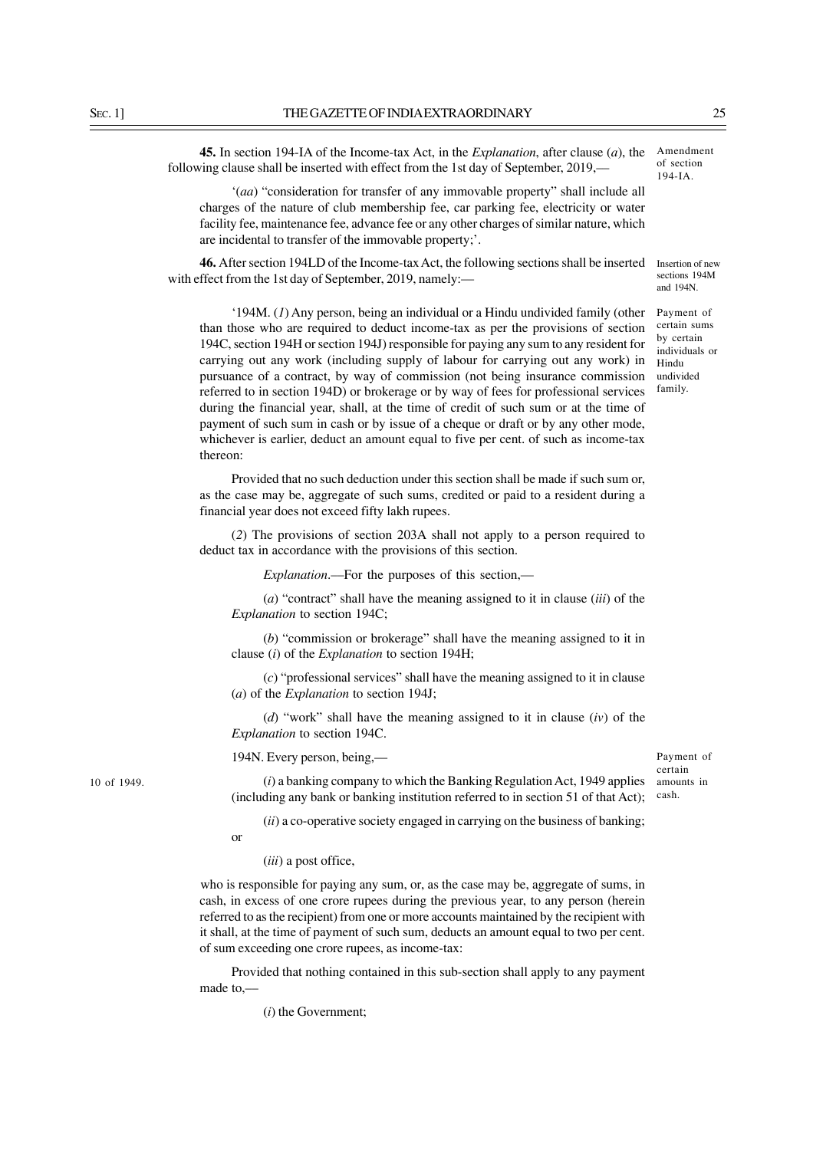**45.** In section 194-IA of the Income-tax Act, in the *Explanation*, after clause (*a*), the following clause shall be inserted with effect from the 1st day of September, 2019,––

'(*aa*) "consideration for transfer of any immovable property" shall include all charges of the nature of club membership fee, car parking fee, electricity or water facility fee, maintenance fee, advance fee or any other charges of similar nature, which are incidental to transfer of the immovable property;'.

**46.** After section 194LD of the Income-tax Act, the following sections shall be inserted with effect from the 1st day of September, 2019, namely:—

Amendment of section 194-IA.

Insertion of new sections 194M and 194N.

Payment of certain sums by certain individuals or Hindu undivided family.

'194M. (*1*) Any person, being an individual or a Hindu undivided family (other than those who are required to deduct income-tax as per the provisions of section 194C, section 194H or section 194J) responsible for paying any sum to any resident for carrying out any work (including supply of labour for carrying out any work) in pursuance of a contract, by way of commission (not being insurance commission referred to in section 194D) or brokerage or by way of fees for professional services during the financial year, shall, at the time of credit of such sum or at the time of payment of such sum in cash or by issue of a cheque or draft or by any other mode, whichever is earlier, deduct an amount equal to five per cent. of such as income-tax thereon:

Provided that no such deduction under this section shall be made if such sum or, as the case may be, aggregate of such sums, credited or paid to a resident during a financial year does not exceed fifty lakh rupees.

(*2*) The provisions of section 203A shall not apply to a person required to deduct tax in accordance with the provisions of this section.

*Explanation*.—For the purposes of this section,—

(*a*) "contract" shall have the meaning assigned to it in clause (*iii*) of the *Explanation* to section 194C;

(*b*) "commission or brokerage" shall have the meaning assigned to it in clause (*i*) of the *Explanation* to section 194H;

(*c*) "professional services" shall have the meaning assigned to it in clause (*a*) of the *Explanation* to section 194J;

(*d*) "work" shall have the meaning assigned to it in clause (*iv*) of the *Explanation* to section 194C.

194N. Every person, being,––

Payment of certain amounts in

cash.

(*i*) a banking company to which the Banking Regulation Act, 1949 applies (including any bank or banking institution referred to in section 51 of that Act);

(*ii*) a co-operative society engaged in carrying on the business of banking;

or

(*iii*) a post office,

who is responsible for paying any sum, or, as the case may be, aggregate of sums, in cash, in excess of one crore rupees during the previous year, to any person (herein referred to as the recipient) from one or more accounts maintained by the recipient with it shall, at the time of payment of such sum, deducts an amount equal to two per cent. of sum exceeding one crore rupees, as income-tax:

Provided that nothing contained in this sub-section shall apply to any payment made to,––

(*i*) the Government;

10 of 1949.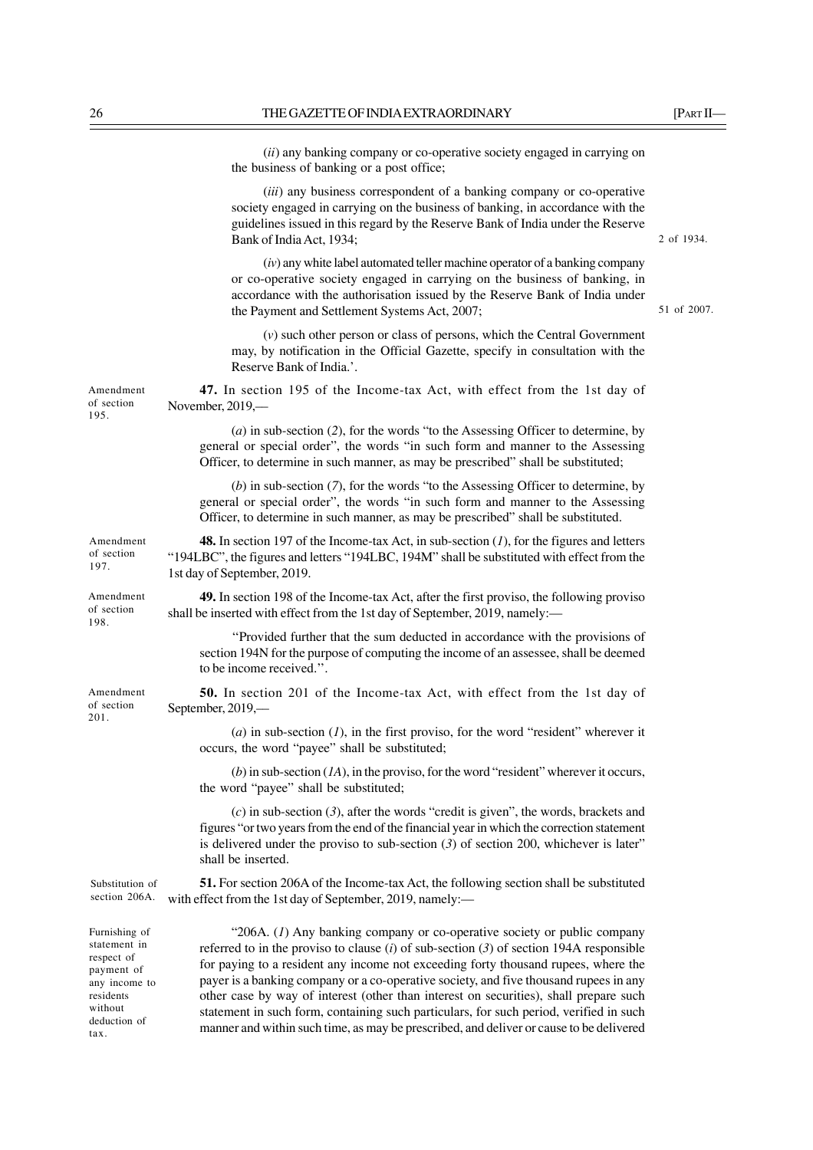|                                                                                                                    | (ii) any banking company or co-operative society engaged in carrying on<br>the business of banking or a post office;                                                                                                                                                                                                                                                                                                                                                                                                                    |             |
|--------------------------------------------------------------------------------------------------------------------|-----------------------------------------------------------------------------------------------------------------------------------------------------------------------------------------------------------------------------------------------------------------------------------------------------------------------------------------------------------------------------------------------------------------------------------------------------------------------------------------------------------------------------------------|-------------|
|                                                                                                                    | (iii) any business correspondent of a banking company or co-operative<br>society engaged in carrying on the business of banking, in accordance with the<br>guidelines issued in this regard by the Reserve Bank of India under the Reserve<br>Bank of India Act, 1934;                                                                                                                                                                                                                                                                  | 2 of 1934.  |
|                                                                                                                    | $(iv)$ any white label automated teller machine operator of a banking company<br>or co-operative society engaged in carrying on the business of banking, in<br>accordance with the authorisation issued by the Reserve Bank of India under<br>the Payment and Settlement Systems Act, 2007;                                                                                                                                                                                                                                             | 51 of 2007. |
|                                                                                                                    | $(v)$ such other person or class of persons, which the Central Government<br>may, by notification in the Official Gazette, specify in consultation with the<br>Reserve Bank of India.'.                                                                                                                                                                                                                                                                                                                                                 |             |
| Amendment<br>of section<br>195.                                                                                    | 47. In section 195 of the Income-tax Act, with effect from the 1st day of<br>November, 2019,-                                                                                                                                                                                                                                                                                                                                                                                                                                           |             |
|                                                                                                                    | $(a)$ in sub-section (2), for the words "to the Assessing Officer to determine, by<br>general or special order", the words "in such form and manner to the Assessing<br>Officer, to determine in such manner, as may be prescribed" shall be substituted;                                                                                                                                                                                                                                                                               |             |
|                                                                                                                    | $(b)$ in sub-section $(7)$ , for the words "to the Assessing Officer to determine, by<br>general or special order", the words "in such form and manner to the Assessing<br>Officer, to determine in such manner, as may be prescribed" shall be substituted.                                                                                                                                                                                                                                                                            |             |
| Amendment<br>of section<br>197.                                                                                    | <b>48.</b> In section 197 of the Income-tax Act, in sub-section $(I)$ , for the figures and letters<br>"194LBC", the figures and letters "194LBC, 194M" shall be substituted with effect from the<br>1st day of September, 2019.                                                                                                                                                                                                                                                                                                        |             |
| Amendment<br>of section<br>198.                                                                                    | 49. In section 198 of the Income-tax Act, after the first proviso, the following proviso<br>shall be inserted with effect from the 1st day of September, 2019, namely:-                                                                                                                                                                                                                                                                                                                                                                 |             |
|                                                                                                                    | "Provided further that the sum deducted in accordance with the provisions of<br>section 194N for the purpose of computing the income of an assessee, shall be deemed<br>to be income received.".                                                                                                                                                                                                                                                                                                                                        |             |
| Amendment<br>of section<br>201.                                                                                    | 50. In section 201 of the Income-tax Act, with effect from the 1st day of<br>September, 2019,—                                                                                                                                                                                                                                                                                                                                                                                                                                          |             |
|                                                                                                                    | $(a)$ in sub-section $(I)$ , in the first proviso, for the word "resident" wherever it<br>occurs, the word "payee" shall be substituted;                                                                                                                                                                                                                                                                                                                                                                                                |             |
|                                                                                                                    | (b) in sub-section $(IA)$ , in the proviso, for the word "resident" wherever it occurs,<br>the word "payee" shall be substituted;                                                                                                                                                                                                                                                                                                                                                                                                       |             |
|                                                                                                                    | $(c)$ in sub-section (3), after the words "credit is given", the words, brackets and<br>figures "or two years from the end of the financial year in which the correction statement<br>is delivered under the proviso to sub-section $(3)$ of section 200, whichever is later"<br>shall be inserted.                                                                                                                                                                                                                                     |             |
| Substitution of<br>section 206A.                                                                                   | 51. For section 206A of the Income-tax Act, the following section shall be substituted<br>with effect from the 1st day of September, 2019, namely:-                                                                                                                                                                                                                                                                                                                                                                                     |             |
| Furnishing of<br>statement in<br>respect of<br>payment of<br>any income to<br>residents<br>without<br>deduction of | "206A. (1) Any banking company or co-operative society or public company<br>referred to in the proviso to clause (i) of sub-section $(3)$ of section 194A responsible<br>for paying to a resident any income not exceeding forty thousand rupees, where the<br>payer is a banking company or a co-operative society, and five thousand rupees in any<br>other case by way of interest (other than interest on securities), shall prepare such<br>statement in such form, containing such particulars, for such period, verified in such |             |

manner and within such time, as may be prescribed, and deliver or cause to be delivered

tax.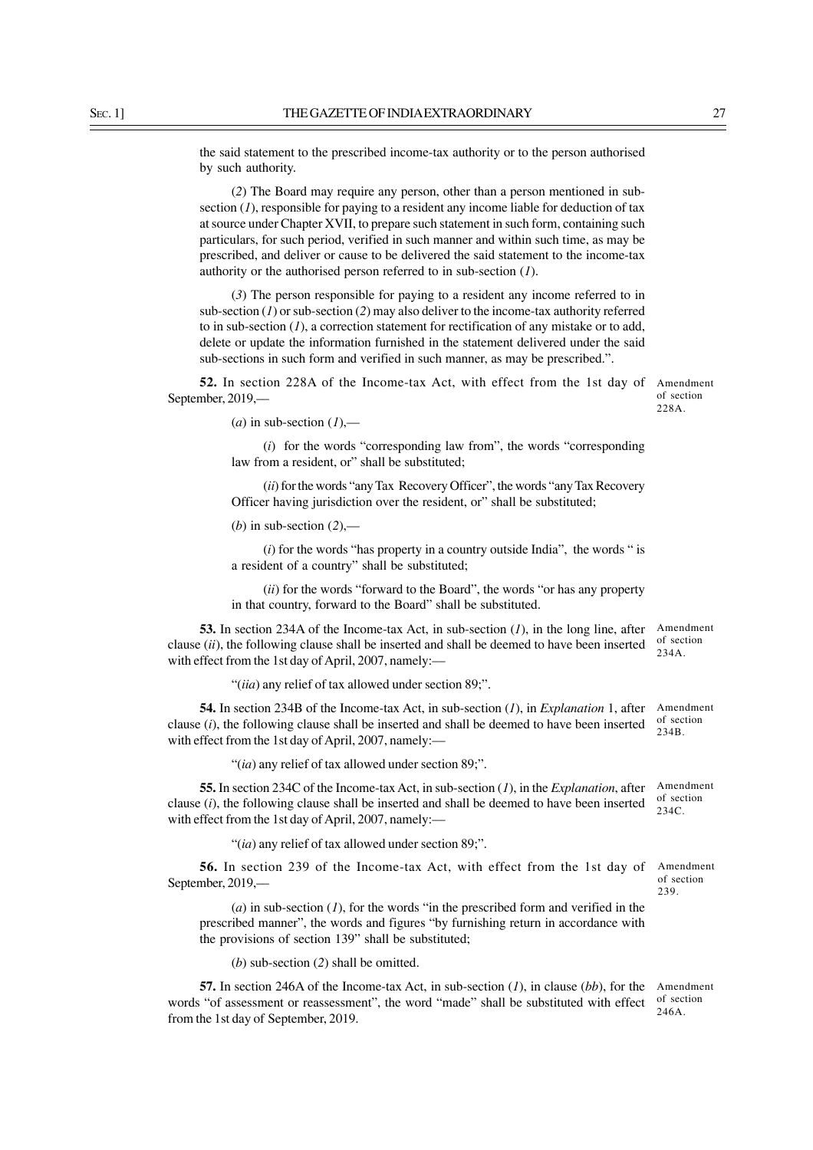the said statement to the prescribed income-tax authority or to the person authorised by such authority.

(*2*) The Board may require any person, other than a person mentioned in subsection (*1*), responsible for paying to a resident any income liable for deduction of tax at source under Chapter XVII, to prepare such statement in such form, containing such particulars, for such period, verified in such manner and within such time, as may be prescribed, and deliver or cause to be delivered the said statement to the income-tax authority or the authorised person referred to in sub-section (*1*).

(*3*) The person responsible for paying to a resident any income referred to in sub-section (*1*) or sub-section (*2*) may also deliver to the income-tax authority referred to in sub-section (*1*), a correction statement for rectification of any mistake or to add, delete or update the information furnished in the statement delivered under the said sub-sections in such form and verified in such manner, as may be prescribed.".

**52.** In section 228A of the Income-tax Act, with effect from the 1st day of September, 2019,––

Amendment of section 228A.

 $(a)$  in sub-section  $(1)$ ,—

(*i*) for the words "corresponding law from", the words "corresponding law from a resident, or" shall be substituted;

(*ii*) for the words "any Tax Recovery Officer", the words "any Tax Recovery Officer having jurisdiction over the resident, or" shall be substituted;

(*b*) in sub-section (*2*),––

(*i*) for the words "has property in a country outside India", the words " is a resident of a country" shall be substituted;

(*ii*) for the words "forward to the Board", the words "or has any property in that country, forward to the Board" shall be substituted.

**53.** In section 234A of the Income-tax Act, in sub-section (*1*), in the long line, after clause (*ii*), the following clause shall be inserted and shall be deemed to have been inserted with effect from the 1st day of April, 2007, namely:-Amendment

"(*iia*) any relief of tax allowed under section 89;".

**54.** In section 234B of the Income-tax Act, in sub-section (*1*), in *Explanation* 1, after clause (*i*), the following clause shall be inserted and shall be deemed to have been inserted with effect from the 1st day of April, 2007, namely:-234B.

"(*ia*) any relief of tax allowed under section 89;".

**55.** In section 234C of the Income-tax Act, in sub-section (*1*), in the *Explanation*, after clause (*i*), the following clause shall be inserted and shall be deemed to have been inserted with effect from the 1st day of April, 2007, namely:—

"(*ia*) any relief of tax allowed under section 89;".

**56.** In section 239 of the Income-tax Act, with effect from the 1st day of September, 2019,––

(*a*) in sub-section (*1*), for the words "in the prescribed form and verified in the prescribed manner", the words and figures "by furnishing return in accordance with the provisions of section 139" shall be substituted;

(*b*) sub-section (*2*) shall be omitted.

**57.** In section 246A of the Income-tax Act, in sub-section (*1*), in clause (*bb*), for the words "of assessment or reassessment", the word "made" shall be substituted with effect from the 1st day of September, 2019. Amendment of section 246A.

of section 234A.

Amendment of section

Amendment of section 234C.

Amendment of section 239.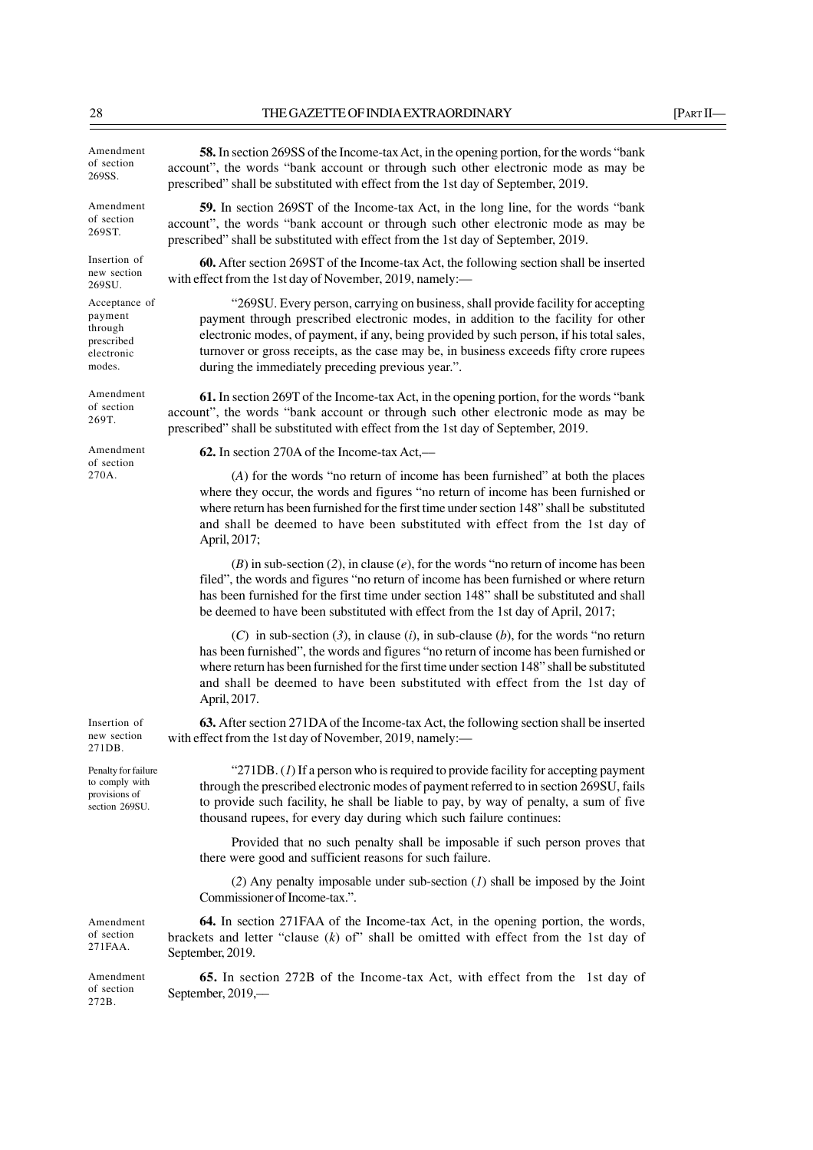prescribed" shall be substituted with effect from the 1st day of September, 2019.

prescribed" shall be substituted with effect from the 1st day of September, 2019.

**58.** In section 269SS of the Income-tax Act, in the opening portion, for the words "bank account", the words "bank account or through such other electronic mode as may be

**59.** In section 269ST of the Income-tax Act, in the long line, for the words "bank account", the words "bank account or through such other electronic mode as may be

**60.** After section 269ST of the Income-tax Act, the following section shall be inserted

"269SU. Every person, carrying on business, shall provide facility for accepting payment through prescribed electronic modes, in addition to the facility for other electronic modes, of payment, if any, being provided by such person, if his total sales, turnover or gross receipts, as the case may be, in business exceeds fifty crore rupees

Amendment of section 269SS.

Amendment of section 269ST.

Insertion of

Acceptance of payment through prescribed electronic modes.

Amendment of section 269T.

Amendment of section 270A.

new section 269SU.

account", the words "bank account or through such other electronic mode as may be prescribed" shall be substituted with effect from the 1st day of September, 2019.

**62.** In section 270A of the Income-tax Act,––

with effect from the 1st day of November, 2019, namely:-

during the immediately preceding previous year.".

(*A*) for the words "no return of income has been furnished" at both the places where they occur, the words and figures "no return of income has been furnished or where return has been furnished for the first time under section 148" shall be substituted and shall be deemed to have been substituted with effect from the 1st day of April, 2017;

**61.** In section 269T of the Income-tax Act, in the opening portion, for the words "bank

(*B*) in sub-section (*2*), in clause (*e*), for the words "no return of income has been filed", the words and figures "no return of income has been furnished or where return has been furnished for the first time under section 148" shall be substituted and shall be deemed to have been substituted with effect from the 1st day of April, 2017;

(*C*) in sub-section (*3*), in clause (*i*), in sub-clause (*b*), for the words "no return has been furnished", the words and figures "no return of income has been furnished or where return has been furnished for the first time under section 148" shall be substituted and shall be deemed to have been substituted with effect from the 1st day of April, 2017.

**63.** After section 271DA of the Income-tax Act, the following section shall be inserted with effect from the 1st day of November, 2019, namely:—

Penalty for failure to comply with provisions of section 269SU.

Amendment of section 271FAA.

Insertion of new section 271DB.

> " $271DB$ . (*1*) If a person who is required to provide facility for accepting payment through the prescribed electronic modes of payment referred to in section 269SU, fails to provide such facility, he shall be liable to pay, by way of penalty, a sum of five thousand rupees, for every day during which such failure continues:

> Provided that no such penalty shall be imposable if such person proves that there were good and sufficient reasons for such failure.

> (*2*) Any penalty imposable under sub-section (*1*) shall be imposed by the Joint Commissioner of Income-tax.".

**64.** In section 271FAA of the Income-tax Act, in the opening portion, the words, brackets and letter "clause (*k*) of" shall be omitted with effect from the 1st day of September, 2019.

**65.** In section 272B of the Income-tax Act, with effect from the 1st day of September, 2019,–– Amendment of section 272B.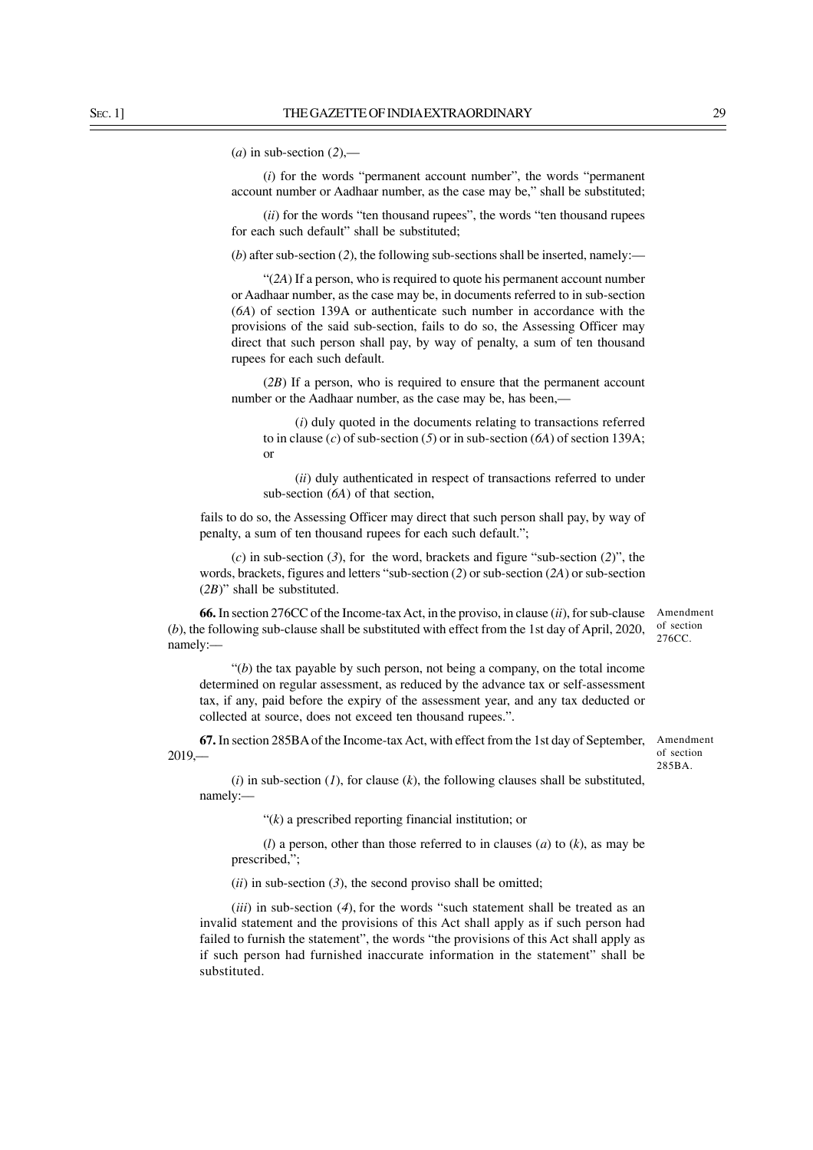$(a)$  in sub-section  $(2)$ ,-

(*i*) for the words "permanent account number", the words "permanent account number or Aadhaar number, as the case may be," shall be substituted;

(*ii*) for the words "ten thousand rupees", the words "ten thousand rupees for each such default" shall be substituted;

(*b*) after sub-section (*2*), the following sub-sections shall be inserted, namely:—

"(*2A*) If a person, who is required to quote his permanent account number or Aadhaar number, as the case may be, in documents referred to in sub-section (*6A*) of section 139A or authenticate such number in accordance with the provisions of the said sub-section, fails to do so, the Assessing Officer may direct that such person shall pay, by way of penalty, a sum of ten thousand rupees for each such default.

(*2B*) If a person, who is required to ensure that the permanent account number or the Aadhaar number, as the case may be, has been,—

(*i*) duly quoted in the documents relating to transactions referred to in clause (*c*) of sub-section (*5*) or in sub-section (*6A*) of section 139A; or

(*ii*) duly authenticated in respect of transactions referred to under sub-section (*6A*) of that section,

fails to do so, the Assessing Officer may direct that such person shall pay, by way of penalty, a sum of ten thousand rupees for each such default.";

(*c*) in sub-section (*3*), for the word, brackets and figure "sub-section (*2*)", the words, brackets, figures and letters "sub-section (*2*) or sub-section (*2A*) or sub-section (*2B*)" shall be substituted.

Amendment of section 276CC. **66.** In section 276CC of the Income-tax Act, in the proviso, in clause (*ii*), for sub-clause (*b*), the following sub-clause shall be substituted with effect from the 1st day of April, 2020, namely:––

"(*b*) the tax payable by such person, not being a company, on the total income determined on regular assessment, as reduced by the advance tax or self-assessment tax, if any, paid before the expiry of the assessment year, and any tax deducted or collected at source, does not exceed ten thousand rupees.".

**67.** In section 285BA of the Income-tax Act, with effect from the 1st day of September, 2019,––

Amendment of section 285BA.

(*i*) in sub-section (*1*), for clause (*k*), the following clauses shall be substituted, namely:––

"(*k*) a prescribed reporting financial institution; or

(*l*) a person, other than those referred to in clauses (*a*) to (*k*), as may be prescribed,";

(*ii*) in sub-section (*3*), the second proviso shall be omitted;

(*iii*) in sub-section (*4*), for the words "such statement shall be treated as an invalid statement and the provisions of this Act shall apply as if such person had failed to furnish the statement", the words "the provisions of this Act shall apply as if such person had furnished inaccurate information in the statement" shall be substituted.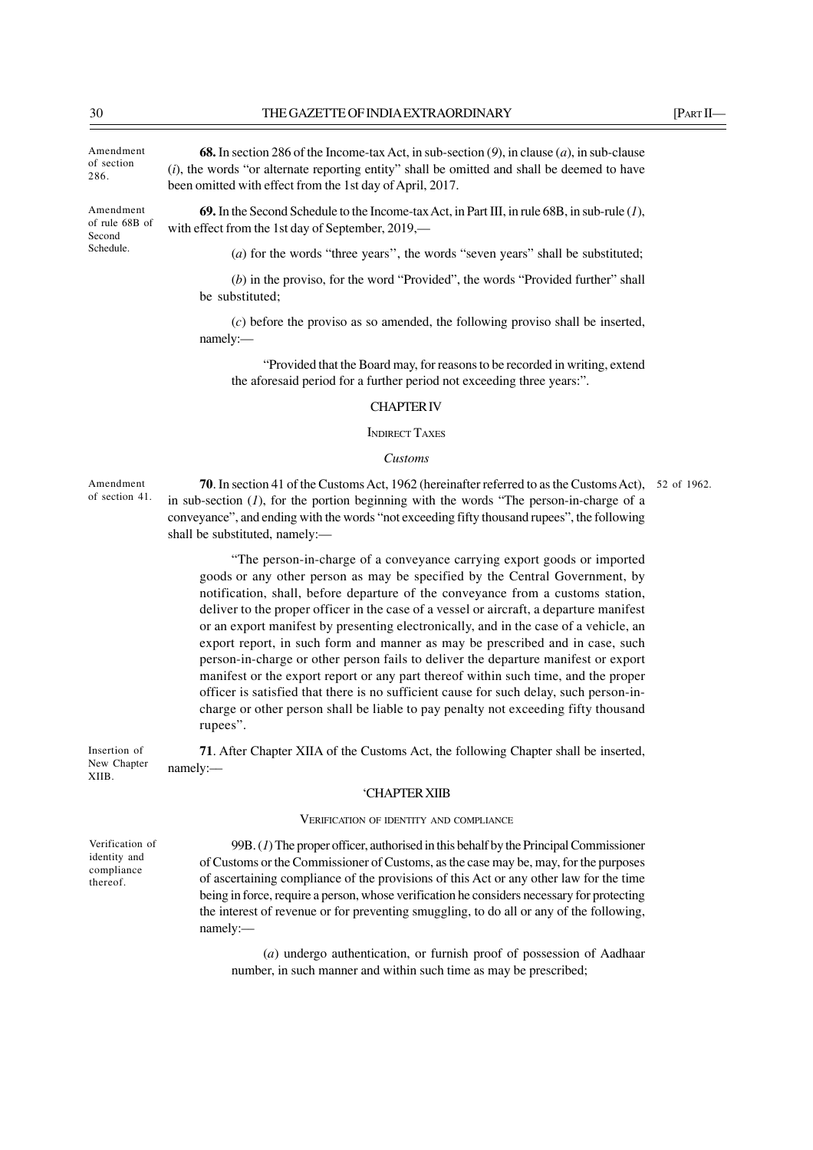been omitted with effect from the 1st day of April, 2017.

Amendment of section 286.

Amendment of rule 68B of Second Schedule.

**69.** In the Second Schedule to the Income-tax Act, in Part III, in rule 68B, in sub-rule (*1*), with effect from the 1st day of September, 2019,––

**68.** In section 286 of the Income-tax Act, in sub-section (*9*), in clause (*a*), in sub-clause (*i*), the words "or alternate reporting entity" shall be omitted and shall be deemed to have

(*a*) for the words "three years", the words "seven years" shall be substituted;

(*b*) in the proviso, for the word "Provided", the words "Provided further" shall be substituted;

(*c*) before the proviso as so amended, the following proviso shall be inserted, namely:—

"Provided that the Board may, for reasons to be recorded in writing, extend the aforesaid period for a further period not exceeding three years:".

#### CHAPTER IV

INDIRECT TAXES

#### *Customs*

Amendment of section 41.

**70**. In section 41 of the Customs Act, 1962 (hereinafter referred to as the Customs Act), 52 of 1962. in sub-section (*1*), for the portion beginning with the words "The person-in-charge of a conveyance", and ending with the words "not exceeding fifty thousand rupees", the following shall be substituted, namely:—

"The person-in-charge of a conveyance carrying export goods or imported goods or any other person as may be specified by the Central Government, by notification, shall, before departure of the conveyance from a customs station, deliver to the proper officer in the case of a vessel or aircraft, a departure manifest or an export manifest by presenting electronically, and in the case of a vehicle, an export report, in such form and manner as may be prescribed and in case, such person-in-charge or other person fails to deliver the departure manifest or export manifest or the export report or any part thereof within such time, and the proper officer is satisfied that there is no sufficient cause for such delay, such person-incharge or other person shall be liable to pay penalty not exceeding fifty thousand rupees".

**71**. After Chapter XIIA of the Customs Act, the following Chapter shall be inserted, namely:–– Insertion of New Chapter

#### 'CHAPTER XIIB

VERIFICATION OF IDENTITY AND COMPLIANCE

99B. (*1*) The proper officer, authorised in this behalf by the Principal Commissioner of Customs or the Commissioner of Customs, as the case may be, may, for the purposes of ascertaining compliance of the provisions of this Act or any other law for the time being in force, require a person, whose verification he considers necessary for protecting the interest of revenue or for preventing smuggling, to do all or any of the following, namely:––

(*a*) undergo authentication, or furnish proof of possession of Aadhaar number, in such manner and within such time as may be prescribed;

Verification of identity and compliance thereof.

XIIB.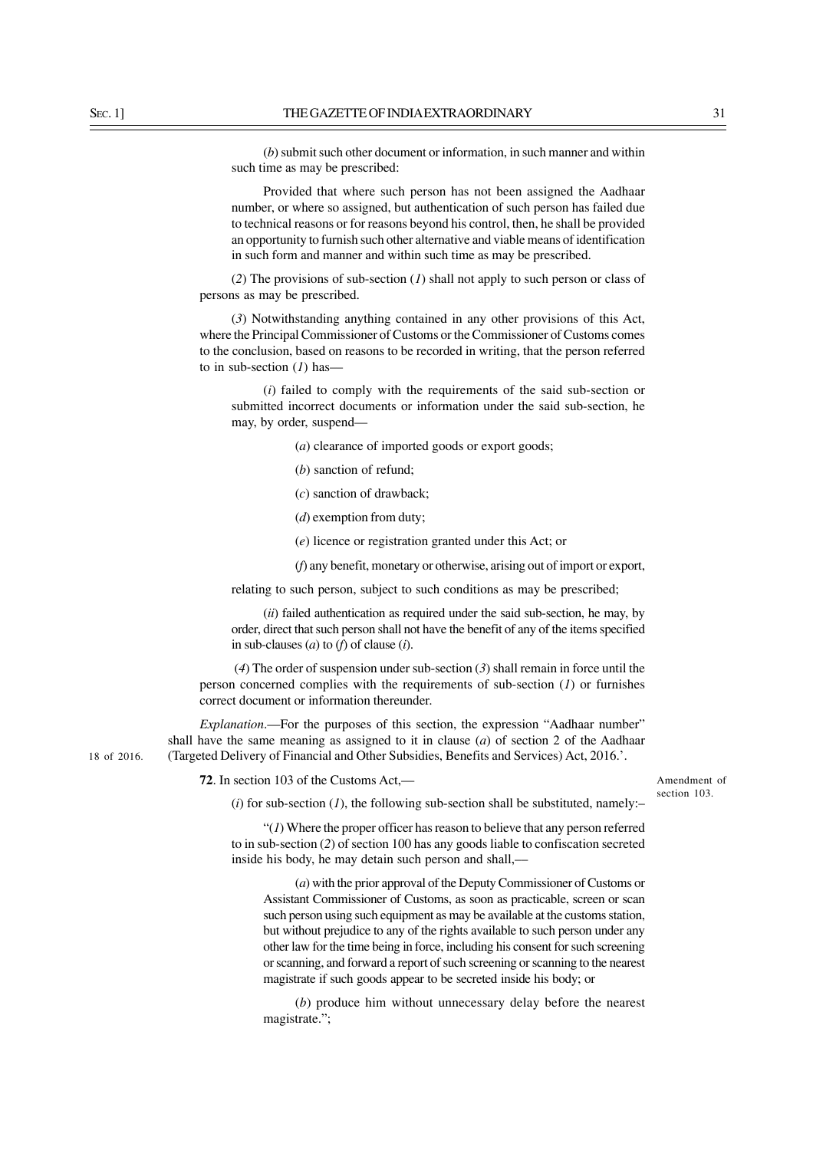(*b*) submit such other document or information, in such manner and within such time as may be prescribed:

Provided that where such person has not been assigned the Aadhaar number, or where so assigned, but authentication of such person has failed due to technical reasons or for reasons beyond his control, then, he shall be provided an opportunity to furnish such other alternative and viable means of identification in such form and manner and within such time as may be prescribed.

(*2*) The provisions of sub-section (*1*) shall not apply to such person or class of persons as may be prescribed.

(*3*) Notwithstanding anything contained in any other provisions of this Act, where the Principal Commissioner of Customs or the Commissioner of Customs comes to the conclusion, based on reasons to be recorded in writing, that the person referred to in sub-section (*1*) has––

(*i*) failed to comply with the requirements of the said sub-section or submitted incorrect documents or information under the said sub-section, he may, by order, suspend––

- (*a*) clearance of imported goods or export goods;
- (*b*) sanction of refund;
- (*c*) sanction of drawback;
- (*d*) exemption from duty;
- (*e*) licence or registration granted under this Act; or
- (*f*) any benefit, monetary or otherwise, arising out of import or export,

relating to such person, subject to such conditions as may be prescribed;

(*ii*) failed authentication as required under the said sub-section, he may, by order, direct that such person shall not have the benefit of any of the items specified in sub-clauses (*a*) to (*f*) of clause (*i*).

 (*4*) The order of suspension under sub-section (*3*) shall remain in force until the person concerned complies with the requirements of sub-section (*1*) or furnishes correct document or information thereunder.

*Explanation*.—For the purposes of this section, the expression "Aadhaar number" shall have the same meaning as assigned to it in clause (*a*) of section 2 of the Aadhaar (Targeted Delivery of Financial and Other Subsidies, Benefits and Services) Act, 2016.'.

**72**. In section 103 of the Customs Act,—

Amendment of section 103.

 $(i)$  for sub-section  $(I)$ , the following sub-section shall be substituted, namely:-

"(*1*) Where the proper officer has reason to believe that any person referred to in sub-section (*2*) of section 100 has any goods liable to confiscation secreted inside his body, he may detain such person and shall,––

(*a*) with the prior approval of the Deputy Commissioner of Customs or Assistant Commissioner of Customs, as soon as practicable, screen or scan such person using such equipment as may be available at the customs station, but without prejudice to any of the rights available to such person under any other law for the time being in force, including his consent for such screening or scanning, and forward a report of such screening or scanning to the nearest magistrate if such goods appear to be secreted inside his body; or

(*b*) produce him without unnecessary delay before the nearest magistrate.";

18 of 2016.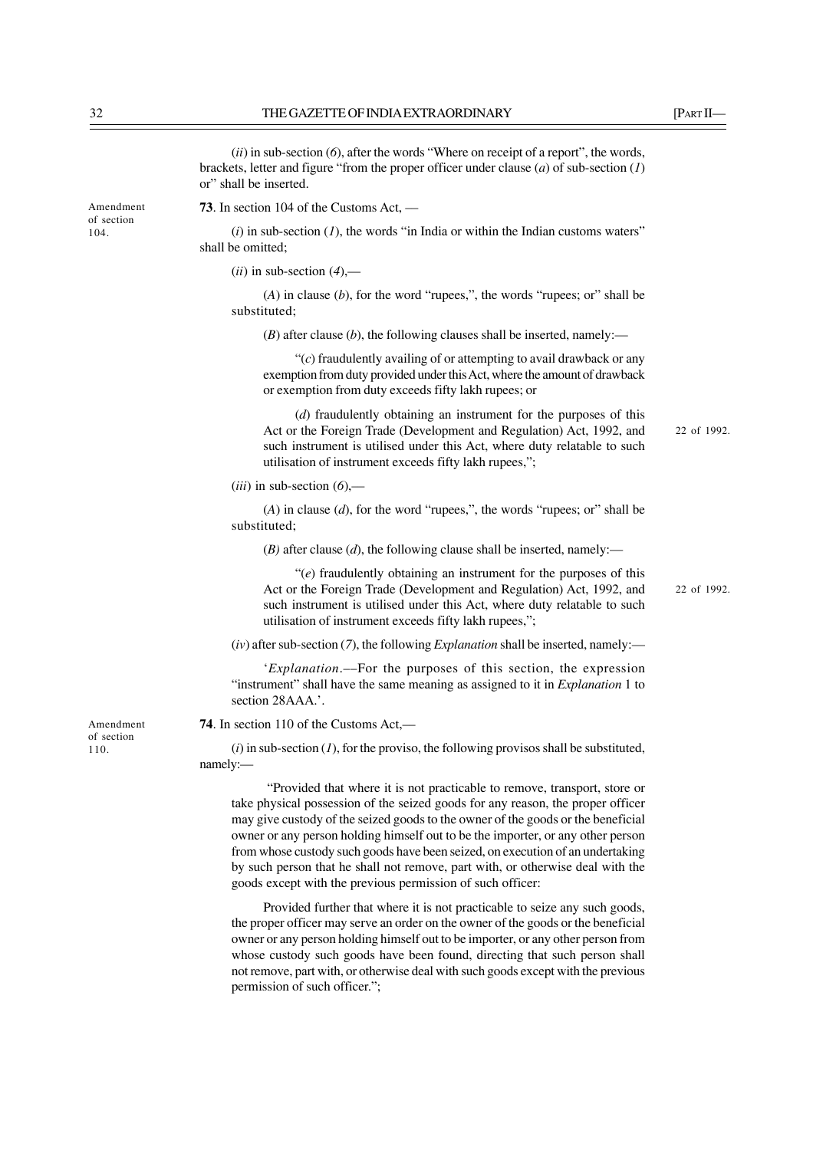(*ii*) in sub-section (*6*), after the words "Where on receipt of a report", the words, brackets, letter and figure "from the proper officer under clause (*a*) of sub-section (*1*) or" shall be inserted.

**73**. In section 104 of the Customs Act, ––

 $(i)$  in sub-section  $(I)$ , the words "in India or within the Indian customs waters" shall be omitted;

 $(ii)$  in sub-section  $(4)$ ,—

(*A*) in clause (*b*), for the word "rupees,", the words "rupees; or" shall be substituted;

 $(B)$  after clause  $(b)$ , the following clauses shall be inserted, namely:—

"(*c*) fraudulently availing of or attempting to avail drawback or any exemption from duty provided under this Act, where the amount of drawback or exemption from duty exceeds fifty lakh rupees; or

(*d*) fraudulently obtaining an instrument for the purposes of this Act or the Foreign Trade (Development and Regulation) Act, 1992, and such instrument is utilised under this Act, where duty relatable to such utilisation of instrument exceeds fifty lakh rupees,";

(*iii*) in sub-section (*6*),––

(*A*) in clause (*d*), for the word "rupees,", the words "rupees; or" shall be substituted;

(*B)* after clause (*d*), the following clause shall be inserted, namely:—

"(*e*) fraudulently obtaining an instrument for the purposes of this Act or the Foreign Trade (Development and Regulation) Act, 1992, and such instrument is utilised under this Act, where duty relatable to such utilisation of instrument exceeds fifty lakh rupees,";

(*iv*) after sub-section (*7*), the following *Explanation* shall be inserted, namely:—

'*Explanation*.––For the purposes of this section, the expression "instrument" shall have the same meaning as assigned to it in *Explanation* 1 to section 28AAA.'.

**74**. In section 110 of the Customs Act,––

 $(i)$  in sub-section  $(I)$ , for the proviso, the following provisos shall be substituted, namely:—

 "Provided that where it is not practicable to remove, transport, store or take physical possession of the seized goods for any reason, the proper officer may give custody of the seized goods to the owner of the goods or the beneficial owner or any person holding himself out to be the importer, or any other person from whose custody such goods have been seized, on execution of an undertaking by such person that he shall not remove, part with, or otherwise deal with the goods except with the previous permission of such officer:

Provided further that where it is not practicable to seize any such goods, the proper officer may serve an order on the owner of the goods or the beneficial owner or any person holding himself out to be importer, or any other person from whose custody such goods have been found, directing that such person shall not remove, part with, or otherwise deal with such goods except with the previous permission of such officer.";

Amendment of section 110.

Amendment of section 104.

22 of 1992.

22 of 1992.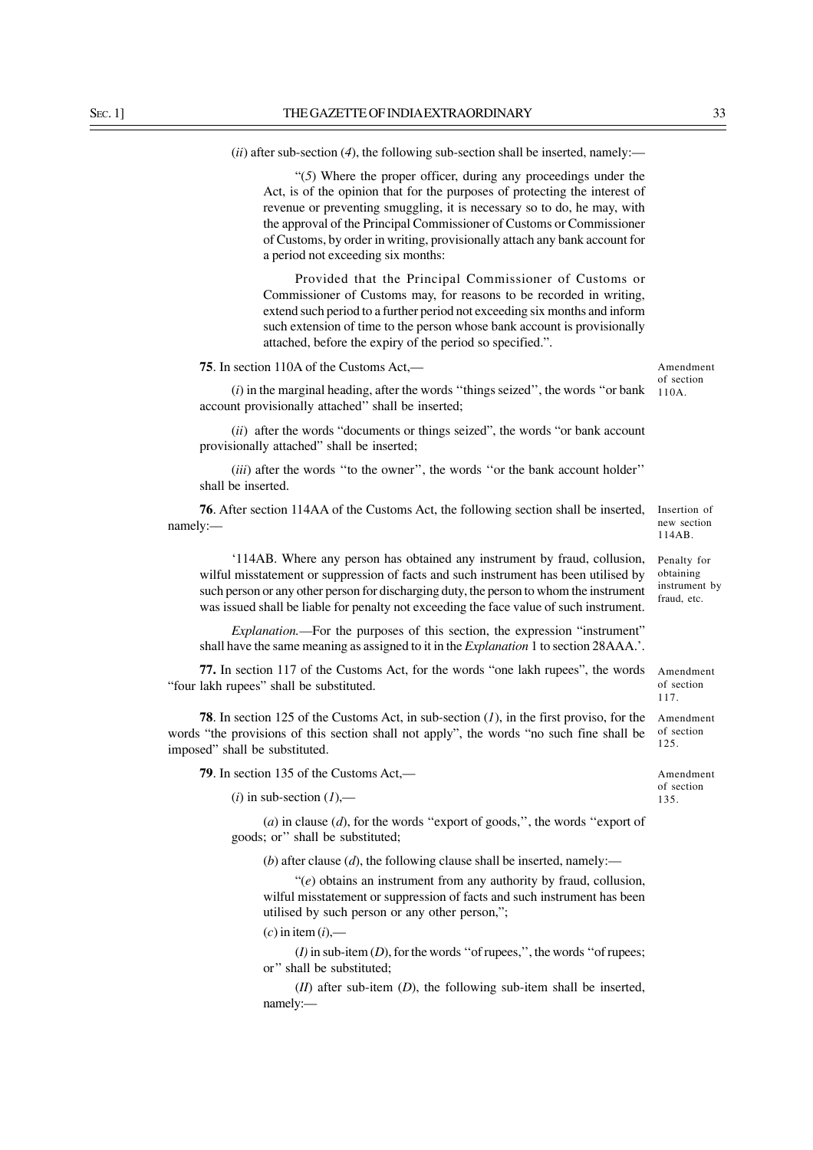(*ii*) after sub-section (*4*), the following sub-section shall be inserted, namely:—

"(*5*) Where the proper officer, during any proceedings under the Act, is of the opinion that for the purposes of protecting the interest of revenue or preventing smuggling, it is necessary so to do, he may, with the approval of the Principal Commissioner of Customs or Commissioner of Customs, by order in writing, provisionally attach any bank account for a period not exceeding six months:

Provided that the Principal Commissioner of Customs or Commissioner of Customs may, for reasons to be recorded in writing, extend such period to a further period not exceeding six months and inform such extension of time to the person whose bank account is provisionally attached, before the expiry of the period so specified.".

**75**. In section 110A of the Customs Act,—

(*i*) in the marginal heading, after the words ''things seized'', the words ''or bank account provisionally attached'' shall be inserted;

(*ii*) after the words "documents or things seized", the words "or bank account provisionally attached" shall be inserted;

(*iii*) after the words "to the owner", the words "or the bank account holder" shall be inserted.

**76**. After section 114AA of the Customs Act, the following section shall be inserted, namely:––

'114AB. Where any person has obtained any instrument by fraud, collusion, wilful misstatement or suppression of facts and such instrument has been utilised by such person or any other person for discharging duty, the person to whom the instrument was issued shall be liable for penalty not exceeding the face value of such instrument.

*Explanation.––*For the purposes of this section, the expression "instrument" shall have the same meaning as assigned to it in the *Explanation* 1 to section 28AAA.'.

**77.** In section 117 of the Customs Act, for the words "one lakh rupees", the words "four lakh rupees" shall be substituted.

**78**. In section 125 of the Customs Act, in sub-section (*1*), in the first proviso, for the words "the provisions of this section shall not apply", the words "no such fine shall be imposed" shall be substituted.

**79**. In section 135 of the Customs Act,––

 $(i)$  in sub-section  $(I)$ ,—

(*a*) in clause (*d*), for the words ''export of goods,'', the words ''export of goods; or'' shall be substituted;

(*b*) after clause (*d*), the following clause shall be inserted, namely:—

"(*e*) obtains an instrument from any authority by fraud, collusion, wilful misstatement or suppression of facts and such instrument has been utilised by such person or any other person,";

 $(c)$  in item  $(i)$ ,—

(*I)* in sub-item (*D*), for the words ''of rupees,'', the words ''of rupees; or'' shall be substituted;

(*II*) after sub-item (*D*), the following sub-item shall be inserted, namely:—

Amendment of section 110A.

Insertion of new section 114AB.

Penalty for obtaining instrument by fraud, etc.

Amendment of section 117.

Amendment of section 125.

Amendment of section 135.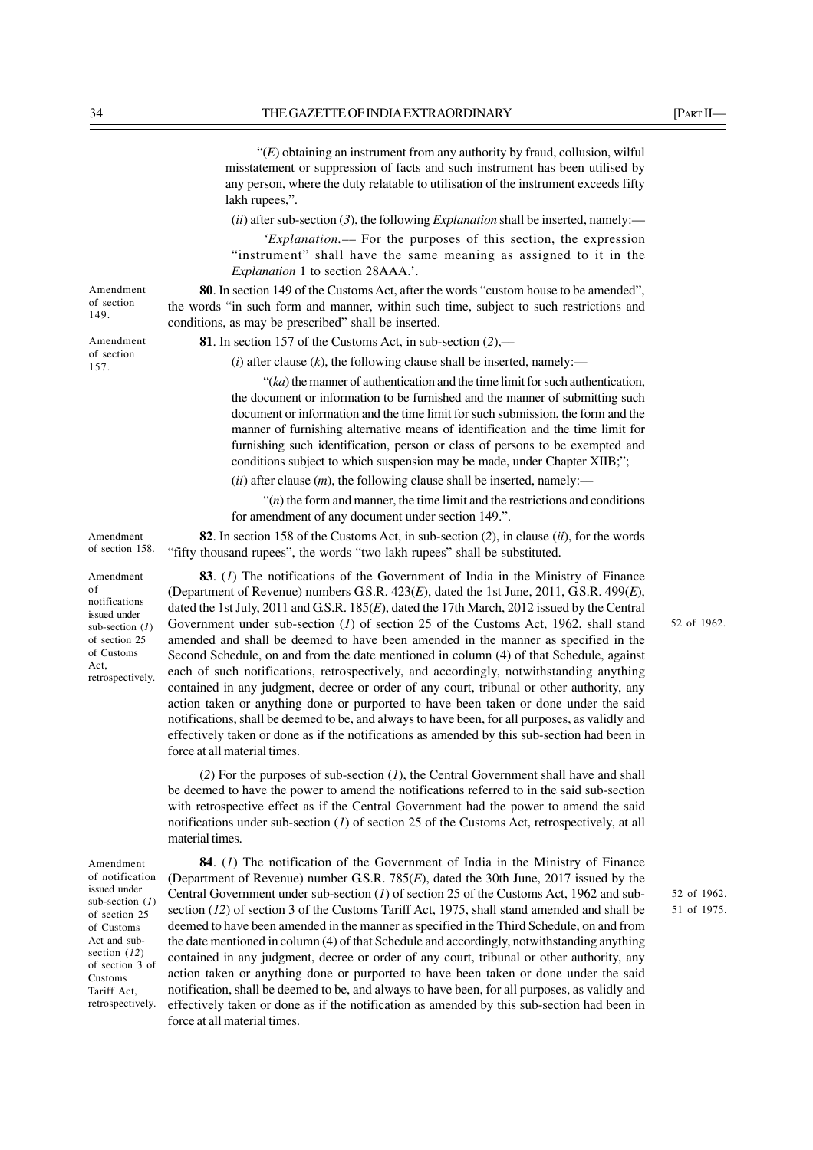"(*E*) obtaining an instrument from any authority by fraud, collusion, wilful misstatement or suppression of facts and such instrument has been utilised by any person, where the duty relatable to utilisation of the instrument exceeds fifty lakh rupees,".

(*ii*) after sub-section (*3*), the following *Explanation* shall be inserted, namely:—

*'Explanation.––* For the purposes of this section, the expression "instrument" shall have the same meaning as assigned to it in the *Explanation* 1 to section 28AAA.'.

**80**. In section 149 of the Customs Act, after the words "custom house to be amended", the words "in such form and manner, within such time, subject to such restrictions and conditions, as may be prescribed" shall be inserted.

**81**. In section 157 of the Customs Act, in sub-section (*2*),––

 $(i)$  after clause  $(k)$ , the following clause shall be inserted, namely:—

"(*ka*) the manner of authentication and the time limit for such authentication, the document or information to be furnished and the manner of submitting such document or information and the time limit for such submission, the form and the manner of furnishing alternative means of identification and the time limit for furnishing such identification, person or class of persons to be exempted and conditions subject to which suspension may be made, under Chapter XIIB;";

 $(iii)$  after clause  $(m)$ , the following clause shall be inserted, namely:—

"(*n*) the form and manner, the time limit and the restrictions and conditions for amendment of any document under section 149.".

**82**. In section 158 of the Customs Act, in sub-section (*2*), in clause (*ii*), for the words "fifty thousand rupees", the words "two lakh rupees" shall be substituted.

**83**. (*1*) The notifications of the Government of India in the Ministry of Finance (Department of Revenue) numbers G.S.R. 423(*E*), dated the 1st June, 2011, G.S.R. 499(*E*), dated the 1st July, 2011 and G.S.R. 185(*E*), dated the 17th March, 2012 issued by the Central Government under sub-section (*1*) of section 25 of the Customs Act, 1962, shall stand amended and shall be deemed to have been amended in the manner as specified in the Second Schedule, on and from the date mentioned in column (4) of that Schedule, against each of such notifications, retrospectively, and accordingly, notwithstanding anything contained in any judgment, decree or order of any court, tribunal or other authority, any action taken or anything done or purported to have been taken or done under the said notifications, shall be deemed to be, and always to have been, for all purposes, as validly and effectively taken or done as if the notifications as amended by this sub-section had been in force at all material times.

(*2*) For the purposes of sub-section (*1*), the Central Government shall have and shall be deemed to have the power to amend the notifications referred to in the said sub-section with retrospective effect as if the Central Government had the power to amend the said notifications under sub-section (*1*) of section 25 of the Customs Act, retrospectively, at all material times.

Amendment of notification issued under sub-section (*1*) of section 25 of Customs Act and subsection (*12*) of section 3 of Customs Tariff Act, retrospectively.

**84**. (*1*) The notification of the Government of India in the Ministry of Finance (Department of Revenue) number G.S.R. 785(*E*), dated the 30th June, 2017 issued by the Central Government under sub-section (*1*) of section 25 of the Customs Act, 1962 and subsection (*12*) of section 3 of the Customs Tariff Act, 1975, shall stand amended and shall be deemed to have been amended in the manner as specified in the Third Schedule, on and from the date mentioned in column (4) of that Schedule and accordingly, notwithstanding anything contained in any judgment, decree or order of any court, tribunal or other authority, any action taken or anything done or purported to have been taken or done under the said notification, shall be deemed to be, and always to have been, for all purposes, as validly and effectively taken or done as if the notification as amended by this sub-section had been in force at all material times.

52 of 1962.

52 of 1962. 51 of 1975.

of section 149. Amendment

Amendment

of section 157.

Amendment of section 158. Amendment of notifications issued under sub-section (*1*) of section 25 of Customs Act,

retrospectively.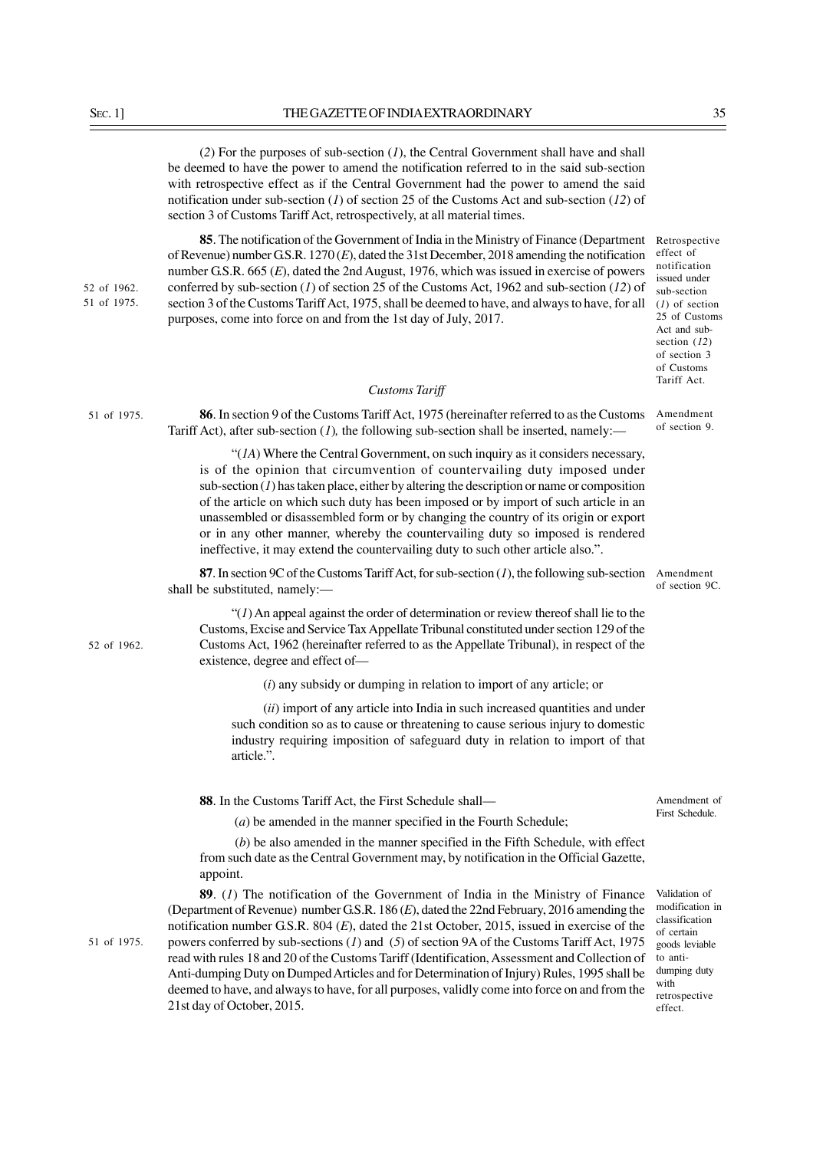(*2*) For the purposes of sub-section (*1*), the Central Government shall have and shall be deemed to have the power to amend the notification referred to in the said sub-section with retrospective effect as if the Central Government had the power to amend the said notification under sub-section (*1*) of section 25 of the Customs Act and sub-section (*12*) of section 3 of Customs Tariff Act, retrospectively, at all material times.

**85**. The notification of the Government of India in the Ministry of Finance (Department Retrospective of Revenue) number G.S.R. 1270 (*E*), dated the 31st December, 2018 amending the notification number G.S.R. 665 (*E*), dated the 2nd August, 1976, which was issued in exercise of powers conferred by sub-section (*1*) of section 25 of the Customs Act, 1962 and sub-section (*12*) of section 3 of the Customs Tariff Act, 1975, shall be deemed to have, and always to have, for all purposes, come into force on and from the 1st day of July, 2017.

*Customs Tariff*

Tariff Act), after sub-section (*1*), the following sub-section shall be inserted, namely:—

effect of notification issued under sub-section (*1*) of section 25 of Customs Act and subsection (*12*) of section 3 of Customs Tariff Act.

**86**. In section 9 of the Customs Tariff Act, 1975 (hereinafter referred to as the Customs Amendment of section 9.

of section 9C.

"(*1A*) Where the Central Government, on such inquiry as it considers necessary, is of the opinion that circumvention of countervailing duty imposed under  $sub-section (1)$  has taken place, either by altering the description or name or composition of the article on which such duty has been imposed or by import of such article in an unassembled or disassembled form or by changing the country of its origin or export or in any other manner, whereby the countervailing duty so imposed is rendered ineffective, it may extend the countervailing duty to such other article also.".

**87**. In section 9C of the Customs Tariff Act, for sub-section (*1*), the following sub-section Amendment shall be substituted, namely:––

"(*1*) An appeal against the order of determination or review thereof shall lie to the Customs, Excise and Service Tax Appellate Tribunal constituted under section 129 of the Customs Act, 1962 (hereinafter referred to as the Appellate Tribunal), in respect of the existence, degree and effect of—

(*i*) any subsidy or dumping in relation to import of any article; or

(*ii*) import of any article into India in such increased quantities and under such condition so as to cause or threatening to cause serious injury to domestic industry requiring imposition of safeguard duty in relation to import of that article.".

**88**. In the Customs Tariff Act, the First Schedule shall––

(*a*) be amended in the manner specified in the Fourth Schedule;

 (*b*) be also amended in the manner specified in the Fifth Schedule, with effect from such date as the Central Government may, by notification in the Official Gazette, appoint.

**89**. (*1*) The notification of the Government of India in the Ministry of Finance (Department of Revenue) number G.S.R. 186 (*E*), dated the 22nd February, 2016 amending the notification number G.S.R. 804 (*E*), dated the 21st October, 2015, issued in exercise of the powers conferred by sub-sections (*1*) and (*5*) of section 9A of the Customs Tariff Act, 1975 read with rules 18 and 20 of the Customs Tariff (Identification, Assessment and Collection of Anti-dumping Duty on Dumped Articles and for Determination of Injury) Rules, 1995 shall be deemed to have, and always to have, for all purposes, validly come into force on and from the 21st day of October, 2015.

Validation of modification in classification of certain goods leviable to antidumping duty with retrospective effect.

52 of 1962.

51 of 1975.

Amendment of First Schedule.

51 of 1975.

51 of 1975. 52 of 1962.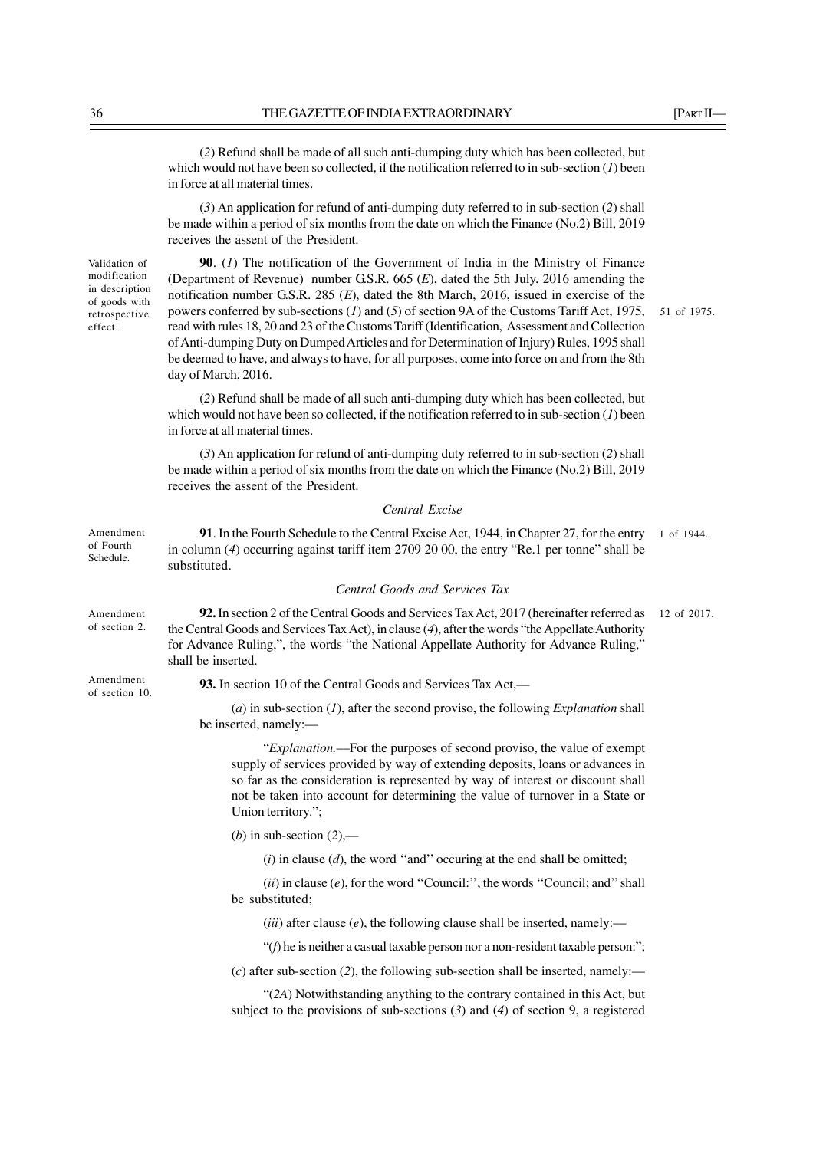(*2*) Refund shall be made of all such anti-dumping duty which has been collected, but which would not have been so collected, if the notification referred to in sub-section (*1*) been in force at all material times.

(*3*) An application for refund of anti-dumping duty referred to in sub-section (*2*) shall be made within a period of six months from the date on which the Finance (No.2) Bill, 2019 receives the assent of the President.

**90**. (*1*) The notification of the Government of India in the Ministry of Finance (Department of Revenue) number G.S.R. 665 (*E*), dated the 5th July, 2016 amending the notification number G.S.R. 285 (*E*), dated the 8th March, 2016, issued in exercise of the powers conferred by sub-sections (*1*) and (*5*) of section 9A of the Customs Tariff Act, 1975, read with rules 18, 20 and 23 of the Customs Tariff (Identification, Assessment and Collection of Anti-dumping Duty on Dumped Articles and for Determination of Injury) Rules, 1995 shall be deemed to have, and always to have, for all purposes, come into force on and from the 8th day of March, 2016.

(*2*) Refund shall be made of all such anti-dumping duty which has been collected, but which would not have been so collected, if the notification referred to in sub-section (*1*) been in force at all material times.

(*3*) An application for refund of anti-dumping duty referred to in sub-section (*2*) shall be made within a period of six months from the date on which the Finance (No.2) Bill, 2019 receives the assent of the President.

#### *Central Excise*

**91**. In the Fourth Schedule to the Central Excise Act, 1944, in Chapter 27, for the entry in column (*4*) occurring against tariff item 2709 20 00, the entry "Re.1 per tonne" shall be substituted. 1 of 1944.

#### *Central Goods and Services Tax*

**92.** In section 2 of the Central Goods and Services Tax Act, 2017 (hereinafter referred as the Central Goods and Services Tax Act), in clause (*4*), after the words "the Appellate Authority for Advance Ruling,", the words "the National Appellate Authority for Advance Ruling," shall be inserted. 12 of 2017.

**93.** In section 10 of the Central Goods and Services Tax Act,––

(*a*) in sub-section (*1*), after the second proviso, the following *Explanation* shall be inserted, namely:—

"*Explanation.*––For the purposes of second proviso, the value of exempt supply of services provided by way of extending deposits, loans or advances in so far as the consideration is represented by way of interest or discount shall not be taken into account for determining the value of turnover in a State or Union territory.";

(*b*) in sub-section (*2*),—

(*i*) in clause (*d*), the word ''and'' occuring at the end shall be omitted;

 $(ii)$  in clause  $(e)$ , for the word "Council:", the words "Council; and" shall be substituted;

 $(iii)$  after clause  $(e)$ , the following clause shall be inserted, namely:—

"(*f*) he is neither a casual taxable person nor a non-resident taxable person:";

 $(c)$  after sub-section (2), the following sub-section shall be inserted, namely:—

"(*2A*) Notwithstanding anything to the contrary contained in this Act, but subject to the provisions of sub-sections (*3*) and (*4*) of section 9, a registered

51 of 1975.

Validation of modification in description of goods with retrospective effect.

Amendment of Fourth Schedule.

Amendment of section 2.

Amendment of section 10.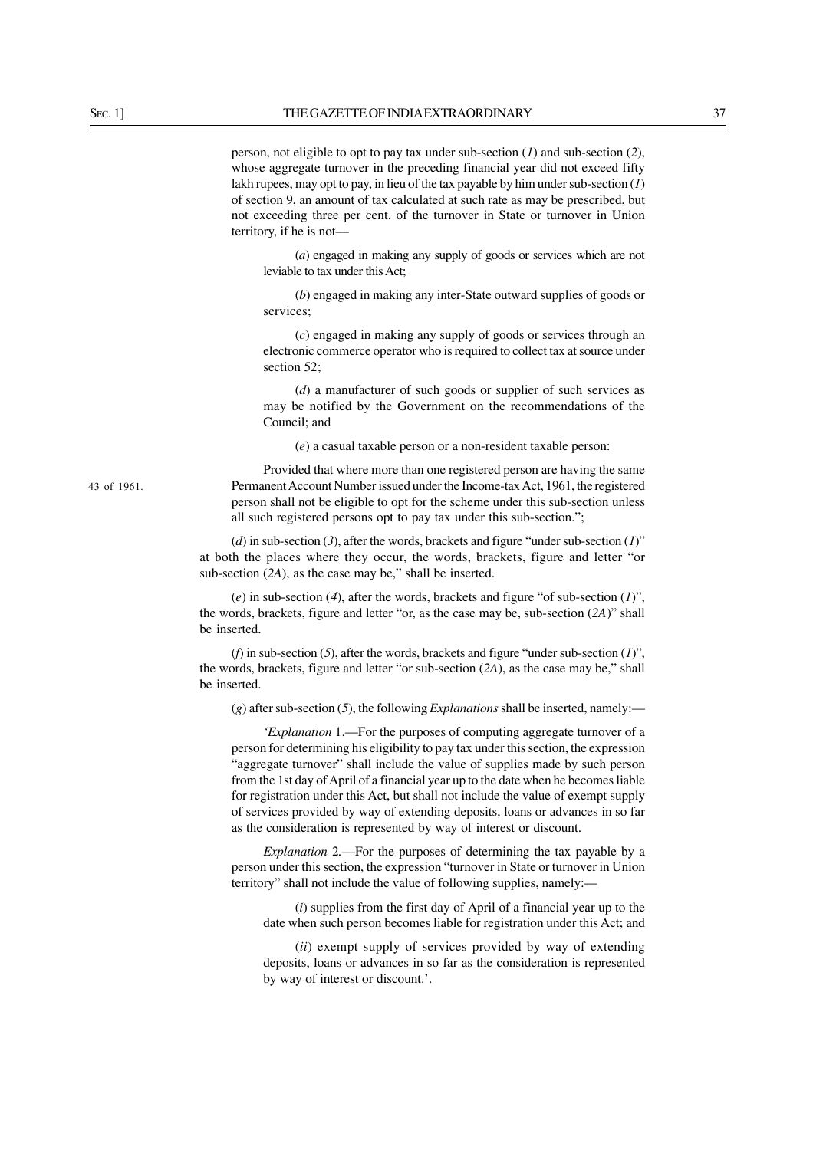person, not eligible to opt to pay tax under sub-section (*1*) and sub-section (*2*), whose aggregate turnover in the preceding financial year did not exceed fifty lakh rupees, may opt to pay, in lieu of the tax payable by him under sub-section (*1*) of section 9, an amount of tax calculated at such rate as may be prescribed, but not exceeding three per cent. of the turnover in State or turnover in Union territory, if he is not––

(*a*) engaged in making any supply of goods or services which are not leviable to tax under this Act;

(*b*) engaged in making any inter-State outward supplies of goods or services<sup>.</sup>

(*c*) engaged in making any supply of goods or services through an electronic commerce operator who is required to collect tax at source under section 52:

(*d*) a manufacturer of such goods or supplier of such services as may be notified by the Government on the recommendations of the Council; and

(*e*) a casual taxable person or a non-resident taxable person:

Provided that where more than one registered person are having the same Permanent Account Number issued under the Income-tax Act, 1961, the registered person shall not be eligible to opt for the scheme under this sub-section unless all such registered persons opt to pay tax under this sub-section.";

(*d*) in sub-section (*3*), after the words, brackets and figure "under sub-section (*1*)" at both the places where they occur, the words, brackets, figure and letter "or sub-section (*2A*), as the case may be," shall be inserted.

(*e*) in sub-section (*4*), after the words, brackets and figure "of sub-section (*1*)", the words, brackets, figure and letter "or, as the case may be, sub-section (*2A*)" shall be inserted.

(*f*) in sub-section (*5*), after the words, brackets and figure "under sub-section (*1*)", the words, brackets, figure and letter "or sub-section (*2A*), as the case may be," shall be inserted.

(*g*) after sub-section (*5*), the following *Explanations* shall be inserted, namely:—

*'Explanation* 1.––For the purposes of computing aggregate turnover of a person for determining his eligibility to pay tax under this section, the expression "aggregate turnover" shall include the value of supplies made by such person from the 1st day of April of a financial year up to the date when he becomes liable for registration under this Act, but shall not include the value of exempt supply of services provided by way of extending deposits, loans or advances in so far as the consideration is represented by way of interest or discount.

*Explanation* 2*.––*For the purposes of determining the tax payable by a person under this section, the expression "turnover in State or turnover in Union territory" shall not include the value of following supplies, namely:––

(*i*) supplies from the first day of April of a financial year up to the date when such person becomes liable for registration under this Act; and

(*ii*) exempt supply of services provided by way of extending deposits, loans or advances in so far as the consideration is represented by way of interest or discount.'.

43 of 1961.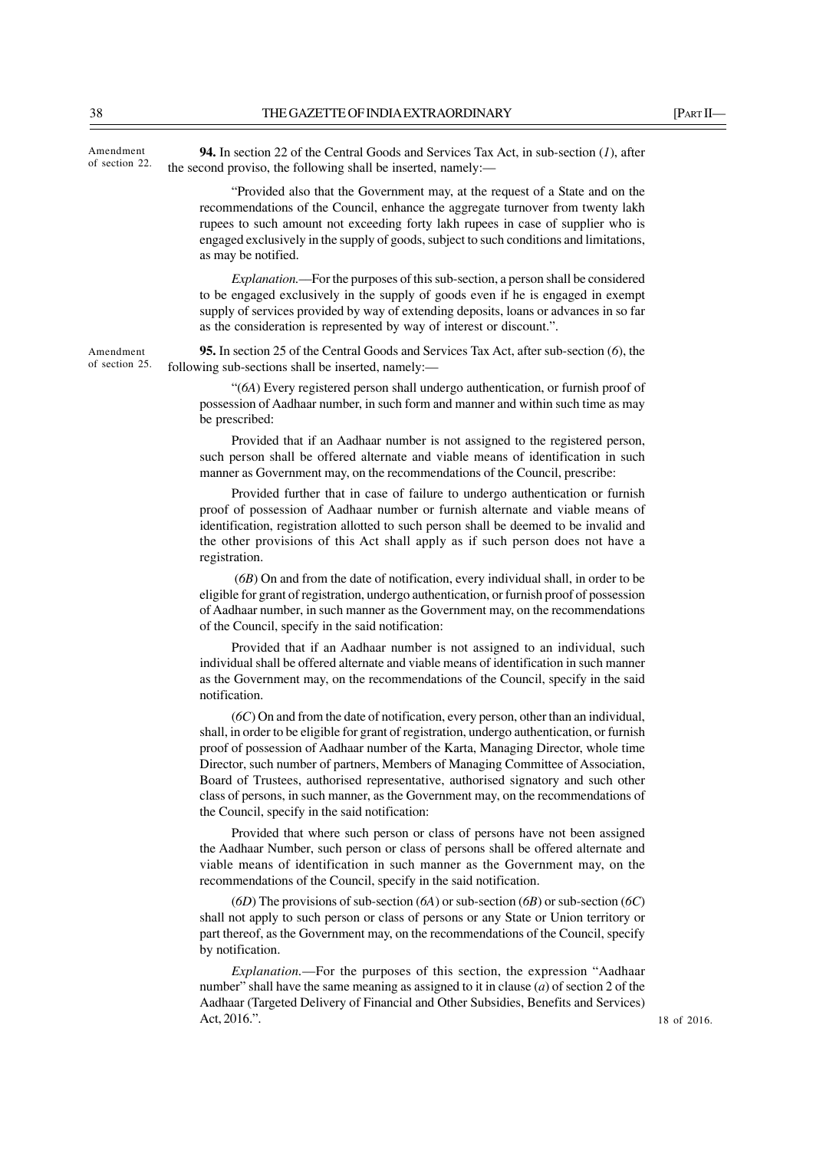**94.** In section 22 of the Central Goods and Services Tax Act, in sub-section (*1*), after the second proviso, the following shall be inserted, namely:–– as may be notified. as the consideration is represented by way of interest or discount.". following sub-sections shall be inserted, namely: be prescribed: registration. of the Council, specify in the said notification: notification. (*6C*) On and from the date of notification, every person, other than an individual, Amendment of section 22. Amendment

shall, in order to be eligible for grant of registration, undergo authentication, or furnish proof of possession of Aadhaar number of the Karta, Managing Director, whole time Director, such number of partners, Members of Managing Committee of Association, Board of Trustees, authorised representative, authorised signatory and such other class of persons, in such manner, as the Government may, on the recommendations of the Council, specify in the said notification:

Provided that where such person or class of persons have not been assigned the Aadhaar Number, such person or class of persons shall be offered alternate and viable means of identification in such manner as the Government may, on the recommendations of the Council, specify in the said notification.

(*6D*) The provisions of sub-section (*6A*) or sub-section (*6B*) or sub-section (*6C*) shall not apply to such person or class of persons or any State or Union territory or part thereof, as the Government may, on the recommendations of the Council, specify by notification.

*Explanation.*—For the purposes of this section, the expression "Aadhaar number" shall have the same meaning as assigned to it in clause (*a*) of section 2 of the Aadhaar (Targeted Delivery of Financial and Other Subsidies, Benefits and Services) Act, 2016.".

of section 25.

"Provided also that the Government may, at the request of a State and on the recommendations of the Council, enhance the aggregate turnover from twenty lakh rupees to such amount not exceeding forty lakh rupees in case of supplier who is engaged exclusively in the supply of goods, subject to such conditions and limitations,

*Explanation.*––For the purposes of this sub-section, a person shall be considered to be engaged exclusively in the supply of goods even if he is engaged in exempt supply of services provided by way of extending deposits, loans or advances in so far

**95.** In section 25 of the Central Goods and Services Tax Act, after sub-section (*6*), the

"(*6A*) Every registered person shall undergo authentication, or furnish proof of possession of Aadhaar number, in such form and manner and within such time as may

Provided that if an Aadhaar number is not assigned to the registered person, such person shall be offered alternate and viable means of identification in such manner as Government may, on the recommendations of the Council, prescribe:

Provided further that in case of failure to undergo authentication or furnish proof of possession of Aadhaar number or furnish alternate and viable means of identification, registration allotted to such person shall be deemed to be invalid and the other provisions of this Act shall apply as if such person does not have a

 (*6B*) On and from the date of notification, every individual shall, in order to be eligible for grant of registration, undergo authentication, or furnish proof of possession of Aadhaar number, in such manner as the Government may, on the recommendations

Provided that if an Aadhaar number is not assigned to an individual, such individual shall be offered alternate and viable means of identification in such manner as the Government may, on the recommendations of the Council, specify in the said

18 of 2016.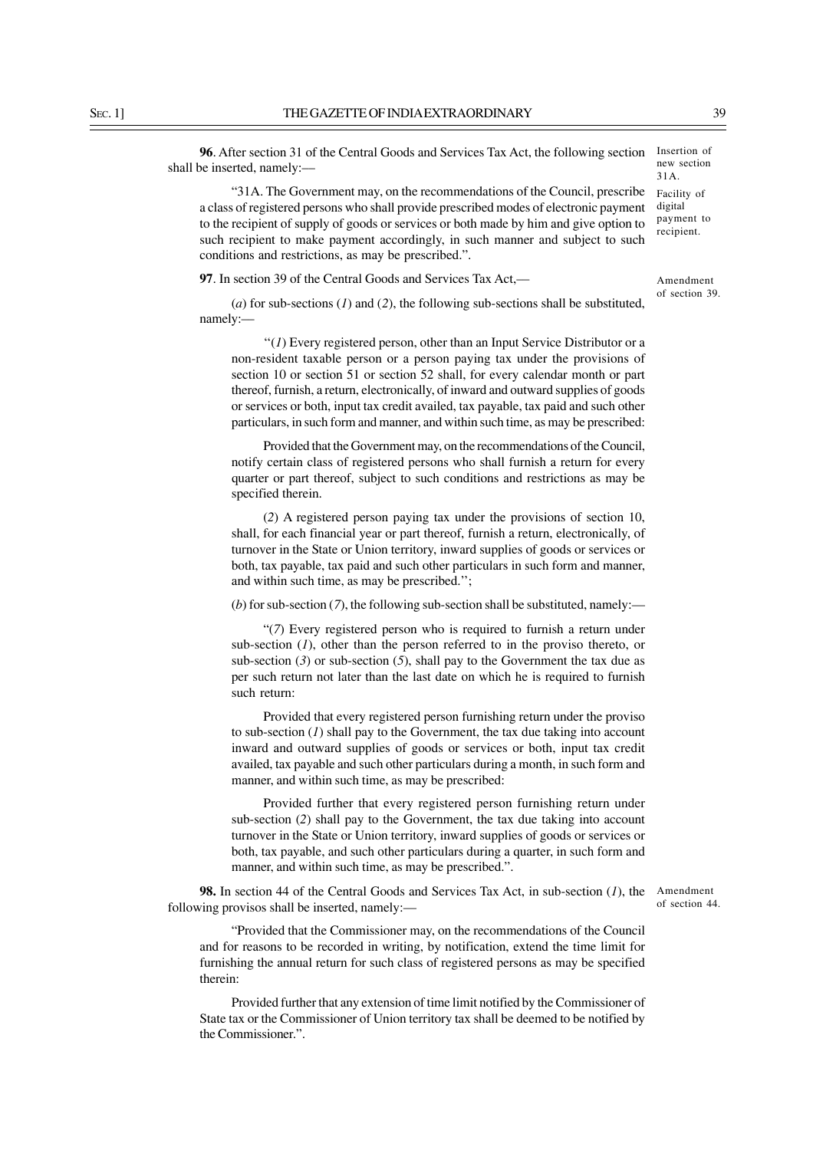**96**. After section 31 of the Central Goods and Services Tax Act, the following section shall be inserted, namely:–– Insertion of new section 31A.

"31A. The Government may, on the recommendations of the Council, prescribe a class of registered persons who shall provide prescribed modes of electronic payment to the recipient of supply of goods or services or both made by him and give option to such recipient to make payment accordingly, in such manner and subject to such conditions and restrictions, as may be prescribed.".

**97**. In section 39 of the Central Goods and Services Tax Act,—

(*a*) for sub-sections (*1*) and (*2*), the following sub-sections shall be substituted, namely:––

 $''(1)$  Every registered person, other than an Input Service Distributor or a non-resident taxable person or a person paying tax under the provisions of section 10 or section 51 or section 52 shall, for every calendar month or part thereof, furnish, a return, electronically, of inward and outward supplies of goods or services or both, input tax credit availed, tax payable, tax paid and such other particulars, in such form and manner, and within such time, as may be prescribed:

Provided that the Government may, on the recommendations of the Council, notify certain class of registered persons who shall furnish a return for every quarter or part thereof, subject to such conditions and restrictions as may be specified therein.

(*2*) A registered person paying tax under the provisions of section 10, shall, for each financial year or part thereof, furnish a return, electronically, of turnover in the State or Union territory, inward supplies of goods or services or both, tax payable, tax paid and such other particulars in such form and manner, and within such time, as may be prescribed.'';

(*b*) for sub-section (*7*), the following sub-section shall be substituted, namely:—

"(*7*) Every registered person who is required to furnish a return under sub-section (*1*), other than the person referred to in the proviso thereto, or sub-section  $(3)$  or sub-section  $(5)$ , shall pay to the Government the tax due as per such return not later than the last date on which he is required to furnish such return:

Provided that every registered person furnishing return under the proviso to sub-section (*1*) shall pay to the Government, the tax due taking into account inward and outward supplies of goods or services or both, input tax credit availed, tax payable and such other particulars during a month, in such form and manner, and within such time, as may be prescribed:

Provided further that every registered person furnishing return under sub-section (*2*) shall pay to the Government, the tax due taking into account turnover in the State or Union territory, inward supplies of goods or services or both, tax payable, and such other particulars during a quarter, in such form and manner, and within such time, as may be prescribed.".

**98.** In section 44 of the Central Goods and Services Tax Act, in sub-section (*1*), the Amendment following provisos shall be inserted, namely:—

of section 44.

"Provided that the Commissioner may, on the recommendations of the Council and for reasons to be recorded in writing, by notification, extend the time limit for furnishing the annual return for such class of registered persons as may be specified therein:

Provided further that any extension of time limit notified by the Commissioner of State tax or the Commissioner of Union territory tax shall be deemed to be notified by the Commissioner.".

Amendment

Facility of digital payment to recipient.

of section 39.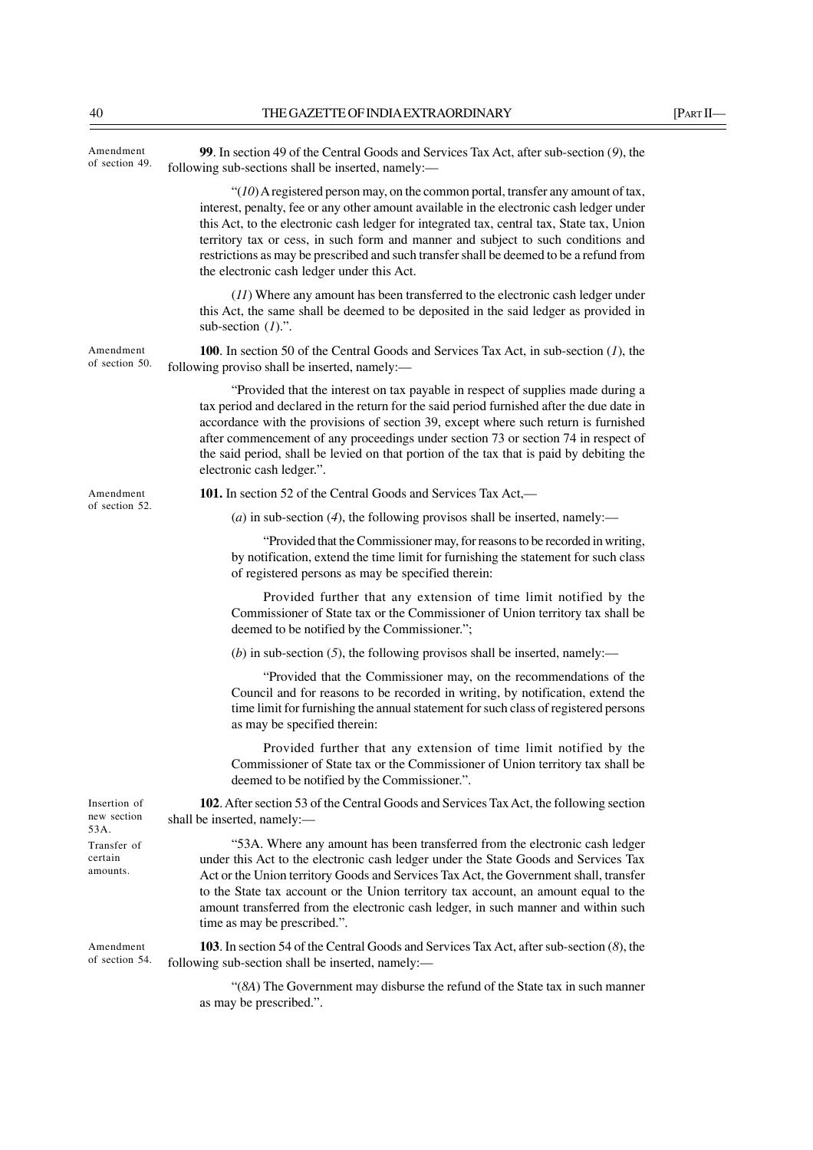| Amendment<br>of section 49.         | 99. In section 49 of the Central Goods and Services Tax Act, after sub-section (9), the<br>following sub-sections shall be inserted, namely:-                                                                                                                                                                                                                                                                                                                                                              |
|-------------------------------------|------------------------------------------------------------------------------------------------------------------------------------------------------------------------------------------------------------------------------------------------------------------------------------------------------------------------------------------------------------------------------------------------------------------------------------------------------------------------------------------------------------|
|                                     | " $(10)$ A registered person may, on the common portal, transfer any amount of tax,<br>interest, penalty, fee or any other amount available in the electronic cash ledger under<br>this Act, to the electronic cash ledger for integrated tax, central tax, State tax, Union<br>territory tax or cess, in such form and manner and subject to such conditions and<br>restrictions as may be prescribed and such transfer shall be deemed to be a refund from<br>the electronic cash ledger under this Act. |
|                                     | $(11)$ Where any amount has been transferred to the electronic cash ledger under<br>this Act, the same shall be deemed to be deposited in the said ledger as provided in<br>sub-section $(I)$ .".                                                                                                                                                                                                                                                                                                          |
| Amendment<br>of section 50.         | <b>100.</b> In section 50 of the Central Goods and Services Tax Act, in sub-section $(I)$ , the<br>following proviso shall be inserted, namely:-                                                                                                                                                                                                                                                                                                                                                           |
|                                     | "Provided that the interest on tax payable in respect of supplies made during a<br>tax period and declared in the return for the said period furnished after the due date in<br>accordance with the provisions of section 39, except where such return is furnished<br>after commencement of any proceedings under section 73 or section 74 in respect of<br>the said period, shall be levied on that portion of the tax that is paid by debiting the<br>electronic cash ledger.".                         |
| Amendment                           | 101. In section 52 of the Central Goods and Services Tax Act,—                                                                                                                                                                                                                                                                                                                                                                                                                                             |
| of section 52.                      | (a) in sub-section (4), the following provisos shall be inserted, namely:—                                                                                                                                                                                                                                                                                                                                                                                                                                 |
|                                     | "Provided that the Commissioner may, for reasons to be recorded in writing,<br>by notification, extend the time limit for furnishing the statement for such class<br>of registered persons as may be specified therein:                                                                                                                                                                                                                                                                                    |
|                                     | Provided further that any extension of time limit notified by the<br>Commissioner of State tax or the Commissioner of Union territory tax shall be<br>deemed to be notified by the Commissioner.";                                                                                                                                                                                                                                                                                                         |
|                                     | (b) in sub-section $(5)$ , the following provisos shall be inserted, namely:—                                                                                                                                                                                                                                                                                                                                                                                                                              |
|                                     | "Provided that the Commissioner may, on the recommendations of the<br>Council and for reasons to be recorded in writing, by notification, extend the<br>time limit for furnishing the annual statement for such class of registered persons<br>as may be specified therein:                                                                                                                                                                                                                                |
|                                     | Provided further that any extension of time limit notified by the<br>Commissioner of State tax or the Commissioner of Union territory tax shall be<br>deemed to be notified by the Commissioner.".                                                                                                                                                                                                                                                                                                         |
| Insertion of<br>new section<br>53A. | 102. After section 53 of the Central Goods and Services Tax Act, the following section<br>shall be inserted, namely:-                                                                                                                                                                                                                                                                                                                                                                                      |
| Transfer of<br>certain<br>amounts.  | "53A. Where any amount has been transferred from the electronic cash ledger<br>under this Act to the electronic cash ledger under the State Goods and Services Tax<br>Act or the Union territory Goods and Services Tax Act, the Government shall, transfer<br>to the State tax account or the Union territory tax account, an amount equal to the<br>amount transferred from the electronic cash ledger, in such manner and within such<br>time as may be prescribed.".                                   |
| Amendment<br>of section 54.         | 103. In section 54 of the Central Goods and Services Tax Act, after sub-section (8), the<br>following sub-section shall be inserted, namely:-                                                                                                                                                                                                                                                                                                                                                              |
|                                     | "(8A) The Government may disburse the refund of the State tax in such manner<br>as may be prescribed.".                                                                                                                                                                                                                                                                                                                                                                                                    |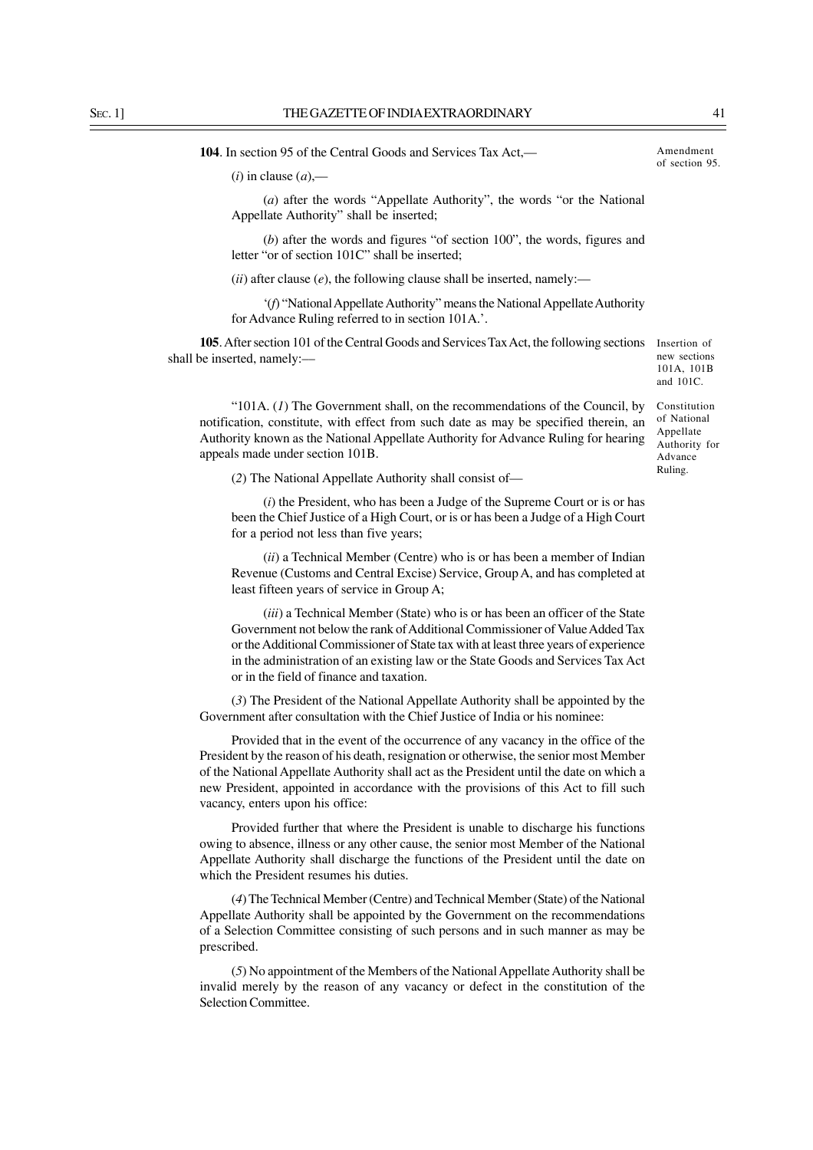**104**. In section 95 of the Central Goods and Services Tax Act,––

 $(i)$  in clause  $(a)$ ,—

(*a*) after the words "Appellate Authority", the words "or the National Appellate Authority" shall be inserted;

(*b*) after the words and figures "of section 100", the words, figures and letter "or of section 101C" shall be inserted;

 $(ii)$  after clause  $(e)$ , the following clause shall be inserted, namely:—

'(*f*) "National Appellate Authority" means the National Appellate Authority for Advance Ruling referred to in section 101A.'.

105. After section 101 of the Central Goods and Services Tax Act, the following sections Insertion of shall be inserted, namely:––

new sections 101A, 101B and 101C.

"101A. (*1*) The Government shall, on the recommendations of the Council, by notification, constitute, with effect from such date as may be specified therein, an Authority known as the National Appellate Authority for Advance Ruling for hearing appeals made under section 101B.

of National Appellate Authority for Advance Ruling.

Constitution

(*2*) The National Appellate Authority shall consist of—

(*i*) the President, who has been a Judge of the Supreme Court or is or has been the Chief Justice of a High Court, or is or has been a Judge of a High Court for a period not less than five years;

(*ii*) a Technical Member (Centre) who is or has been a member of Indian Revenue (Customs and Central Excise) Service, Group A, and has completed at least fifteen years of service in Group A;

(*iii*) a Technical Member (State) who is or has been an officer of the State Government not below the rank of Additional Commissioner of Value Added Tax or the Additional Commissioner of State tax with at least three years of experience in the administration of an existing law or the State Goods and Services Tax Act or in the field of finance and taxation.

(*3*) The President of the National Appellate Authority shall be appointed by the Government after consultation with the Chief Justice of India or his nominee:

Provided that in the event of the occurrence of any vacancy in the office of the President by the reason of his death, resignation or otherwise, the senior most Member of the National Appellate Authority shall act as the President until the date on which a new President, appointed in accordance with the provisions of this Act to fill such vacancy, enters upon his office:

Provided further that where the President is unable to discharge his functions owing to absence, illness or any other cause, the senior most Member of the National Appellate Authority shall discharge the functions of the President until the date on which the President resumes his duties.

(*4*) The Technical Member (Centre) and Technical Member (State) of the National Appellate Authority shall be appointed by the Government on the recommendations of a Selection Committee consisting of such persons and in such manner as may be prescribed.

(*5*) No appointment of the Members of the National Appellate Authority shall be invalid merely by the reason of any vacancy or defect in the constitution of the Selection Committee.

Amendment of section 95.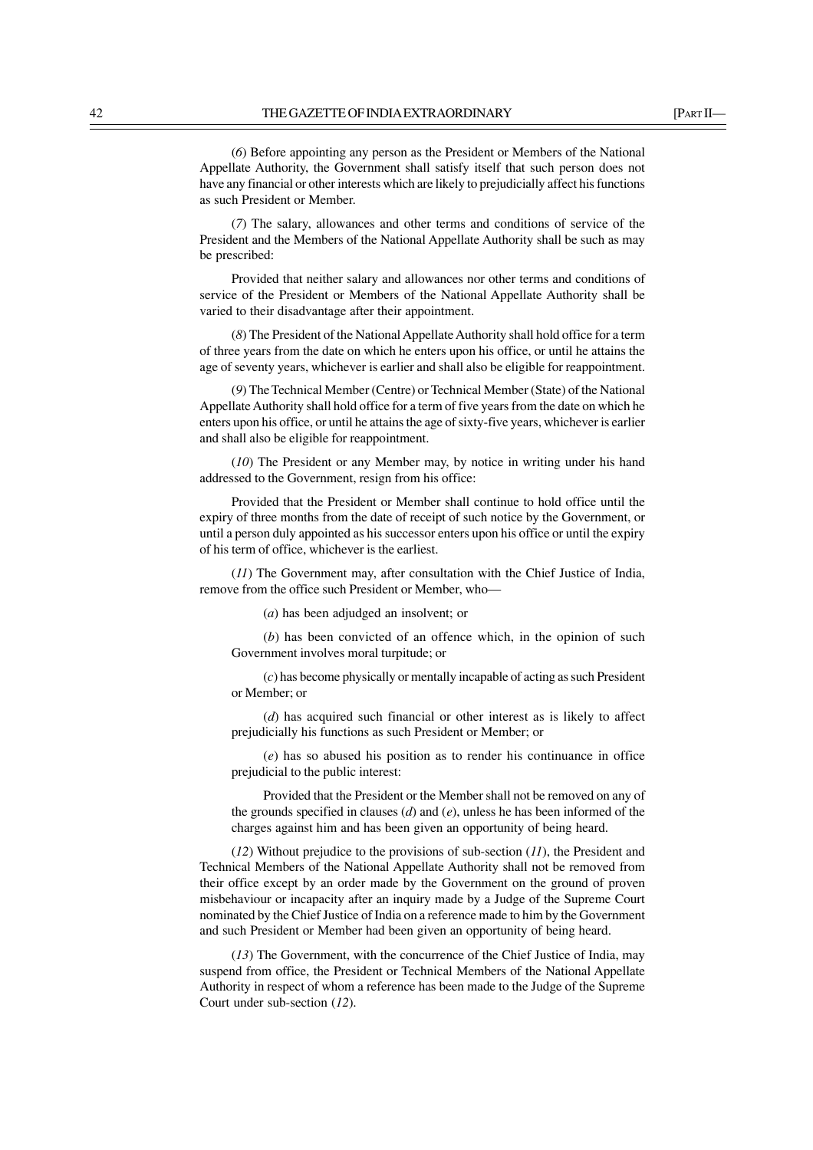(*7*) The salary, allowances and other terms and conditions of service of the President and the Members of the National Appellate Authority shall be such as may be prescribed:

Provided that neither salary and allowances nor other terms and conditions of service of the President or Members of the National Appellate Authority shall be varied to their disadvantage after their appointment.

(*8*) The President of the National Appellate Authority shall hold office for a term of three years from the date on which he enters upon his office, or until he attains the age of seventy years, whichever is earlier and shall also be eligible for reappointment.

(*9*) The Technical Member (Centre) or Technical Member (State) of the National Appellate Authority shall hold office for a term of five years from the date on which he enters upon his office, or until he attains the age of sixty-five years, whichever is earlier and shall also be eligible for reappointment.

(*10*) The President or any Member may, by notice in writing under his hand addressed to the Government, resign from his office:

Provided that the President or Member shall continue to hold office until the expiry of three months from the date of receipt of such notice by the Government, or until a person duly appointed as his successor enters upon his office or until the expiry of his term of office, whichever is the earliest.

(*11*) The Government may, after consultation with the Chief Justice of India, remove from the office such President or Member, who—

(*a*) has been adjudged an insolvent; or

(*b*) has been convicted of an offence which, in the opinion of such Government involves moral turpitude; or

(*c*) has become physically or mentally incapable of acting as such President or Member; or

(*d*) has acquired such financial or other interest as is likely to affect prejudicially his functions as such President or Member; or

(*e*) has so abused his position as to render his continuance in office prejudicial to the public interest:

Provided that the President or the Member shall not be removed on any of the grounds specified in clauses (*d*) and (*e*), unless he has been informed of the charges against him and has been given an opportunity of being heard.

(*12*) Without prejudice to the provisions of sub-section (*11*), the President and Technical Members of the National Appellate Authority shall not be removed from their office except by an order made by the Government on the ground of proven misbehaviour or incapacity after an inquiry made by a Judge of the Supreme Court nominated by the Chief Justice of India on a reference made to him by the Government and such President or Member had been given an opportunity of being heard.

(*13*) The Government, with the concurrence of the Chief Justice of India, may suspend from office, the President or Technical Members of the National Appellate Authority in respect of whom a reference has been made to the Judge of the Supreme Court under sub-section (*12*).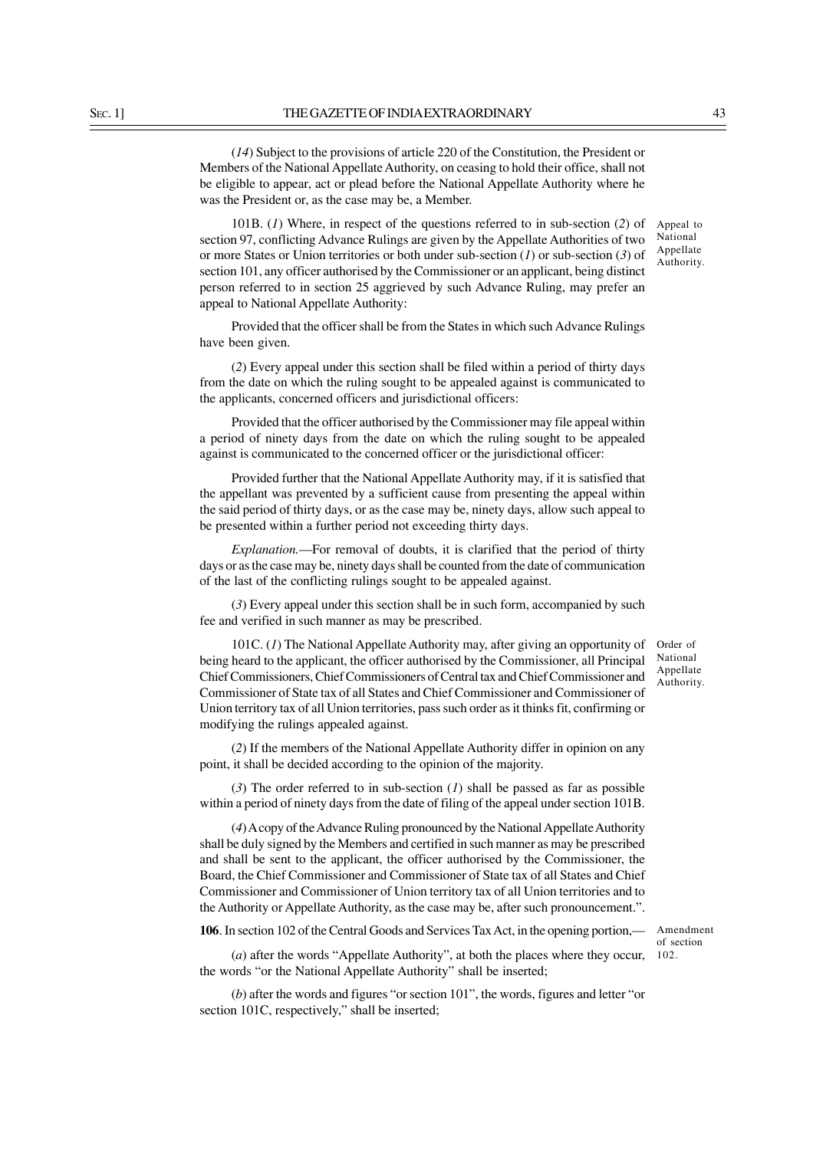(*14*) Subject to the provisions of article 220 of the Constitution, the President or Members of the National Appellate Authority, on ceasing to hold their office, shall not be eligible to appear, act or plead before the National Appellate Authority where he was the President or, as the case may be, a Member.

101B. (*1*) Where, in respect of the questions referred to in sub-section (*2*) of section 97, conflicting Advance Rulings are given by the Appellate Authorities of two or more States or Union territories or both under sub-section (*1*) or sub-section (*3*) of section 101, any officer authorised by the Commissioner or an applicant, being distinct person referred to in section 25 aggrieved by such Advance Ruling, may prefer an appeal to National Appellate Authority:

Provided that the officer shall be from the States in which such Advance Rulings have been given.

(*2*) Every appeal under this section shall be filed within a period of thirty days from the date on which the ruling sought to be appealed against is communicated to the applicants, concerned officers and jurisdictional officers:

Provided that the officer authorised by the Commissioner may file appeal within a period of ninety days from the date on which the ruling sought to be appealed against is communicated to the concerned officer or the jurisdictional officer:

Provided further that the National Appellate Authority may, if it is satisfied that the appellant was prevented by a sufficient cause from presenting the appeal within the said period of thirty days, or as the case may be, ninety days, allow such appeal to be presented within a further period not exceeding thirty days.

*Explanation.*––For removal of doubts, it is clarified that the period of thirty days or as the case may be, ninety days shall be counted from the date of communication of the last of the conflicting rulings sought to be appealed against.

(*3*) Every appeal under this section shall be in such form, accompanied by such fee and verified in such manner as may be prescribed.

101C. (*1*) The National Appellate Authority may, after giving an opportunity of being heard to the applicant, the officer authorised by the Commissioner, all Principal Chief Commissioners, Chief Commissioners of Central tax and Chief Commissioner and Commissioner of State tax of all States and Chief Commissioner and Commissioner of Union territory tax of all Union territories, pass such order as it thinks fit, confirming or modifying the rulings appealed against.

(*2*) If the members of the National Appellate Authority differ in opinion on any point, it shall be decided according to the opinion of the majority.

(*3*) The order referred to in sub-section (*1*) shall be passed as far as possible within a period of ninety days from the date of filing of the appeal under section 101B.

(*4*) A copy of the Advance Ruling pronounced by the National Appellate Authority shall be duly signed by the Members and certified in such manner as may be prescribed and shall be sent to the applicant, the officer authorised by the Commissioner, the Board, the Chief Commissioner and Commissioner of State tax of all States and Chief Commissioner and Commissioner of Union territory tax of all Union territories and to the Authority or Appellate Authority, as the case may be, after such pronouncement.".

**106**. In section 102 of the Central Goods and Services Tax Act, in the opening portion,—

Amendment of section 102.

(*a*) after the words "Appellate Authority", at both the places where they occur, the words "or the National Appellate Authority" shall be inserted;

(*b*) after the words and figures "or section 101", the words, figures and letter "or section 101C, respectively," shall be inserted;

Appeal to National Appellate Authority.

Order of National **Appellate** Authority.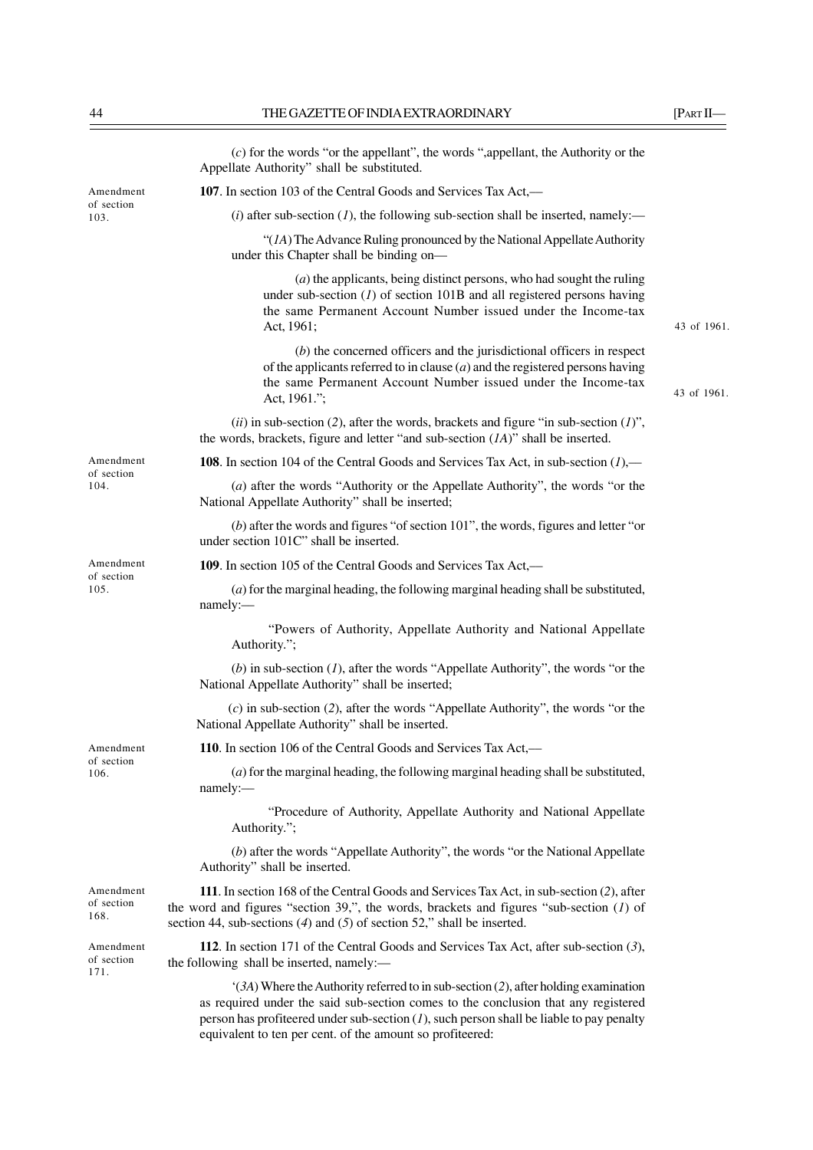|                                 | $(c)$ for the words "or the appellant", the words ", appellant, the Authority or the<br>Appellate Authority" shall be substituted.                                                                                                                                        |             |
|---------------------------------|---------------------------------------------------------------------------------------------------------------------------------------------------------------------------------------------------------------------------------------------------------------------------|-------------|
| Amendment<br>of section<br>103. | 107. In section 103 of the Central Goods and Services Tax Act,—                                                                                                                                                                                                           |             |
|                                 | (i) after sub-section (1), the following sub-section shall be inserted, namely:—                                                                                                                                                                                          |             |
|                                 | " $(IA)$ The Advance Ruling pronounced by the National Appellate Authority<br>under this Chapter shall be binding on-                                                                                                                                                     |             |
|                                 | $(a)$ the applicants, being distinct persons, who had sought the ruling<br>under sub-section $(I)$ of section 101B and all registered persons having<br>the same Permanent Account Number issued under the Income-tax<br>Act, 1961;                                       | 43 of 1961. |
|                                 | $(b)$ the concerned officers and the jurisdictional officers in respect<br>of the applicants referred to in clause $(a)$ and the registered persons having<br>the same Permanent Account Number issued under the Income-tax<br>Act, 1961.";                               | 43 of 1961. |
|                                 | (ii) in sub-section (2), after the words, brackets and figure "in sub-section $(1)$ ",<br>the words, brackets, figure and letter "and sub-section $(IA)$ " shall be inserted.                                                                                             |             |
| Amendment                       | <b>108.</b> In section 104 of the Central Goods and Services Tax Act, in sub-section $(l)$ ,—                                                                                                                                                                             |             |
| of section<br>104.              | (a) after the words "Authority or the Appellate Authority", the words "or the<br>National Appellate Authority" shall be inserted;                                                                                                                                         |             |
|                                 | $(b)$ after the words and figures "of section 101", the words, figures and letter "or<br>under section 101C" shall be inserted.                                                                                                                                           |             |
| Amendment<br>of section         | 109. In section 105 of the Central Goods and Services Tax Act,—                                                                                                                                                                                                           |             |
| 105.                            | $(a)$ for the marginal heading, the following marginal heading shall be substituted,<br>namely:-                                                                                                                                                                          |             |
|                                 | "Powers of Authority, Appellate Authority and National Appellate<br>Authority.";                                                                                                                                                                                          |             |
|                                 | (b) in sub-section $(I)$ , after the words "Appellate Authority", the words "or the<br>National Appellate Authority" shall be inserted;                                                                                                                                   |             |
|                                 | $(c)$ in sub-section (2), after the words "Appellate Authority", the words "or the<br>National Appellate Authority" shall be inserted.                                                                                                                                    |             |
| Amendment                       | 110. In section 106 of the Central Goods and Services Tax Act,—                                                                                                                                                                                                           |             |
| of section<br>106.              | $(a)$ for the marginal heading, the following marginal heading shall be substituted,<br>namely:-                                                                                                                                                                          |             |
|                                 | "Procedure of Authority, Appellate Authority and National Appellate<br>Authority.";                                                                                                                                                                                       |             |
|                                 | (b) after the words "Appellate Authority", the words "or the National Appellate<br>Authority" shall be inserted.                                                                                                                                                          |             |
| Amendment<br>of section<br>168. | 111. In section 168 of the Central Goods and Services Tax Act, in sub-section (2), after<br>the word and figures "section 39,", the words, brackets and figures "sub-section $(I)$ of<br>section 44, sub-sections $(4)$ and $(5)$ of section 52," shall be inserted.      |             |
| Amendment<br>of section<br>171. | 112. In section 171 of the Central Goods and Services Tax Act, after sub-section (3),<br>the following shall be inserted, namely:-                                                                                                                                        |             |
|                                 | $(3A)$ Where the Authority referred to in sub-section (2), after holding examination<br>as required under the said sub-section comes to the conclusion that any registered<br>person has profiteered under sub-section $(I)$ , such person shall be liable to pay penalty |             |

equivalent to ten per cent. of the amount so profiteered: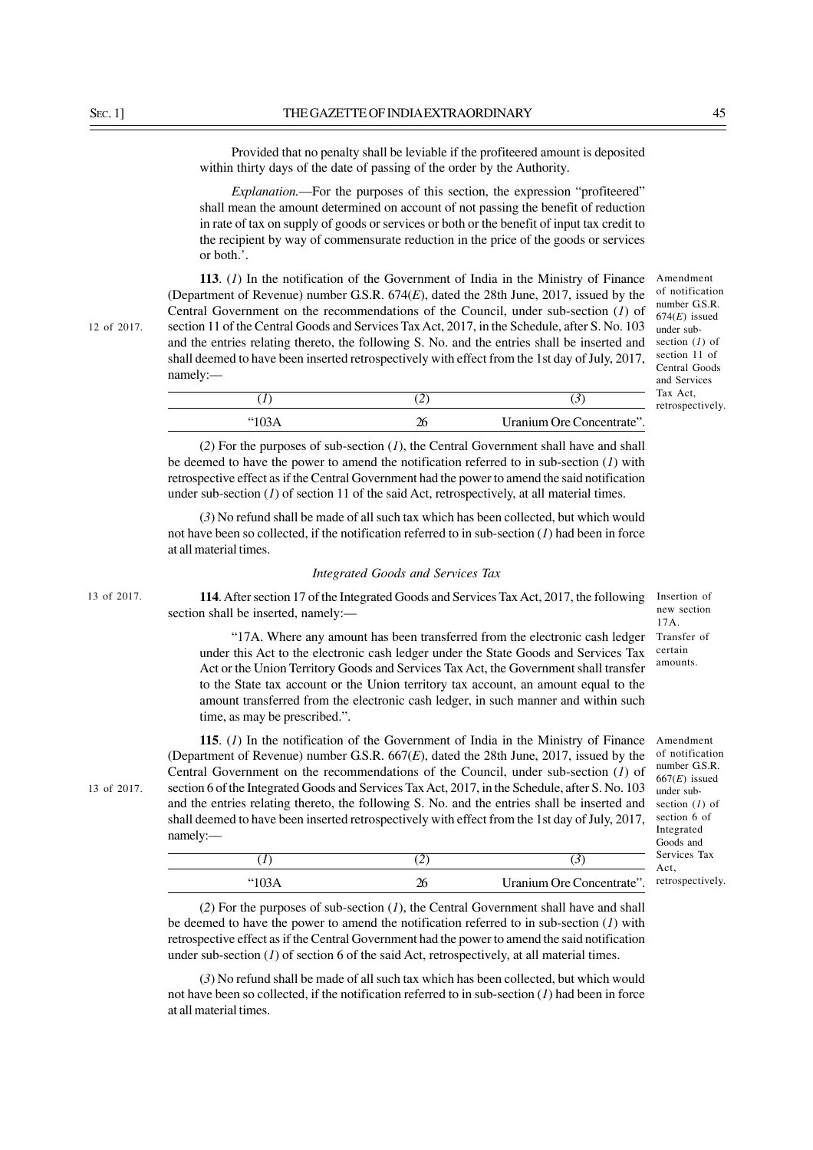Provided that no penalty shall be leviable if the profiteered amount is deposited within thirty days of the date of passing of the order by the Authority.

*Explanation.*—For the purposes of this section, the expression "profiteered" shall mean the amount determined on account of not passing the benefit of reduction in rate of tax on supply of goods or services or both or the benefit of input tax credit to the recipient by way of commensurate reduction in the price of the goods or services or both.'.

**113**. (*1*) In the notification of the Government of India in the Ministry of Finance (Department of Revenue) number G.S.R. 674(*E*), dated the 28th June, 2017, issued by the Central Government on the recommendations of the Council, under sub-section (*1*) of section 11 of the Central Goods and Services Tax Act, 2017, in the Schedule, after S. No. 103 and the entries relating thereto, the following S. No. and the entries shall be inserted and shall deemed to have been inserted retrospectively with effect from the 1st day of July, 2017, namely:––

| "103A | Uranium Ore Concentrate". |
|-------|---------------------------|

(*2*) For the purposes of sub-section (*1*), the Central Government shall have and shall be deemed to have the power to amend the notification referred to in sub-section (*1*) with retrospective effect as if the Central Government had the power to amend the said notification under sub-section (*1*) of section 11 of the said Act, retrospectively, at all material times.

(*3*) No refund shall be made of all such tax which has been collected, but which would not have been so collected, if the notification referred to in sub-section (*1*) had been in force at all material times.

## *Integrated Goods and Services Tax*

**114**. After section 17 of the Integrated Goods and Services Tax Act, 2017, the following section shall be inserted, namely:—

"17A. Where any amount has been transferred from the electronic cash ledger under this Act to the electronic cash ledger under the State Goods and Services Tax Act or the Union Territory Goods and Services Tax Act, the Government shall transfer to the State tax account or the Union territory tax account, an amount equal to the amount transferred from the electronic cash ledger, in such manner and within such time, as may be prescribed.". 17A. Transfer of certain amounts.

**115**. (*1*) In the notification of the Government of India in the Ministry of Finance (Department of Revenue) number G.S.R. 667(*E*), dated the 28th June, 2017, issued by the Central Government on the recommendations of the Council, under sub-section (*1*) of section 6 of the Integrated Goods and Services Tax Act, 2017, in the Schedule, after S. No. 103 and the entries relating thereto, the following S. No. and the entries shall be inserted and shall deemed to have been inserted retrospectively with effect from the 1st day of July, 2017, namely:—

(*1*) (*2*) (*3*)

"103A 26 Uranium Ore Concentrate".

| of notification  |
|------------------|
| number G.S.R.    |
| $667(E)$ issued  |
| under sub-       |
| section $(I)$ of |
| section 6 of     |
| Integrated       |
| Goods and        |
| Services Tax     |
| Act.             |
| retrospectively. |

Amendment

Insertion of new section

(*2*) For the purposes of sub-section (*1*), the Central Government shall have and shall be deemed to have the power to amend the notification referred to in sub-section (*1*) with retrospective effect as if the Central Government had the power to amend the said notification under sub-section  $(1)$  of section 6 of the said Act, retrospectively, at all material times.

(*3*) No refund shall be made of all such tax which has been collected, but which would not have been so collected, if the notification referred to in sub-section (*1*) had been in force at all material times.

12 of 2017.

13 of 2017.

Amendment of notification number G.S.R. 674(*E*) issued under subsection (*1*) of section 11 of Central Goods and Services Tax Act, retrospectively.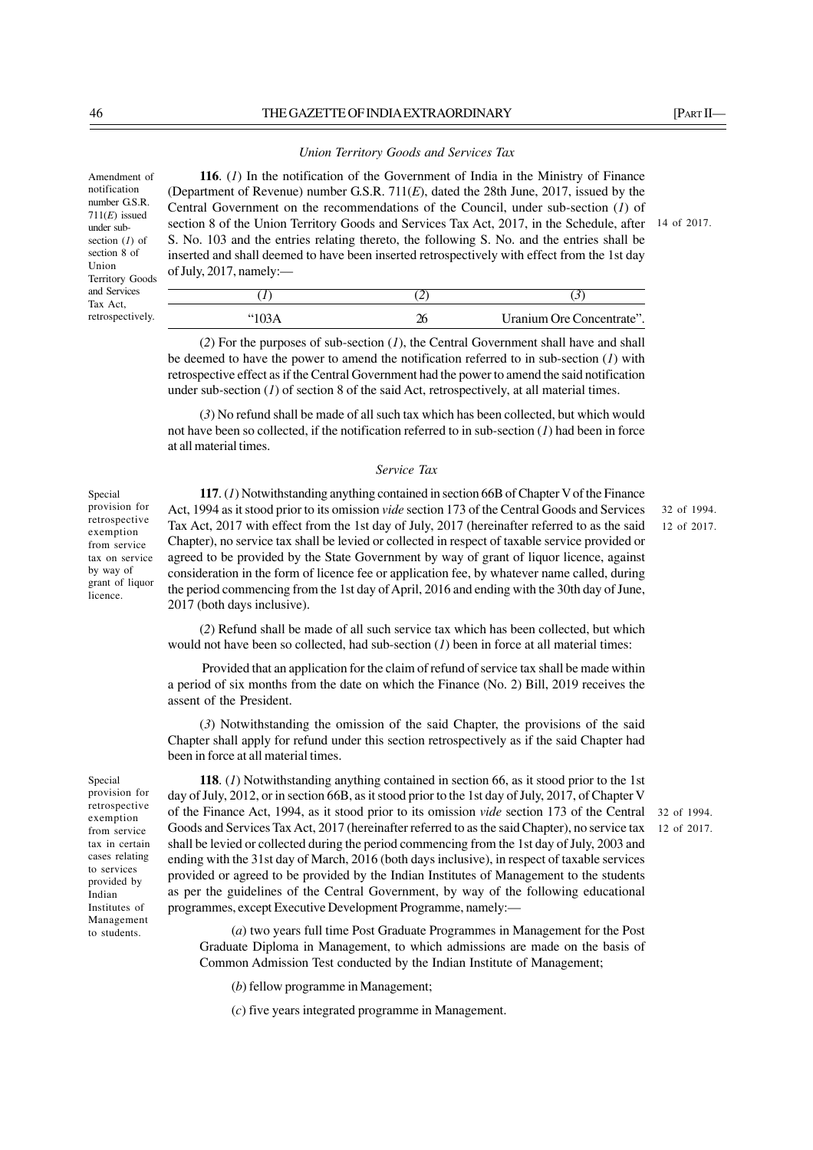### *Union Territory Goods and Services Tax*

**116**. (*1*) In the notification of the Government of India in the Ministry of Finance (Department of Revenue) number G.S.R. 711(*E*), dated the 28th June, 2017, issued by the Central Government on the recommendations of the Council, under sub-section (*1*) of section 8 of the Union Territory Goods and Services Tax Act, 2017, in the Schedule, after 14 of 2017. S. No. 103 and the entries relating thereto, the following S. No. and the entries shall be inserted and shall deemed to have been inserted retrospectively with effect from the 1st day of July, 2017, namely:––

(*1*) (*2*) (*3*)

"103A 26 Uranium Ore Concentrate".

32 of 1994. 12 of 2017.

32 of 1994. 12 of 2017.

(*2*) For the purposes of sub-section (*1*), the Central Government shall have and shall be deemed to have the power to amend the notification referred to in sub-section (*1*) with retrospective effect as if the Central Government had the power to amend the said notification

under sub-section  $(I)$  of section 8 of the said Act, retrospectively, at all material times.

(*3*) No refund shall be made of all such tax which has been collected, but which would not have been so collected, if the notification referred to in sub-section (*1*) had been in force at all material times.

### *Service Tax*

Special provision for retrospective exemption from service tax on service by way of grant of liquor licence.

**117**. (*1*) Notwithstanding anything contained in section 66B of Chapter V of the Finance Act, 1994 as it stood prior to its omission *vide* section 173 of the Central Goods and Services Tax Act, 2017 with effect from the 1st day of July, 2017 (hereinafter referred to as the said Chapter), no service tax shall be levied or collected in respect of taxable service provided or agreed to be provided by the State Government by way of grant of liquor licence, against consideration in the form of licence fee or application fee, by whatever name called, during the period commencing from the 1st day of April, 2016 and ending with the 30th day of June, 2017 (both days inclusive).

(*2*) Refund shall be made of all such service tax which has been collected, but which

 Provided that an application for the claim of refund of service tax shall be made within a period of six months from the date on which the Finance (No. 2) Bill, 2019 receives the assent of the President.

would not have been so collected, had sub-section  $(1)$  been in force at all material times:

(*3*) Notwithstanding the omission of the said Chapter, the provisions of the said Chapter shall apply for refund under this section retrospectively as if the said Chapter had been in force at all material times.

Special provision for retrospective exemption from service tax in certain cases relating to services provided by Indian Institutes of Management to students.

**118**. (*1*) Notwithstanding anything contained in section 66, as it stood prior to the 1st day of July, 2012, or in section 66B, as it stood prior to the 1st day of July, 2017, of Chapter V of the Finance Act, 1994, as it stood prior to its omission *vide* section 173 of the Central Goods and Services Tax Act, 2017 (hereinafter referred to as the said Chapter), no service tax shall be levied or collected during the period commencing from the 1st day of July, 2003 and ending with the 31st day of March, 2016 (both days inclusive), in respect of taxable services provided or agreed to be provided by the Indian Institutes of Management to the students as per the guidelines of the Central Government, by way of the following educational programmes, except Executive Development Programme, namely:—

(*a*) two years full time Post Graduate Programmes in Management for the Post Graduate Diploma in Management, to which admissions are made on the basis of Common Admission Test conducted by the Indian Institute of Management;

(*b*) fellow programme in Management;

(*c*) five years integrated programme in Management.

Amendment of notification number G.S.R. 711(*E*) issued under subsection (*1*) of section 8 of Union Territory Goods and Services Tax Act, retrospectively.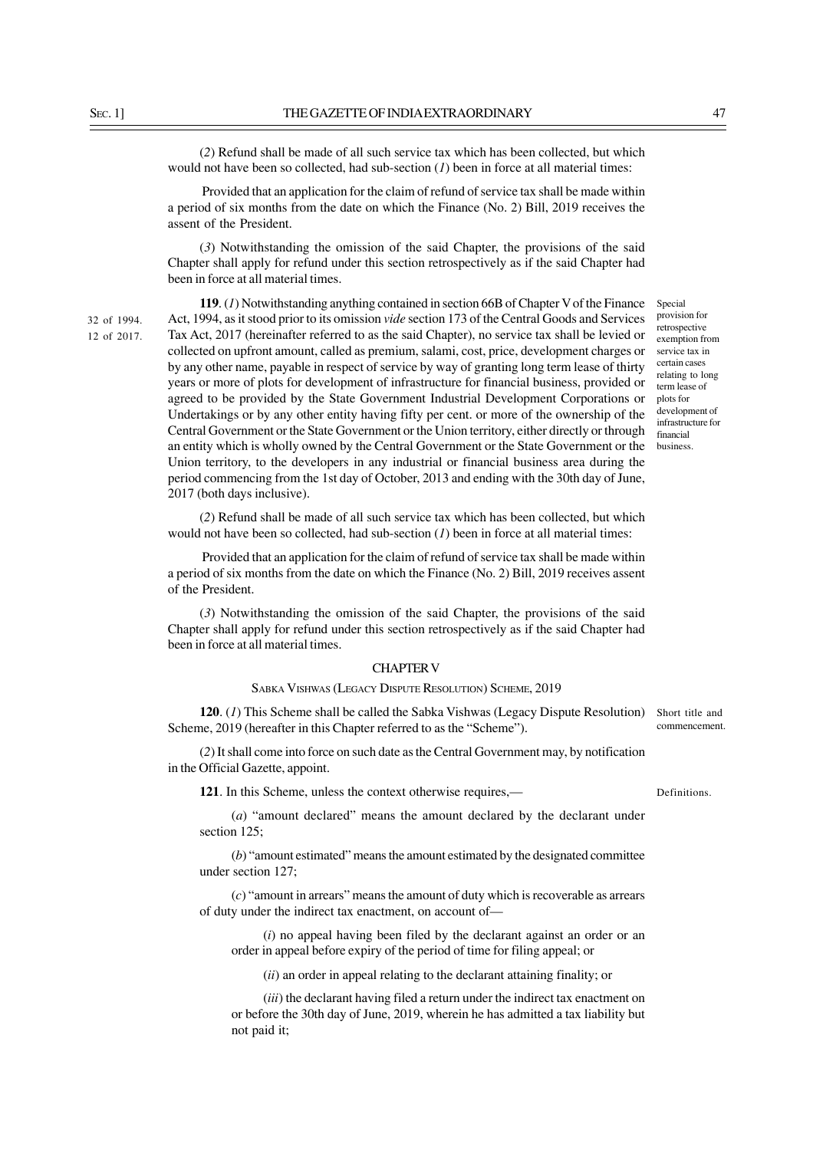(*2*) Refund shall be made of all such service tax which has been collected, but which would not have been so collected, had sub-section (*1*) been in force at all material times:

 Provided that an application for the claim of refund of service tax shall be made within a period of six months from the date on which the Finance (No. 2) Bill, 2019 receives the assent of the President.

(*3*) Notwithstanding the omission of the said Chapter, the provisions of the said Chapter shall apply for refund under this section retrospectively as if the said Chapter had been in force at all material times.

32 of 1994. 12 of 2017.

**119**. (*1*) Notwithstanding anything contained in section 66B of Chapter V of the Finance Act, 1994, as it stood prior to its omission *vide* section 173 of the Central Goods and Services Tax Act, 2017 (hereinafter referred to as the said Chapter), no service tax shall be levied or collected on upfront amount, called as premium, salami, cost, price, development charges or by any other name, payable in respect of service by way of granting long term lease of thirty years or more of plots for development of infrastructure for financial business, provided or agreed to be provided by the State Government Industrial Development Corporations or Undertakings or by any other entity having fifty per cent. or more of the ownership of the Central Government or the State Government or the Union territory, either directly or through an entity which is wholly owned by the Central Government or the State Government or the Union territory, to the developers in any industrial or financial business area during the period commencing from the 1st day of October, 2013 and ending with the 30th day of June, 2017 (both days inclusive).

Special provision for retrospective exemption from service tax in certain cases relating to long term lease of plots for development of infrastructure for financial business.

(*2*) Refund shall be made of all such service tax which has been collected, but which would not have been so collected, had sub-section (*I*) been in force at all material times:

 Provided that an application for the claim of refund of service tax shall be made within a period of six months from the date on which the Finance (No. 2) Bill, 2019 receives assent of the President.

(*3*) Notwithstanding the omission of the said Chapter, the provisions of the said Chapter shall apply for refund under this section retrospectively as if the said Chapter had been in force at all material times.

## CHAPTER V

### SABKA VISHWAS (LEGACY DISPUTE RESOLUTION) SCHEME, 2019

**120**. (*1*) This Scheme shall be called the Sabka Vishwas (Legacy Dispute Resolution) Scheme, 2019 (hereafter in this Chapter referred to as the "Scheme").

(*2*) It shall come into force on such date as the Central Government may, by notification in the Official Gazette, appoint.

**121**. In this Scheme, unless the context otherwise requires,—

(*a*) "amount declared" means the amount declared by the declarant under section 125:

(*b*) "amount estimated" means the amount estimated by the designated committee under section 127;

(*c*) "amount in arrears" means the amount of duty which is recoverable as arrears of duty under the indirect tax enactment, on account of—

(*i*) no appeal having been filed by the declarant against an order or an order in appeal before expiry of the period of time for filing appeal; or

(*ii*) an order in appeal relating to the declarant attaining finality; or

(*iii*) the declarant having filed a return under the indirect tax enactment on or before the 30th day of June, 2019, wherein he has admitted a tax liability but not paid it;

Short title and commencement.

Definitions.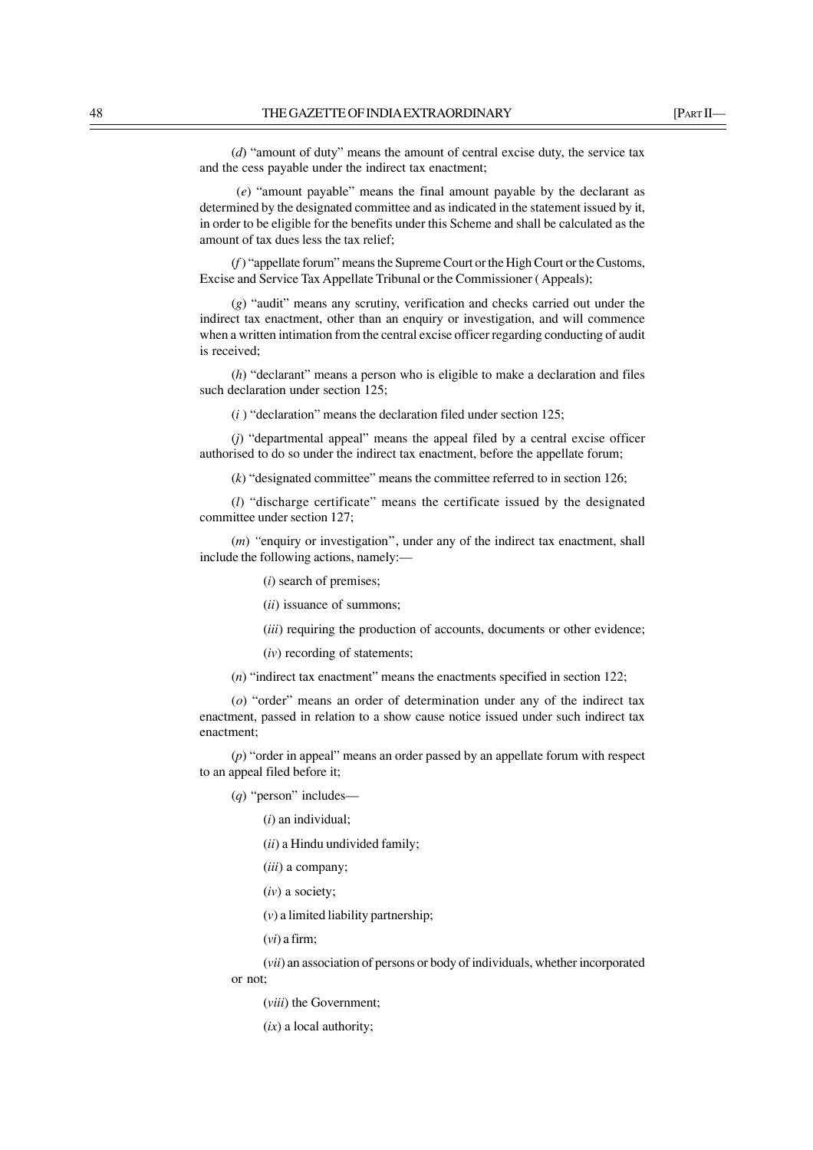(*d*) "amount of duty" means the amount of central excise duty, the service tax and the cess payable under the indirect tax enactment;

(*e*) "amount payable" means the final amount payable by the declarant as determined by the designated committee and as indicated in the statement issued by it, in order to be eligible for the benefits under this Scheme and shall be calculated as the amount of tax dues less the tax relief;

(*f* ) "appellate forum" means the Supreme Court or the High Court or the Customs, Excise and Service Tax Appellate Tribunal or the Commissioner ( Appeals);

(*g*) "audit" means any scrutiny, verification and checks carried out under the indirect tax enactment, other than an enquiry or investigation, and will commence when a written intimation from the central excise officer regarding conducting of audit is received;

(*h*) "declarant" means a person who is eligible to make a declaration and files such declaration under section 125;

(*i* ) "declaration" means the declaration filed under section 125;

(*j*) "departmental appeal" means the appeal filed by a central excise officer authorised to do so under the indirect tax enactment, before the appellate forum;

(*k*) "designated committee" means the committee referred to in section 126;

(*l*) "discharge certificate" means the certificate issued by the designated committee under section 127;

(*m*) *''*enquiry or investigation'', under any of the indirect tax enactment, shall include the following actions, namely:—

- (*i*) search of premises;
- (*ii*) issuance of summons;
- (*iii*) requiring the production of accounts, documents or other evidence:
- (*iv*) recording of statements;

(*n*) "indirect tax enactment" means the enactments specified in section 122;

(*o*) "order" means an order of determination under any of the indirect tax enactment, passed in relation to a show cause notice issued under such indirect tax enactment;

(*p*) "order in appeal" means an order passed by an appellate forum with respect to an appeal filed before it;

(*q*) "person" includes—

(*i*) an individual;

(*ii*) a Hindu undivided family;

(*iii*) a company;

(*iv*) a society;

(*v*) a limited liability partnership;

(*vi*) a firm;

(*vii*) an association of persons or body of individuals, whether incorporated

or not;

(*viii*) the Government;

(*ix*) a local authority;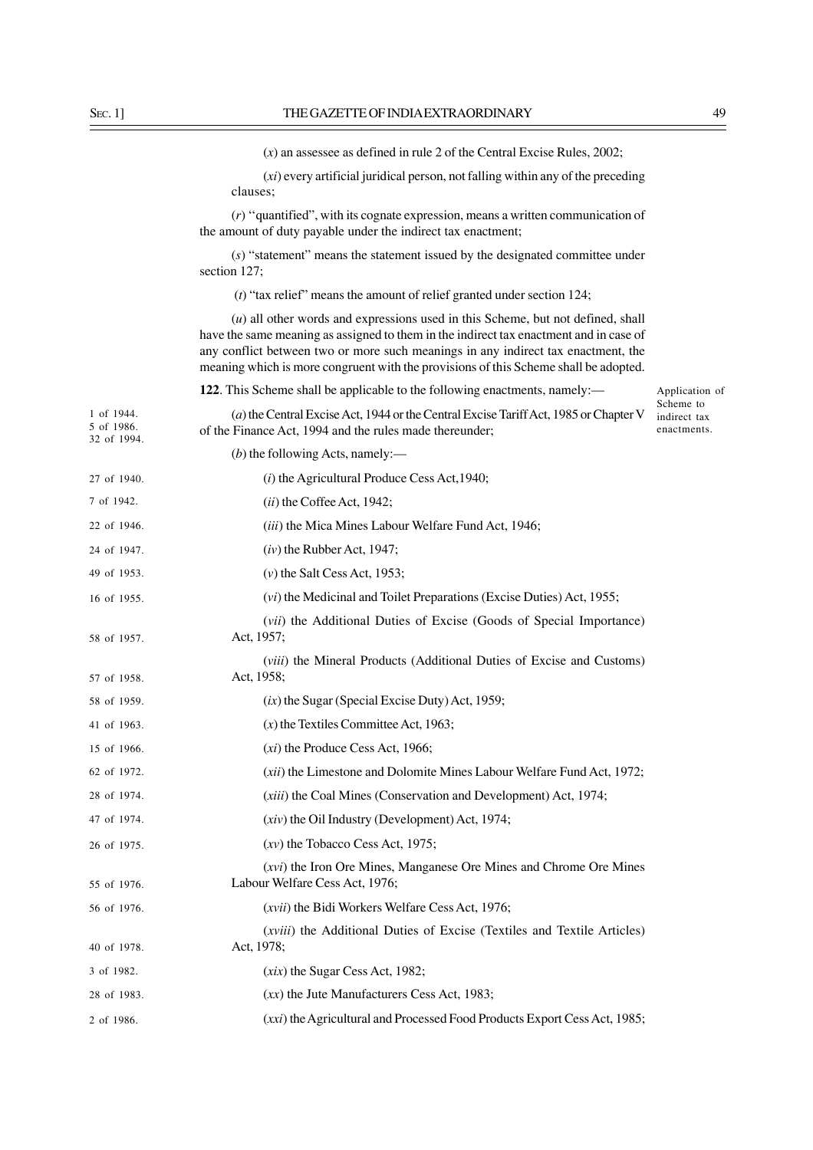(*x*) an assessee as defined in rule 2 of the Central Excise Rules, 2002;

(*xi*) every artificial juridical person, not falling within any of the preceding clauses;

(*r*) ''quantified", with its cognate expression, means a written communication of the amount of duty payable under the indirect tax enactment;

(*s*) "statement" means the statement issued by the designated committee under section 127;

(*t*) "tax relief" means the amount of relief granted under section 124;

(*u*) all other words and expressions used in this Scheme, but not defined, shall have the same meaning as assigned to them in the indirect tax enactment and in case of any conflict between two or more such meanings in any indirect tax enactment, the meaning which is more congruent with the provisions of this Scheme shall be adopted.

**122**. This Scheme shall be applicable to the following enactments, namely:—

(*a*) the Central Excise Act, 1944 or the Central Excise Tariff Act, 1985 or Chapter V of the Finance Act, 1994 and the rules made thereunder; 1 of 1944. 5 of 1986. 32 of 1994.

Application of Scheme to indirect tax enactments.

| 27 of 1940. | $(i)$ the Agricultural Produce Cess Act, 1940;                                                       |
|-------------|------------------------------------------------------------------------------------------------------|
| 7 of 1942.  | $(ii)$ the Coffee Act, 1942;                                                                         |
| 22 of 1946. | <i>(iii)</i> the Mica Mines Labour Welfare Fund Act, 1946;                                           |
| 24 of 1947. | $(iv)$ the Rubber Act, 1947;                                                                         |
| 49 of 1953. | $(v)$ the Salt Cess Act, 1953;                                                                       |
| 16 of 1955. | (vi) the Medicinal and Toilet Preparations (Excise Duties) Act, 1955;                                |
| 58 of 1957. | <i>(vii)</i> the Additional Duties of Excise <i>(Goods of Special Importance)</i><br>Act, 1957;      |
| 57 of 1958. | (viii) the Mineral Products (Additional Duties of Excise and Customs)<br>Act, 1958;                  |
| 58 of 1959. | $(ix)$ the Sugar (Special Excise Duty) Act, 1959;                                                    |
| 41 of 1963. | $(x)$ the Textiles Committee Act, 1963;                                                              |
| 15 of 1966. | $(x_i)$ the Produce Cess Act, 1966;                                                                  |
| 62 of 1972. | ( <i>xii</i> ) the Limestone and Dolomite Mines Labour Welfare Fund Act, 1972;                       |
| 28 of 1974. | ( <i>xiii</i> ) the Coal Mines (Conservation and Development) Act, 1974;                             |
| 47 of 1974. | $(xiv)$ the Oil Industry (Development) Act, 1974;                                                    |
| 26 of 1975. | $(xv)$ the Tobacco Cess Act, 1975;                                                                   |
| 55 of 1976. | (xvi) the Iron Ore Mines, Manganese Ore Mines and Chrome Ore Mines<br>Labour Welfare Cess Act, 1976; |
| 56 of 1976. | (xvii) the Bidi Workers Welfare Cess Act, 1976;                                                      |
| 40 of 1978. | ( <i>xviii</i> ) the Additional Duties of Excise (Textiles and Textile Articles)<br>Act, 1978;       |
| 3 of 1982.  | $(xix)$ the Sugar Cess Act, 1982;                                                                    |
| 28 of 1983. | $(xx)$ the Jute Manufacturers Cess Act, 1983;                                                        |
| 2 of 1986.  | (xxi) the Agricultural and Processed Food Products Export Cess Act, 1985;                            |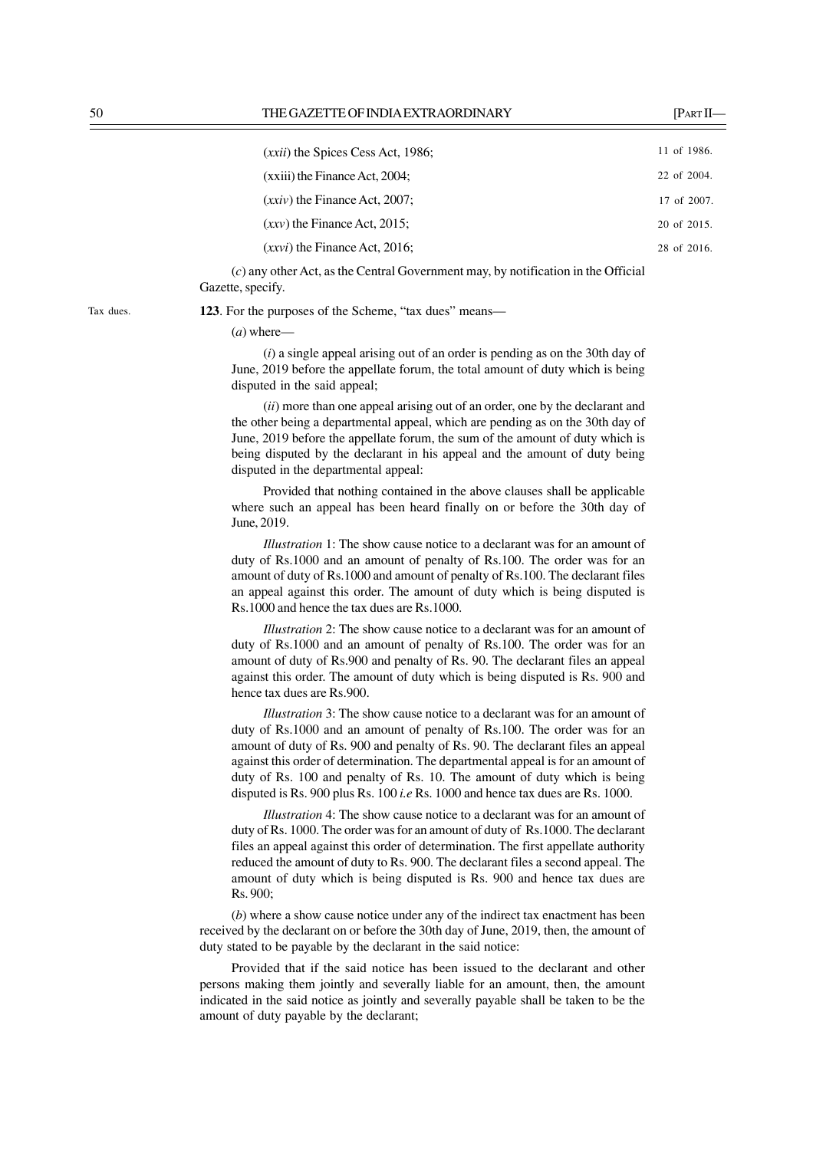| $(xxii)$ the Spices Cess Act, 1986; | 11 of 1986. |
|-------------------------------------|-------------|
| $(xxiii)$ the Finance Act, 2004;    | 22 of 2004. |
| $(xxi)$ the Finance Act, 2007;      | 17 of 2007. |
| $(xxy)$ the Finance Act, 2015;      | 20 of 2015. |
| $(xxyi)$ the Finance Act, 2016;     | 28 of 2016. |

(*c*) any other Act, as the Central Government may, by notification in the Official Gazette, specify.

**123**. For the purposes of the Scheme, "tax dues" means—

(*a*) where—

(*i*) a single appeal arising out of an order is pending as on the 30th day of June, 2019 before the appellate forum, the total amount of duty which is being disputed in the said appeal;

(*ii*) more than one appeal arising out of an order, one by the declarant and the other being a departmental appeal, which are pending as on the 30th day of June, 2019 before the appellate forum, the sum of the amount of duty which is being disputed by the declarant in his appeal and the amount of duty being disputed in the departmental appeal:

Provided that nothing contained in the above clauses shall be applicable where such an appeal has been heard finally on or before the 30th day of June, 2019.

*Illustration* 1: The show cause notice to a declarant was for an amount of duty of Rs.1000 and an amount of penalty of Rs.100. The order was for an amount of duty of Rs.1000 and amount of penalty of Rs.100. The declarant files an appeal against this order. The amount of duty which is being disputed is Rs.1000 and hence the tax dues are Rs.1000.

*Illustration* 2: The show cause notice to a declarant was for an amount of duty of Rs.1000 and an amount of penalty of Rs.100. The order was for an amount of duty of Rs.900 and penalty of Rs. 90. The declarant files an appeal against this order. The amount of duty which is being disputed is Rs. 900 and hence tax dues are Rs.900.

*Illustration* 3: The show cause notice to a declarant was for an amount of duty of Rs.1000 and an amount of penalty of Rs.100. The order was for an amount of duty of Rs. 900 and penalty of Rs. 90. The declarant files an appeal against this order of determination. The departmental appeal is for an amount of duty of Rs. 100 and penalty of Rs. 10. The amount of duty which is being disputed is Rs. 900 plus Rs. 100 *i.e* Rs. 1000 and hence tax dues are Rs. 1000.

*Illustration* 4: The show cause notice to a declarant was for an amount of duty of Rs. 1000. The order was for an amount of duty of Rs.1000. The declarant files an appeal against this order of determination. The first appellate authority reduced the amount of duty to Rs. 900. The declarant files a second appeal. The amount of duty which is being disputed is Rs. 900 and hence tax dues are Rs. 900;

(*b*) where a show cause notice under any of the indirect tax enactment has been received by the declarant on or before the 30th day of June, 2019, then, the amount of duty stated to be payable by the declarant in the said notice:

Provided that if the said notice has been issued to the declarant and other persons making them jointly and severally liable for an amount, then, the amount indicated in the said notice as jointly and severally payable shall be taken to be the amount of duty payable by the declarant;

Tax dues.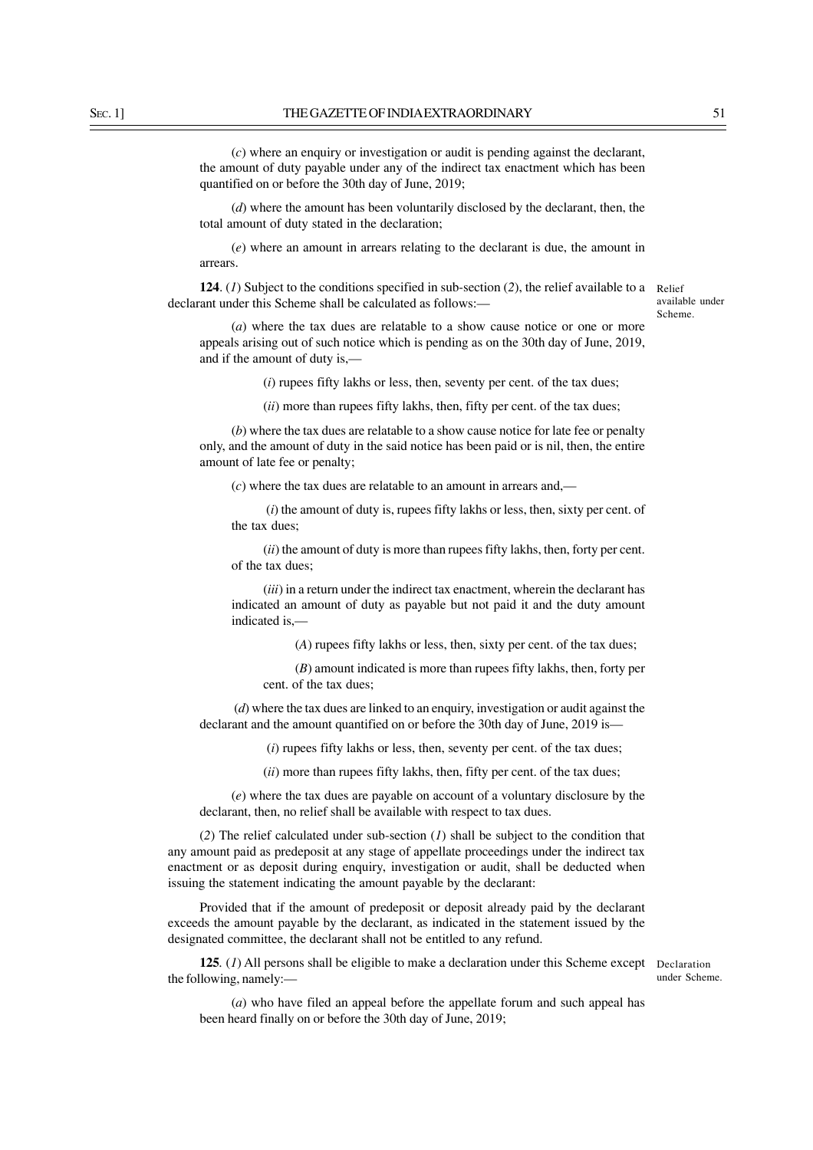(*c*) where an enquiry or investigation or audit is pending against the declarant, the amount of duty payable under any of the indirect tax enactment which has been quantified on or before the 30th day of June, 2019;

(*d*) where the amount has been voluntarily disclosed by the declarant, then, the total amount of duty stated in the declaration;

(*e*) where an amount in arrears relating to the declarant is due, the amount in arrears.

**124**. (*1*) Subject to the conditions specified in sub-section (*2*), the relief available to a declarant under this Scheme shall be calculated as follows:—

Relief available under Scheme.

(*a*) where the tax dues are relatable to a show cause notice or one or more appeals arising out of such notice which is pending as on the 30th day of June, 2019, and if the amount of duty is,—

(*i*) rupees fifty lakhs or less, then, seventy per cent. of the tax dues;

(*ii*) more than rupees fifty lakhs, then, fifty per cent. of the tax dues;

(*b*) where the tax dues are relatable to a show cause notice for late fee or penalty only, and the amount of duty in the said notice has been paid or is nil, then, the entire amount of late fee or penalty;

(*c*) where the tax dues are relatable to an amount in arrears and,—

 (*i*) the amount of duty is, rupees fifty lakhs or less, then, sixty per cent. of the tax dues;

(*ii*) the amount of duty is more than rupees fifty lakhs, then, forty per cent. of the tax dues;

(*iii*) in a return under the indirect tax enactment, wherein the declarant has indicated an amount of duty as payable but not paid it and the duty amount indicated is,—

(*A*) rupees fifty lakhs or less, then, sixty per cent. of the tax dues;

(*B*) amount indicated is more than rupees fifty lakhs, then, forty per cent. of the tax dues;

(*d*) where the tax dues are linked to an enquiry, investigation or audit against the declarant and the amount quantified on or before the 30th day of June, 2019 is—

(*i*) rupees fifty lakhs or less, then, seventy per cent. of the tax dues;

(*ii*) more than rupees fifty lakhs, then, fifty per cent. of the tax dues;

(*e*) where the tax dues are payable on account of a voluntary disclosure by the declarant, then, no relief shall be available with respect to tax dues.

(*2*) The relief calculated under sub-section (*1*) shall be subject to the condition that any amount paid as predeposit at any stage of appellate proceedings under the indirect tax enactment or as deposit during enquiry, investigation or audit, shall be deducted when issuing the statement indicating the amount payable by the declarant:

Provided that if the amount of predeposit or deposit already paid by the declarant exceeds the amount payable by the declarant, as indicated in the statement issued by the designated committee, the declarant shall not be entitled to any refund.

**125***.* (*1*) All persons shall be eligible to make a declaration under this Scheme except the following, namely:—

Declaration under Scheme.

(*a*) who have filed an appeal before the appellate forum and such appeal has been heard finally on or before the 30th day of June, 2019;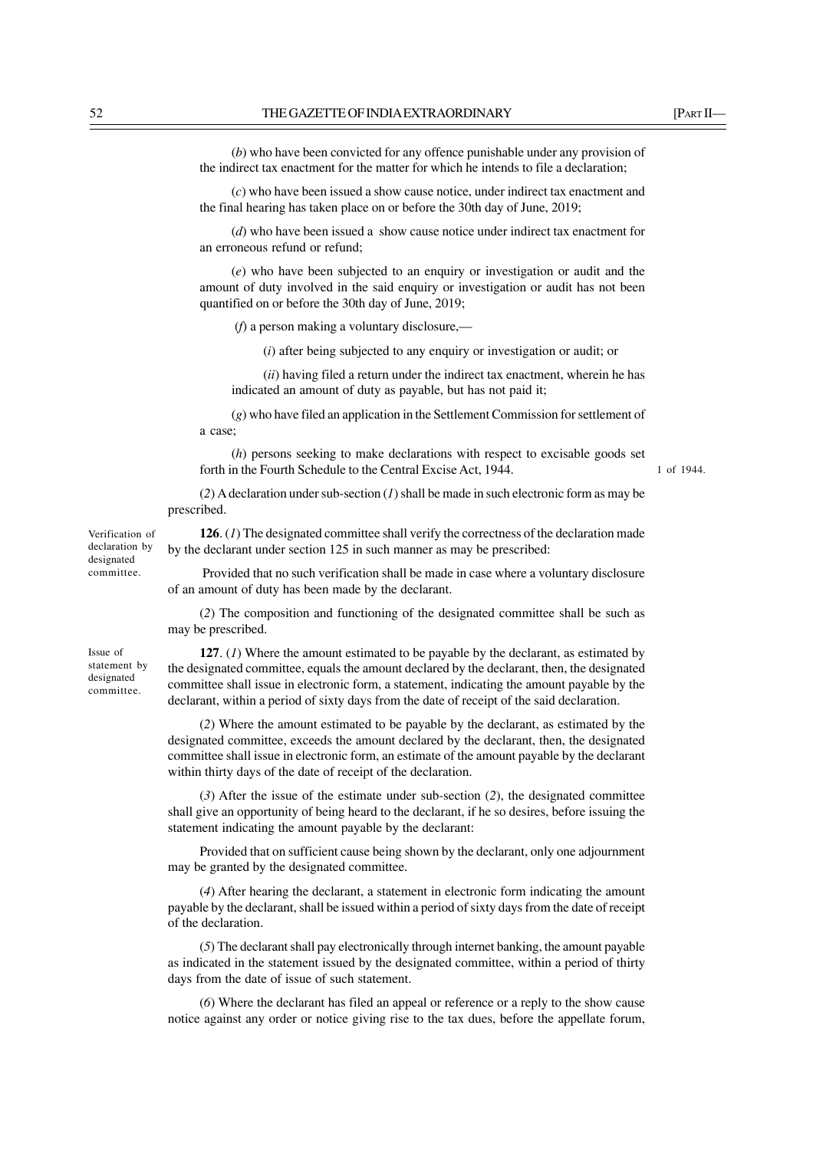(*b*) who have been convicted for any offence punishable under any provision of the indirect tax enactment for the matter for which he intends to file a declaration;

(*c*) who have been issued a show cause notice, under indirect tax enactment and the final hearing has taken place on or before the 30th day of June, 2019;

(*d*) who have been issued a show cause notice under indirect tax enactment for an erroneous refund or refund;

(*e*) who have been subjected to an enquiry or investigation or audit and the amount of duty involved in the said enquiry or investigation or audit has not been quantified on or before the 30th day of June, 2019;

(*f*) a person making a voluntary disclosure,—

(*i*) after being subjected to any enquiry or investigation or audit; or

(*ii*) having filed a return under the indirect tax enactment, wherein he has indicated an amount of duty as payable, but has not paid it;

(*g*) who have filed an application in the Settlement Commission for settlement of a case;

(*h*) persons seeking to make declarations with respect to excisable goods set forth in the Fourth Schedule to the Central Excise Act, 1944.

1 of 1944.

(*2*) A declaration under sub-section (*1*)shall be made in such electronic form as may be prescribed.

**126**. (*1*) The designated committee shall verify the correctness of the declaration made by the declarant under section 125 in such manner as may be prescribed:

 Provided that no such verification shall be made in case where a voluntary disclosure of an amount of duty has been made by the declarant.

(*2*) The composition and functioning of the designated committee shall be such as may be prescribed.

**127**. (*1*) Where the amount estimated to be payable by the declarant, as estimated by the designated committee, equals the amount declared by the declarant, then, the designated committee shall issue in electronic form, a statement, indicating the amount payable by the declarant, within a period of sixty days from the date of receipt of the said declaration.

(*2*) Where the amount estimated to be payable by the declarant, as estimated by the designated committee, exceeds the amount declared by the declarant, then, the designated committee shall issue in electronic form, an estimate of the amount payable by the declarant within thirty days of the date of receipt of the declaration.

(*3*) After the issue of the estimate under sub-section (*2*), the designated committee shall give an opportunity of being heard to the declarant, if he so desires, before issuing the statement indicating the amount payable by the declarant:

Provided that on sufficient cause being shown by the declarant, only one adjournment may be granted by the designated committee.

(*4*) After hearing the declarant, a statement in electronic form indicating the amount payable by the declarant, shall be issued within a period of sixty days from the date of receipt of the declaration.

(*5*) The declarant shall pay electronically through internet banking, the amount payable as indicated in the statement issued by the designated committee, within a period of thirty days from the date of issue of such statement.

(*6*) Where the declarant has filed an appeal or reference or a reply to the show cause notice against any order or notice giving rise to the tax dues, before the appellate forum,

declaration by designated committee.

Verification of

Issue of statement by designated committee.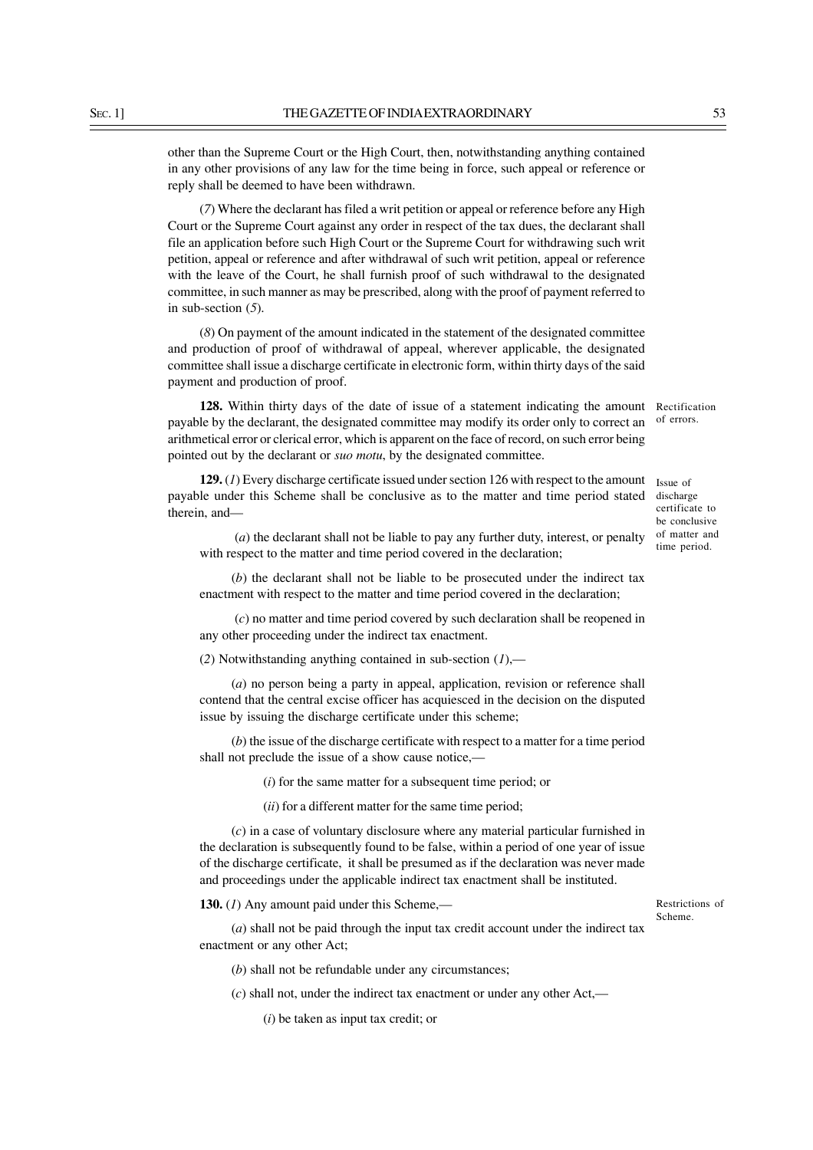other than the Supreme Court or the High Court, then, notwithstanding anything contained in any other provisions of any law for the time being in force, such appeal or reference or reply shall be deemed to have been withdrawn.

(*7*) Where the declarant has filed a writ petition or appeal or reference before any High Court or the Supreme Court against any order in respect of the tax dues, the declarant shall file an application before such High Court or the Supreme Court for withdrawing such writ petition, appeal or reference and after withdrawal of such writ petition, appeal or reference with the leave of the Court, he shall furnish proof of such withdrawal to the designated committee, in such manner as may be prescribed, along with the proof of payment referred to in sub-section (*5*).

(*8*) On payment of the amount indicated in the statement of the designated committee and production of proof of withdrawal of appeal, wherever applicable, the designated committee shall issue a discharge certificate in electronic form, within thirty days of the said payment and production of proof.

**128.** Within thirty days of the date of issue of a statement indicating the amount payable by the declarant, the designated committee may modify its order only to correct an arithmetical error or clerical error, which is apparent on the face of record, on such error being pointed out by the declarant or *suo motu*, by the designated committee.

129. (1) Every discharge certificate issued under section 126 with respect to the amount Issue of payable under this Scheme shall be conclusive as to the matter and time period stated therein, and—

(*a*) the declarant shall not be liable to pay any further duty, interest, or penalty with respect to the matter and time period covered in the declaration;

(*b*) the declarant shall not be liable to be prosecuted under the indirect tax enactment with respect to the matter and time period covered in the declaration;

(*c*) no matter and time period covered by such declaration shall be reopened in any other proceeding under the indirect tax enactment.

(*2*) Notwithstanding anything contained in sub-section (*1*),—

(*a*) no person being a party in appeal, application, revision or reference shall contend that the central excise officer has acquiesced in the decision on the disputed issue by issuing the discharge certificate under this scheme;

(*b*) the issue of the discharge certificate with respect to a matter for a time period shall not preclude the issue of a show cause notice,—

(*i*) for the same matter for a subsequent time period; or

(*ii*) for a different matter for the same time period;

(*c*) in a case of voluntary disclosure where any material particular furnished in the declaration is subsequently found to be false, within a period of one year of issue of the discharge certificate, it shall be presumed as if the declaration was never made and proceedings under the applicable indirect tax enactment shall be instituted.

**130.** (*1*) Any amount paid under this Scheme,—

Restrictions of Scheme.

(*a*) shall not be paid through the input tax credit account under the indirect tax enactment or any other Act;

(*b*) shall not be refundable under any circumstances;

(*c*) shall not, under the indirect tax enactment or under any other Act,—

(*i*) be taken as input tax credit; or

Rectification of errors.

discharge certificate to be conclusive of matter and time period.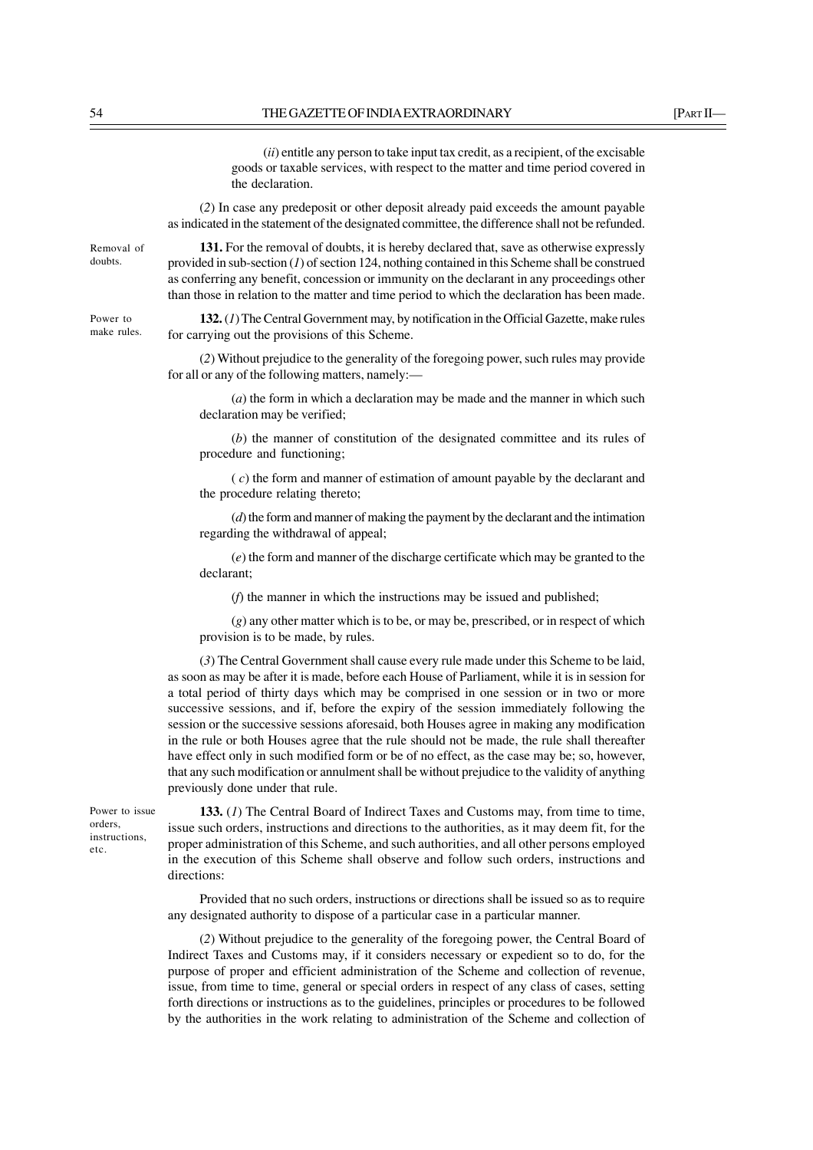(*ii*) entitle any person to take input tax credit, as a recipient, of the excisable goods or taxable services, with respect to the matter and time period covered in the declaration.

(*2*) In case any predeposit or other deposit already paid exceeds the amount payable as indicated in the statement of the designated committee, the difference shall not be refunded.

Removal of doubts.

Power to make rules.

**131.** For the removal of doubts, it is hereby declared that, save as otherwise expressly provided in sub-section (*1*) of section 124, nothing contained in this Scheme shall be construed as conferring any benefit, concession or immunity on the declarant in any proceedings other than those in relation to the matter and time period to which the declaration has been made.

**132.** (*1*) The Central Government may, by notification in the Official Gazette, make rules for carrying out the provisions of this Scheme.

(*2*) Without prejudice to the generality of the foregoing power, such rules may provide for all or any of the following matters, namely:—

(*a*) the form in which a declaration may be made and the manner in which such declaration may be verified;

(*b*) the manner of constitution of the designated committee and its rules of procedure and functioning;

( *c*) the form and manner of estimation of amount payable by the declarant and the procedure relating thereto;

(*d*) the form and manner of making the payment by the declarant and the intimation regarding the withdrawal of appeal;

(*e*) the form and manner of the discharge certificate which may be granted to the declarant;

(*f*) the manner in which the instructions may be issued and published;

(*g*) any other matter which is to be, or may be, prescribed, or in respect of which provision is to be made, by rules.

(*3*) The Central Government shall cause every rule made under this Scheme to be laid, as soon as may be after it is made, before each House of Parliament, while it is in session for a total period of thirty days which may be comprised in one session or in two or more successive sessions, and if, before the expiry of the session immediately following the session or the successive sessions aforesaid, both Houses agree in making any modification in the rule or both Houses agree that the rule should not be made, the rule shall thereafter have effect only in such modified form or be of no effect, as the case may be; so, however, that any such modification or annulment shall be without prejudice to the validity of anything previously done under that rule.

Power to issue orders, instructions, etc.

**133.** (*1*) The Central Board of Indirect Taxes and Customs may, from time to time, issue such orders, instructions and directions to the authorities, as it may deem fit, for the proper administration of this Scheme, and such authorities, and all other persons employed in the execution of this Scheme shall observe and follow such orders, instructions and directions:

Provided that no such orders, instructions or directions shall be issued so as to require any designated authority to dispose of a particular case in a particular manner.

(*2*) Without prejudice to the generality of the foregoing power, the Central Board of Indirect Taxes and Customs may, if it considers necessary or expedient so to do, for the purpose of proper and efficient administration of the Scheme and collection of revenue, issue, from time to time, general or special orders in respect of any class of cases, setting forth directions or instructions as to the guidelines, principles or procedures to be followed by the authorities in the work relating to administration of the Scheme and collection of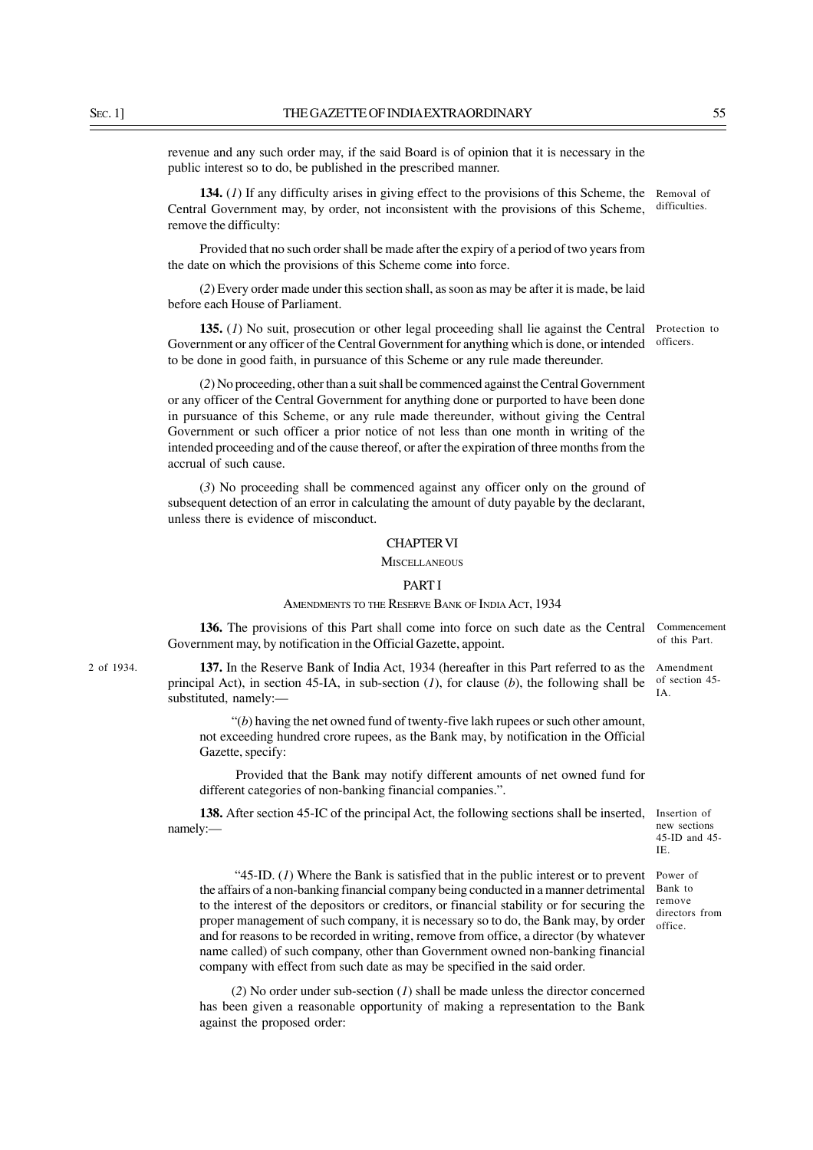revenue and any such order may, if the said Board is of opinion that it is necessary in the public interest so to do, be published in the prescribed manner.

**134.** (*1*) If any difficulty arises in giving effect to the provisions of this Scheme, the Removal of Central Government may, by order, not inconsistent with the provisions of this Scheme, remove the difficulty: difficulties.

Provided that no such order shall be made after the expiry of a period of two years from the date on which the provisions of this Scheme come into force.

(*2*) Every order made under this section shall, as soon as may be after it is made, be laid before each House of Parliament.

**135.** (1) No suit, prosecution or other legal proceeding shall lie against the Central Protection to Government or any officer of the Central Government for anything which is done, or intended to be done in good faith, in pursuance of this Scheme or any rule made thereunder. officers.

Commencement of this Part.

Amendment of section 45- IA.

Insertion of new sections 45-ID and 45-

Power of Bank to remove directors from office.

IE.

(*2*) No proceeding, other than a suit shall be commenced against the Central Government or any officer of the Central Government for anything done or purported to have been done in pursuance of this Scheme, or any rule made thereunder, without giving the Central Government or such officer a prior notice of not less than one month in writing of the intended proceeding and of the cause thereof, or after the expiration of three months from the accrual of such cause.

(*3*) No proceeding shall be commenced against any officer only on the ground of subsequent detection of an error in calculating the amount of duty payable by the declarant, unless there is evidence of misconduct.

## CHAPTER VI

### **MISCELLANEOUS**

### PART I

## AMENDMENTS TO THE RESERVE BANK OF INDIA ACT, 1934

**136.** The provisions of this Part shall come into force on such date as the Central Government may, by notification in the Official Gazette, appoint.

**137.** In the Reserve Bank of India Act, 1934 (hereafter in this Part referred to as the principal Act), in section 45-IA, in sub-section (*1*), for clause (*b*), the following shall be substituted, namely:—

"(*b*) having the net owned fund of twenty-five lakh rupees or such other amount, not exceeding hundred crore rupees, as the Bank may, by notification in the Official Gazette, specify:

Provided that the Bank may notify different amounts of net owned fund for different categories of non-banking financial companies.".

**138.** After section 45-IC of the principal Act, the following sections shall be inserted, namely:—

 "45-ID. (*1*) Where the Bank is satisfied that in the public interest or to prevent the affairs of a non-banking financial company being conducted in a manner detrimental to the interest of the depositors or creditors, or financial stability or for securing the proper management of such company, it is necessary so to do, the Bank may, by order and for reasons to be recorded in writing, remove from office, a director (by whatever name called) of such company, other than Government owned non-banking financial company with effect from such date as may be specified in the said order.

(*2*) No order under sub-section (*1*) shall be made unless the director concerned has been given a reasonable opportunity of making a representation to the Bank against the proposed order:

2 of 1934.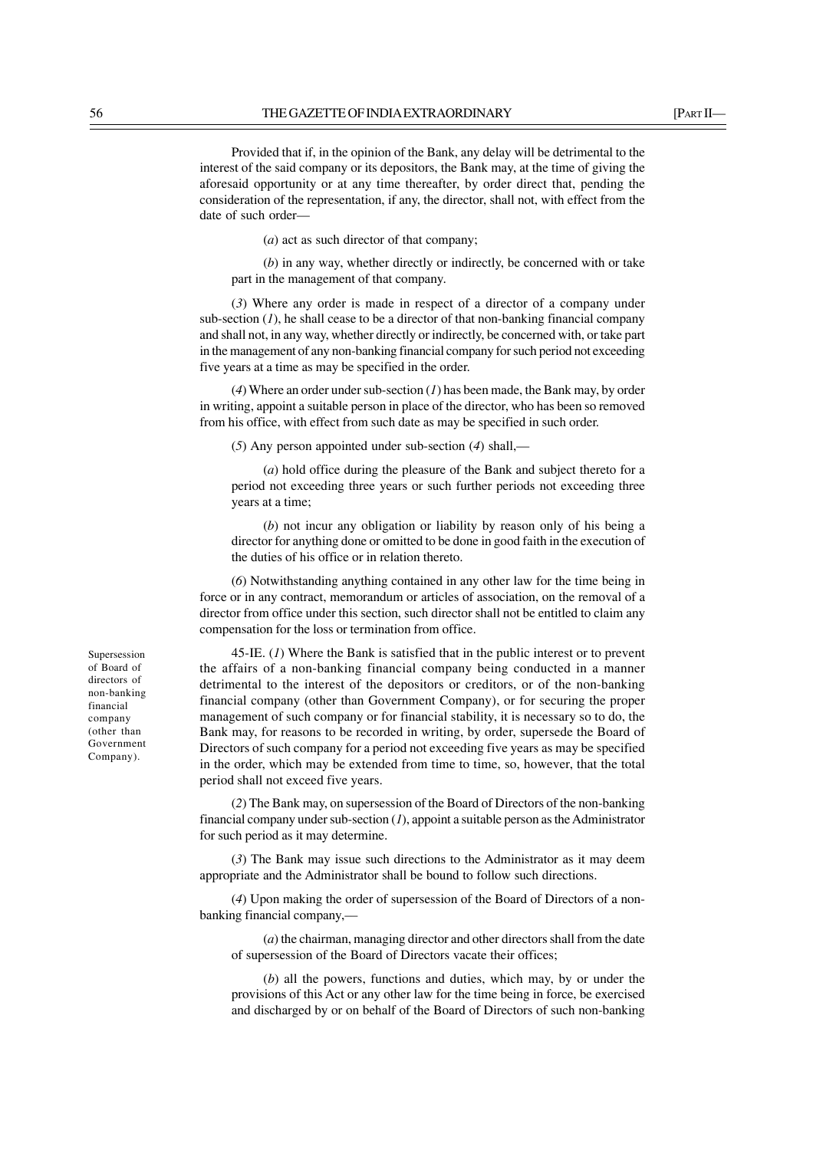Provided that if, in the opinion of the Bank, any delay will be detrimental to the interest of the said company or its depositors, the Bank may, at the time of giving the aforesaid opportunity or at any time thereafter, by order direct that, pending the consideration of the representation, if any, the director, shall not, with effect from the date of such order––

(*a*) act as such director of that company;

(*b*) in any way, whether directly or indirectly, be concerned with or take part in the management of that company.

(*3*) Where any order is made in respect of a director of a company under sub-section  $(I)$ , he shall cease to be a director of that non-banking financial company and shall not, in any way, whether directly or indirectly, be concerned with, or take part in the management of any non-banking financial company for such period not exceeding five years at a time as may be specified in the order.

(*4*) Where an order under sub-section (*1*) has been made, the Bank may, by order in writing, appoint a suitable person in place of the director, who has been so removed from his office, with effect from such date as may be specified in such order.

(*5*) Any person appointed under sub-section (*4*) shall,—

(*a*) hold office during the pleasure of the Bank and subject thereto for a period not exceeding three years or such further periods not exceeding three years at a time;

(*b*) not incur any obligation or liability by reason only of his being a director for anything done or omitted to be done in good faith in the execution of the duties of his office or in relation thereto.

(*6*) Notwithstanding anything contained in any other law for the time being in force or in any contract, memorandum or articles of association, on the removal of a director from office under this section, such director shall not be entitled to claim any compensation for the loss or termination from office.

45-IE. (*1*) Where the Bank is satisfied that in the public interest or to prevent the affairs of a non-banking financial company being conducted in a manner detrimental to the interest of the depositors or creditors, or of the non-banking financial company (other than Government Company), or for securing the proper management of such company or for financial stability, it is necessary so to do, the Bank may, for reasons to be recorded in writing, by order, supersede the Board of Directors of such company for a period not exceeding five years as may be specified in the order, which may be extended from time to time, so, however, that the total period shall not exceed five years.

(*2*) The Bank may, on supersession of the Board of Directors of the non-banking financial company under sub-section (*1*), appoint a suitable person as the Administrator for such period as it may determine.

(*3*) The Bank may issue such directions to the Administrator as it may deem appropriate and the Administrator shall be bound to follow such directions.

(*4*) Upon making the order of supersession of the Board of Directors of a nonbanking financial company,––

(*a*) the chairman, managing director and other directors shall from the date of supersession of the Board of Directors vacate their offices;

(*b*) all the powers, functions and duties, which may, by or under the provisions of this Act or any other law for the time being in force, be exercised and discharged by or on behalf of the Board of Directors of such non-banking

Supersession of Board of directors of non-banking financial company (other than Government Company).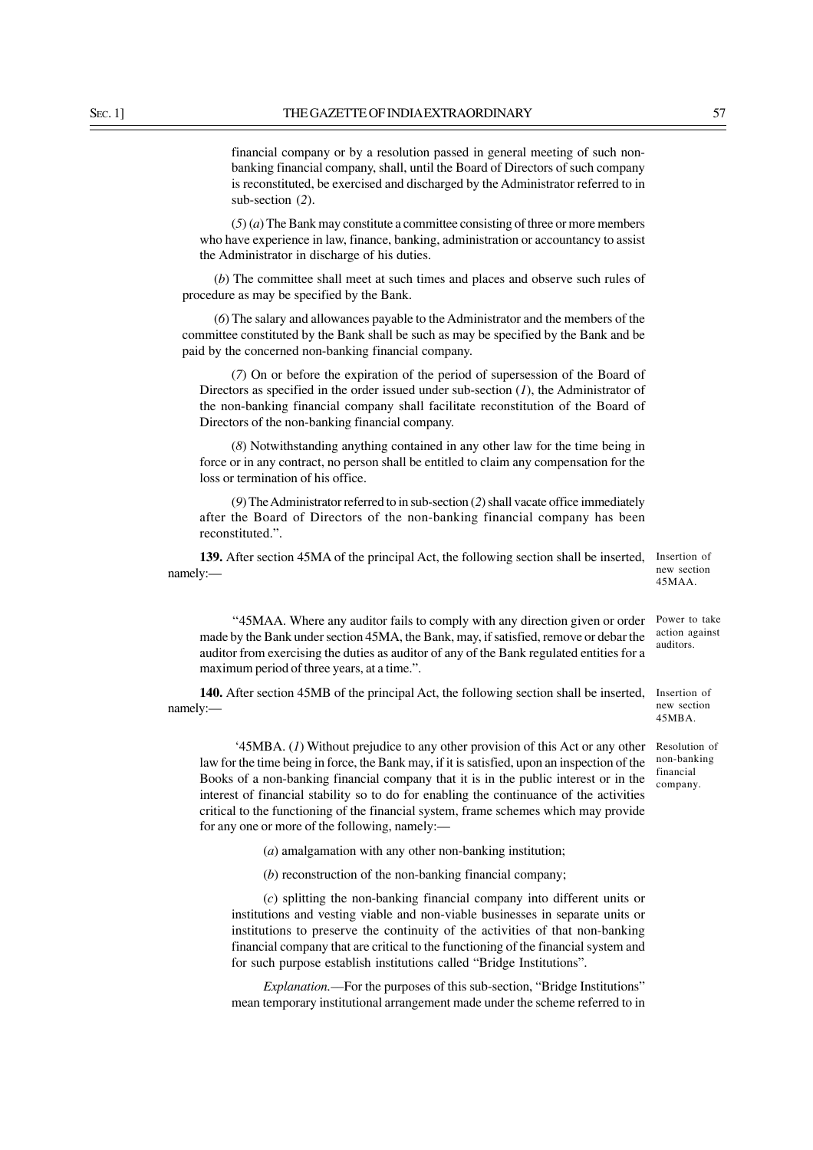financial company or by a resolution passed in general meeting of such nonbanking financial company, shall, until the Board of Directors of such company is reconstituted, be exercised and discharged by the Administrator referred to in sub-section (*2*).

(*5*) (*a*) The Bank may constitute a committee consisting of three or more members who have experience in law, finance, banking, administration or accountancy to assist the Administrator in discharge of his duties.

(*b*) The committee shall meet at such times and places and observe such rules of procedure as may be specified by the Bank.

(*6*) The salary and allowances payable to the Administrator and the members of the committee constituted by the Bank shall be such as may be specified by the Bank and be paid by the concerned non-banking financial company.

(*7*) On or before the expiration of the period of supersession of the Board of Directors as specified in the order issued under sub-section (*1*), the Administrator of the non-banking financial company shall facilitate reconstitution of the Board of Directors of the non-banking financial company.

(*8*) Notwithstanding anything contained in any other law for the time being in force or in any contract, no person shall be entitled to claim any compensation for the loss or termination of his office.

(*9*) The Administrator referred to in sub-section (*2*) shall vacate office immediately after the Board of Directors of the non-banking financial company has been reconstituted.".

139. After section 45MA of the principal Act, the following section shall be inserted, Insertion of namely:—

''45MAA. Where any auditor fails to comply with any direction given or order made by the Bank under section 45MA, the Bank, may, if satisfied, remove or debar the auditor from exercising the duties as auditor of any of the Bank regulated entities for a maximum period of three years, at a time.". Power to take

140. After section 45MB of the principal Act, the following section shall be inserted, Insertion of namely:—

 '45MBA. (*1*) Without prejudice to any other provision of this Act or any other Resolution of law for the time being in force, the Bank may, if it is satisfied, upon an inspection of the Books of a non-banking financial company that it is in the public interest or in the interest of financial stability so to do for enabling the continuance of the activities critical to the functioning of the financial system, frame schemes which may provide for any one or more of the following, namely:––

(*a*) amalgamation with any other non-banking institution;

(*b*) reconstruction of the non-banking financial company;

(*c*) splitting the non-banking financial company into different units or institutions and vesting viable and non-viable businesses in separate units or institutions to preserve the continuity of the activities of that non-banking financial company that are critical to the functioning of the financial system and for such purpose establish institutions called "Bridge Institutions".

*Explanation.*—For the purposes of this sub-section, "Bridge Institutions" mean temporary institutional arrangement made under the scheme referred to in

action against auditors.

new section 45MAA.

new section 45MBA.

non-banking financial company.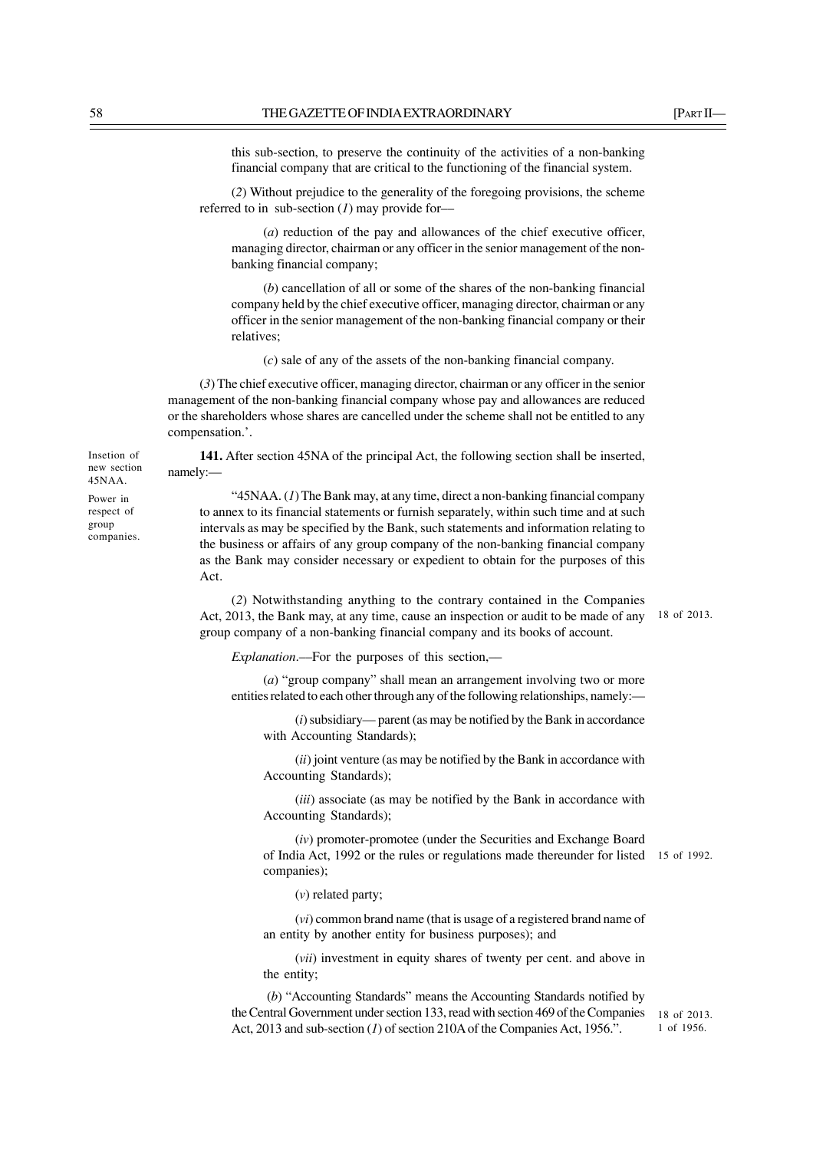this sub-section, to preserve the continuity of the activities of a non-banking financial company that are critical to the functioning of the financial system.

(*2*) Without prejudice to the generality of the foregoing provisions, the scheme referred to in sub-section (*1*) may provide for––

(*a*) reduction of the pay and allowances of the chief executive officer, managing director, chairman or any officer in the senior management of the nonbanking financial company;

(*b*) cancellation of all or some of the shares of the non-banking financial company held by the chief executive officer, managing director, chairman or any officer in the senior management of the non-banking financial company or their relatives;

(*c*) sale of any of the assets of the non-banking financial company.

(*3*) The chief executive officer, managing director, chairman or any officer in the senior management of the non-banking financial company whose pay and allowances are reduced or the shareholders whose shares are cancelled under the scheme shall not be entitled to any compensation.'.

**141.** After section 45NA of the principal Act, the following section shall be inserted, namely:—

"45NAA. (*1*) The Bank may, at any time, direct a non-banking financial company to annex to its financial statements or furnish separately, within such time and at such intervals as may be specified by the Bank, such statements and information relating to the business or affairs of any group company of the non-banking financial company as the Bank may consider necessary or expedient to obtain for the purposes of this Act.

(*2*) Notwithstanding anything to the contrary contained in the Companies Act, 2013, the Bank may, at any time, cause an inspection or audit to be made of any group company of a non-banking financial company and its books of account. 18 of 2013.

*Explanation*.––For the purposes of this section,––

(*a*) "group company" shall mean an arrangement involving two or more entities related to each other through any of the following relationships, namely:—

(*i*) subsidiary— parent (as may be notified by the Bank in accordance with Accounting Standards);

(*ii*) joint venture (as may be notified by the Bank in accordance with Accounting Standards);

(*iii*) associate (as may be notified by the Bank in accordance with Accounting Standards);

(*iv*) promoter-promotee (under the Securities and Exchange Board of India Act, 1992 or the rules or regulations made thereunder for listed 15 of 1992. companies);

(*v*) related party;

(*vi*) common brand name (that is usage of a registered brand name of an entity by another entity for business purposes); and

(*vii*) investment in equity shares of twenty per cent. and above in the entity;

(*b*) "Accounting Standards" means the Accounting Standards notified by the Central Government under section 133, read with section 469 of the Companies Act, 2013 and sub-section (*1*) of section 210A of the Companies Act, 1956.".

18 of 2013. 1 of 1956.

Insetion of new section 45NAA. Power in respect of group companies.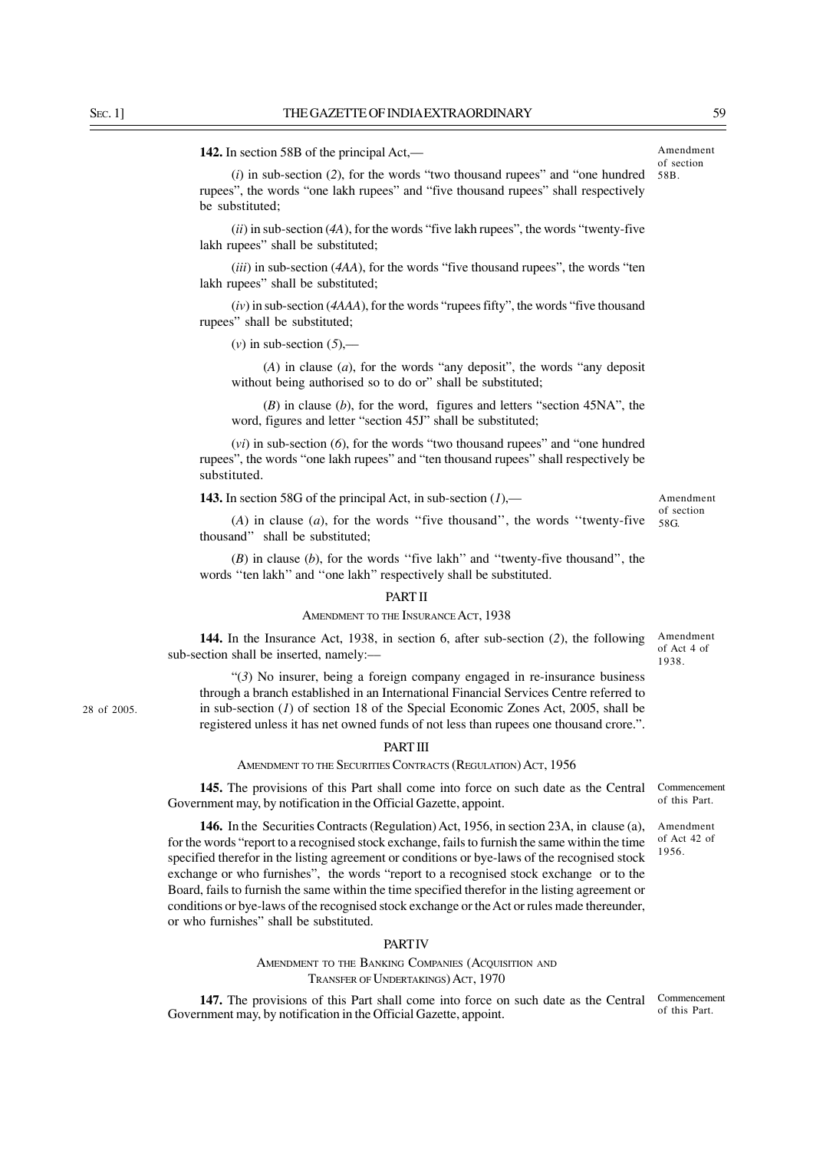**142.** In section 58B of the principal Act,––

(*i*) in sub-section (*2*), for the words "two thousand rupees" and "one hundred rupees", the words "one lakh rupees" and "five thousand rupees" shall respectively be substituted;

(*ii*) in sub-section (*4A*), for the words "five lakh rupees", the words "twenty-five lakh rupees" shall be substituted;

(*iii*) in sub-section (*4AA*), for the words "five thousand rupees", the words "ten lakh rupees" shall be substituted;

(*iv*) in sub-section (*4AAA*), for the words "rupees fifty", the words "five thousand rupees" shall be substituted;

 $(v)$  in sub-section  $(5)$ ,—

(*A*) in clause (*a*), for the words "any deposit", the words "any deposit without being authorised so to do or" shall be substituted;

(*B*) in clause (*b*), for the word, figures and letters "section 45NA", the word, figures and letter "section 45J" shall be substituted;

(*vi*) in sub-section (*6*), for the words "two thousand rupees" and "one hundred rupees", the words "one lakh rupees" and "ten thousand rupees" shall respectively be substituted.

**143.** In section 58G of the principal Act, in sub-section (*1*),—

(*A*) in clause (*a*), for the words ''five thousand'', the words ''twenty-five thousand'' shall be substituted;

(*B*) in clause (*b*), for the words ''five lakh'' and ''twenty-five thousand'', the words ''ten lakh'' and ''one lakh'' respectively shall be substituted.

#### PART II

#### AMENDMENT TO THE INSURANCE ACT, 1938

**144.** In the Insurance Act, 1938, in section 6, after sub-section (*2*), the following sub-section shall be inserted, namely:––

"(*3*) No insurer, being a foreign company engaged in re-insurance business through a branch established in an International Financial Services Centre referred to in sub-section (*1*) of section 18 of the Special Economic Zones Act, 2005, shall be registered unless it has net owned funds of not less than rupees one thousand crore.".

### PART III

#### AMENDMENT TO THE SECURITIES CONTRACTS (REGULATION) ACT, 1956

**145.** The provisions of this Part shall come into force on such date as the Central Government may, by notification in the Official Gazette, appoint.

**146.** In the Securities Contracts (Regulation) Act, 1956, in section 23A, in clause (a), for the words "report to a recognised stock exchange, fails to furnish the same within the time specified therefor in the listing agreement or conditions or bye-laws of the recognised stock exchange or who furnishes", the words "report to a recognised stock exchange or to the Board, fails to furnish the same within the time specified therefor in the listing agreement or conditions or bye-laws of the recognised stock exchange or the Act or rules made thereunder, or who furnishes" shall be substituted.

## **PART IV**

AMENDMENT TO THE BANKING COMPANIES (ACOUISITION AND TRANSFER OF UNDERTAKINGS) ACT, 1970

**147.** The provisions of this Part shall come into force on such date as the Central Government may, by notification in the Official Gazette, appoint.

Amendment of Act 4 of 1938.

Amendment of section 58G.

Commencement of this Part.

Amendment of Act 42 of 1956.

28 of 2005.

Amendment of section 58B.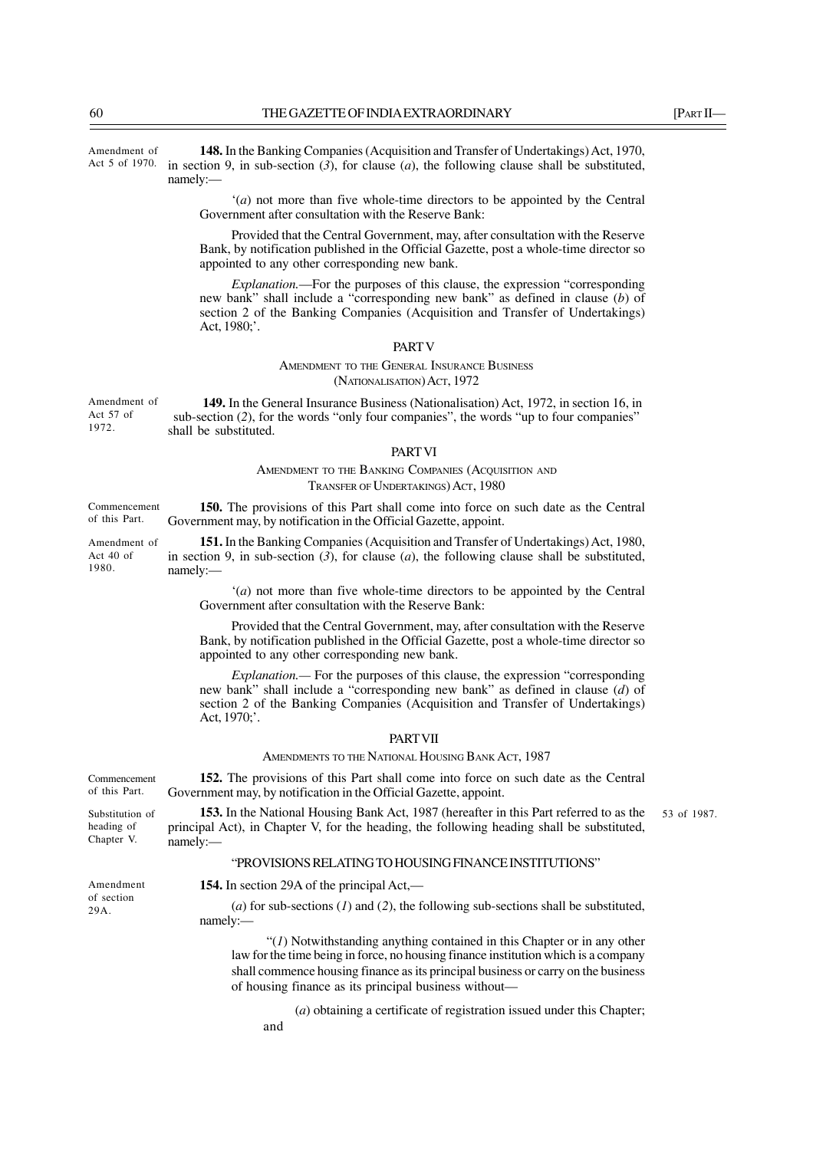**148.** In the Banking Companies (Acquisition and Transfer of Undertakings) Act, 1970, in section 9, in sub-section  $(3)$ , for clause  $(a)$ , the following clause shall be substituted, namely:— Amendment of Act 5 of 1970.

> '(*a*) not more than five whole-time directors to be appointed by the Central Government after consultation with the Reserve Bank:

> Provided that the Central Government, may, after consultation with the Reserve Bank, by notification published in the Official Gazette, post a whole-time director so appointed to any other corresponding new bank.

> *Explanation.*—For the purposes of this clause, the expression "corresponding new bank" shall include a "corresponding new bank" as defined in clause (*b*) of section 2 of the Banking Companies (Acquisition and Transfer of Undertakings) Act, 1980;'.

#### PART V

AMENDMENT TO THE GENERAL INSURANCE BUSINESS (NATIONALISATION) ACT, 1972

**149.** In the General Insurance Business (Nationalisation) Act, 1972, in section 16, in sub-section (*2*), for the words "only four companies", the words "up to four companies" shall be substituted. Amendment of Act 57 of 1972.

#### PART VI

# AMENDMENT TO THE BANKING COMPANIES (ACQUISITION AND TRANSFER OF UNDERTAKINGS) ACT, 1980

**150.** The provisions of this Part shall come into force on such date as the Central Government may, by notification in the Official Gazette, appoint. Commencement of this Part.

**151.** In the Banking Companies (Acquisition and Transfer of Undertakings) Act, 1980, in section 9, in sub-section  $(3)$ , for clause  $(a)$ , the following clause shall be substituted, namely:— Amendment of

> '(*a*) not more than five whole-time directors to be appointed by the Central Government after consultation with the Reserve Bank:

> Provided that the Central Government, may, after consultation with the Reserve Bank, by notification published in the Official Gazette, post a whole-time director so appointed to any other corresponding new bank.

> *Explanation.—* For the purposes of this clause, the expression "corresponding new bank" shall include a "corresponding new bank" as defined in clause (*d*) of section 2 of the Banking Companies (Acquisition and Transfer of Undertakings) Act, 1970;'.

### **PART VII**

## AMENDMENTS TO THE NATIONAL HOUSING BANK ACT, 1987

**152.** The provisions of this Part shall come into force on such date as the Central Government may, by notification in the Official Gazette, appoint. Commencement of this Part.

> **153.** In the National Housing Bank Act, 1987 (hereafter in this Part referred to as the principal Act), in Chapter V, for the heading, the following heading shall be substituted, namely:— 53 of 1987.

## "PROVISIONS RELATING TO HOUSING FINANCE INSTITUTIONS"

Amendment of section 29A.

Substitution of heading of Chapter V.

**154.** In section 29A of the principal Act,—

(*a*) for sub-sections (*1*) and (*2*), the following sub-sections shall be substituted, namely:—

 "(*1*) Notwithstanding anything contained in this Chapter or in any other law for the time being in force, no housing finance institution which is a company shall commence housing finance as its principal business or carry on the business of housing finance as its principal business without—

(*a*) obtaining a certificate of registration issued under this Chapter;

and

Act 40 of 1980.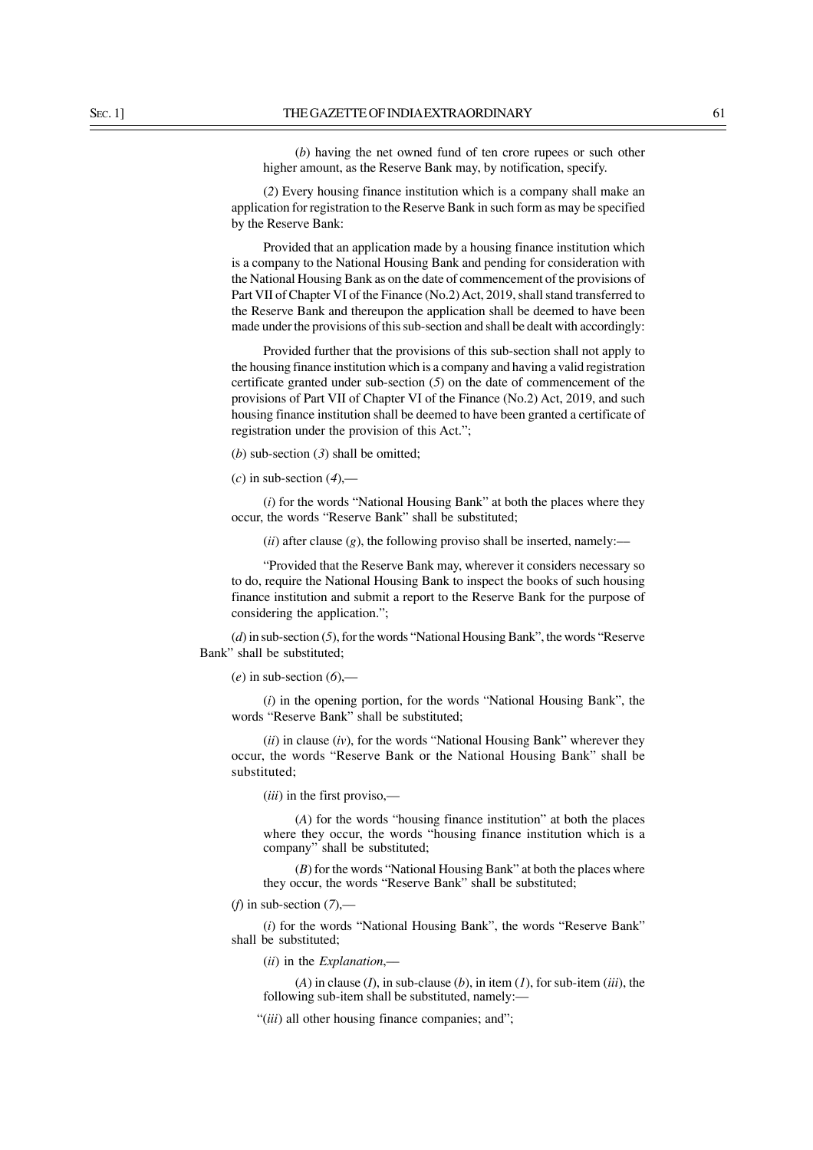(*b*) having the net owned fund of ten crore rupees or such other higher amount, as the Reserve Bank may, by notification, specify.

(*2*) Every housing finance institution which is a company shall make an application for registration to the Reserve Bank in such form as may be specified by the Reserve Bank:

Provided that an application made by a housing finance institution which is a company to the National Housing Bank and pending for consideration with the National Housing Bank as on the date of commencement of the provisions of Part VII of Chapter VI of the Finance (No.2) Act, 2019, shall stand transferred to the Reserve Bank and thereupon the application shall be deemed to have been made under the provisions of this sub-section and shall be dealt with accordingly:

Provided further that the provisions of this sub-section shall not apply to the housing finance institution which is a company and having a valid registration certificate granted under sub-section (*5*) on the date of commencement of the provisions of Part VII of Chapter VI of the Finance (No.2) Act, 2019, and such housing finance institution shall be deemed to have been granted a certificate of registration under the provision of this Act.";

(*b*) sub-section (*3*) shall be omitted;

(*c*) in sub-section (*4*),—

(*i*) for the words "National Housing Bank" at both the places where they occur, the words "Reserve Bank" shall be substituted;

 $(ii)$  after clause  $(g)$ , the following proviso shall be inserted, namely:—

"Provided that the Reserve Bank may, wherever it considers necessary so to do, require the National Housing Bank to inspect the books of such housing finance institution and submit a report to the Reserve Bank for the purpose of considering the application.";

(*d*) in sub-section (*5*), for the words "National Housing Bank", the words "Reserve Bank" shall be substituted;

(*e*) in sub-section (*6*),—

(*i*) in the opening portion, for the words "National Housing Bank", the words "Reserve Bank" shall be substituted;

(*ii*) in clause (*iv*), for the words "National Housing Bank" wherever they occur, the words "Reserve Bank or the National Housing Bank" shall be substituted;

(*iii*) in the first proviso,—

(*A*) for the words "housing finance institution" at both the places where they occur, the words "housing finance institution which is a company" shall be substituted;

(*B*) for the words "National Housing Bank" at both the places where they occur, the words "Reserve Bank" shall be substituted;

(*f*) in sub-section (*7*),––

(*i*) for the words "National Housing Bank", the words "Reserve Bank" shall be substituted;

(*ii*) in the *Explanation*,––

(*A*) in clause (*I*), in sub-clause (*b*), in item (*1*), for sub-item (*iii*), the following sub-item shall be substituted, namely:—

"(*iii*) all other housing finance companies; and";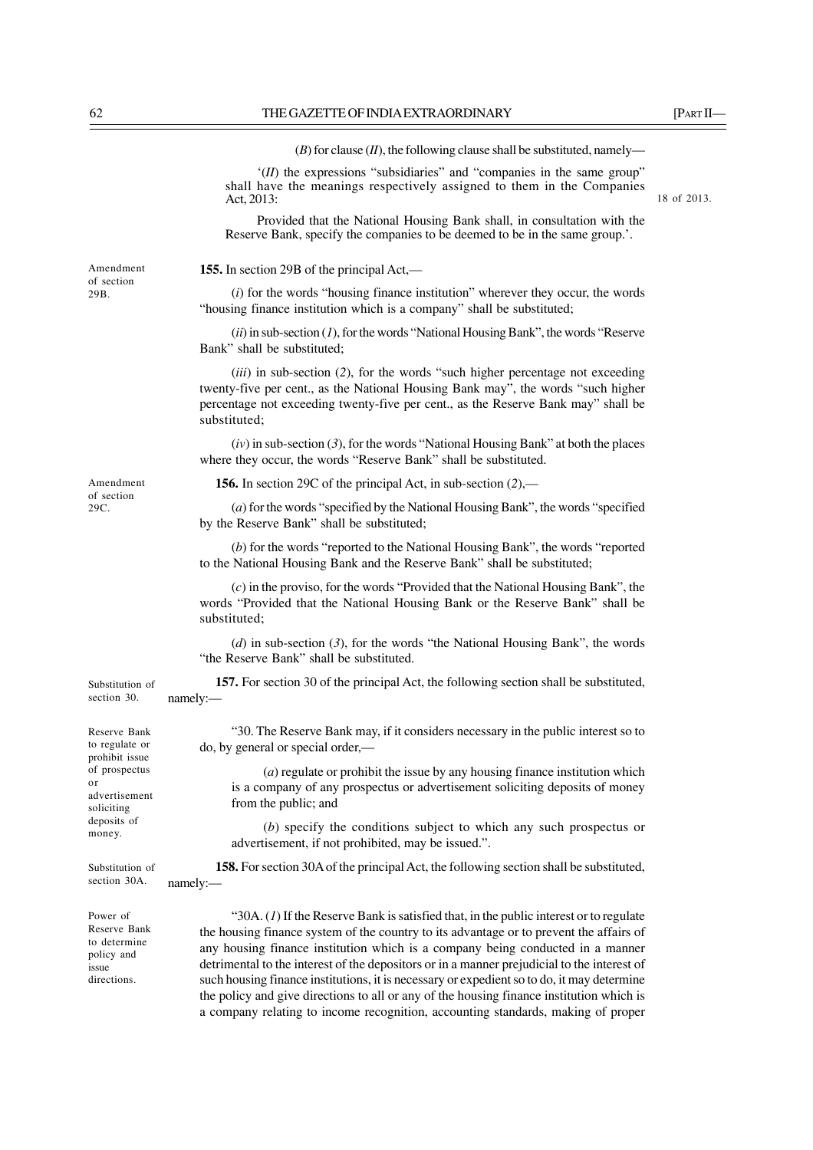$(B)$  for clause  $(II)$ , the following clause shall be substituted, namely-

'(*II*) the expressions "subsidiaries" and "companies in the same group" shall have the meanings respectively assigned to them in the Companies Act, 2013:

Provided that the National Housing Bank shall, in consultation with the Reserve Bank, specify the companies to be deemed to be in the same group.'.

**155.** In section 29B of the principal Act,—

(*i*) for the words "housing finance institution" wherever they occur, the words "housing finance institution which is a company" shall be substituted;

(*ii*) in sub-section (*1*), for the words "National Housing Bank", the words "Reserve Bank" shall be substituted;

(*iii*) in sub-section (*2*), for the words "such higher percentage not exceeding twenty-five per cent., as the National Housing Bank may", the words "such higher percentage not exceeding twenty-five per cent., as the Reserve Bank may" shall be substituted;

(*iv*) in sub-section (*3*), for the words "National Housing Bank" at both the places where they occur, the words "Reserve Bank" shall be substituted.

**156.** In section 29C of the principal Act, in sub-section (*2*),––

(*a*) for the words "specified by the National Housing Bank", the words "specified by the Reserve Bank" shall be substituted;

(*b*) for the words "reported to the National Housing Bank", the words "reported to the National Housing Bank and the Reserve Bank" shall be substituted;

(*c*) in the proviso, for the words "Provided that the National Housing Bank", the words "Provided that the National Housing Bank or the Reserve Bank" shall be substituted;

(*d*) in sub-section (*3*), for the words "the National Housing Bank", the words "the Reserve Bank" shall be substituted.

**157.** For section 30 of the principal Act, the following section shall be substituted, namely:—

"30. The Reserve Bank may, if it considers necessary in the public interest so to do, by general or special order,—

(*a*) regulate or prohibit the issue by any housing finance institution which is a company of any prospectus or advertisement soliciting deposits of money from the public; and

(*b*) specify the conditions subject to which any such prospectus or advertisement, if not prohibited, may be issued.".

**158.** For section 30A of the principal Act, the following section shall be substituted, namely:—

"30A. (*1*) If the Reserve Bank is satisfied that, in the public interest or to regulate the housing finance system of the country to its advantage or to prevent the affairs of any housing finance institution which is a company being conducted in a manner detrimental to the interest of the depositors or in a manner prejudicial to the interest of such housing finance institutions, it is necessary or expedient so to do, it may determine the policy and give directions to all or any of the housing finance institution which is a company relating to income recognition, accounting standards, making of proper

Amendment of section 29B.

Reserve Bank to regulate or prohibit issue of prospectus or advertisement soliciting deposits of

Substitution of section 30.

Substitution of section 30A.

money.

Power of Reserve Bank to determine policy and issue directions.

18 of 2013.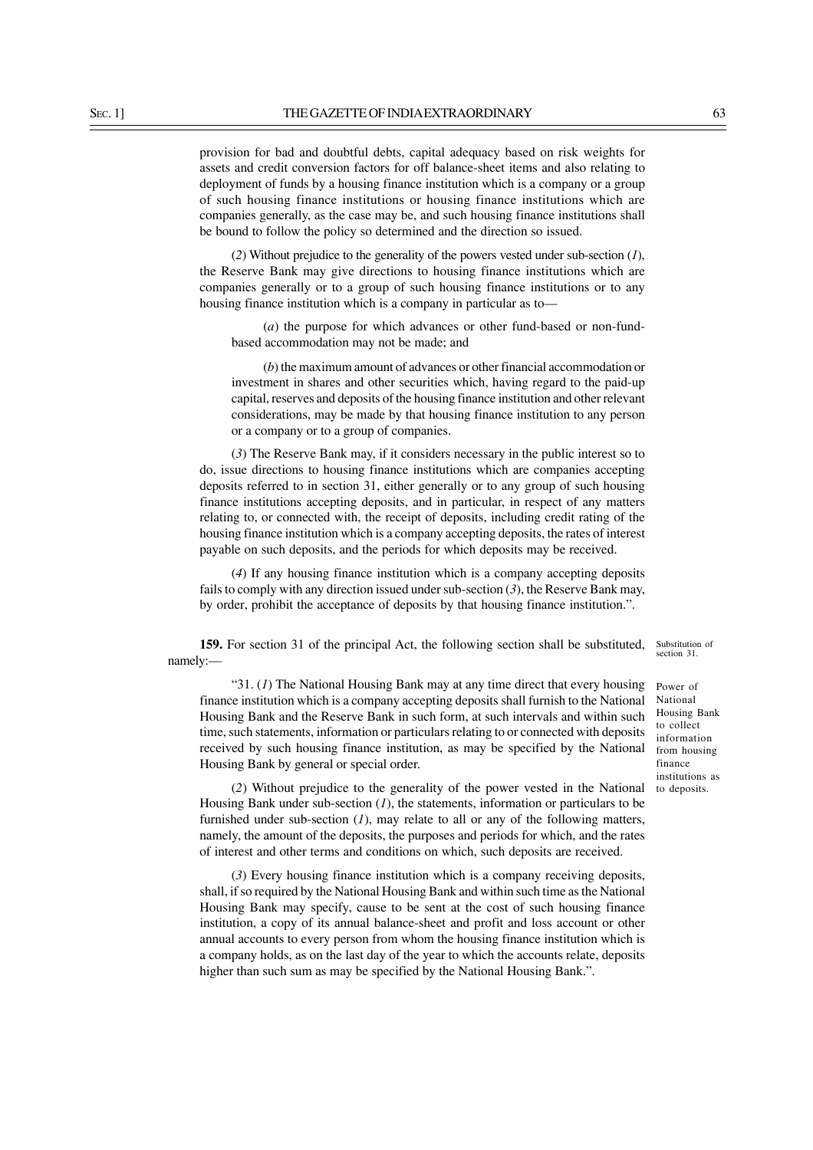provision for bad and doubtful debts, capital adequacy based on risk weights for assets and credit conversion factors for off balance-sheet items and also relating to deployment of funds by a housing finance institution which is a company or a group of such housing finance institutions or housing finance institutions which are companies generally, as the case may be, and such housing finance institutions shall be bound to follow the policy so determined and the direction so issued.

(*2*) Without prejudice to the generality of the powers vested under sub-section (*1*), the Reserve Bank may give directions to housing finance institutions which are companies generally or to a group of such housing finance institutions or to any housing finance institution which is a company in particular as to—

(*a*) the purpose for which advances or other fund-based or non-fundbased accommodation may not be made; and

(*b*) the maximum amount of advances or other financial accommodation or investment in shares and other securities which, having regard to the paid-up capital, reserves and deposits of the housing finance institution and other relevant considerations, may be made by that housing finance institution to any person or a company or to a group of companies.

(*3*) The Reserve Bank may, if it considers necessary in the public interest so to do, issue directions to housing finance institutions which are companies accepting deposits referred to in section 31, either generally or to any group of such housing finance institutions accepting deposits, and in particular, in respect of any matters relating to, or connected with, the receipt of deposits, including credit rating of the housing finance institution which is a company accepting deposits, the rates of interest payable on such deposits, and the periods for which deposits may be received.

(*4*) If any housing finance institution which is a company accepting deposits fails to comply with any direction issued under sub-section (*3*), the Reserve Bank may, by order, prohibit the acceptance of deposits by that housing finance institution.".

**159.** For section 31 of the principal Act, the following section shall be substituted, namely:—

"31. (*1*) The National Housing Bank may at any time direct that every housing finance institution which is a company accepting deposits shall furnish to the National Housing Bank and the Reserve Bank in such form, at such intervals and within such time, such statements, information or particulars relating to or connected with deposits received by such housing finance institution, as may be specified by the National Housing Bank by general or special order.

(*2*) Without prejudice to the generality of the power vested in the National Housing Bank under sub-section (*1*), the statements, information or particulars to be furnished under sub-section (*1*), may relate to all or any of the following matters, namely, the amount of the deposits, the purposes and periods for which, and the rates of interest and other terms and conditions on which, such deposits are received.

(*3*) Every housing finance institution which is a company receiving deposits, shall, if so required by the National Housing Bank and within such time as the National Housing Bank may specify, cause to be sent at the cost of such housing finance institution, a copy of its annual balance-sheet and profit and loss account or other annual accounts to every person from whom the housing finance institution which is a company holds, as on the last day of the year to which the accounts relate, deposits higher than such sum as may be specified by the National Housing Bank.".

Substitution of section 31.

Power of National Housing Bank to collect information from housing finance institutions as to deposits.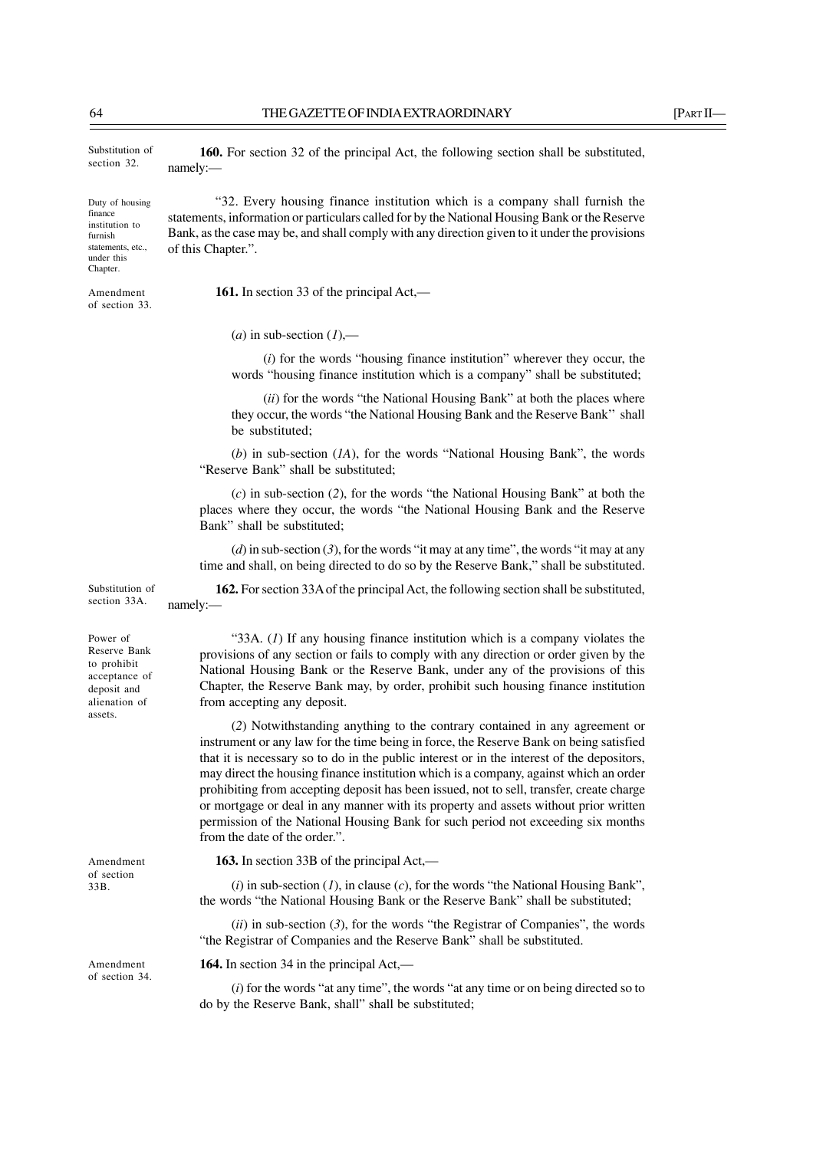**160.** For section 32 of the principal Act, the following section shall be substituted,

"32. Every housing finance institution which is a company shall furnish the

statements, information or particulars called for by the National Housing Bank or the Reserve Bank, as the case may be, and shall comply with any direction given to it under the provisions

Substitution of section 32.

namely:—

of this Chapter.".

Duty of housing finance institution to furnish statements, etc., under this Chapter.

Amendment of section 33.

 $(a)$  in sub-section  $(1)$ ,—

**161.** In section 33 of the principal Act,—

(*i*) for the words "housing finance institution" wherever they occur, the words "housing finance institution which is a company" shall be substituted;

(*ii*) for the words "the National Housing Bank" at both the places where they occur, the words "the National Housing Bank and the Reserve Bank'' shall be substituted;

(*b*) in sub-section (*1A*), for the words "National Housing Bank", the words "Reserve Bank" shall be substituted;

(*c*) in sub-section (*2*), for the words "the National Housing Bank" at both the places where they occur, the words "the National Housing Bank and the Reserve Bank" shall be substituted;

(*d*) in sub-section (*3*), for the words "it may at any time", the words "it may at any time and shall, on being directed to do so by the Reserve Bank," shall be substituted.

**162.** For section 33A of the principal Act, the following section shall be substituted, namely:—

Power of Reserve Bank to prohibit acceptance of deposit and alienation of assets.

Substitution of section 33A.

Amendment of section 33B.

Amendment of section 34.

"33A. (*1*) If any housing finance institution which is a company violates the provisions of any section or fails to comply with any direction or order given by the National Housing Bank or the Reserve Bank, under any of the provisions of this Chapter, the Reserve Bank may, by order, prohibit such housing finance institution from accepting any deposit.

(*2*) Notwithstanding anything to the contrary contained in any agreement or instrument or any law for the time being in force, the Reserve Bank on being satisfied that it is necessary so to do in the public interest or in the interest of the depositors, may direct the housing finance institution which is a company, against which an order prohibiting from accepting deposit has been issued, not to sell, transfer, create charge or mortgage or deal in any manner with its property and assets without prior written permission of the National Housing Bank for such period not exceeding six months from the date of the order.".

**163.** In section 33B of the principal Act,—

(*i*) in sub-section (*1*), in clause (*c*), for the words "the National Housing Bank", the words "the National Housing Bank or the Reserve Bank" shall be substituted;

(*ii*) in sub-section (*3*), for the words "the Registrar of Companies", the words "the Registrar of Companies and the Reserve Bank" shall be substituted.

**164.** In section 34 in the principal Act,—

(*i*) for the words "at any time", the words "at any time or on being directed so to do by the Reserve Bank, shall" shall be substituted;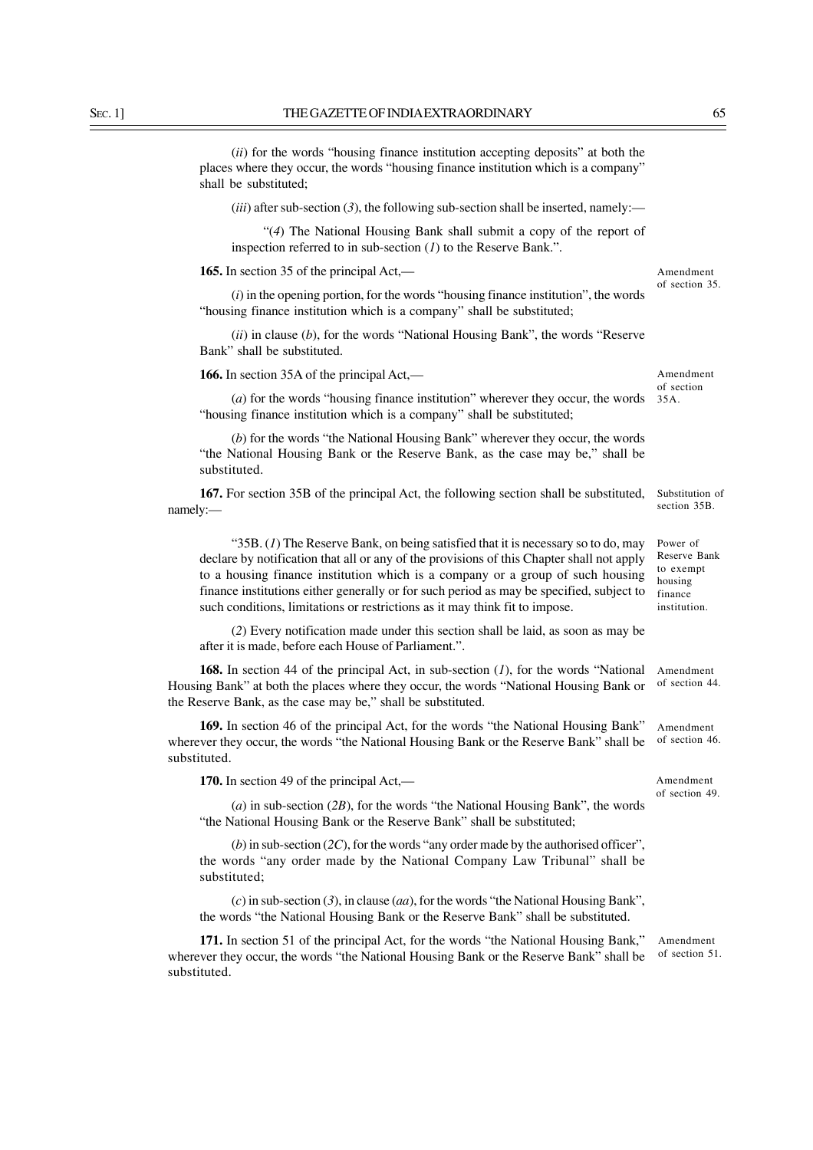(*ii*) for the words "housing finance institution accepting deposits" at both the places where they occur, the words "housing finance institution which is a company" shall be substituted;

 $(iii)$  after sub-section  $(3)$ , the following sub-section shall be inserted, namely:—

"(*4*) The National Housing Bank shall submit a copy of the report of inspection referred to in sub-section (*1*) to the Reserve Bank.".

**165.** In section 35 of the principal Act,—

(*i*) in the opening portion, for the words "housing finance institution", the words "housing finance institution which is a company" shall be substituted;

(*ii*) in clause (*b*), for the words "National Housing Bank", the words "Reserve Bank" shall be substituted.

**166.** In section 35A of the principal Act,—

(*a*) for the words "housing finance institution" wherever they occur, the words "housing finance institution which is a company" shall be substituted;

(*b*) for the words "the National Housing Bank" wherever they occur, the words "the National Housing Bank or the Reserve Bank, as the case may be," shall be substituted.

**167.** For section 35B of the principal Act, the following section shall be substituted, namely:—

"35B. (*1*) The Reserve Bank, on being satisfied that it is necessary so to do, may declare by notification that all or any of the provisions of this Chapter shall not apply to a housing finance institution which is a company or a group of such housing finance institutions either generally or for such period as may be specified, subject to such conditions, limitations or restrictions as it may think fit to impose.

(*2*) Every notification made under this section shall be laid, as soon as may be after it is made, before each House of Parliament.".

**168.** In section 44 of the principal Act, in sub-section (*1*), for the words "National Housing Bank" at both the places where they occur, the words "National Housing Bank or the Reserve Bank, as the case may be," shall be substituted. Amendment

**169.** In section 46 of the principal Act, for the words "the National Housing Bank" wherever they occur, the words "the National Housing Bank or the Reserve Bank" shall be substituted.

**170.** In section 49 of the principal Act,—

(*a*) in sub-section (*2B*), for the words "the National Housing Bank", the words "the National Housing Bank or the Reserve Bank" shall be substituted;

(*b*) in sub-section (*2C*), for the words "any order made by the authorised officer", the words "any order made by the National Company Law Tribunal" shall be substituted;

(*c*) in sub-section (*3*), in clause (*aa*), for the words "the National Housing Bank", the words "the National Housing Bank or the Reserve Bank" shall be substituted.

**171.** In section 51 of the principal Act, for the words "the National Housing Bank," wherever they occur, the words "the National Housing Bank or the Reserve Bank" shall be substituted.

Amendment of section 51.

Amendment of section 35.

of section 35A.

Amendment

Substitution of section 35B.

of section 44.

Amendment of section 46.

Amendment of section 49.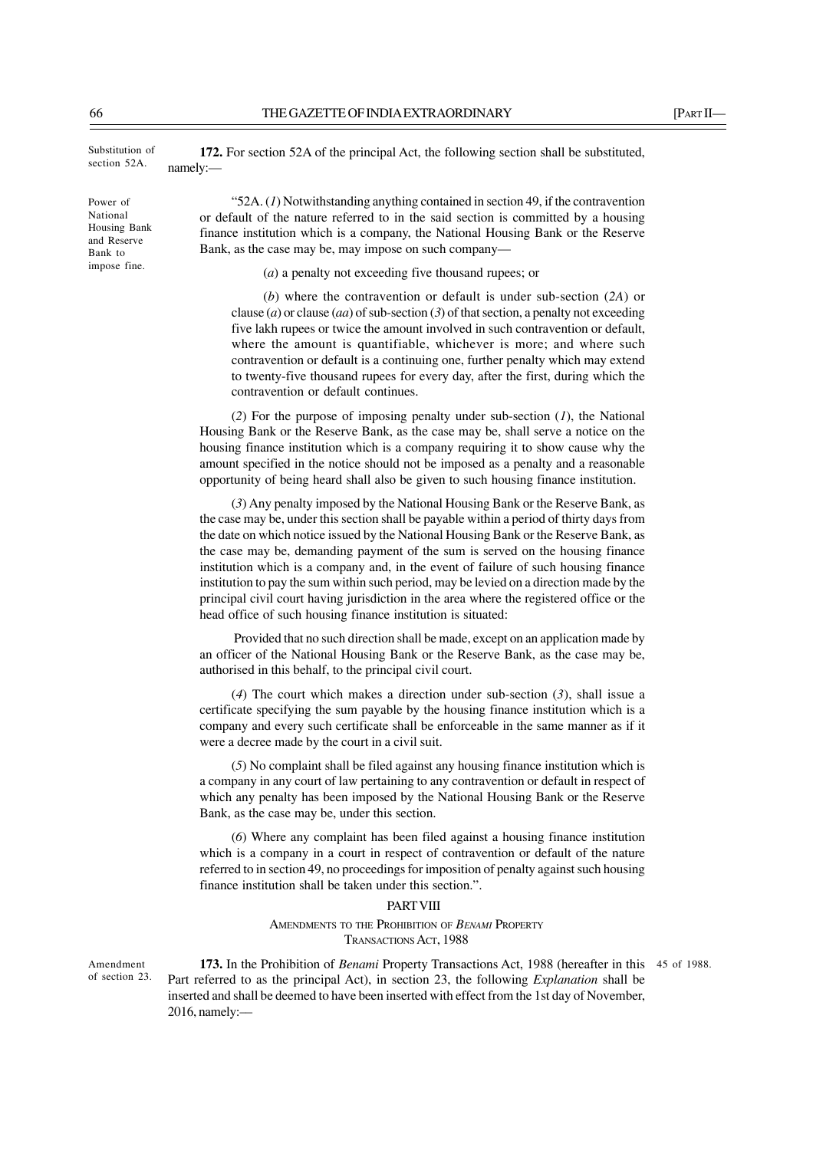Substitution of section 52A.

Power of National Housing Bank and Reserve Bank to impose fine.

**172.** For section 52A of the principal Act, the following section shall be substituted, namely:—

"52A. (*1*) Notwithstanding anything contained in section 49, if the contravention or default of the nature referred to in the said section is committed by a housing finance institution which is a company, the National Housing Bank or the Reserve Bank, as the case may be, may impose on such company—

(*a*) a penalty not exceeding five thousand rupees; or

(*b*) where the contravention or default is under sub-section (*2A*) or clause (*a*) or clause (*aa*) of sub-section (*3*) of that section, a penalty not exceeding five lakh rupees or twice the amount involved in such contravention or default, where the amount is quantifiable, whichever is more; and where such contravention or default is a continuing one, further penalty which may extend to twenty-five thousand rupees for every day, after the first, during which the contravention or default continues.

(*2*) For the purpose of imposing penalty under sub-section (*1*), the National Housing Bank or the Reserve Bank, as the case may be, shall serve a notice on the housing finance institution which is a company requiring it to show cause why the amount specified in the notice should not be imposed as a penalty and a reasonable opportunity of being heard shall also be given to such housing finance institution.

(*3*) Any penalty imposed by the National Housing Bank or the Reserve Bank, as the case may be, under this section shall be payable within a period of thirty days from the date on which notice issued by the National Housing Bank or the Reserve Bank, as the case may be, demanding payment of the sum is served on the housing finance institution which is a company and, in the event of failure of such housing finance institution to pay the sum within such period, may be levied on a direction made by the principal civil court having jurisdiction in the area where the registered office or the head office of such housing finance institution is situated:

 Provided that no such direction shall be made, except on an application made by an officer of the National Housing Bank or the Reserve Bank, as the case may be, authorised in this behalf, to the principal civil court.

(*4*) The court which makes a direction under sub-section (*3*), shall issue a certificate specifying the sum payable by the housing finance institution which is a company and every such certificate shall be enforceable in the same manner as if it were a decree made by the court in a civil suit.

(*5*) No complaint shall be filed against any housing finance institution which is a company in any court of law pertaining to any contravention or default in respect of which any penalty has been imposed by the National Housing Bank or the Reserve Bank, as the case may be, under this section.

(*6*) Where any complaint has been filed against a housing finance institution which is a company in a court in respect of contravention or default of the nature referred to in section 49, no proceedings for imposition of penalty against such housing finance institution shall be taken under this section.".

#### **PART VIII**

AMENDMENTS TO THE PROHIBITION OF *BENAMI* PROPERTY TRANSACTIONS ACT, 1988

Amendment of section 23.

**173.** In the Prohibition of *Benami* Property Transactions Act, 1988 (hereafter in this 45 of 1988.Part referred to as the principal Act), in section 23, the following *Explanation* shall be inserted and shall be deemed to have been inserted with effect from the 1st day of November, 2016, namely:––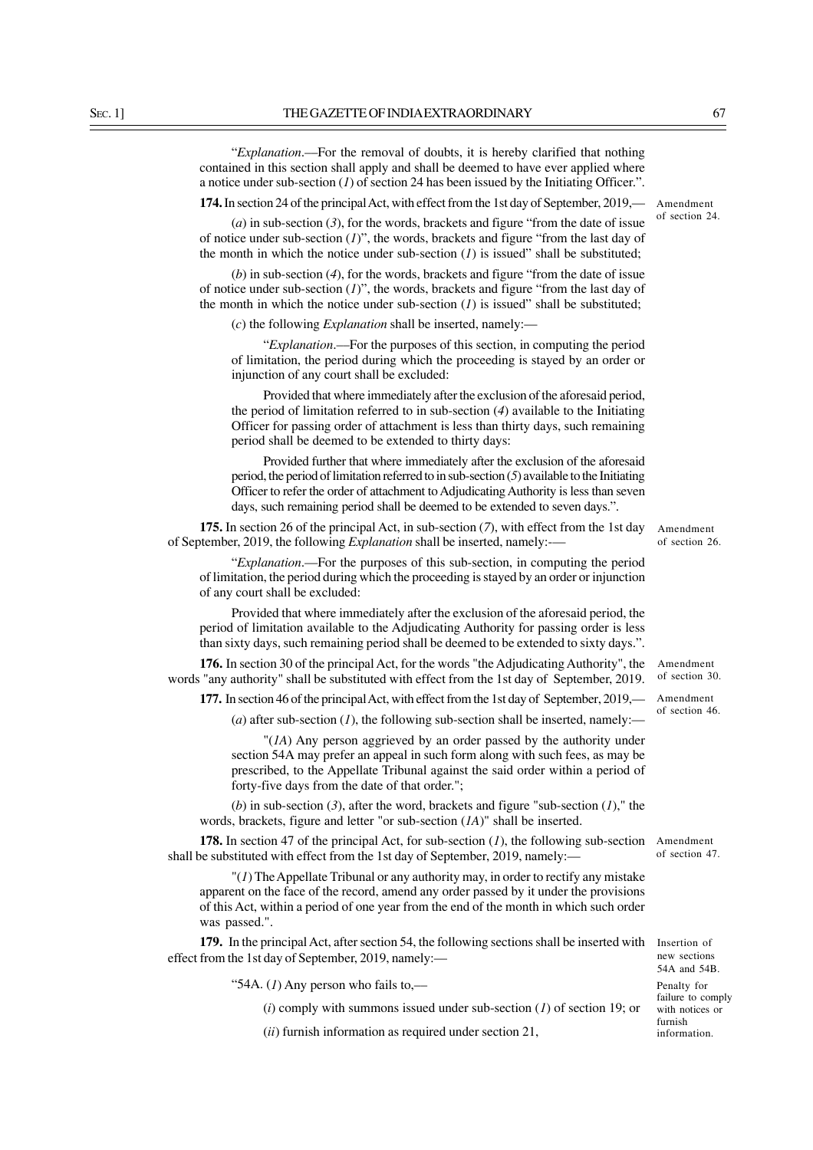"*Explanation*.––For the removal of doubts, it is hereby clarified that nothing contained in this section shall apply and shall be deemed to have ever applied where a notice under sub-section (*1*) of section 24 has been issued by the Initiating Officer.".

## **174.** In section 24 of the principal Act, with effect from the 1st day of September, 2019,—

(*a*) in sub-section (*3*), for the words, brackets and figure "from the date of issue of notice under sub-section (*1*)", the words, brackets and figure "from the last day of the month in which the notice under sub-section  $(I)$  is issued" shall be substituted;

(*b*) in sub-section (*4*), for the words, brackets and figure "from the date of issue of notice under sub-section (*1*)", the words, brackets and figure "from the last day of the month in which the notice under sub-section  $(I)$  is issued" shall be substituted;

(*c*) the following *Explanation* shall be inserted, namely:—

"*Explanation*.––For the purposes of this section, in computing the period of limitation, the period during which the proceeding is stayed by an order or injunction of any court shall be excluded:

Provided that where immediately after the exclusion of the aforesaid period, the period of limitation referred to in sub-section (*4*) available to the Initiating Officer for passing order of attachment is less than thirty days, such remaining period shall be deemed to be extended to thirty days:

Provided further that where immediately after the exclusion of the aforesaid period, the period of limitation referred to in sub-section (*5*) available to the Initiating Officer to refer the order of attachment to Adjudicating Authority is less than seven days, such remaining period shall be deemed to be extended to seven days.".

**175.** In section 26 of the principal Act, in sub-section (*7*), with effect from the 1st day of September, 2019, the following *Explanation* shall be inserted, namely:-—

"*Explanation*.—For the purposes of this sub-section, in computing the period of limitation, the period during which the proceeding is stayed by an order or injunction of any court shall be excluded:

Provided that where immediately after the exclusion of the aforesaid period, the period of limitation available to the Adjudicating Authority for passing order is less than sixty days, such remaining period shall be deemed to be extended to sixty days.".

**176.** In section 30 of the principal Act, for the words "the Adjudicating Authority", the words "any authority" shall be substituted with effect from the 1st day of September, 2019.

**177.** In section 46 of the principal Act, with effect from the 1st day of September, 2019,—

(*a*) after sub-section (*1*), the following sub-section shall be inserted, namely:—

"(*1A*) Any person aggrieved by an order passed by the authority under section 54A may prefer an appeal in such form along with such fees, as may be prescribed, to the Appellate Tribunal against the said order within a period of forty-five days from the date of that order.";

(*b*) in sub-section (*3*), after the word, brackets and figure "sub-section (*1*)," the words, brackets, figure and letter "or sub-section (*1A*)" shall be inserted.

**178.** In section 47 of the principal Act, for sub-section (*1*), the following sub-section shall be substituted with effect from the 1st day of September, 2019, namely:—

"(*1*) The Appellate Tribunal or any authority may, in order to rectify any mistake apparent on the face of the record, amend any order passed by it under the provisions of this Act, within a period of one year from the end of the month in which such order was passed.".

**179.** In the principal Act, after section 54, the following sections shall be inserted with Insertion of effect from the 1st day of September, 2019, namely:—

"54A. (*1*) Any person who fails to,––

(*i*) comply with summons issued under sub-section (*1*) of section 19; or

(*ii*) furnish information as required under section 21,

Amendment of section 26.

Amendment of section 30.

Amendment of section 46.

new sections

Amendment of section 47.

54A and 54B.

Penalty for failure to comply with notices or furnish

information.

Amendment of section 24.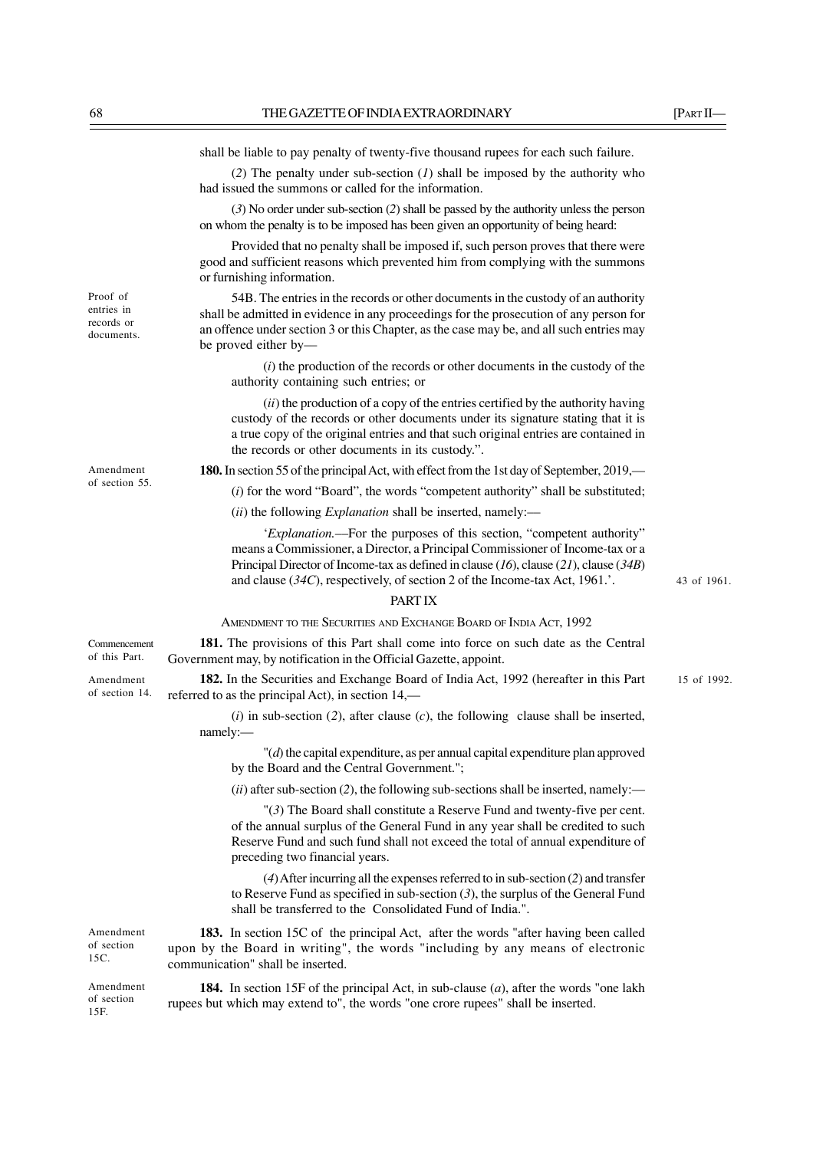|                                                    | shall be liable to pay penalty of twenty-five thousand rupees for each such failure.                                                                                                                                                                                                                                              |             |
|----------------------------------------------------|-----------------------------------------------------------------------------------------------------------------------------------------------------------------------------------------------------------------------------------------------------------------------------------------------------------------------------------|-------------|
|                                                    | (2) The penalty under sub-section $(I)$ shall be imposed by the authority who<br>had issued the summons or called for the information.                                                                                                                                                                                            |             |
|                                                    | $(3)$ No order under sub-section $(2)$ shall be passed by the authority unless the person<br>on whom the penalty is to be imposed has been given an opportunity of being heard:                                                                                                                                                   |             |
|                                                    | Provided that no penalty shall be imposed if, such person proves that there were<br>good and sufficient reasons which prevented him from complying with the summons<br>or furnishing information.                                                                                                                                 |             |
| Proof of<br>entries in<br>records or<br>documents. | 54B. The entries in the records or other documents in the custody of an authority<br>shall be admitted in evidence in any proceedings for the prosecution of any person for<br>an offence under section 3 or this Chapter, as the case may be, and all such entries may<br>be proved either by-                                   |             |
|                                                    | $(i)$ the production of the records or other documents in the custody of the<br>authority containing such entries; or                                                                                                                                                                                                             |             |
|                                                    | (ii) the production of a copy of the entries certified by the authority having<br>custody of the records or other documents under its signature stating that it is<br>a true copy of the original entries and that such original entries are contained in<br>the records or other documents in its custody.".                     |             |
| Amendment                                          | 180. In section 55 of the principal Act, with effect from the 1st day of September, 2019,—                                                                                                                                                                                                                                        |             |
| of section 55.                                     | $(i)$ for the word "Board", the words "competent authority" shall be substituted;                                                                                                                                                                                                                                                 |             |
|                                                    | (ii) the following <i>Explanation</i> shall be inserted, namely:—                                                                                                                                                                                                                                                                 |             |
|                                                    | 'Explanation.—For the purposes of this section, "competent authority"<br>means a Commissioner, a Director, a Principal Commissioner of Income-tax or a<br>Principal Director of Income-tax as defined in clause (16), clause (21), clause (34B)<br>and clause $(34C)$ , respectively, of section 2 of the Income-tax Act, 1961.'. | 43 of 1961. |
|                                                    | PART IX                                                                                                                                                                                                                                                                                                                           |             |
|                                                    | AMENDMENT TO THE SECURITIES AND EXCHANGE BOARD OF INDIA ACT, 1992                                                                                                                                                                                                                                                                 |             |
| Commencement<br>of this Part.                      | 181. The provisions of this Part shall come into force on such date as the Central<br>Government may, by notification in the Official Gazette, appoint.                                                                                                                                                                           |             |
| Amendment<br>of section 14.                        | 182. In the Securities and Exchange Board of India Act, 1992 (hereafter in this Part<br>referred to as the principal Act), in section 14,—                                                                                                                                                                                        | 15 of 1992. |
|                                                    | $(i)$ in sub-section (2), after clause (c), the following clause shall be inserted,<br>namely:-                                                                                                                                                                                                                                   |             |
|                                                    | $"$ ( $d$ ) the capital expenditure, as per annual capital expenditure plan approved<br>by the Board and the Central Government.";                                                                                                                                                                                                |             |
|                                                    | $(ii)$ after sub-section (2), the following sub-sections shall be inserted, namely:—                                                                                                                                                                                                                                              |             |
|                                                    | " $(3)$ The Board shall constitute a Reserve Fund and twenty-five per cent.<br>of the annual surplus of the General Fund in any year shall be credited to such<br>Reserve Fund and such fund shall not exceed the total of annual expenditure of<br>preceding two financial years.                                                |             |
|                                                    | $(4)$ After incurring all the expenses referred to in sub-section $(2)$ and transfer<br>to Reserve Fund as specified in sub-section $(3)$ , the surplus of the General Fund<br>shall be transferred to the Consolidated Fund of India.".                                                                                          |             |
| Amendment<br>of section<br>15C.                    | 183. In section 15C of the principal Act, after the words "after having been called<br>upon by the Board in writing", the words "including by any means of electronic<br>communication" shall be inserted.                                                                                                                        |             |
| Amendment<br>of section<br>15F.                    | <b>184.</b> In section 15F of the principal Act, in sub-clause $(a)$ , after the words "one lakh<br>rupees but which may extend to", the words "one crore rupees" shall be inserted.                                                                                                                                              |             |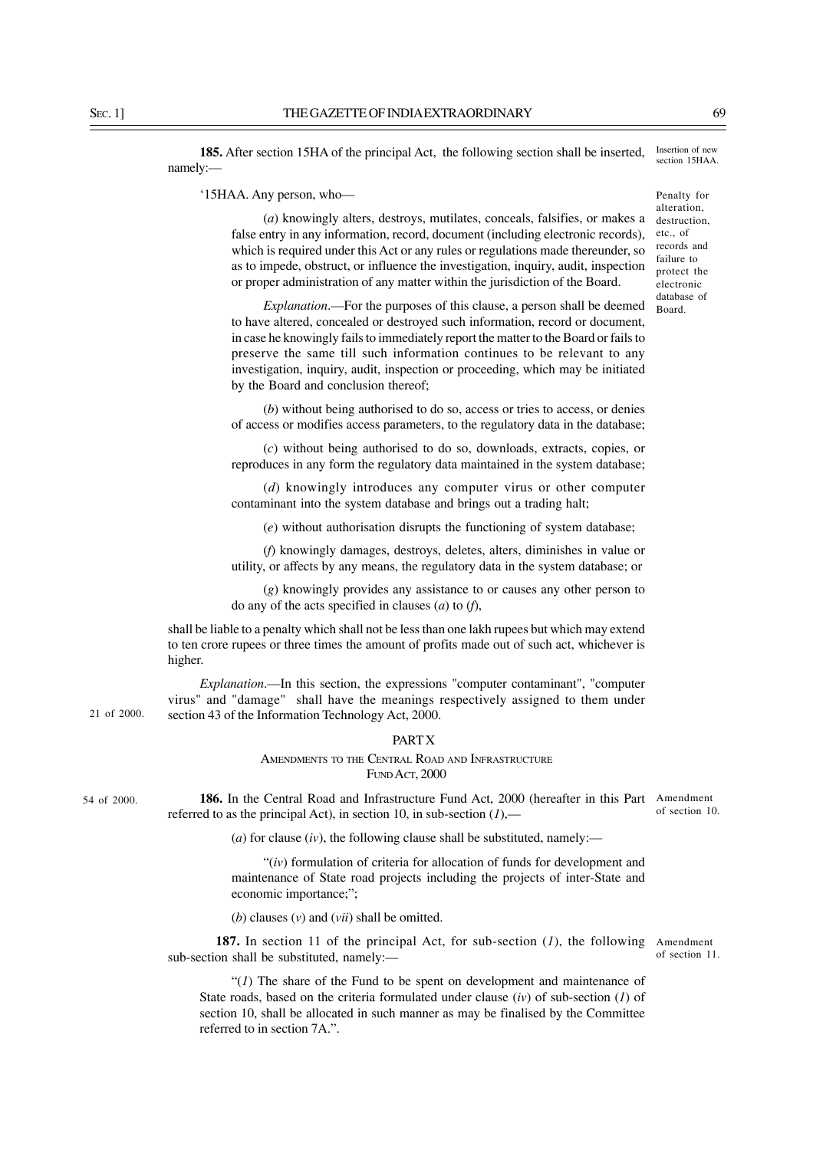**185.** After section 15HA of the principal Act, the following section shall be inserted, namely:— Insertion of new section 15HAA

'15HAA. Any person, who—

(*a*) knowingly alters, destroys, mutilates, conceals, falsifies, or makes a false entry in any information, record, document (including electronic records), which is required under this Act or any rules or regulations made thereunder, so as to impede, obstruct, or influence the investigation, inquiry, audit, inspection or proper administration of any matter within the jurisdiction of the Board.

*Explanation*.—For the purposes of this clause, a person shall be deemed to have altered, concealed or destroyed such information, record or document, in case he knowingly fails to immediately report the matter to the Board or fails to preserve the same till such information continues to be relevant to any investigation, inquiry, audit, inspection or proceeding, which may be initiated by the Board and conclusion thereof;

(*b*) without being authorised to do so, access or tries to access, or denies of access or modifies access parameters, to the regulatory data in the database;

(*c*) without being authorised to do so, downloads, extracts, copies, or reproduces in any form the regulatory data maintained in the system database;

(*d*) knowingly introduces any computer virus or other computer contaminant into the system database and brings out a trading halt;

(*e*) without authorisation disrupts the functioning of system database;

(*f*) knowingly damages, destroys, deletes, alters, diminishes in value or utility, or affects by any means, the regulatory data in the system database; or

(*g*) knowingly provides any assistance to or causes any other person to do any of the acts specified in clauses (*a*) to (*f*),

shall be liable to a penalty which shall not be less than one lakh rupees but which may extend to ten crore rupees or three times the amount of profits made out of such act, whichever is higher.

*Explanation*.—In this section, the expressions "computer contaminant", "computer virus" and "damage" shall have the meanings respectively assigned to them under section 43 of the Information Technology Act, 2000.

# **PART X**

AMENDMENTS TO THE CENTRAL ROAD AND INFRASTRUCTURE FUND ACT, 2000

54 of 2000.

21 of 2000.

**186.** In the Central Road and Infrastructure Fund Act, 2000 (hereafter in this Part Amendment referred to as the principal Act), in section 10, in sub-section  $(1)$ ,—

(*a*) for clause (*iv*), the following clause shall be substituted, namely:—

"(*iv*) formulation of criteria for allocation of funds for development and maintenance of State road projects including the projects of inter-State and economic importance;";

(*b*) clauses (*v*) and (*vii*) shall be omitted.

**187.** In section 11 of the principal Act, for sub-section (*1*), the following Amendment sub-section shall be substituted, namely:––

" $(1)$  The share of the Fund to be spent on development and maintenance of State roads, based on the criteria formulated under clause (*iv*) of sub-section (*1*) of section 10, shall be allocated in such manner as may be finalised by the Committee referred to in section 7A."

Penalty for alteration, destruction, etc., of records and failure to protect the electronic database of Board.

of section 10.

of section 11.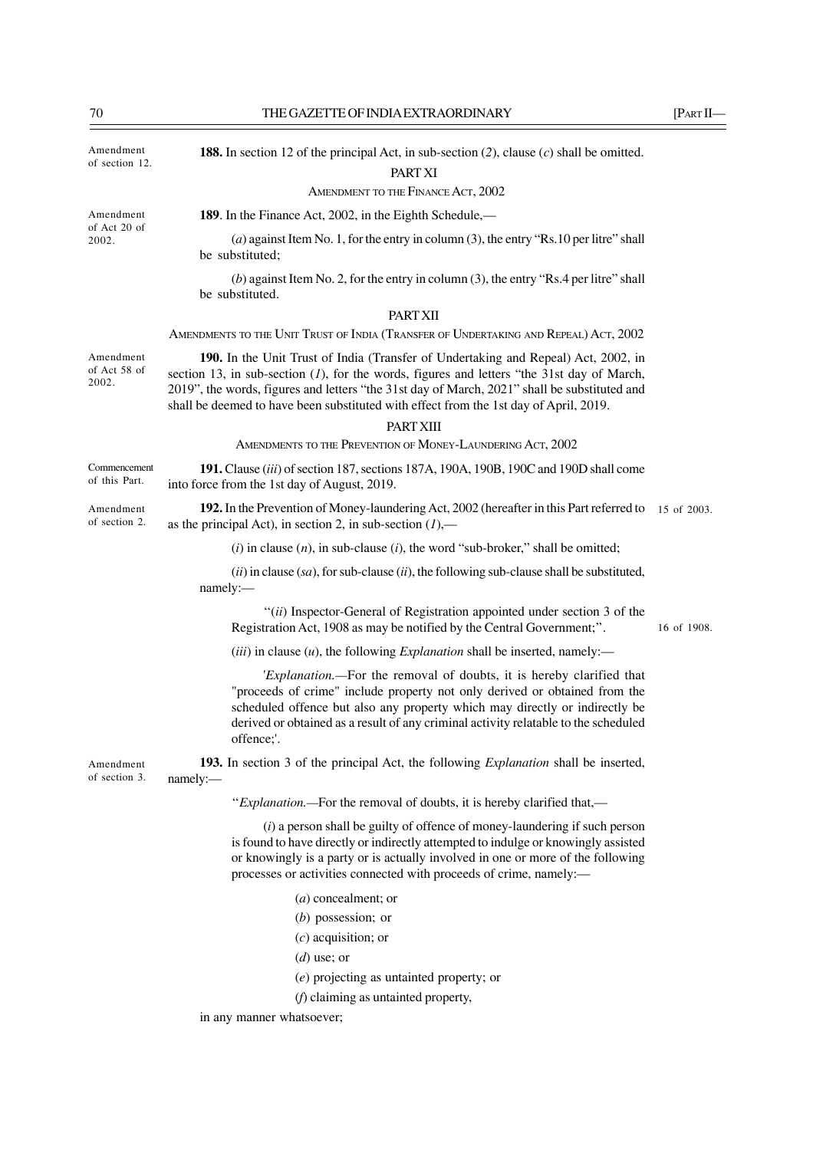| Amendment<br>of section 12.        | <b>188.</b> In section 12 of the principal Act, in sub-section (2), clause (c) shall be omitted.<br>PART XI                                                                                                                                                                                                                                                                  |             |
|------------------------------------|------------------------------------------------------------------------------------------------------------------------------------------------------------------------------------------------------------------------------------------------------------------------------------------------------------------------------------------------------------------------------|-------------|
|                                    | AMENDMENT TO THE FINANCE ACT, 2002                                                                                                                                                                                                                                                                                                                                           |             |
| Amendment<br>of Act 20 of<br>2002. | 189. In the Finance Act, 2002, in the Eighth Schedule,—                                                                                                                                                                                                                                                                                                                      |             |
|                                    | (a) against Item No. 1, for the entry in column (3), the entry "Rs. 10 per litre" shall<br>be substituted;                                                                                                                                                                                                                                                                   |             |
|                                    | (b) against Item No. 2, for the entry in column (3), the entry "Rs.4 per litre" shall<br>be substituted.                                                                                                                                                                                                                                                                     |             |
|                                    | <b>PART XII</b>                                                                                                                                                                                                                                                                                                                                                              |             |
|                                    | AMENDMENTS TO THE UNIT TRUST OF INDIA (TRANSFER OF UNDERTAKING AND REPEAL) ACT, 2002                                                                                                                                                                                                                                                                                         |             |
| Amendment<br>of Act 58 of<br>2002. | 190. In the Unit Trust of India (Transfer of Undertaking and Repeal) Act, 2002, in<br>section 13, in sub-section $(I)$ , for the words, figures and letters "the 31st day of March,<br>2019", the words, figures and letters "the 31st day of March, 2021" shall be substituted and<br>shall be deemed to have been substituted with effect from the 1st day of April, 2019. |             |
|                                    | <b>PART XIII</b>                                                                                                                                                                                                                                                                                                                                                             |             |
|                                    | AMENDMENTS TO THE PREVENTION OF MONEY-LAUNDERING ACT, 2002                                                                                                                                                                                                                                                                                                                   |             |
| Commencement<br>of this Part.      | 191. Clause <i>(iii)</i> of section 187, sections 187A, 190A, 190B, 190C and 190D shall come<br>into force from the 1st day of August, 2019.                                                                                                                                                                                                                                 |             |
| Amendment<br>of section 2.         | 192. In the Prevention of Money-laundering Act, 2002 (hereafter in this Part referred to<br>as the principal Act), in section 2, in sub-section $(1)$ ,—                                                                                                                                                                                                                     | 15 of 2003. |
|                                    | $(i)$ in clause $(n)$ , in sub-clause $(i)$ , the word "sub-broker," shall be omitted;                                                                                                                                                                                                                                                                                       |             |
|                                    | $(ii)$ in clause (sa), for sub-clause (ii), the following sub-clause shall be substituted,<br>namely:-                                                                                                                                                                                                                                                                       |             |
|                                    | "(ii) Inspector-General of Registration appointed under section 3 of the<br>Registration Act, 1908 as may be notified by the Central Government;".                                                                                                                                                                                                                           | 16 of 1908. |
|                                    | ( <i>iii</i> ) in clause $(u)$ , the following <i>Explanation</i> shall be inserted, namely:—                                                                                                                                                                                                                                                                                |             |
|                                    | 'Explanation.—For the removal of doubts, it is hereby clarified that<br>"proceeds of crime" include property not only derived or obtained from the<br>scheduled offence but also any property which may directly or indirectly be<br>derived or obtained as a result of any criminal activity relatable to the scheduled<br>offence;'.                                       |             |
| Amendment<br>of section 3.         | 193. In section 3 of the principal Act, the following <i>Explanation</i> shall be inserted,<br>namely:                                                                                                                                                                                                                                                                       |             |
|                                    | "Explanation.—For the removal of doubts, it is hereby clarified that,—                                                                                                                                                                                                                                                                                                       |             |
|                                    | $(i)$ a person shall be guilty of offence of money-laundering if such person<br>is found to have directly or indirectly attempted to indulge or knowingly assisted<br>or knowingly is a party or is actually involved in one or more of the following<br>processes or activities connected with proceeds of crime, namely:-                                                  |             |
|                                    | $(a)$ concealment; or                                                                                                                                                                                                                                                                                                                                                        |             |
|                                    | $(b)$ possession; or                                                                                                                                                                                                                                                                                                                                                         |             |
|                                    | $(c)$ acquisition; or                                                                                                                                                                                                                                                                                                                                                        |             |
|                                    | $(d)$ use; or                                                                                                                                                                                                                                                                                                                                                                |             |
|                                    | $(e)$ projecting as untainted property; or                                                                                                                                                                                                                                                                                                                                   |             |
|                                    | $(f)$ claiming as untainted property,                                                                                                                                                                                                                                                                                                                                        |             |

in any manner whatsoever;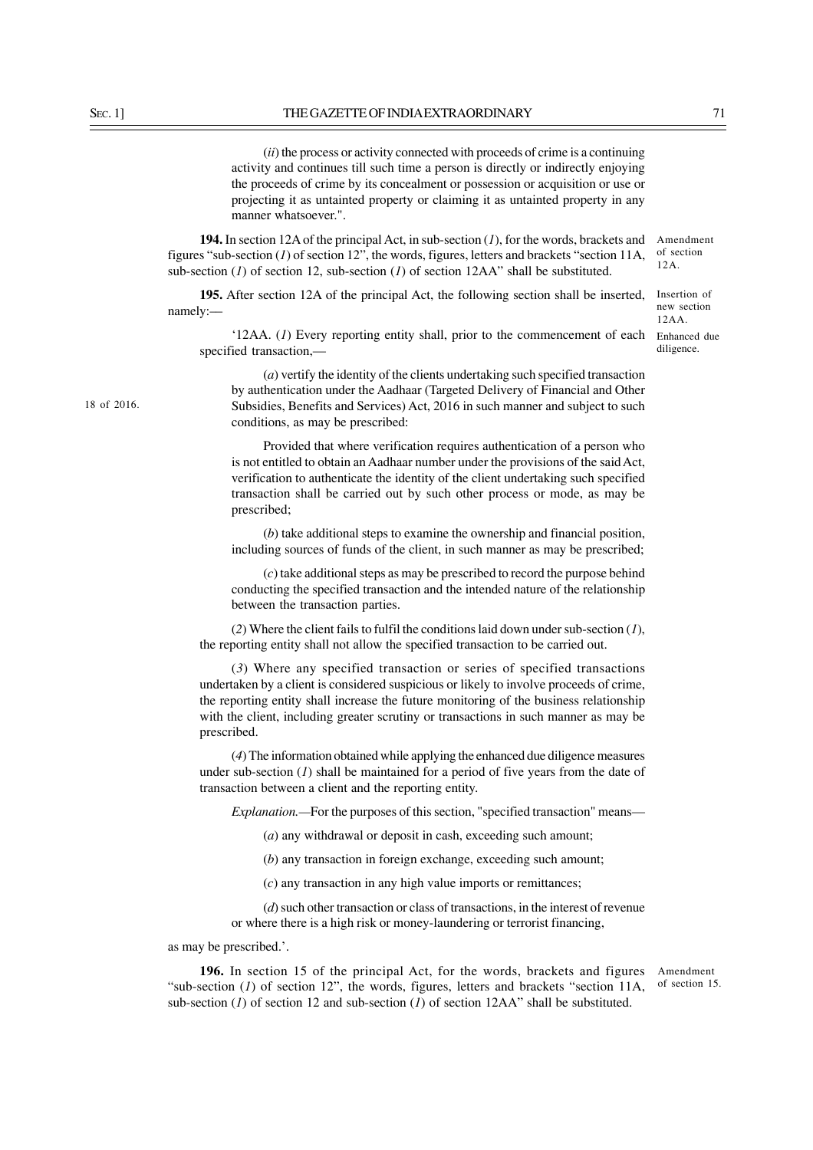(*ii*) the process or activity connected with proceeds of crime is a continuing activity and continues till such time a person is directly or indirectly enjoying the proceeds of crime by its concealment or possession or acquisition or use or projecting it as untainted property or claiming it as untainted property in any manner whatsoever.".

**194.** In section 12A of the principal Act, in sub-section (*1*), for the words, brackets and figures "sub-section (*1*) of section 12", the words, figures, letters and brackets "section 11A, sub-section (*1*) of section 12, sub-section (*1*) of section 12AA" shall be substituted.

**195.** After section 12A of the principal Act, the following section shall be inserted, namely:––

'12AA. (*1*) Every reporting entity shall, prior to the commencement of each Enhanced due specified transaction,

(*a*) vertify the identity of the clients undertaking such specified transaction by authentication under the Aadhaar (Targeted Delivery of Financial and Other Subsidies, Benefits and Services) Act, 2016 in such manner and subject to such conditions, as may be prescribed:

Provided that where verification requires authentication of a person who is not entitled to obtain an Aadhaar number under the provisions of the said Act, verification to authenticate the identity of the client undertaking such specified transaction shall be carried out by such other process or mode, as may be prescribed;

(*b*) take additional steps to examine the ownership and financial position, including sources of funds of the client, in such manner as may be prescribed;

(*c*) take additional steps as may be prescribed to record the purpose behind conducting the specified transaction and the intended nature of the relationship between the transaction parties.

(*2*) Where the client fails to fulfil the conditions laid down under sub-section (*1*), the reporting entity shall not allow the specified transaction to be carried out.

(*3*) Where any specified transaction or series of specified transactions undertaken by a client is considered suspicious or likely to involve proceeds of crime, the reporting entity shall increase the future monitoring of the business relationship with the client, including greater scrutiny or transactions in such manner as may be prescribed.

(*4*) The information obtained while applying the enhanced due diligence measures under sub-section (*1*) shall be maintained for a period of five years from the date of transaction between a client and the reporting entity.

*Explanation.—*For the purposes of this section, "specified transaction" means—

(*a*) any withdrawal or deposit in cash, exceeding such amount;

(*b*) any transaction in foreign exchange, exceeding such amount;

(*c*) any transaction in any high value imports or remittances;

(*d*) such other transaction or class of transactions, in the interest of revenue or where there is a high risk or money-laundering or terrorist financing,

as may be prescribed.'.

196. In section 15 of the principal Act, for the words, brackets and figures Amendment "sub-section (*1*) of section 12", the words, figures, letters and brackets "section 11A, sub-section ( $I$ ) of section 12 and sub-section ( $I$ ) of section 12AA" shall be substituted. of section 15.

Insertion of new section 12AA. diligence.

12A.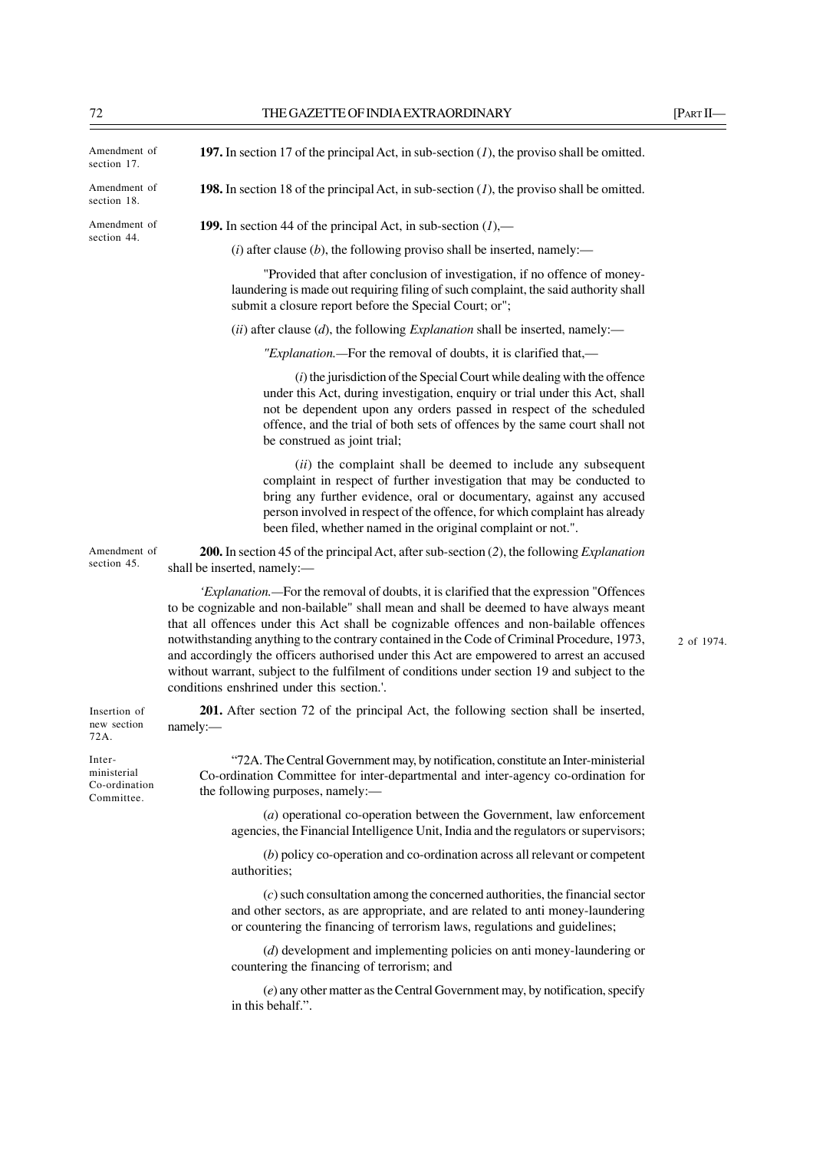| Amendment of<br>section 17.                          | 197. In section 17 of the principal Act, in sub-section $(1)$ , the proviso shall be omitted.                                                                                                                                                                                                                                                                                                                                                                                                                                                                                                                         |            |
|------------------------------------------------------|-----------------------------------------------------------------------------------------------------------------------------------------------------------------------------------------------------------------------------------------------------------------------------------------------------------------------------------------------------------------------------------------------------------------------------------------------------------------------------------------------------------------------------------------------------------------------------------------------------------------------|------------|
| Amendment of<br>section 18.                          | <b>198.</b> In section 18 of the principal Act, in sub-section $(1)$ , the proviso shall be omitted.                                                                                                                                                                                                                                                                                                                                                                                                                                                                                                                  |            |
| Amendment of                                         | <b>199.</b> In section 44 of the principal Act, in sub-section $(l)$ ,—                                                                                                                                                                                                                                                                                                                                                                                                                                                                                                                                               |            |
| section 44.                                          | (i) after clause (b), the following proviso shall be inserted, namely:—                                                                                                                                                                                                                                                                                                                                                                                                                                                                                                                                               |            |
|                                                      | "Provided that after conclusion of investigation, if no offence of money-<br>laundering is made out requiring filing of such complaint, the said authority shall<br>submit a closure report before the Special Court; or";                                                                                                                                                                                                                                                                                                                                                                                            |            |
|                                                      | (ii) after clause (d), the following <i>Explanation</i> shall be inserted, namely:—                                                                                                                                                                                                                                                                                                                                                                                                                                                                                                                                   |            |
|                                                      | "Explanation.—For the removal of doubts, it is clarified that,—                                                                                                                                                                                                                                                                                                                                                                                                                                                                                                                                                       |            |
|                                                      | $(i)$ the jurisdiction of the Special Court while dealing with the offence<br>under this Act, during investigation, enquiry or trial under this Act, shall<br>not be dependent upon any orders passed in respect of the scheduled<br>offence, and the trial of both sets of offences by the same court shall not<br>be construed as joint trial;                                                                                                                                                                                                                                                                      |            |
|                                                      | (ii) the complaint shall be deemed to include any subsequent<br>complaint in respect of further investigation that may be conducted to<br>bring any further evidence, oral or documentary, against any accused<br>person involved in respect of the offence, for which complaint has already<br>been filed, whether named in the original complaint or not.".                                                                                                                                                                                                                                                         |            |
| Amendment of<br>section 45.                          | 200. In section 45 of the principal Act, after sub-section $(2)$ , the following <i>Explanation</i><br>shall be inserted, namely:-                                                                                                                                                                                                                                                                                                                                                                                                                                                                                    |            |
|                                                      | 'Explanation.—For the removal of doubts, it is clarified that the expression "Offences<br>to be cognizable and non-bailable" shall mean and shall be deemed to have always meant<br>that all offences under this Act shall be cognizable offences and non-bailable offences<br>notwithstanding anything to the contrary contained in the Code of Criminal Procedure, 1973,<br>and accordingly the officers authorised under this Act are empowered to arrest an accused<br>without warrant, subject to the fulfilment of conditions under section 19 and subject to the<br>conditions enshrined under this section.'. | 2 of 1974. |
| Insertion of<br>new section<br>72A.                  | 201. After section 72 of the principal Act, the following section shall be inserted,<br>namely:                                                                                                                                                                                                                                                                                                                                                                                                                                                                                                                       |            |
| Inter-<br>ministerial<br>Co-ordination<br>Committee. | "72A. The Central Government may, by notification, constitute an Inter-ministerial<br>Co-ordination Committee for inter-departmental and inter-agency co-ordination for<br>the following purposes, namely:-                                                                                                                                                                                                                                                                                                                                                                                                           |            |
|                                                      | $(a)$ operational co-operation between the Government, law enforcement<br>agencies, the Financial Intelligence Unit, India and the regulators or supervisors;                                                                                                                                                                                                                                                                                                                                                                                                                                                         |            |
|                                                      | (b) policy co-operation and co-ordination across all relevant or competent<br>authorities;                                                                                                                                                                                                                                                                                                                                                                                                                                                                                                                            |            |
|                                                      | $(c)$ such consultation among the concerned authorities, the financial sector<br>and other sectors, as are appropriate, and are related to anti money-laundering<br>or countering the financing of terrorism laws, regulations and guidelines;                                                                                                                                                                                                                                                                                                                                                                        |            |
|                                                      | $(d)$ development and implementing policies on anti money-laundering or                                                                                                                                                                                                                                                                                                                                                                                                                                                                                                                                               |            |

countering the financing of terrorism; and

(*e*) any other matter as the Central Government may, by notification, specify in this behalf.".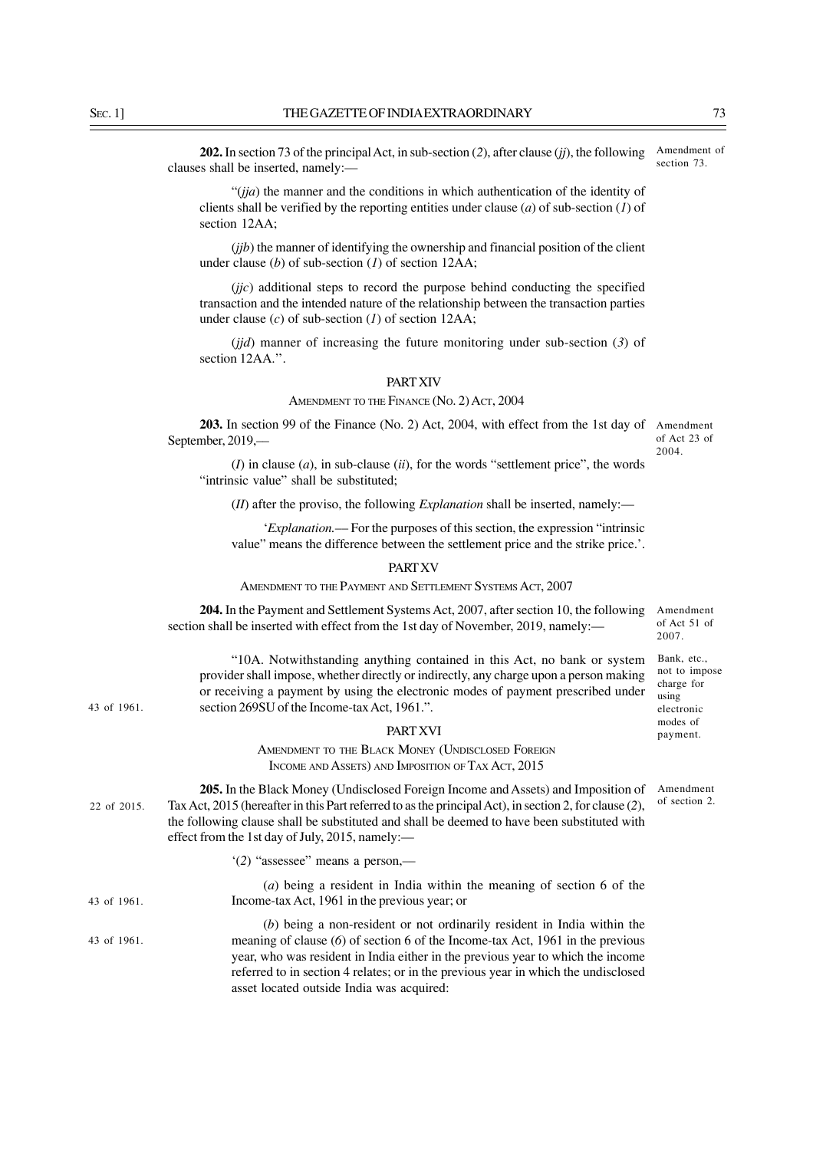**202.** In section 73 of the principal Act, in sub-section (*2*), after clause (*jj*), the following clauses shall be inserted, namely:–– Amendment of section 73.

"(*jja*) the manner and the conditions in which authentication of the identity of clients shall be verified by the reporting entities under clause (*a*) of sub-section (*1*) of section 12AA;

(*jjb*) the manner of identifying the ownership and financial position of the client under clause (*b*) of sub-section (*1*) of section 12AA;

(*jjc*) additional steps to record the purpose behind conducting the specified transaction and the intended nature of the relationship between the transaction parties under clause (*c*) of sub-section (*1*) of section 12AA;

(*jjd*) manner of increasing the future monitoring under sub-section (*3*) of section 12AA.".

#### PART XIV

#### AMENDMENT TO THE FINANCE (No. 2) ACT, 2004

**203.** In section 99 of the Finance (No. 2) Act, 2004, with effect from the 1st day of Amendment September, 2019,––

of Act 23 of 2004.

Amendment of Act 51 of 2007. Bank, etc., not to impose charge for using electronic modes of payment.

(*I*) in clause (*a*), in sub-clause (*ii*), for the words "settlement price", the words "intrinsic value" shall be substituted;

(*II*) after the proviso, the following *Explanation* shall be inserted, namely:––

'*Explanation.*–– For the purposes of this section, the expression "intrinsic value" means the difference between the settlement price and the strike price.'.

#### PART XV

AMENDMENT TO THE PAYMENT AND SETTLEMENT SYSTEMS ACT, 2007

**204.** In the Payment and Settlement Systems Act, 2007, after section 10, the following section shall be inserted with effect from the 1st day of November, 2019, namely:-

"10A. Notwithstanding anything contained in this Act, no bank or system provider shall impose, whether directly or indirectly, any charge upon a person making or receiving a payment by using the electronic modes of payment prescribed under section 269SU of the Income-tax Act, 1961.".

PART XVI

AMENDMENT TO THE BLACK MONEY (UNDISCLOSED FOREIGN INCOME AND ASSETS) AND IMPOSITION OF TAX ACT, 2015

Amendment of section 2.

**205.** In the Black Money (Undisclosed Foreign Income and Assets) and Imposition of Tax Act, 2015 (hereafter in this Part referred to as the principal Act), in section 2, for clause (*2*), the following clause shall be substituted and shall be deemed to have been substituted with effect from the 1st day of July, 2015, namely:–– 22 of 2015.

'(*2*) "assessee" means a person,––

(*a*) being a resident in India within the meaning of section 6 of the Income-tax Act, 1961 in the previous year; or

(*b*) being a non-resident or not ordinarily resident in India within the meaning of clause (*6*) of section 6 of the Income-tax Act, 1961 in the previous year, who was resident in India either in the previous year to which the income referred to in section 4 relates; or in the previous year in which the undisclosed asset located outside India was acquired: 43 of 1961.

43 of 1961.

43 of 1961.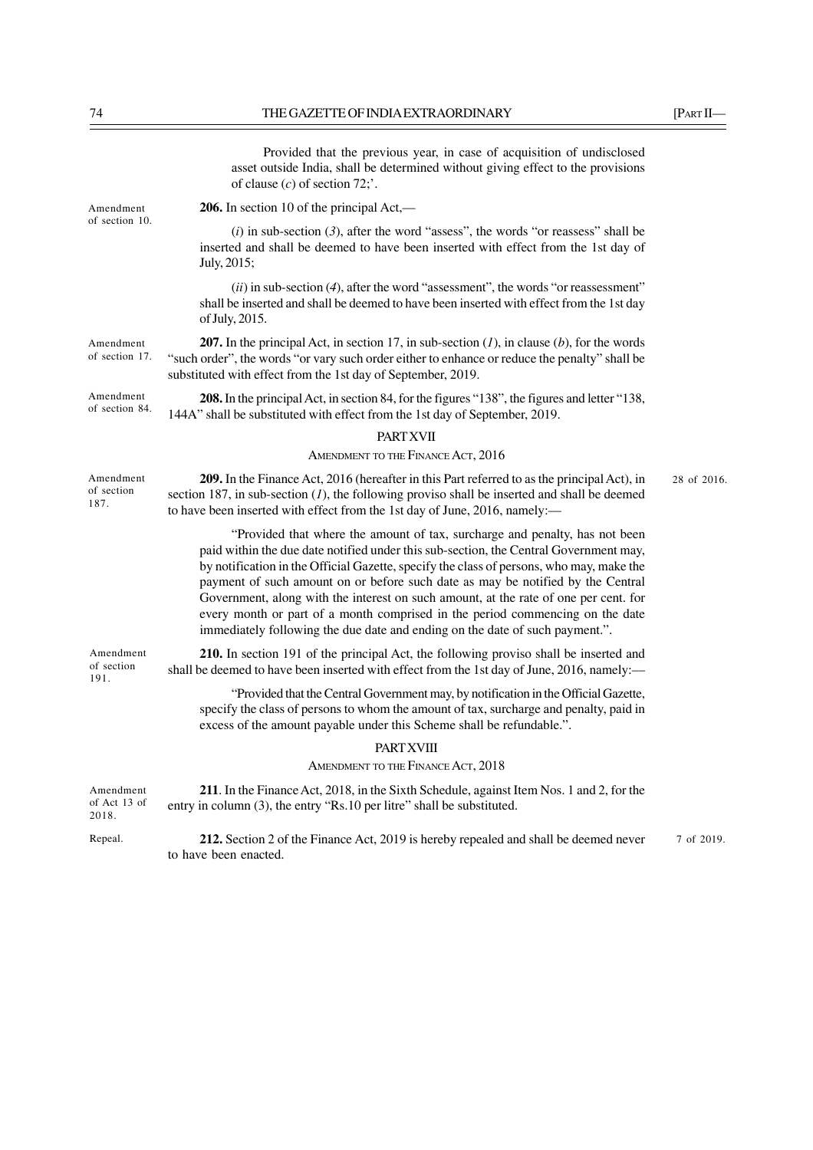|                                    | Provided that the previous year, in case of acquisition of undisclosed<br>asset outside India, shall be determined without giving effect to the provisions<br>of clause $(c)$ of section 72;'.                                                                                                                                                                                                                                                                                                                                                                                                               |             |
|------------------------------------|--------------------------------------------------------------------------------------------------------------------------------------------------------------------------------------------------------------------------------------------------------------------------------------------------------------------------------------------------------------------------------------------------------------------------------------------------------------------------------------------------------------------------------------------------------------------------------------------------------------|-------------|
| Amendment<br>of section 10.        | 206. In section 10 of the principal Act,—                                                                                                                                                                                                                                                                                                                                                                                                                                                                                                                                                                    |             |
|                                    | $(i)$ in sub-section (3), after the word "assess", the words "or reassess" shall be<br>inserted and shall be deemed to have been inserted with effect from the 1st day of<br>July, 2015;                                                                                                                                                                                                                                                                                                                                                                                                                     |             |
|                                    | $(ii)$ in sub-section (4), after the word "assessment", the words "or reassessment"<br>shall be inserted and shall be deemed to have been inserted with effect from the 1st day<br>of July, 2015.                                                                                                                                                                                                                                                                                                                                                                                                            |             |
| Amendment<br>of section 17.        | <b>207.</b> In the principal Act, in section 17, in sub-section $(I)$ , in clause $(b)$ , for the words<br>"such order", the words "or vary such order either to enhance or reduce the penalty" shall be<br>substituted with effect from the 1st day of September, 2019.                                                                                                                                                                                                                                                                                                                                     |             |
| Amendment<br>of section 84.        | 208. In the principal Act, in section 84, for the figures "138", the figures and letter "138,<br>144A" shall be substituted with effect from the 1st day of September, 2019.                                                                                                                                                                                                                                                                                                                                                                                                                                 |             |
|                                    | <b>PART XVII</b>                                                                                                                                                                                                                                                                                                                                                                                                                                                                                                                                                                                             |             |
|                                    | AMENDMENT TO THE FINANCE ACT, 2016                                                                                                                                                                                                                                                                                                                                                                                                                                                                                                                                                                           |             |
| Amendment<br>of section<br>187.    | 209. In the Finance Act, 2016 (hereafter in this Part referred to as the principal Act), in<br>section 187, in sub-section $(I)$ , the following proviso shall be inserted and shall be deemed<br>to have been inserted with effect from the 1st day of June, 2016, namely:-                                                                                                                                                                                                                                                                                                                                 | 28 of 2016. |
|                                    | "Provided that where the amount of tax, surcharge and penalty, has not been<br>paid within the due date notified under this sub-section, the Central Government may,<br>by notification in the Official Gazette, specify the class of persons, who may, make the<br>payment of such amount on or before such date as may be notified by the Central<br>Government, along with the interest on such amount, at the rate of one per cent. for<br>every month or part of a month comprised in the period commencing on the date<br>immediately following the due date and ending on the date of such payment.". |             |
| Amendment<br>of section<br>191.    | 210. In section 191 of the principal Act, the following proviso shall be inserted and<br>shall be deemed to have been inserted with effect from the 1st day of June, 2016, namely:—                                                                                                                                                                                                                                                                                                                                                                                                                          |             |
|                                    | "Provided that the Central Government may, by notification in the Official Gazette,<br>specify the class of persons to whom the amount of tax, surcharge and penalty, paid in<br>excess of the amount payable under this Scheme shall be refundable.".                                                                                                                                                                                                                                                                                                                                                       |             |
|                                    | <b>PART XVIII</b>                                                                                                                                                                                                                                                                                                                                                                                                                                                                                                                                                                                            |             |
|                                    | AMENDMENT TO THE FINANCE ACT, 2018                                                                                                                                                                                                                                                                                                                                                                                                                                                                                                                                                                           |             |
| Amendment<br>of Act 13 of<br>2018. | 211. In the Finance Act, 2018, in the Sixth Schedule, against Item Nos. 1 and 2, for the<br>entry in column (3), the entry "Rs.10 per litre" shall be substituted.                                                                                                                                                                                                                                                                                                                                                                                                                                           |             |
| Repeal.                            | 212. Section 2 of the Finance Act, 2019 is hereby repealed and shall be deemed never<br>to have been enacted.                                                                                                                                                                                                                                                                                                                                                                                                                                                                                                | 7 of 2019.  |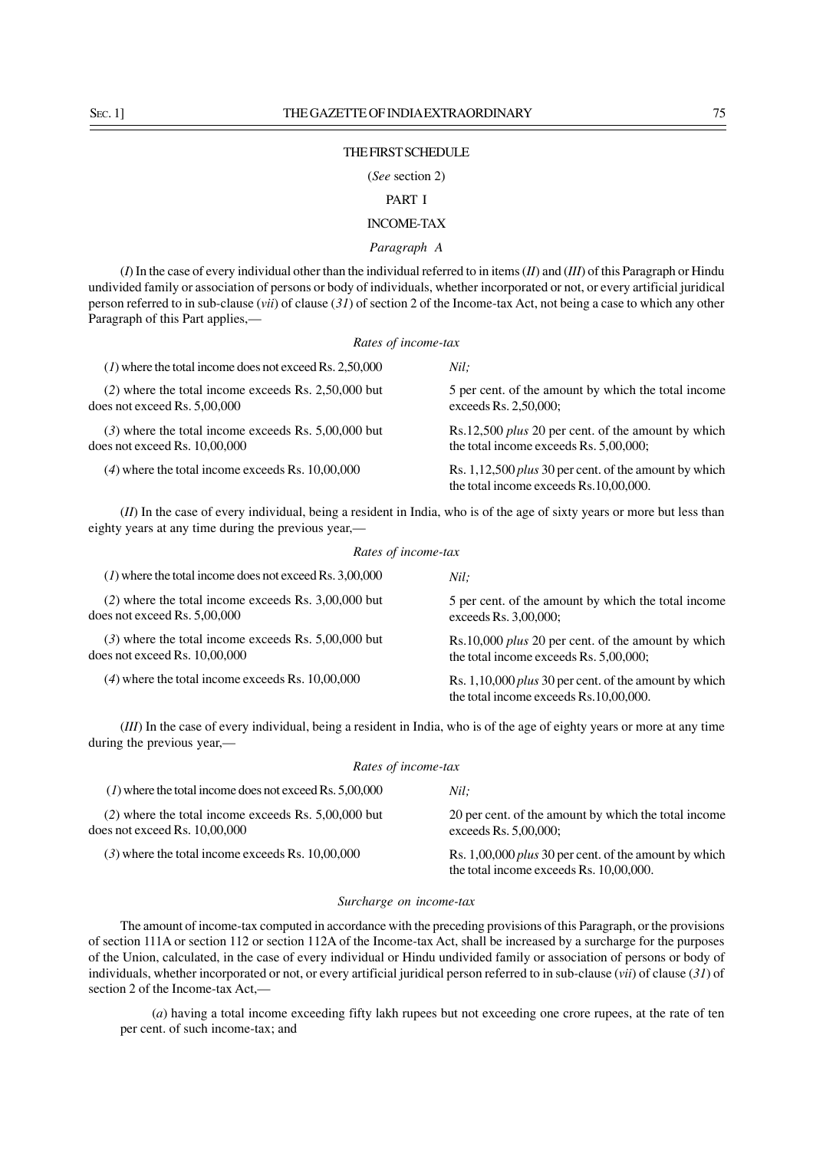# THE FIRST SCHEDULE

# (*See* section 2)

# PART I

# INCOME-TAX

# *Paragraph A*

(*I*) In the case of every individual other than the individual referred to in items (*II*) and (*III*) of this Paragraph or Hindu undivided family or association of persons or body of individuals, whether incorporated or not, or every artificial juridical person referred to in sub-clause (*vii*) of clause (*31*) of section 2 of the Income-tax Act, not being a case to which any other Paragraph of this Part applies,—

#### *Rates of income-tax*

| $(1)$ where the total income does not exceed Rs. 2,50,000 | Nil:                                                                                                   |
|-----------------------------------------------------------|--------------------------------------------------------------------------------------------------------|
| $(2)$ where the total income exceeds Rs. 2,50,000 but     | 5 per cent. of the amount by which the total income                                                    |
| does not exceed Rs. 5,00,000                              | exceeds Rs. 2,50,000;                                                                                  |
| $(3)$ where the total income exceeds Rs. 5,00,000 but     | Rs.12,500 <i>plus</i> 20 per cent. of the amount by which                                              |
| does not exceed Rs. $10,00,000$                           | the total income exceeds Rs. 5,00,000;                                                                 |
| $(4)$ where the total income exceeds Rs. 10,00,000        | Rs. 1,12,500 <i>plus</i> 30 per cent. of the amount by which<br>the total income exceeds Rs.10,00,000. |

(*II*) In the case of every individual, being a resident in India, who is of the age of sixty years or more but less than eighty years at any time during the previous year,— *Rates of income-tax*

| Rates of theome-tax                                                                     |                                                                                                     |  |
|-----------------------------------------------------------------------------------------|-----------------------------------------------------------------------------------------------------|--|
| $(1)$ where the total income does not exceed Rs. 3,00,000                               | Nil:                                                                                                |  |
| $(2)$ where the total income exceeds Rs. 3,00,000 but<br>does not exceed Rs. $5,00,000$ | 5 per cent. of the amount by which the total income<br>exceeds Rs. 3,00,000;                        |  |
| $(3)$ where the total income exceeds Rs. 5,00,000 but<br>does not exceed Rs. 10,00,000  | Rs.10,000 <i>plus</i> 20 per cent. of the amount by which<br>the total income exceeds Rs. 5,00,000; |  |
| $(4)$ where the total income exceeds Rs. 10,00,000                                      | Rs. $1,10,000$ plus 30 per cent. of the amount by which<br>the total income exceeds Rs.10,00,000.   |  |

(*III*) In the case of every individual, being a resident in India, who is of the age of eighty years or more at any time during the previous year,—

| Rates of income-tax                                                                      |                                                                                                         |  |
|------------------------------------------------------------------------------------------|---------------------------------------------------------------------------------------------------------|--|
| $(1)$ where the total income does not exceed Rs. 5,00,000                                | Nil:                                                                                                    |  |
| $(2)$ where the total income exceeds Rs. 5,00,000 but<br>does not exceed Rs. $10,00,000$ | 20 per cent. of the amount by which the total income<br>exceeds Rs. 5,00,000;                           |  |
| $(3)$ where the total income exceeds Rs. 10,00,000                                       | Rs. 1,00,000 <i>plus</i> 30 per cent. of the amount by which<br>the total income exceeds Rs. 10,00,000. |  |

#### *Surcharge on income-tax*

The amount of income-tax computed in accordance with the preceding provisions of this Paragraph, or the provisions of section 111A or section 112 or section 112A of the Income-tax Act, shall be increased by a surcharge for the purposes of the Union, calculated, in the case of every individual or Hindu undivided family or association of persons or body of individuals, whether incorporated or not, or every artificial juridical person referred to in sub-clause (*vii*) of clause (*31*) of section 2 of the Income-tax Act,—

(*a*) having a total income exceeding fifty lakh rupees but not exceeding one crore rupees, at the rate of ten per cent. of such income-tax; and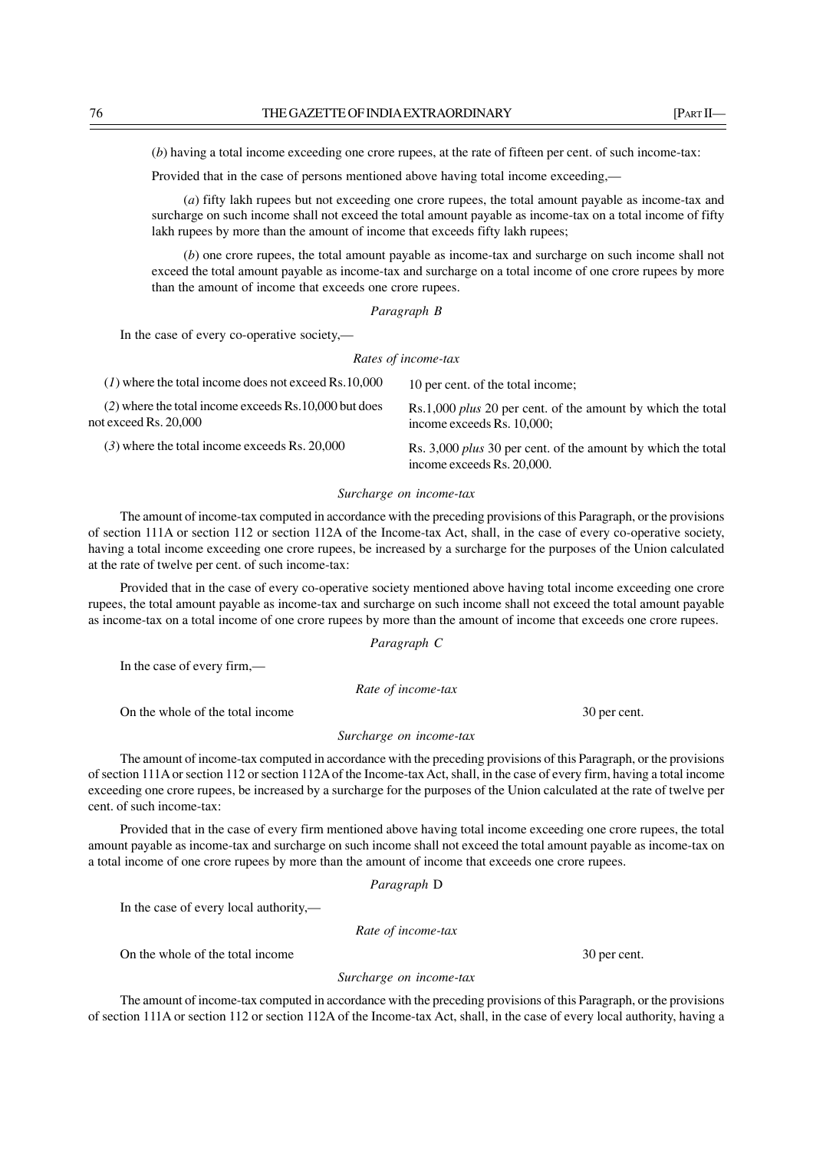(*b*) having a total income exceeding one crore rupees, at the rate of fifteen per cent. of such income-tax:

Provided that in the case of persons mentioned above having total income exceeding,—

(*a*) fifty lakh rupees but not exceeding one crore rupees, the total amount payable as income-tax and surcharge on such income shall not exceed the total amount payable as income-tax on a total income of fifty lakh rupees by more than the amount of income that exceeds fifty lakh rupees;

(*b*) one crore rupees, the total amount payable as income-tax and surcharge on such income shall not exceed the total amount payable as income-tax and surcharge on a total income of one crore rupees by more than the amount of income that exceeds one crore rupees.

*Paragraph B*

In the case of every co-operative society,—

*Rates of income-tax*

| $(1)$ where the total income does not exceed Rs.10,000                            | 10 per cent. of the total income;                                                                 |
|-----------------------------------------------------------------------------------|---------------------------------------------------------------------------------------------------|
| $(2)$ where the total income exceeds Rs. 10,000 but does<br>not exceed Rs. 20,000 | Rs.1,000 <i>plus</i> 20 per cent. of the amount by which the total<br>income exceeds Rs. 10,000;  |
| $(3)$ where the total income exceeds Rs. 20,000                                   | Rs. 3,000 <i>plus</i> 30 per cent. of the amount by which the total<br>income exceeds Rs. 20,000. |

#### *Surcharge on income-tax*

The amount of income-tax computed in accordance with the preceding provisions of this Paragraph, or the provisions of section 111A or section 112 or section 112A of the Income-tax Act, shall, in the case of every co-operative society, having a total income exceeding one crore rupees, be increased by a surcharge for the purposes of the Union calculated at the rate of twelve per cent. of such income-tax:

Provided that in the case of every co-operative society mentioned above having total income exceeding one crore rupees, the total amount payable as income-tax and surcharge on such income shall not exceed the total amount payable as income-tax on a total income of one crore rupees by more than the amount of income that exceeds one crore rupees.

*Paragraph C*

In the case of every firm,—

*Rate of income-tax*

On the whole of the total income 30 per cent.

*Surcharge on income-tax*

The amount of income-tax computed in accordance with the preceding provisions of this Paragraph, or the provisions of section 111A or section 112 or section 112A of the Income-tax Act, shall, in the case of every firm, having a total income exceeding one crore rupees, be increased by a surcharge for the purposes of the Union calculated at the rate of twelve per cent. of such income-tax:

Provided that in the case of every firm mentioned above having total income exceeding one crore rupees, the total amount payable as income-tax and surcharge on such income shall not exceed the total amount payable as income-tax on a total income of one crore rupees by more than the amount of income that exceeds one crore rupees.

*Paragraph* D

In the case of every local authority,—

*Rate of income-tax*

On the whole of the total income 30 per cent.

*Surcharge on income-tax*

The amount of income-tax computed in accordance with the preceding provisions of this Paragraph, or the provisions of section 111A or section 112 or section 112A of the Income-tax Act, shall, in the case of every local authority, having a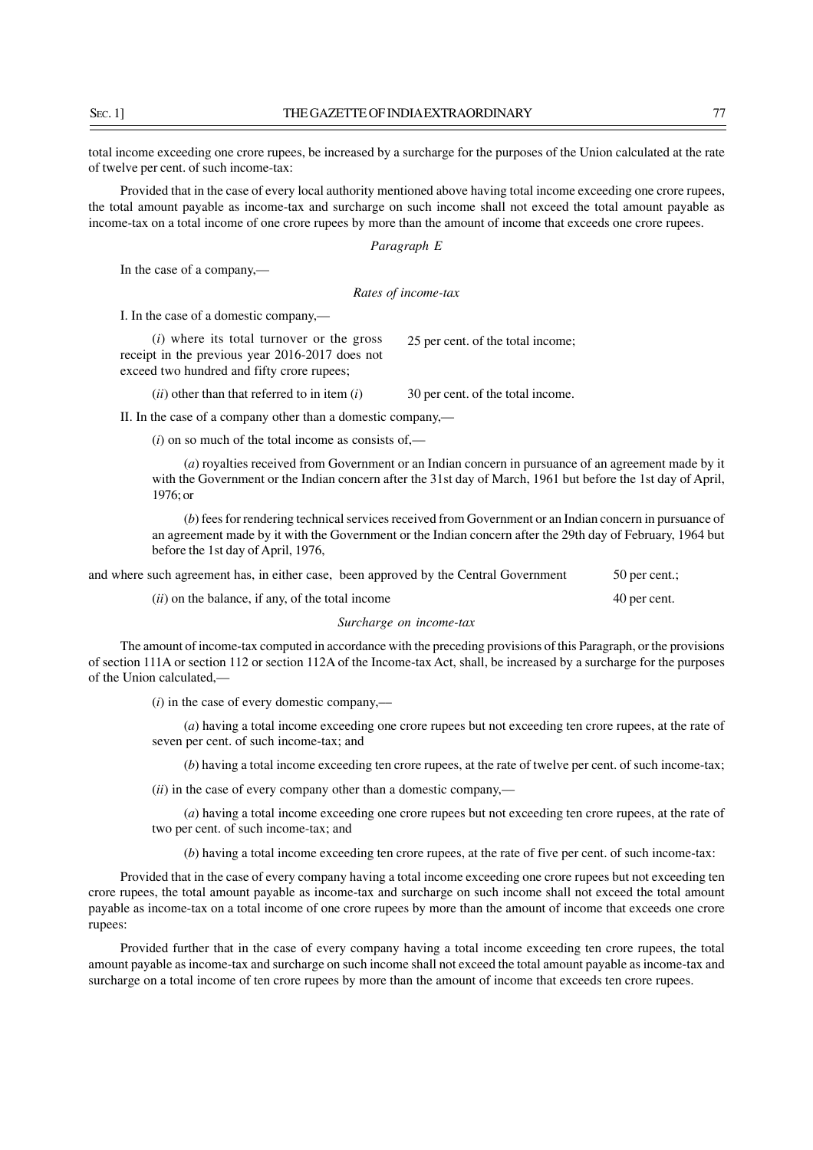SEC. 11 THE GAZETTE OF INDIA EXTRAORDINARY 77

total income exceeding one crore rupees, be increased by a surcharge for the purposes of the Union calculated at the rate of twelve per cent. of such income-tax:

Provided that in the case of every local authority mentioned above having total income exceeding one crore rupees, the total amount payable as income-tax and surcharge on such income shall not exceed the total amount payable as income-tax on a total income of one crore rupees by more than the amount of income that exceeds one crore rupees.

*Paragraph E*

In the case of a company,—

*Rates of income-tax*

I. In the case of a domestic company,—

(*i*) where its total turnover or the gross receipt in the previous year 2016-2017 does not exceed two hundred and fifty crore rupees; 25 per cent. of the total income;

(*ii*) other than that referred to in item (*i*) 30 per cent. of the total income.

II. In the case of a company other than a domestic company,—

(*i*) on so much of the total income as consists of,—

(*a*) royalties received from Government or an Indian concern in pursuance of an agreement made by it with the Government or the Indian concern after the 31st day of March, 1961 but before the 1st day of April, 1976; or

(*b*) fees for rendering technical services received from Government or an Indian concern in pursuance of an agreement made by it with the Government or the Indian concern after the 29th day of February, 1964 but before the 1st day of April, 1976,

| and where such agreement has, in either case, been approved by the Central Government |  | 50 per cent.; |
|---------------------------------------------------------------------------------------|--|---------------|
|---------------------------------------------------------------------------------------|--|---------------|

(*ii*) on the balance, if any, of the total income 40 per cent.

*Surcharge on income-tax*

The amount of income-tax computed in accordance with the preceding provisions of this Paragraph, or the provisions of section 111A or section 112 or section 112A of the Income-tax Act, shall, be increased by a surcharge for the purposes of the Union calculated,—

(*i*) in the case of every domestic company,––

(*a*) having a total income exceeding one crore rupees but not exceeding ten crore rupees, at the rate of seven per cent. of such income-tax; and

(*b*) having a total income exceeding ten crore rupees, at the rate of twelve per cent. of such income-tax;

(*ii*) in the case of every company other than a domestic company,––

(*a*) having a total income exceeding one crore rupees but not exceeding ten crore rupees, at the rate of two per cent. of such income-tax; and

(*b*) having a total income exceeding ten crore rupees, at the rate of five per cent. of such income-tax:

Provided that in the case of every company having a total income exceeding one crore rupees but not exceeding ten crore rupees, the total amount payable as income-tax and surcharge on such income shall not exceed the total amount payable as income-tax on a total income of one crore rupees by more than the amount of income that exceeds one crore rupees:

Provided further that in the case of every company having a total income exceeding ten crore rupees, the total amount payable as income-tax and surcharge on such income shall not exceed the total amount payable as income-tax and surcharge on a total income of ten crore rupees by more than the amount of income that exceeds ten crore rupees.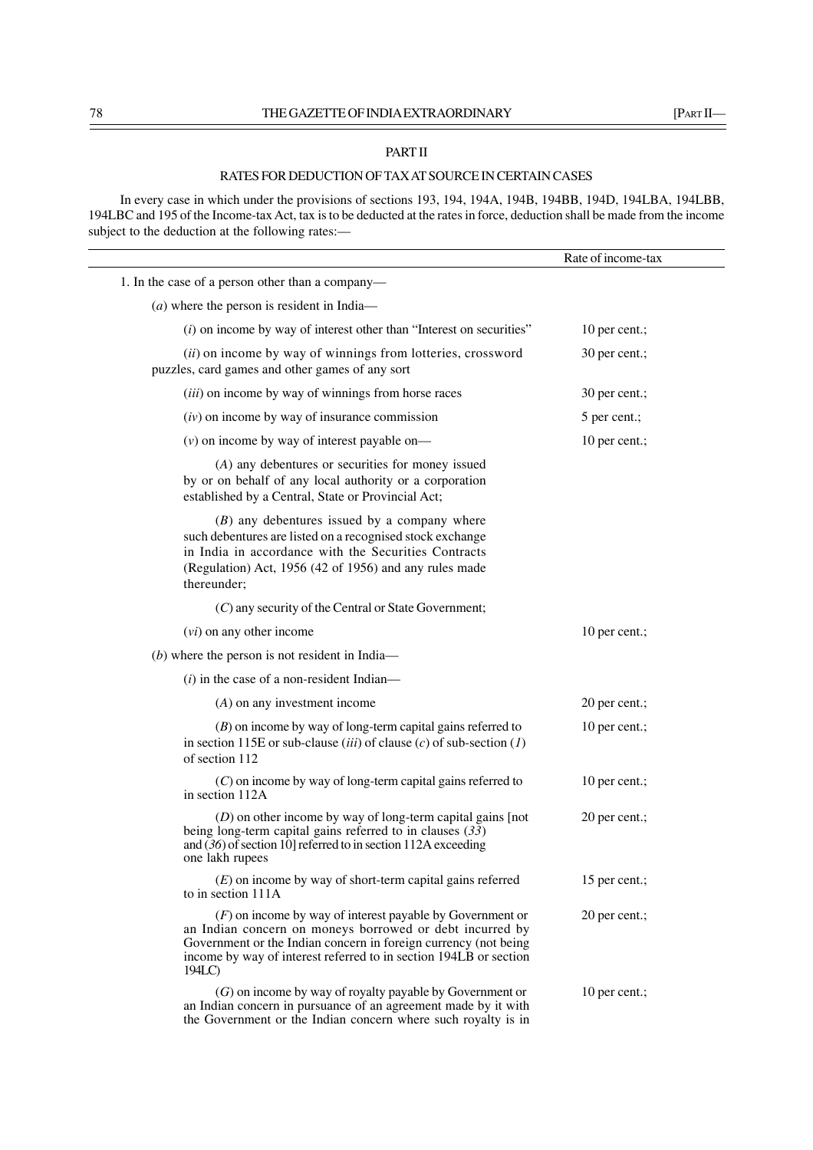# THE GAZETTE OF INDIA EXTRAORDINARY [PART II—

# PART II

# RATES FOR DEDUCTION OF TAX AT SOURCE IN CERTAIN CASES

In every case in which under the provisions of sections 193, 194, 194A, 194B, 194BB, 194D, 194LBA, 194LBB, 194LBC and 195 of the Income-tax Act, tax is to be deducted at the rates in force, deduction shall be made from the income subject to the deduction at the following rates:—

|                                                                                                                                                                                                                                                                           | Rate of income-tax |  |
|---------------------------------------------------------------------------------------------------------------------------------------------------------------------------------------------------------------------------------------------------------------------------|--------------------|--|
| 1. In the case of a person other than a company-                                                                                                                                                                                                                          |                    |  |
| $(a)$ where the person is resident in India—                                                                                                                                                                                                                              |                    |  |
| $(i)$ on income by way of interest other than "Interest on securities"                                                                                                                                                                                                    | 10 per cent.;      |  |
| (ii) on income by way of winnings from lotteries, crossword<br>puzzles, card games and other games of any sort                                                                                                                                                            | 30 per cent.;      |  |
| ( <i>iii</i> ) on income by way of winnings from horse races                                                                                                                                                                                                              | 30 per cent.;      |  |
| $(iv)$ on income by way of insurance commission                                                                                                                                                                                                                           | 5 per cent.;       |  |
| $(v)$ on income by way of interest payable on—                                                                                                                                                                                                                            | 10 per cent.;      |  |
| $(A)$ any debentures or securities for money issued<br>by or on behalf of any local authority or a corporation<br>established by a Central, State or Provincial Act;                                                                                                      |                    |  |
| $(B)$ any debentures issued by a company where<br>such debentures are listed on a recognised stock exchange<br>in India in accordance with the Securities Contracts<br>(Regulation) Act, 1956 (42 of 1956) and any rules made<br>thereunder;                              |                    |  |
| (C) any security of the Central or State Government;                                                                                                                                                                                                                      |                    |  |
| $(vi)$ on any other income                                                                                                                                                                                                                                                | 10 per cent.;      |  |
| $(b)$ where the person is not resident in India—                                                                                                                                                                                                                          |                    |  |
| $(i)$ in the case of a non-resident Indian—                                                                                                                                                                                                                               |                    |  |
| $(A)$ on any investment income                                                                                                                                                                                                                                            | 20 per cent.;      |  |
| $(B)$ on income by way of long-term capital gains referred to<br>in section 115E or sub-clause ( <i>iii</i> ) of clause ( <i>c</i> ) of sub-section ( <i>l</i> )<br>of section 112                                                                                        | 10 per cent.;      |  |
| $(C)$ on income by way of long-term capital gains referred to<br>in section 112A                                                                                                                                                                                          | 10 per cent.;      |  |
| $(D)$ on other income by way of long-term capital gains [not<br>being long-term capital gains referred to in clauses $(33)$<br>and $(36)$ of section 10] referred to in section 112A exceeding<br>one lakh rupees                                                         | 20 per cent.;      |  |
| $(E)$ on income by way of short-term capital gains referred<br>to in section 111A                                                                                                                                                                                         | 15 per cent.;      |  |
| $(F)$ on income by way of interest payable by Government or<br>an Indian concern on moneys borrowed or debt incurred by<br>Government or the Indian concern in foreign currency (not being<br>income by way of interest referred to in section 194LB or section<br>194LC) | 20 per cent.;      |  |
| $(G)$ on income by way of royalty payable by Government or<br>an Indian concern in pursuance of an agreement made by it with<br>the Government or the Indian concern where such royalty is in                                                                             | 10 per cent.;      |  |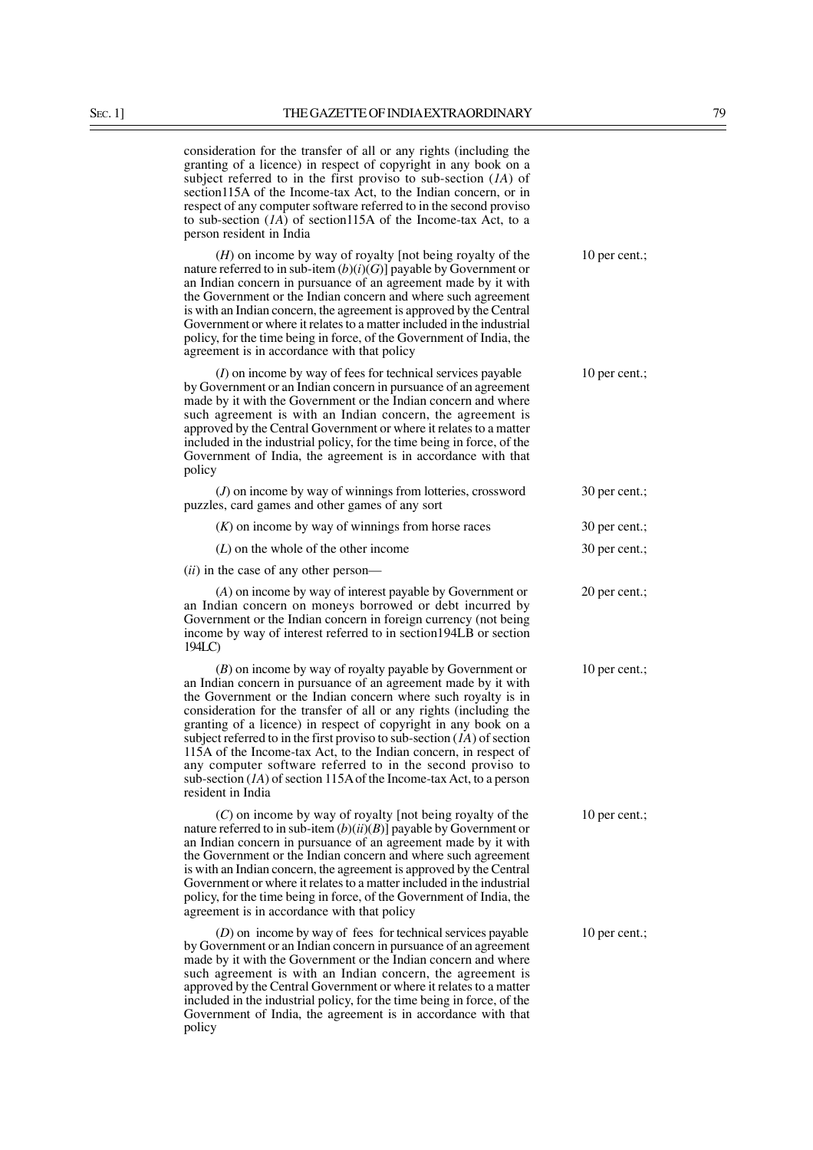consideration for the transfer of all or any rights (including the granting of a licence) in respect of copyright in any book on a subject referred to in the first proviso to sub-section (*1A*) of section115A of the Income-tax Act, to the Indian concern, or in respect of any computer software referred to in the second proviso to sub-section  $(1)$  of section115A of the Income-tax Act, to a person resident in India

(*H*) on income by way of royalty [not being royalty of the 10 per cent.; nature referred to in sub-item  $(b)(i)(G)$ ] payable by Government or an Indian concern in pursuance of an agreement made by it with the Government or the Indian concern and where such agreement is with an Indian concern, the agreement is approved by the Central Government or where it relates to a matter included in the industrial policy, for the time being in force, of the Government of India, the agreement is in accordance with that policy

(*I*) on income by way of fees for technical services payable 10 per cent.; by Government or an Indian concern in pursuance of an agreement made by it with the Government or the Indian concern and where such agreement is with an Indian concern, the agreement is approved by the Central Government or where it relates to a matter included in the industrial policy, for the time being in force, of the Government of India, the agreement is in accordance with that policy

(*J*) on income by way of winnings from lotteries, crossword 30 per cent.; puzzles, card games and other games of any sort (*K*) on income by way of winnings from horse races 30 per cent.; (*L*) on the whole of the other income 30 per cent.; (*ii*) in the case of any other person— (*A*) on income by way of interest payable by Government or 20 per cent.; an Indian concern on moneys borrowed or debt incurred by Government or the Indian concern in foreign currency (not being income by way of interest referred to in section194LB or section

(*B*) on income by way of royalty payable by Government or 10 per cent.; an Indian concern in pursuance of an agreement made by it with the Government or the Indian concern where such royalty is in consideration for the transfer of all or any rights (including the granting of a licence) in respect of copyright in any book on a subject referred to in the first proviso to sub-section (*1A*) of section 115A of the Income-tax Act, to the Indian concern, in respect of any computer software referred to in the second proviso to sub-section (*1A*) of section 115A of the Income-tax Act, to a person resident in India

194LC)

(*C*) on income by way of royalty [not being royalty of the 10 per cent.; nature referred to in sub-item  $(b)(ii)(B)$ ] payable by Government or an Indian concern in pursuance of an agreement made by it with the Government or the Indian concern and where such agreement is with an Indian concern, the agreement is approved by the Central Government or where it relates to a matter included in the industrial policy, for the time being in force, of the Government of India, the agreement is in accordance with that policy

(*D*) on income by way of fees for technical services payable 10 per cent.; by Government or an Indian concern in pursuance of an agreement made by it with the Government or the Indian concern and where such agreement is with an Indian concern, the agreement is approved by the Central Government or where it relates to a matter included in the industrial policy, for the time being in force, of the Government of India, the agreement is in accordance with that policy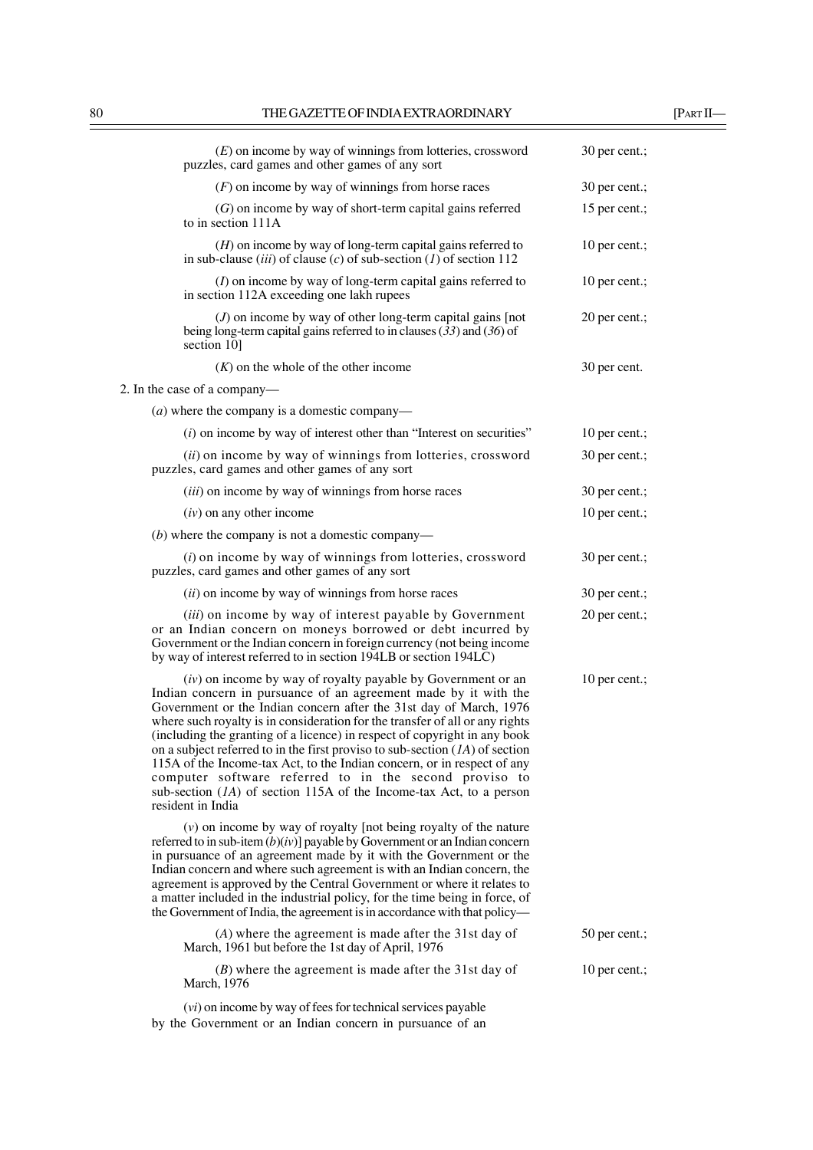| $(E)$ on income by way of winnings from lotteries, crossword<br>puzzles, card games and other games of any sort                                                                                                                                                                                                                                                                                                                                                                                                                                                                                                                                                                           | 30 per cent.; |
|-------------------------------------------------------------------------------------------------------------------------------------------------------------------------------------------------------------------------------------------------------------------------------------------------------------------------------------------------------------------------------------------------------------------------------------------------------------------------------------------------------------------------------------------------------------------------------------------------------------------------------------------------------------------------------------------|---------------|
| $(F)$ on income by way of winnings from horse races                                                                                                                                                                                                                                                                                                                                                                                                                                                                                                                                                                                                                                       | 30 per cent.; |
| $(G)$ on income by way of short-term capital gains referred<br>to in section 111A                                                                                                                                                                                                                                                                                                                                                                                                                                                                                                                                                                                                         | 15 per cent.; |
| $(H)$ on income by way of long-term capital gains referred to<br>in sub-clause <i>(iii)</i> of clause <i>(c)</i> of sub-section <i>(1)</i> of section 112                                                                                                                                                                                                                                                                                                                                                                                                                                                                                                                                 | 10 per cent.; |
| $(I)$ on income by way of long-term capital gains referred to<br>in section 112A exceeding one lakh rupees                                                                                                                                                                                                                                                                                                                                                                                                                                                                                                                                                                                | 10 per cent.; |
| $(J)$ on income by way of other long-term capital gains [not<br>being long-term capital gains referred to in clauses $(33)$ and $(36)$ of<br>section 10]                                                                                                                                                                                                                                                                                                                                                                                                                                                                                                                                  | 20 per cent.; |
| $(K)$ on the whole of the other income                                                                                                                                                                                                                                                                                                                                                                                                                                                                                                                                                                                                                                                    | 30 per cent.  |
| 2. In the case of a company-                                                                                                                                                                                                                                                                                                                                                                                                                                                                                                                                                                                                                                                              |               |
| ( <i>a</i> ) where the company is a domestic company—                                                                                                                                                                                                                                                                                                                                                                                                                                                                                                                                                                                                                                     |               |
| $(i)$ on income by way of interest other than "Interest on securities"                                                                                                                                                                                                                                                                                                                                                                                                                                                                                                                                                                                                                    | 10 per cent.; |
| (ii) on income by way of winnings from lotteries, crossword<br>puzzles, card games and other games of any sort                                                                                                                                                                                                                                                                                                                                                                                                                                                                                                                                                                            | 30 per cent.; |
| ( <i>iii</i> ) on income by way of winnings from horse races                                                                                                                                                                                                                                                                                                                                                                                                                                                                                                                                                                                                                              | 30 per cent.; |
| $(iv)$ on any other income                                                                                                                                                                                                                                                                                                                                                                                                                                                                                                                                                                                                                                                                | 10 per cent.; |
| $(b)$ where the company is not a domestic company—                                                                                                                                                                                                                                                                                                                                                                                                                                                                                                                                                                                                                                        |               |
| $(i)$ on income by way of winnings from lotteries, crossword<br>puzzles, card games and other games of any sort                                                                                                                                                                                                                                                                                                                                                                                                                                                                                                                                                                           | 30 per cent.; |
| $(ii)$ on income by way of winnings from horse races                                                                                                                                                                                                                                                                                                                                                                                                                                                                                                                                                                                                                                      | 30 per cent.; |
| (iii) on income by way of interest payable by Government<br>or an Indian concern on moneys borrowed or debt incurred by<br>Government or the Indian concern in foreign currency (not being income<br>by way of interest referred to in section 194LB or section 194LC)                                                                                                                                                                                                                                                                                                                                                                                                                    | 20 per cent.; |
| $(iv)$ on income by way of royalty payable by Government or an<br>Indian concern in pursuance of an agreement made by it with the<br>Government or the Indian concern after the 31st day of March, 1976<br>where such royalty is in consideration for the transfer of all or any rights<br>(including the granting of a licence) in respect of copyright in any book<br>on a subject referred to in the first proviso to sub-section $(1A)$ of section<br>115A of the Income-tax Act, to the Indian concern, or in respect of any<br>computer software referred to in the second proviso to<br>sub-section $(1A)$ of section 115A of the Income-tax Act, to a person<br>resident in India | 10 per cent.; |
| $(v)$ on income by way of royalty [not being royalty of the nature<br>referred to in sub-item $(b)(iv)$ ] payable by Government or an Indian concern<br>in pursuance of an agreement made by it with the Government or the<br>Indian concern and where such agreement is with an Indian concern, the<br>agreement is approved by the Central Government or where it relates to<br>a matter included in the industrial policy, for the time being in force, of<br>the Government of India, the agreement is in accordance with that policy—                                                                                                                                                |               |
| $(A)$ where the agreement is made after the 31st day of<br>March, 1961 but before the 1st day of April, 1976                                                                                                                                                                                                                                                                                                                                                                                                                                                                                                                                                                              | 50 per cent.; |
| $(B)$ where the agreement is made after the 31st day of<br>March, 1976                                                                                                                                                                                                                                                                                                                                                                                                                                                                                                                                                                                                                    | 10 per cent.; |

(*vi*) on income by way of fees for technical services payable by the Government or an Indian concern in pursuance of an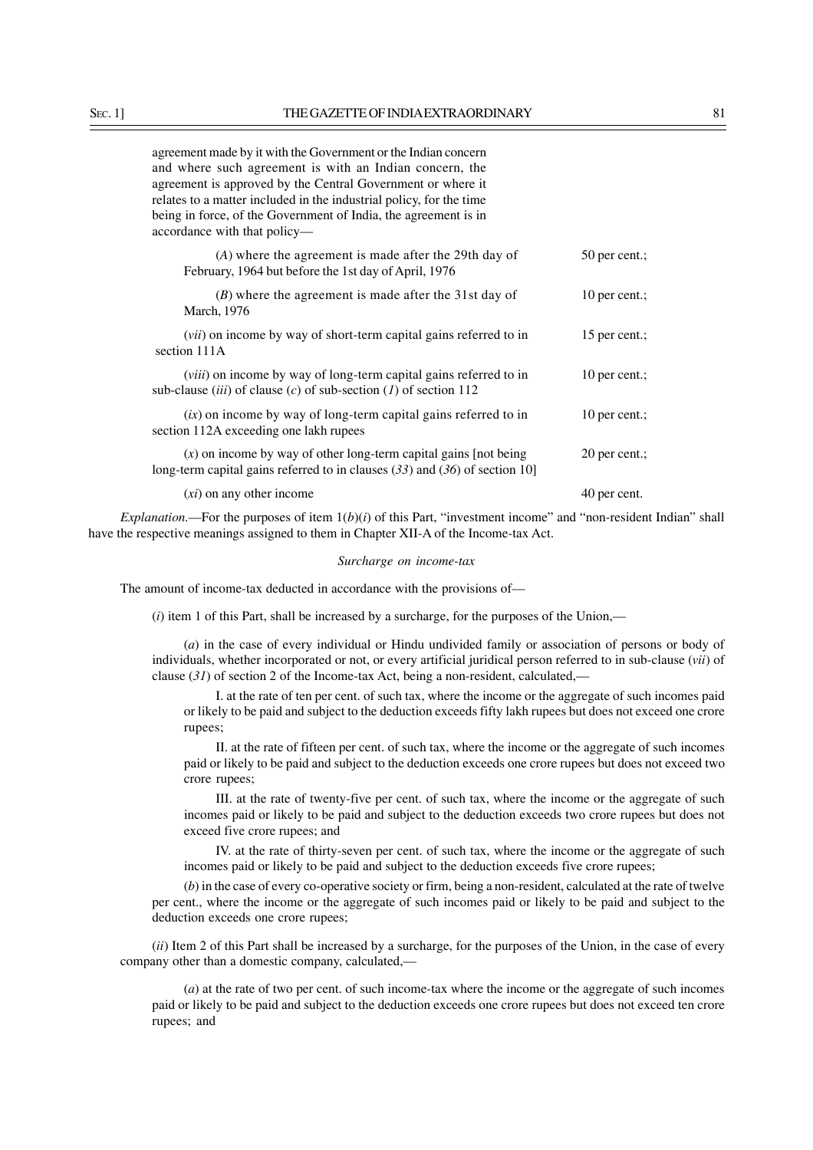| (A) where the agreement is made after the 29th day of<br>February, 1964 but before the 1st day of April, 1976                                                     | $50$ per cent.; |
|-------------------------------------------------------------------------------------------------------------------------------------------------------------------|-----------------|
| $(B)$ where the agreement is made after the 31st day of<br>March, 1976                                                                                            | 10 per cent.;   |
| <i>(vii)</i> on income by way of short-term capital gains referred to in<br>section 111A                                                                          | 15 per cent.;   |
| <i>(viii)</i> on income by way of long-term capital gains referred to in<br>sub-clause <i>(iii)</i> of clause <i>(c)</i> of sub-section <i>(1)</i> of section 112 | 10 per cent.;   |
| $(ix)$ on income by way of long-term capital gains referred to in<br>section 112A exceeding one lakh rupees                                                       | 10 per cent.;   |
| $(x)$ on income by way of other long-term capital gains [not being]<br>long-term capital gains referred to in clauses $(33)$ and $(36)$ of section 10]            | 20 per cent.;   |
| $(xi)$ on any other income                                                                                                                                        | 40 per cent.    |

*Explanation*.—For the purposes of item  $1(b)(i)$  of this Part, "investment income" and "non-resident Indian" shall have the respective meanings assigned to them in Chapter XII-A of the Income-tax Act.

### *Surcharge on income-tax*

The amount of income-tax deducted in accordance with the provisions of—

(*i*) item 1 of this Part, shall be increased by a surcharge, for the purposes of the Union,––

(*a*) in the case of every individual or Hindu undivided family or association of persons or body of individuals, whether incorporated or not, or every artificial juridical person referred to in sub-clause (*vii*) of clause (*31*) of section 2 of the Income-tax Act, being a non-resident, calculated,––

I. at the rate of ten per cent. of such tax, where the income or the aggregate of such incomes paid or likely to be paid and subject to the deduction exceeds fifty lakh rupees but does not exceed one crore rupees;

II. at the rate of fifteen per cent. of such tax, where the income or the aggregate of such incomes paid or likely to be paid and subject to the deduction exceeds one crore rupees but does not exceed two crore rupees;

III. at the rate of twenty-five per cent. of such tax, where the income or the aggregate of such incomes paid or likely to be paid and subject to the deduction exceeds two crore rupees but does not exceed five crore rupees; and

IV. at the rate of thirty-seven per cent. of such tax, where the income or the aggregate of such incomes paid or likely to be paid and subject to the deduction exceeds five crore rupees;

(*b*) in the case of every co-operative society or firm, being a non-resident, calculated at the rate of twelve per cent., where the income or the aggregate of such incomes paid or likely to be paid and subject to the deduction exceeds one crore rupees;

(*ii*) Item 2 of this Part shall be increased by a surcharge, for the purposes of the Union, in the case of every company other than a domestic company, calculated,––

(*a*) at the rate of two per cent. of such income-tax where the income or the aggregate of such incomes paid or likely to be paid and subject to the deduction exceeds one crore rupees but does not exceed ten crore rupees; and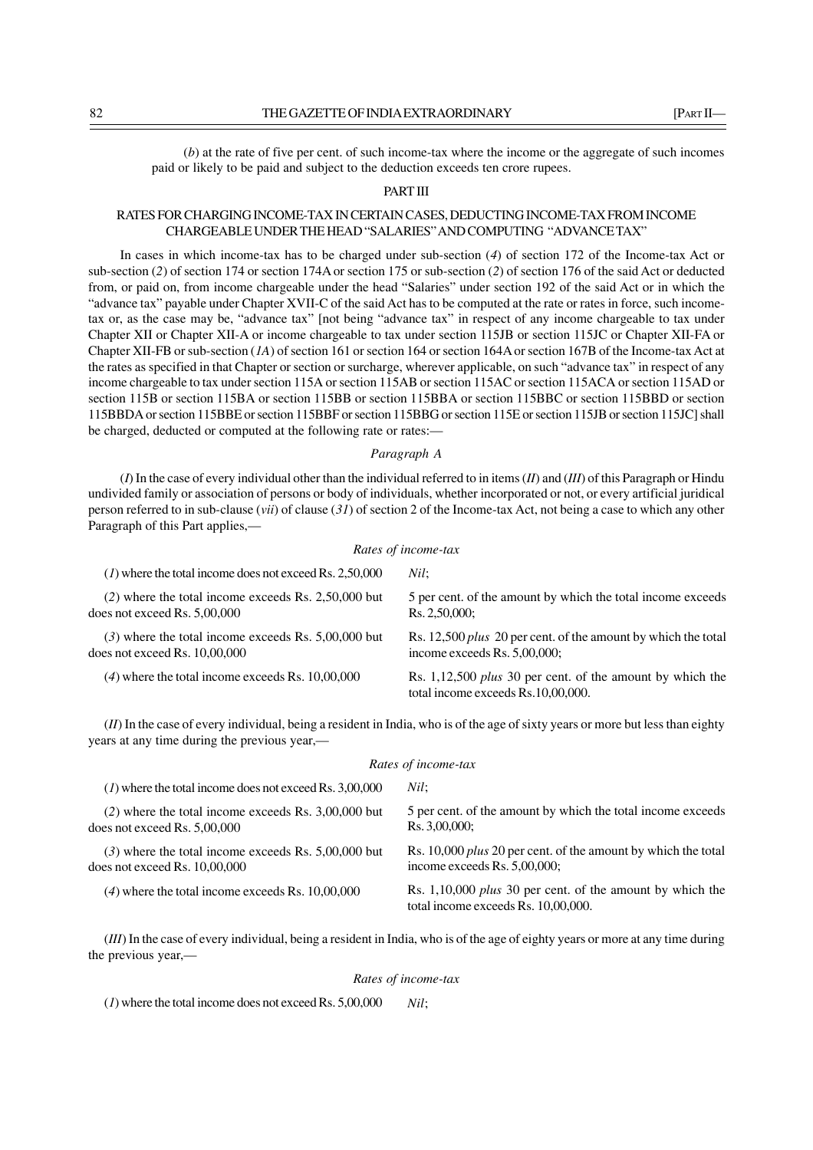(*b*) at the rate of five per cent. of such income-tax where the income or the aggregate of such incomes paid or likely to be paid and subject to the deduction exceeds ten crore rupees.

#### PART III

# RATES FOR CHARGING INCOME-TAX IN CERTAIN CASES, DEDUCTING INCOME-TAX FROM INCOME CHARGEABLE UNDER THE HEAD "SALARIES" AND COMPUTING "ADVANCE TAX"

In cases in which income-tax has to be charged under sub-section (*4*) of section 172 of the Income-tax Act or sub-section (*2*) of section 174 or section 174A or section 175 or sub-section (*2*) of section 176 of the said Act or deducted from, or paid on, from income chargeable under the head "Salaries" under section 192 of the said Act or in which the "advance tax" payable under Chapter XVII-C of the said Act has to be computed at the rate or rates in force, such incometax or, as the case may be, "advance tax" [not being "advance tax" in respect of any income chargeable to tax under Chapter XII or Chapter XII-A or income chargeable to tax under section 115JB or section 115JC or Chapter XII-FA or Chapter XII-FB or sub-section (*1A*) of section 161 or section 164 or section 164A or section 167B of the Income-tax Act at the rates as specified in that Chapter or section or surcharge, wherever applicable, on such "advance tax" in respect of any income chargeable to tax under section 115A or section 115AB or section 115AC or section 115ACA or section 115AD or section 115B or section 115BA or section 115BB or section 115BBA or section 115BBC or section 115BBD or section 115BBDA or section 115BBE or section 115BBF or section 115BBG or section 115E or section 115JB or section 115JC] shall be charged, deducted or computed at the following rate or rates:—

*Paragraph A*

(*I*) In the case of every individual other than the individual referred to in items (*II*) and (*III*) of this Paragraph or Hindu undivided family or association of persons or body of individuals, whether incorporated or not, or every artificial juridical person referred to in sub-clause (*vii*) of clause (*31*) of section 2 of the Income-tax Act, not being a case to which any other Paragraph of this Part applies,—

#### *Rates of income-tax*

| $(1)$ where the total income does not exceed Rs. 2,50,000                               | Nil:                                                                                                   |
|-----------------------------------------------------------------------------------------|--------------------------------------------------------------------------------------------------------|
| $(2)$ where the total income exceeds Rs. 2,50,000 but<br>does not exceed Rs. $5,00,000$ | 5 per cent. of the amount by which the total income exceeds<br>Rs. 2,50,000;                           |
| $(3)$ where the total income exceeds Rs. 5,00,000 but<br>does not exceed Rs. 10,00,000  | Rs. 12,500 <i>plus</i> 20 per cent. of the amount by which the total<br>income exceeds Rs. 5,00,000;   |
| $(4)$ where the total income exceeds Rs. 10,00,000                                      | Rs. 1,12,500 <i>plus</i> 30 per cent. of the amount by which the<br>total income exceeds Rs.10,00,000. |
|                                                                                         |                                                                                                        |

(*II*) In the case of every individual, being a resident in India, who is of the age of sixty years or more but less than eighty years at any time during the previous year,—

#### *Rates of income-tax*

| $(1)$ where the total income does not exceed Rs. 3,00,000 | Nil:                                                                                                    |
|-----------------------------------------------------------|---------------------------------------------------------------------------------------------------------|
| $(2)$ where the total income exceeds Rs. 3,00,000 but     | 5 per cent. of the amount by which the total income exceeds                                             |
| does not exceed Rs. $5,00,000$                            | Rs. 3,00,000;                                                                                           |
| $(3)$ where the total income exceeds Rs. 5,00,000 but     | Rs. 10,000 <i>plus</i> 20 per cent. of the amount by which the total                                    |
| does not exceed Rs. $10,00,000$                           | income exceeds Rs. 5,00,000;                                                                            |
| $(4)$ where the total income exceeds Rs. 10,00,000        | Rs. 1,10,000 <i>plus</i> 30 per cent. of the amount by which the<br>total income exceeds Rs. 10,00,000. |

(*III*) In the case of every individual, being a resident in India, who is of the age of eighty years or more at any time during the previous year,—

#### *Rates of income-tax*

(*1*) where the total income does not exceed Rs. 5,00,000 *Nil*;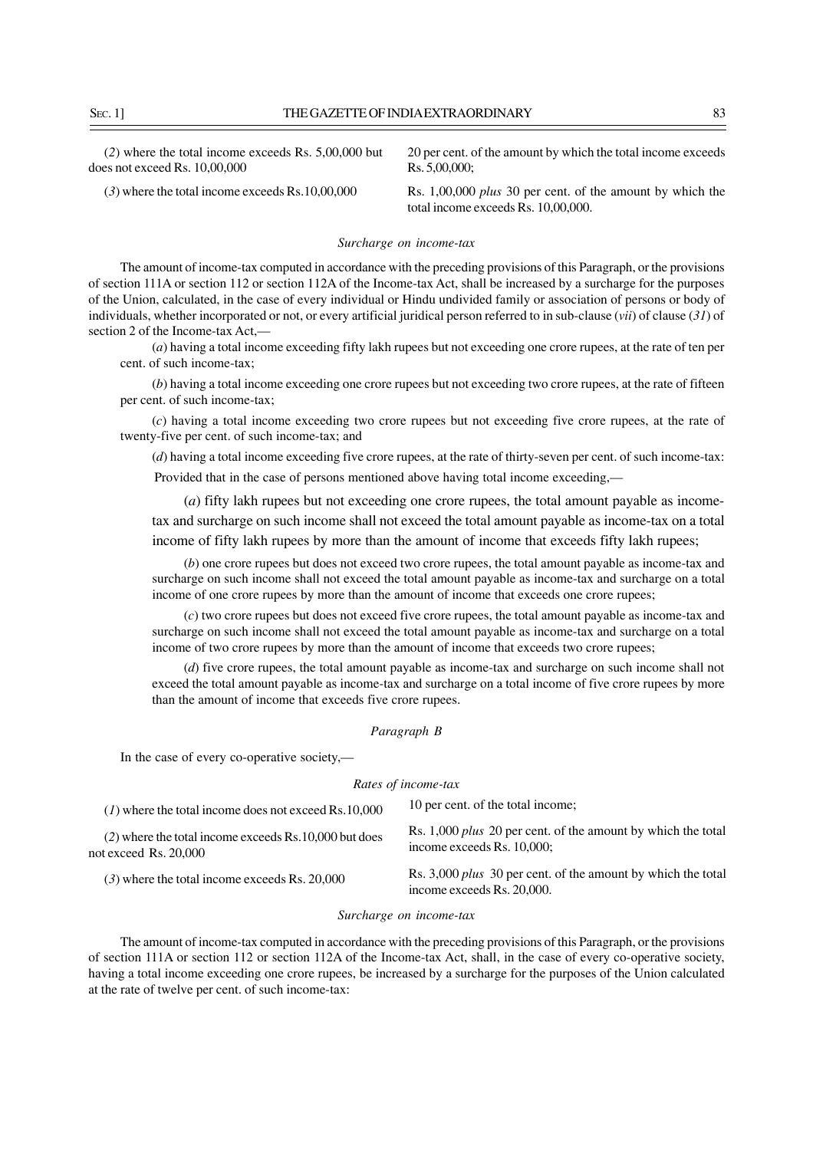SEC. 11 THE GAZETTE OF INDIA EXTRAORDINARY 83

| $(2)$ where the total income exceeds Rs. 5,00,000 but | 20 per cent, of the amount by which the total income exceeds                                            |
|-------------------------------------------------------|---------------------------------------------------------------------------------------------------------|
| $\alpha$ does not exceed Rs. 10,00,000                | $\text{Rs.} 5.00,000:$                                                                                  |
| $(3)$ where the total income exceeds Rs.10,00,000     | Rs. 1,00,000 <i>plus</i> 30 per cent. of the amount by which the<br>total income exceeds Rs. 10,00,000. |

#### *Surcharge on income-tax*

The amount of income-tax computed in accordance with the preceding provisions of this Paragraph, or the provisions of section 111A or section 112 or section 112A of the Income-tax Act, shall be increased by a surcharge for the purposes of the Union, calculated, in the case of every individual or Hindu undivided family or association of persons or body of individuals, whether incorporated or not, or every artificial juridical person referred to in sub-clause (*vii*) of clause (*31*) of section 2 of the Income-tax Act,—

(*a*) having a total income exceeding fifty lakh rupees but not exceeding one crore rupees, at the rate of ten per cent. of such income-tax;

(*b*) having a total income exceeding one crore rupees but not exceeding two crore rupees, at the rate of fifteen per cent. of such income-tax;

(*c*) having a total income exceeding two crore rupees but not exceeding five crore rupees, at the rate of twenty-five per cent. of such income-tax; and

(*d*) having a total income exceeding five crore rupees, at the rate of thirty-seven per cent. of such income-tax:

Provided that in the case of persons mentioned above having total income exceeding,—

(*a*) fifty lakh rupees but not exceeding one crore rupees, the total amount payable as incometax and surcharge on such income shall not exceed the total amount payable as income-tax on a total income of fifty lakh rupees by more than the amount of income that exceeds fifty lakh rupees;

(*b*) one crore rupees but does not exceed two crore rupees, the total amount payable as income-tax and surcharge on such income shall not exceed the total amount payable as income-tax and surcharge on a total income of one crore rupees by more than the amount of income that exceeds one crore rupees;

(*c*) two crore rupees but does not exceed five crore rupees, the total amount payable as income-tax and surcharge on such income shall not exceed the total amount payable as income-tax and surcharge on a total income of two crore rupees by more than the amount of income that exceeds two crore rupees;

(*d*) five crore rupees, the total amount payable as income-tax and surcharge on such income shall not exceed the total amount payable as income-tax and surcharge on a total income of five crore rupees by more than the amount of income that exceeds five crore rupees.

#### *Paragraph B*

In the case of every co-operative society,—

#### *Rates of income-tax*

| $(1)$ where the total income does not exceed Rs.10,000                            | 10 per cent. of the total income;                                                                 |
|-----------------------------------------------------------------------------------|---------------------------------------------------------------------------------------------------|
| $(2)$ where the total income exceeds Rs. 10,000 but does<br>not exceed Rs. 20,000 | Rs. 1,000 <i>plus</i> 20 per cent. of the amount by which the total<br>income exceeds Rs. 10,000; |
| $(3)$ where the total income exceeds Rs. 20,000                                   | Rs. 3,000 <i>plus</i> 30 per cent. of the amount by which the total<br>income exceeds Rs. 20,000. |
|                                                                                   |                                                                                                   |

### *Surcharge on income-tax*

The amount of income-tax computed in accordance with the preceding provisions of this Paragraph, or the provisions of section 111A or section 112 or section 112A of the Income-tax Act, shall, in the case of every co-operative society, having a total income exceeding one crore rupees, be increased by a surcharge for the purposes of the Union calculated at the rate of twelve per cent. of such income-tax: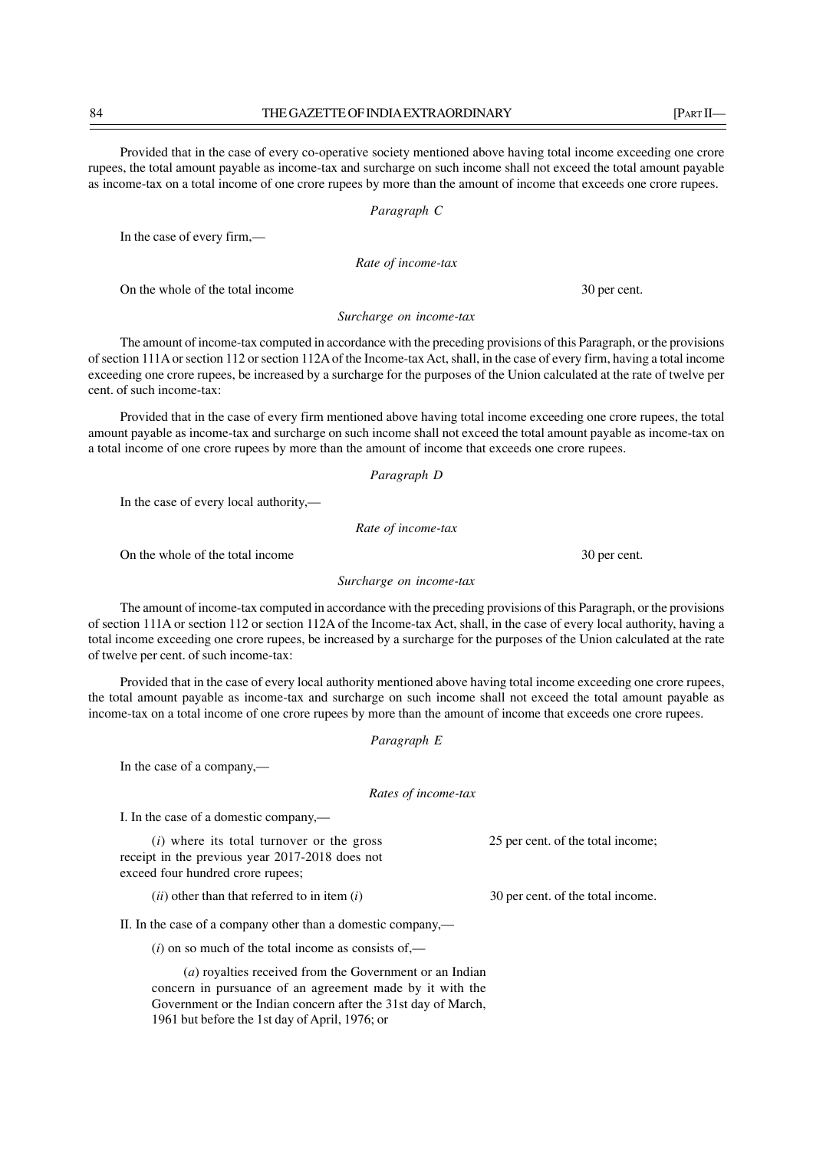Provided that in the case of every co-operative society mentioned above having total income exceeding one crore rupees, the total amount payable as income-tax and surcharge on such income shall not exceed the total amount payable as income-tax on a total income of one crore rupees by more than the amount of income that exceeds one crore rupees.

# *Paragraph C*

In the case of every firm,—

*Rate of income-tax*

On the whole of the total income 30 per cent.

*Surcharge on income-tax*

The amount of income-tax computed in accordance with the preceding provisions of this Paragraph, or the provisions of section 111A or section 112 or section 112A of the Income-tax Act, shall, in the case of every firm, having a total income exceeding one crore rupees, be increased by a surcharge for the purposes of the Union calculated at the rate of twelve per cent. of such income-tax:

Provided that in the case of every firm mentioned above having total income exceeding one crore rupees, the total amount payable as income-tax and surcharge on such income shall not exceed the total amount payable as income-tax on a total income of one crore rupees by more than the amount of income that exceeds one crore rupees.

*Paragraph D*

In the case of every local authority,—

*Rate of income-tax*

On the whole of the total income 30 per cent.

*Surcharge on income-tax*

The amount of income-tax computed in accordance with the preceding provisions of this Paragraph, or the provisions of section 111A or section 112 or section 112A of the Income-tax Act, shall, in the case of every local authority, having a total income exceeding one crore rupees, be increased by a surcharge for the purposes of the Union calculated at the rate of twelve per cent. of such income-tax:

Provided that in the case of every local authority mentioned above having total income exceeding one crore rupees, the total amount payable as income-tax and surcharge on such income shall not exceed the total amount payable as income-tax on a total income of one crore rupees by more than the amount of income that exceeds one crore rupees.

*Paragraph E*

In the case of a company,—

*Rates of income-tax*

I. In the case of a domestic company,—

(*i*) where its total turnover or the gross receipt in the previous year 2017-2018 does not exceed four hundred crore rupees;

25 per cent. of the total income;

30 per cent. of the total income.

(*ii*) other than that referred to in item (*i*)

II. In the case of a company other than a domestic company,—

 $(i)$  on so much of the total income as consists of,—

(*a*) royalties received from the Government or an Indian concern in pursuance of an agreement made by it with the Government or the Indian concern after the 31st day of March, 1961 but before the 1st day of April, 1976; or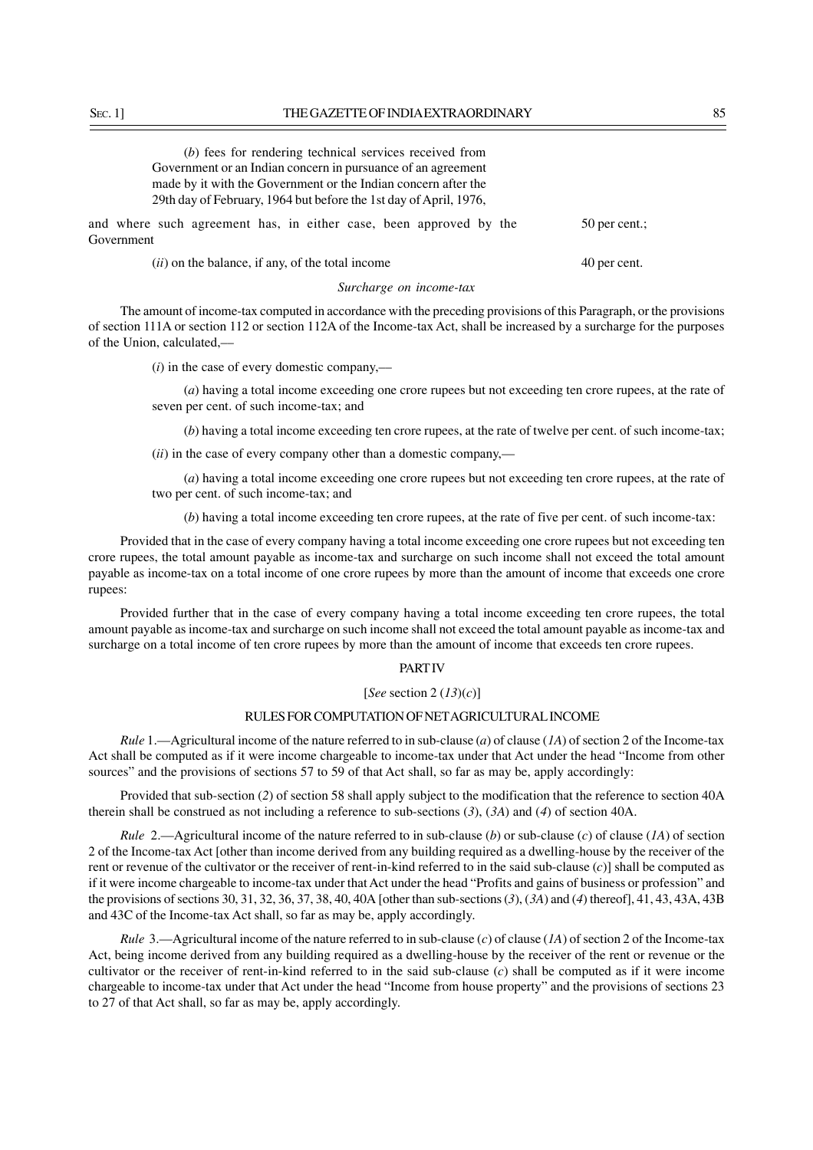| (b) fees for rendering technical services received from                          |               |
|----------------------------------------------------------------------------------|---------------|
| Government or an Indian concern in pursuance of an agreement                     |               |
| made by it with the Government or the Indian concern after the                   |               |
| 29th day of February, 1964 but before the 1st day of April, 1976,                |               |
| and where such agreement has, in either case, been approved by the<br>Government | 50 per cent.; |
| $(ii)$ on the balance, if any, of the total income                               | 40 per cent.  |

#### *Surcharge on income-tax*

The amount of income-tax computed in accordance with the preceding provisions of this Paragraph, or the provisions of section 111A or section 112 or section 112A of the Income-tax Act, shall be increased by a surcharge for the purposes of the Union, calculated,––

(*i*) in the case of every domestic company,––

(*a*) having a total income exceeding one crore rupees but not exceeding ten crore rupees, at the rate of seven per cent. of such income-tax; and

(*b*) having a total income exceeding ten crore rupees, at the rate of twelve per cent. of such income-tax;

(*ii*) in the case of every company other than a domestic company,––

(*a*) having a total income exceeding one crore rupees but not exceeding ten crore rupees, at the rate of two per cent. of such income-tax; and

(*b*) having a total income exceeding ten crore rupees, at the rate of five per cent. of such income-tax:

Provided that in the case of every company having a total income exceeding one crore rupees but not exceeding ten crore rupees, the total amount payable as income-tax and surcharge on such income shall not exceed the total amount payable as income-tax on a total income of one crore rupees by more than the amount of income that exceeds one crore rupees:

Provided further that in the case of every company having a total income exceeding ten crore rupees, the total amount payable as income-tax and surcharge on such income shall not exceed the total amount payable as income-tax and surcharge on a total income of ten crore rupees by more than the amount of income that exceeds ten crore rupees.

### PART IV

#### [*See* section 2 (*13*)(*c*)]

#### RULES FOR COMPUTATION OF NET AGRICULTURAL INCOME

*Rule* 1.—Agricultural income of the nature referred to in sub-clause (*a*) of clause (*1A*) of section 2 of the Income-tax Act shall be computed as if it were income chargeable to income-tax under that Act under the head "Income from other sources" and the provisions of sections 57 to 59 of that Act shall, so far as may be, apply accordingly:

Provided that sub-section (*2*) of section 58 shall apply subject to the modification that the reference to section 40A therein shall be construed as not including a reference to sub-sections (*3*), (*3A*) and (*4*) of section 40A.

*Rule* 2.—Agricultural income of the nature referred to in sub-clause (*b*) or sub-clause (*c*) of clause (*1A*) of section 2 of the Income-tax Act [other than income derived from any building required as a dwelling-house by the receiver of the rent or revenue of the cultivator or the receiver of rent-in-kind referred to in the said sub-clause (*c*)] shall be computed as if it were income chargeable to income-tax under that Act under the head "Profits and gains of business or profession" and the provisions of sections 30, 31, 32, 36, 37, 38, 40, 40A [other than sub-sections (*3*), (*3A*) and (*4*) thereof], 41, 43, 43A, 43B and 43C of the Income-tax Act shall, so far as may be, apply accordingly.

*Rule* 3.—Agricultural income of the nature referred to in sub-clause (*c*) of clause (*1A*) of section 2 of the Income-tax Act, being income derived from any building required as a dwelling-house by the receiver of the rent or revenue or the cultivator or the receiver of rent-in-kind referred to in the said sub-clause (*c*) shall be computed as if it were income chargeable to income-tax under that Act under the head "Income from house property" and the provisions of sections 23 to 27 of that Act shall, so far as may be, apply accordingly.

 $G_{0V}$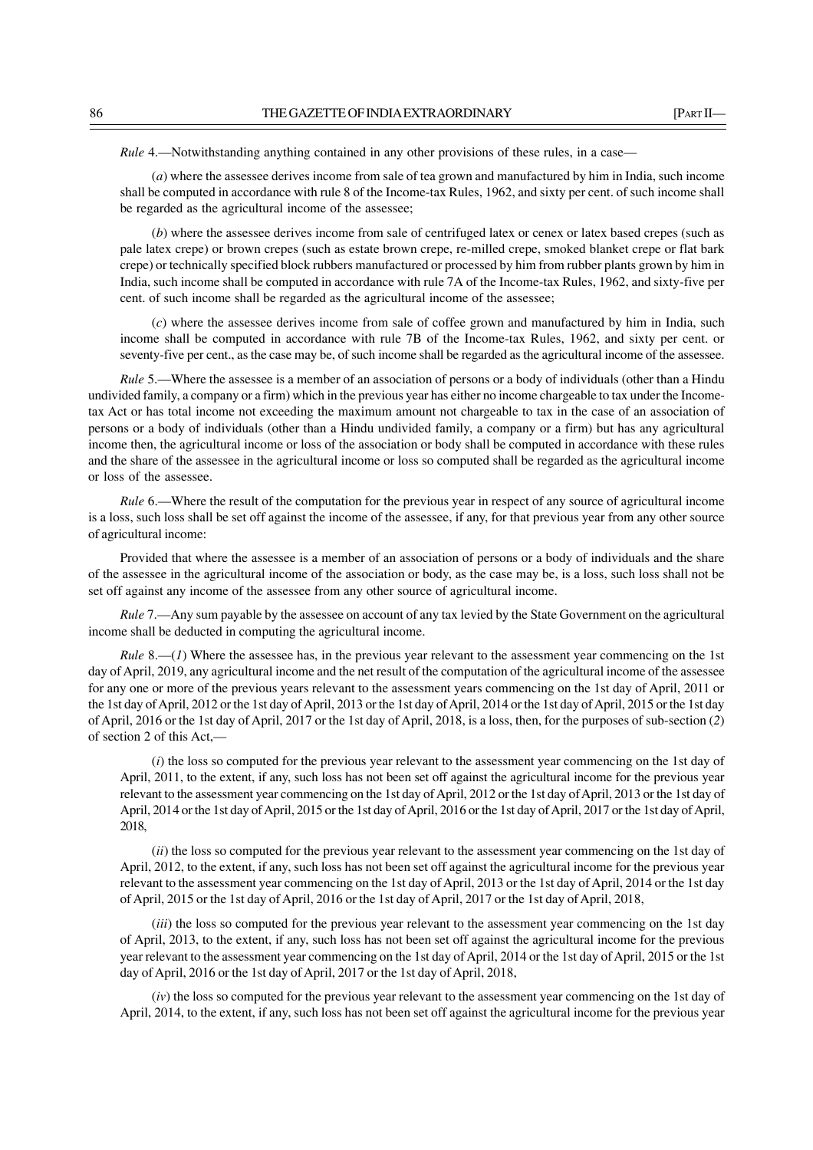*Rule 4.*—Notwithstanding anything contained in any other provisions of these rules, in a case-

(*a*) where the assessee derives income from sale of tea grown and manufactured by him in India, such income shall be computed in accordance with rule 8 of the Income-tax Rules, 1962, and sixty per cent. of such income shall be regarded as the agricultural income of the assessee;

(*b*) where the assessee derives income from sale of centrifuged latex or cenex or latex based crepes (such as pale latex crepe) or brown crepes (such as estate brown crepe, re-milled crepe, smoked blanket crepe or flat bark crepe) or technically specified block rubbers manufactured or processed by him from rubber plants grown by him in India, such income shall be computed in accordance with rule 7A of the Income-tax Rules, 1962, and sixty-five per cent. of such income shall be regarded as the agricultural income of the assessee;

(*c*) where the assessee derives income from sale of coffee grown and manufactured by him in India, such income shall be computed in accordance with rule 7B of the Income-tax Rules, 1962, and sixty per cent. or seventy-five per cent., as the case may be, of such income shall be regarded as the agricultural income of the assessee.

*Rule* 5.—Where the assessee is a member of an association of persons or a body of individuals (other than a Hindu undivided family, a company or a firm) which in the previous year has either no income chargeable to tax under the Incometax Act or has total income not exceeding the maximum amount not chargeable to tax in the case of an association of persons or a body of individuals (other than a Hindu undivided family, a company or a firm) but has any agricultural income then, the agricultural income or loss of the association or body shall be computed in accordance with these rules and the share of the assessee in the agricultural income or loss so computed shall be regarded as the agricultural income or loss of the assessee.

*Rule* 6.—Where the result of the computation for the previous year in respect of any source of agricultural income is a loss, such loss shall be set off against the income of the assessee, if any, for that previous year from any other source of agricultural income:

Provided that where the assessee is a member of an association of persons or a body of individuals and the share of the assessee in the agricultural income of the association or body, as the case may be, is a loss, such loss shall not be set off against any income of the assessee from any other source of agricultural income.

*Rule* 7.—Any sum payable by the assessee on account of any tax levied by the State Government on the agricultural income shall be deducted in computing the agricultural income.

*Rule* 8.—(*1*) Where the assessee has, in the previous year relevant to the assessment year commencing on the 1st day of April, 2019, any agricultural income and the net result of the computation of the agricultural income of the assessee for any one or more of the previous years relevant to the assessment years commencing on the 1st day of April, 2011 or the 1st day of April, 2012 or the 1st day of April, 2013 or the 1st day of April, 2014 or the 1st day of April, 2015 or the 1st day of April, 2016 or the 1st day of April, 2017 or the 1st day of April, 2018, is a loss, then, for the purposes of sub-section (*2*) of section 2 of this Act,—

(*i*) the loss so computed for the previous year relevant to the assessment year commencing on the 1st day of April, 2011, to the extent, if any, such loss has not been set off against the agricultural income for the previous year relevant to the assessment year commencing on the 1st day of April, 2012 or the 1st day of April, 2013 or the 1st day of April, 2014 or the 1st day of April, 2015 or the 1st day of April, 2016 or the 1st day of April, 2017 or the 1st day of April, 2018,

(*ii*) the loss so computed for the previous year relevant to the assessment year commencing on the 1st day of April, 2012, to the extent, if any, such loss has not been set off against the agricultural income for the previous year relevant to the assessment year commencing on the 1st day of April, 2013 or the 1st day of April, 2014 or the 1st day of April, 2015 or the 1st day of April, 2016 or the 1st day of April, 2017 or the 1st day of April, 2018,

*(iii)* the loss so computed for the previous year relevant to the assessment year commencing on the 1st day of April, 2013, to the extent, if any, such loss has not been set off against the agricultural income for the previous year relevant to the assessment year commencing on the 1st day of April, 2014 or the 1st day of April, 2015 or the 1st day of April, 2016 or the 1st day of April, 2017 or the 1st day of April, 2018,

(*iv*) the loss so computed for the previous year relevant to the assessment year commencing on the 1st day of April, 2014, to the extent, if any, such loss has not been set off against the agricultural income for the previous year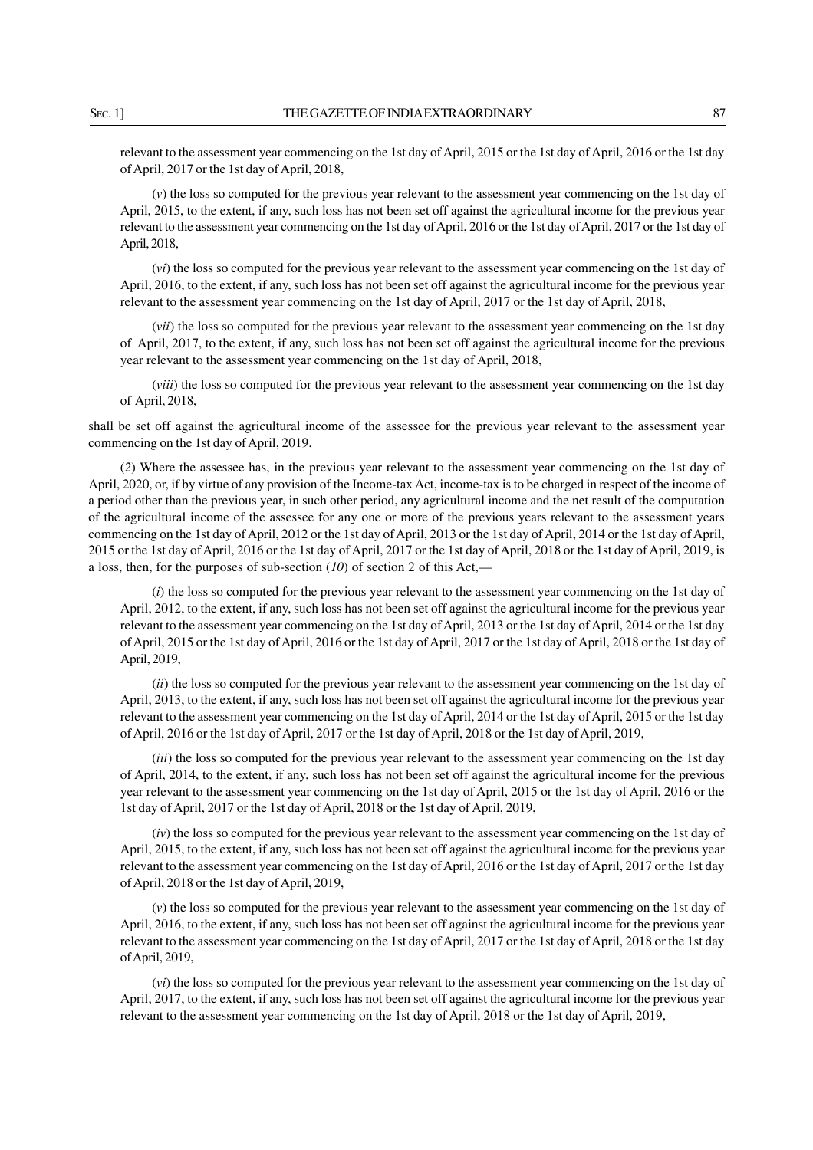relevant to the assessment year commencing on the 1st day of April, 2015 or the 1st day of April, 2016 or the 1st day of April, 2017 or the 1st day of April, 2018,

(*v*) the loss so computed for the previous year relevant to the assessment year commencing on the 1st day of April, 2015, to the extent, if any, such loss has not been set off against the agricultural income for the previous year relevant to the assessment year commencing on the 1st day of April, 2016 or the 1st day of April, 2017 or the 1st day of April, 2018,

(*vi*) the loss so computed for the previous year relevant to the assessment year commencing on the 1st day of April, 2016, to the extent, if any, such loss has not been set off against the agricultural income for the previous year relevant to the assessment year commencing on the 1st day of April, 2017 or the 1st day of April, 2018,

(*vii*) the loss so computed for the previous year relevant to the assessment year commencing on the 1st day of April, 2017, to the extent, if any, such loss has not been set off against the agricultural income for the previous year relevant to the assessment year commencing on the 1st day of April, 2018,

(*viii*) the loss so computed for the previous year relevant to the assessment year commencing on the 1st day of April, 2018,

shall be set off against the agricultural income of the assessee for the previous year relevant to the assessment year commencing on the 1st day of April, 2019.

(*2*) Where the assessee has, in the previous year relevant to the assessment year commencing on the 1st day of April, 2020, or, if by virtue of any provision of the Income-tax Act, income-tax is to be charged in respect of the income of a period other than the previous year, in such other period, any agricultural income and the net result of the computation of the agricultural income of the assessee for any one or more of the previous years relevant to the assessment years commencing on the 1st day of April, 2012 or the 1st day of April, 2013 or the 1st day of April, 2014 or the 1st day of April, 2015 or the 1st day of April, 2016 or the 1st day of April, 2017 or the 1st day of April, 2018 or the 1st day of April, 2019, is a loss, then, for the purposes of sub-section  $(10)$  of section 2 of this Act,—

(*i*) the loss so computed for the previous year relevant to the assessment year commencing on the 1st day of April, 2012, to the extent, if any, such loss has not been set off against the agricultural income for the previous year relevant to the assessment year commencing on the 1st day of April, 2013 or the 1st day of April, 2014 or the 1st day of April, 2015 or the 1st day of April, 2016 or the 1st day of April, 2017 or the 1st day of April, 2018 or the 1st day of April, 2019,

(*ii*) the loss so computed for the previous year relevant to the assessment year commencing on the 1st day of April, 2013, to the extent, if any, such loss has not been set off against the agricultural income for the previous year relevant to the assessment year commencing on the 1st day of April, 2014 or the 1st day of April, 2015 or the 1st day of April, 2016 or the 1st day of April, 2017 or the 1st day of April, 2018 or the 1st day of April, 2019,

(*iii*) the loss so computed for the previous year relevant to the assessment year commencing on the 1st day of April, 2014, to the extent, if any, such loss has not been set off against the agricultural income for the previous year relevant to the assessment year commencing on the 1st day of April, 2015 or the 1st day of April, 2016 or the 1st day of April, 2017 or the 1st day of April, 2018 or the 1st day of April, 2019,

(*iv*) the loss so computed for the previous year relevant to the assessment year commencing on the 1st day of April, 2015, to the extent, if any, such loss has not been set off against the agricultural income for the previous year relevant to the assessment year commencing on the 1st day of April, 2016 or the 1st day of April, 2017 or the 1st day of April, 2018 or the 1st day of April, 2019,

(*v*) the loss so computed for the previous year relevant to the assessment year commencing on the 1st day of April, 2016, to the extent, if any, such loss has not been set off against the agricultural income for the previous year relevant to the assessment year commencing on the 1st day of April, 2017 or the 1st day of April, 2018 or the 1st day of April, 2019,

(*vi*) the loss so computed for the previous year relevant to the assessment year commencing on the 1st day of April, 2017, to the extent, if any, such loss has not been set off against the agricultural income for the previous year relevant to the assessment year commencing on the 1st day of April, 2018 or the 1st day of April, 2019,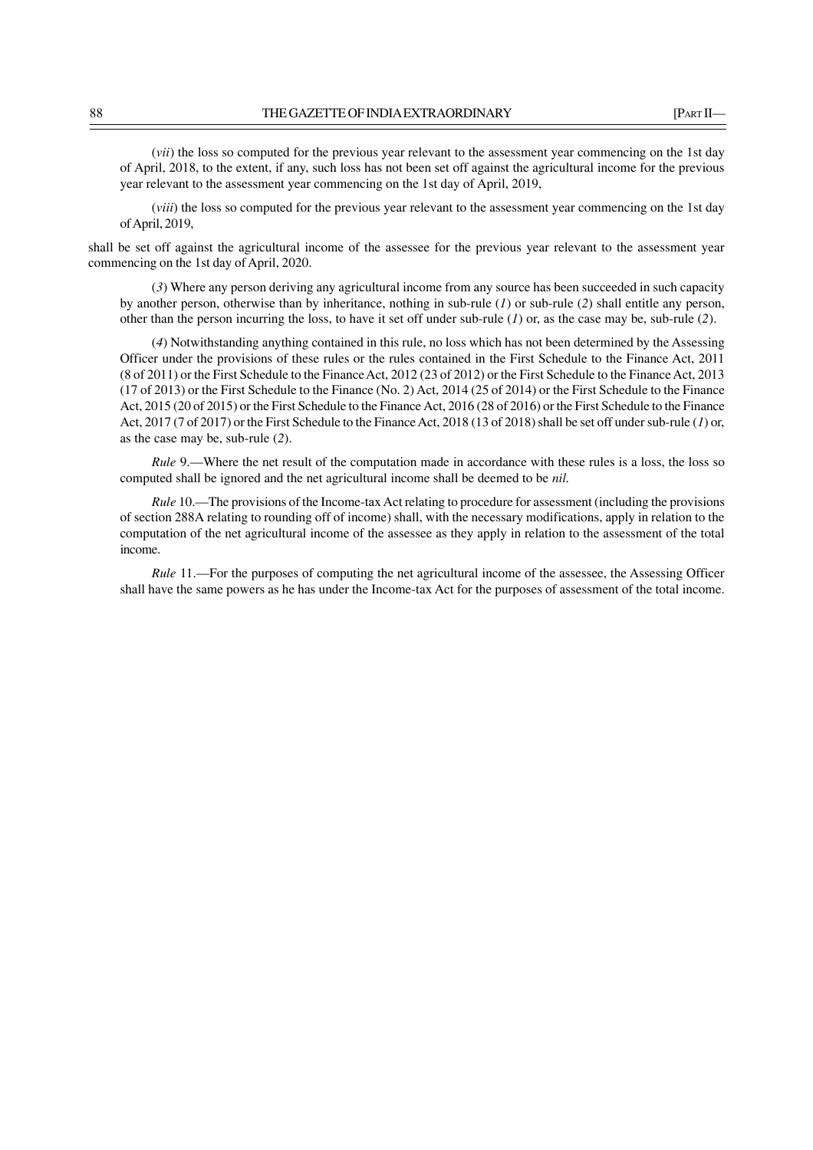(*vii*) the loss so computed for the previous year relevant to the assessment year commencing on the 1st day of April, 2018, to the extent, if any, such loss has not been set off against the agricultural income for the previous year relevant to the assessment year commencing on the 1st day of April, 2019,

(*viii*) the loss so computed for the previous year relevant to the assessment year commencing on the 1st day of April, 2019,

shall be set off against the agricultural income of the assessee for the previous year relevant to the assessment year commencing on the 1st day of April, 2020.

(*3*) Where any person deriving any agricultural income from any source has been succeeded in such capacity by another person, otherwise than by inheritance, nothing in sub-rule (*1*) or sub-rule (*2*) shall entitle any person, other than the person incurring the loss, to have it set off under sub-rule (*1*) or, as the case may be, sub-rule (*2*).

(*4*) Notwithstanding anything contained in this rule, no loss which has not been determined by the Assessing Officer under the provisions of these rules or the rules contained in the First Schedule to the Finance Act, 2011 (8 of 2011) or the First Schedule to the Finance Act, 2012 (23 of 2012) or the First Schedule to the Finance Act, 2013 (17 of 2013) or the First Schedule to the Finance (No. 2) Act, 2014 (25 of 2014) or the First Schedule to the Finance Act, 2015 (20 of 2015) or the First Schedule to the Finance Act, 2016 (28 of 2016) or the First Schedule to the Finance Act, 2017 (7 of 2017) or the First Schedule to the Finance Act, 2018 (13 of 2018) shall be set off under sub-rule (*1*) or, as the case may be, sub-rule (*2*).

*Rule* 9.—Where the net result of the computation made in accordance with these rules is a loss, the loss so computed shall be ignored and the net agricultural income shall be deemed to be *nil.*

*Rule* 10.—The provisions of the Income-tax Act relating to procedure for assessment (including the provisions of section 288A relating to rounding off of income) shall, with the necessary modifications, apply in relation to the computation of the net agricultural income of the assessee as they apply in relation to the assessment of the total income.

*Rule* 11.—For the purposes of computing the net agricultural income of the assessee, the Assessing Officer shall have the same powers as he has under the Income-tax Act for the purposes of assessment of the total income.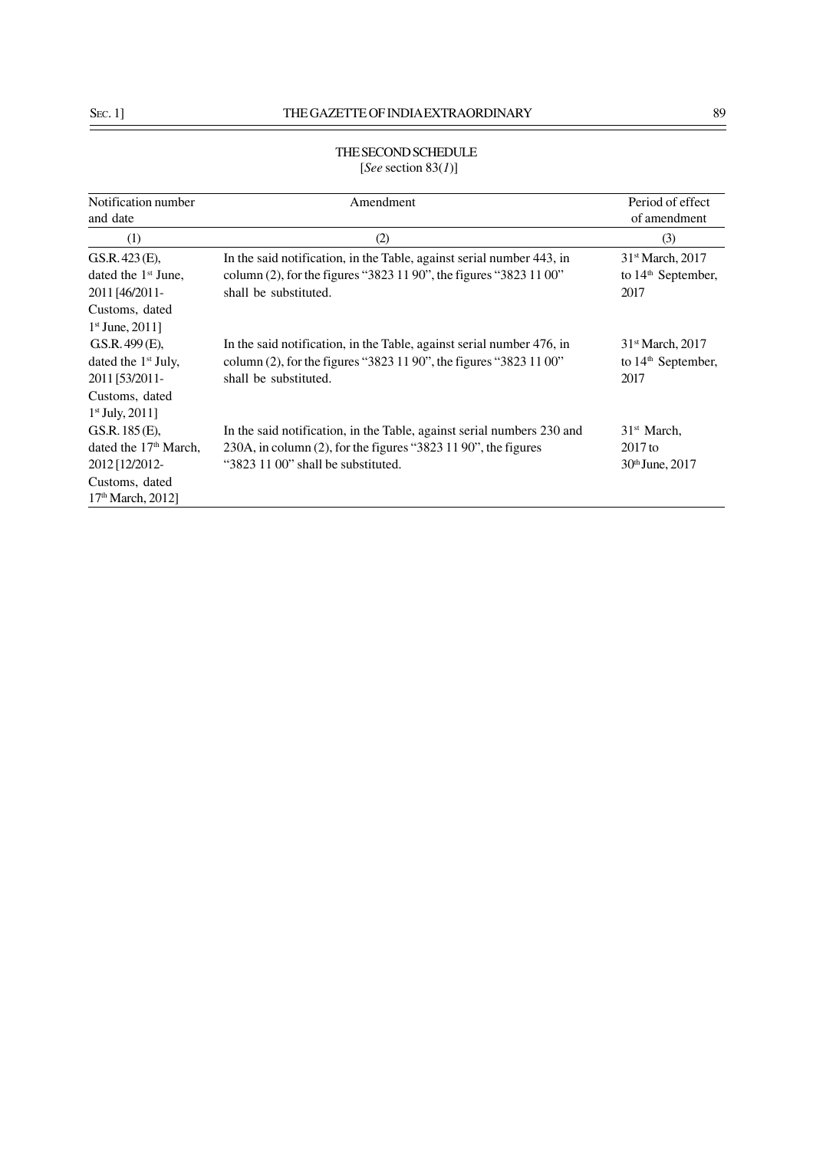# THE SECOND SCHEDULE [*See* section 83(*1*)]

| Notification number<br>and date                           | Amendment                                                                                                                                                            | Period of effect<br>of amendment                             |
|-----------------------------------------------------------|----------------------------------------------------------------------------------------------------------------------------------------------------------------------|--------------------------------------------------------------|
| (1)                                                       | (2)                                                                                                                                                                  | (3)                                                          |
| GS.R. 423 (E),<br>dated the $1st$ June,<br>2011 [46/2011- | In the said notification, in the Table, against serial number 443, in<br>column (2), for the figures "3823 11 90", the figures "3823 11 00"<br>shall be substituted. | 31st March, 2017<br>to 14 <sup>th</sup> September,<br>2017   |
| Customs, dated<br>$1st$ June, 2011]                       |                                                                                                                                                                      |                                                              |
| GS.R.499(E),<br>dated the $1st$ July,<br>2011 [53/2011-   | In the said notification, in the Table, against serial number 476, in<br>column (2), for the figures "3823 11 90", the figures "3823 11 00"<br>shall be substituted. | 31 <sup>st</sup> March, 2017<br>to $14th$ September,<br>2017 |
| Customs, dated<br>$1st$ July, 2011]<br>GS.R. 185 (E),     | In the said notification, in the Table, against serial numbers 230 and                                                                                               | $31st$ March,                                                |
| dated the 17 <sup>th</sup> March,<br>2012 [12/2012-       | 230A, in column $(2)$ , for the figures "3823 11 90", the figures<br>"3823 11 00" shall be substituted.                                                              | $2017$ to<br>30th June, 2017                                 |
| Customs, dated<br>17 <sup>th</sup> March, 2012]           |                                                                                                                                                                      |                                                              |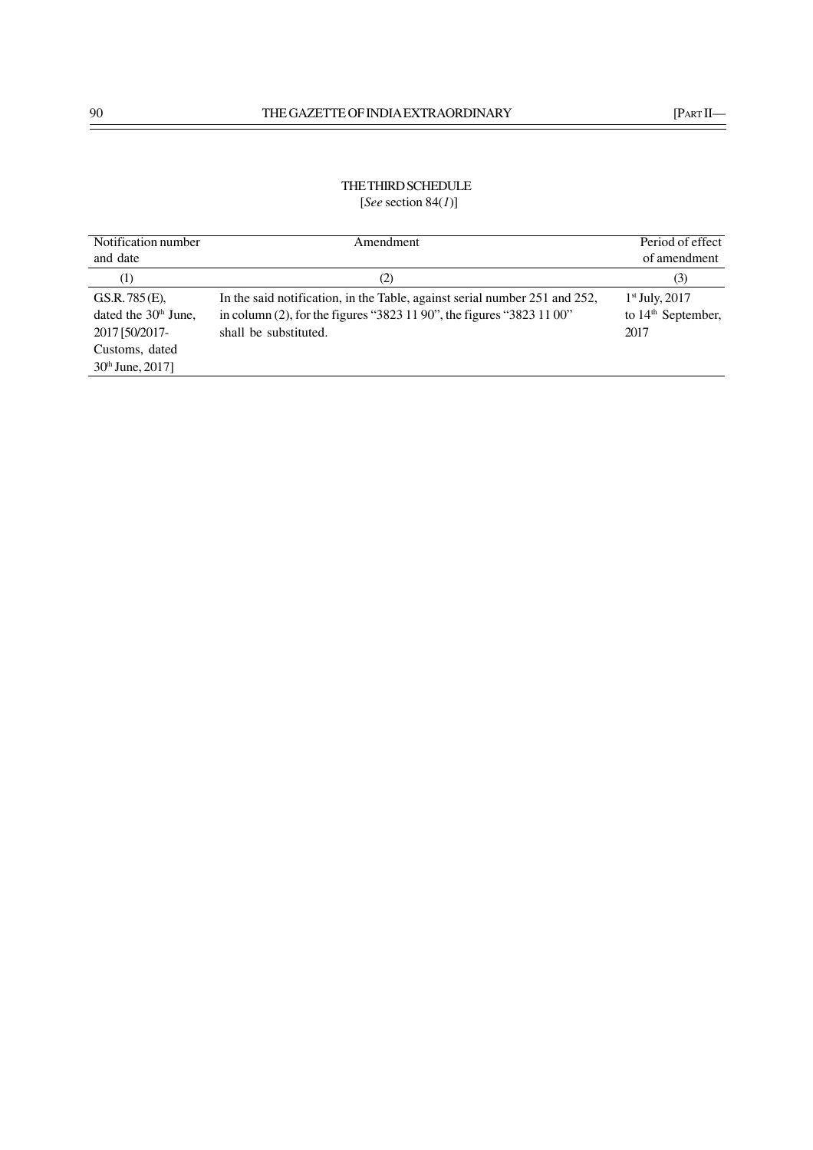# THE THIRD SCHEDULE [*See* section 84(*1*)]

| Notification number              | Amendment                                                                  | Period of effect     |
|----------------------------------|----------------------------------------------------------------------------|----------------------|
| and date                         |                                                                            | of amendment         |
| (1)                              | (2)                                                                        | (3)                  |
| GS.R. 785(E).                    | In the said notification, in the Table, against serial number 251 and 252, | $1st$ July, 2017     |
| dated the 30 <sup>th</sup> June, | in column (2), for the figures "3823 11 90", the figures "3823 11 00"      | to $14th$ September, |
| 2017 [50/2017-                   | shall be substituted.                                                      | 2017                 |
| Customs, dated                   |                                                                            |                      |
| $30th$ June, 2017]               |                                                                            |                      |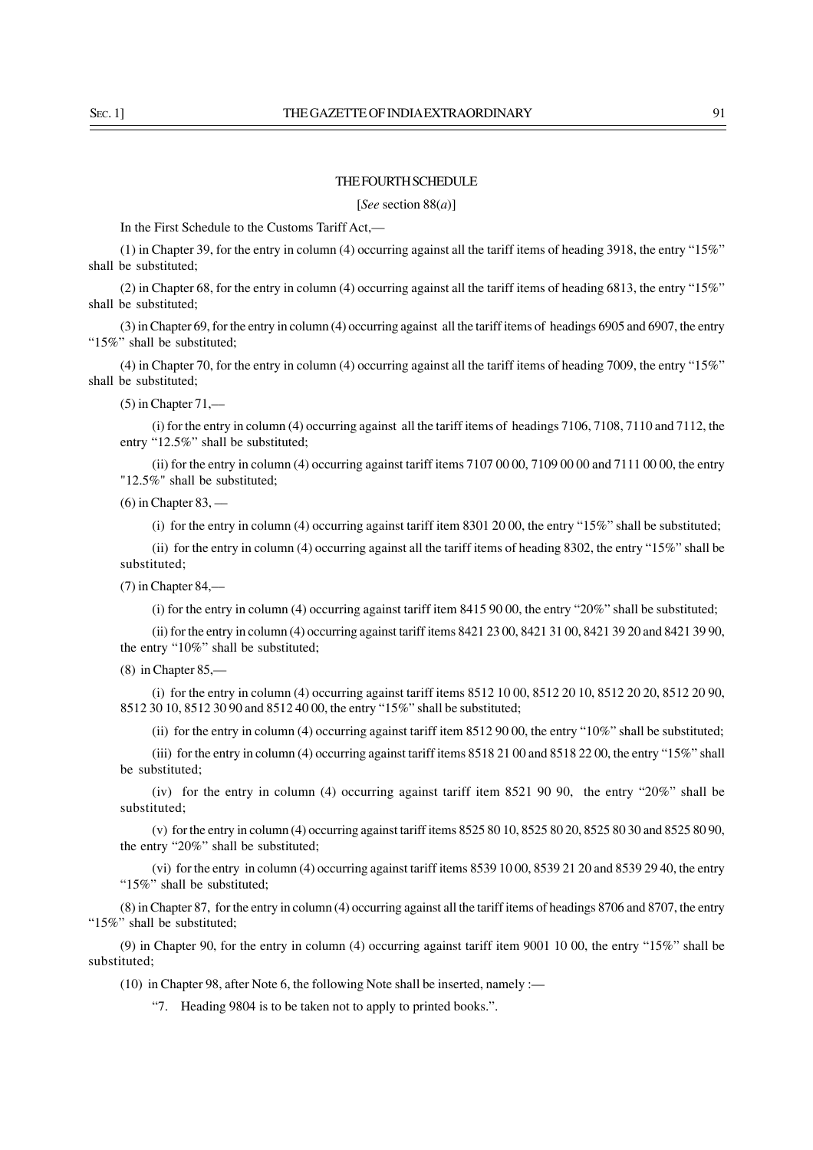# THE FOURTH SCHEDULE

[*See* section 88(*a*)]

In the First Schedule to the Customs Tariff Act.-

(1) in Chapter 39, for the entry in column (4) occurring against all the tariff items of heading 3918, the entry "15%" shall be substituted;

(2) in Chapter 68, for the entry in column (4) occurring against all the tariff items of heading 6813, the entry "15%" shall be substituted;

(3) in Chapter 69, for the entry in column (4) occurring against all the tariff items of headings 6905 and 6907, the entry "15%" shall be substituted;

(4) in Chapter 70, for the entry in column (4) occurring against all the tariff items of heading 7009, the entry "15%" shall be substituted;

 $(5)$  in Chapter  $71,$ —

(i) for the entry in column (4) occurring against all the tariff items of headings 7106, 7108, 7110 and 7112, the entry "12.5%" shall be substituted;

(ii) for the entry in column (4) occurring against tariff items 7107 00 00, 7109 00 00 and 7111 00 00, the entry "12.5%" shall be substituted;

 $(6)$  in Chapter 83, —

(i) for the entry in column (4) occurring against tariff item 8301 20 00, the entry "15%" shall be substituted;

(ii) for the entry in column (4) occurring against all the tariff items of heading 8302, the entry "15%" shall be substituted;

(7) in Chapter 84,––

(i) for the entry in column (4) occurring against tariff item 8415 90 00, the entry "20%" shall be substituted;

(ii) for the entry in column (4) occurring against tariff items 8421 23 00, 8421 31 00, 8421 39 20 and 8421 39 90, the entry "10%" shall be substituted;

(8) in Chapter 85,—

(i) for the entry in column (4) occurring against tariff items 8512 10 00, 8512 20 10, 8512 20 20, 8512 20 90, 8512 30 10, 8512 30 90 and 8512 40 00, the entry "15%" shall be substituted;

(ii) for the entry in column (4) occurring against tariff item 8512 90 00, the entry "10%" shall be substituted;

(iii) for the entry in column (4) occurring against tariff items 8518 21 00 and 8518 22 00, the entry "15%" shall be substituted;

(iv) for the entry in column (4) occurring against tariff item 8521 90 90, the entry "20%" shall be substituted;

(v) for the entry in column (4) occurring against tariff items 8525 80 10, 8525 80 20, 8525 80 30 and 8525 80 90, the entry "20%" shall be substituted;

(vi) for the entry in column (4) occurring against tariff items 8539 10 00, 8539 21 20 and 8539 29 40, the entry "15%" shall be substituted;

(8) in Chapter 87, for the entry in column (4) occurring against all the tariff items of headings 8706 and 8707, the entry "15%" shall be substituted;

(9) in Chapter 90, for the entry in column (4) occurring against tariff item 9001 10 00, the entry "15%" shall be substituted;

(10) in Chapter 98, after Note 6, the following Note shall be inserted, namely :—

"7. Heading 9804 is to be taken not to apply to printed books.".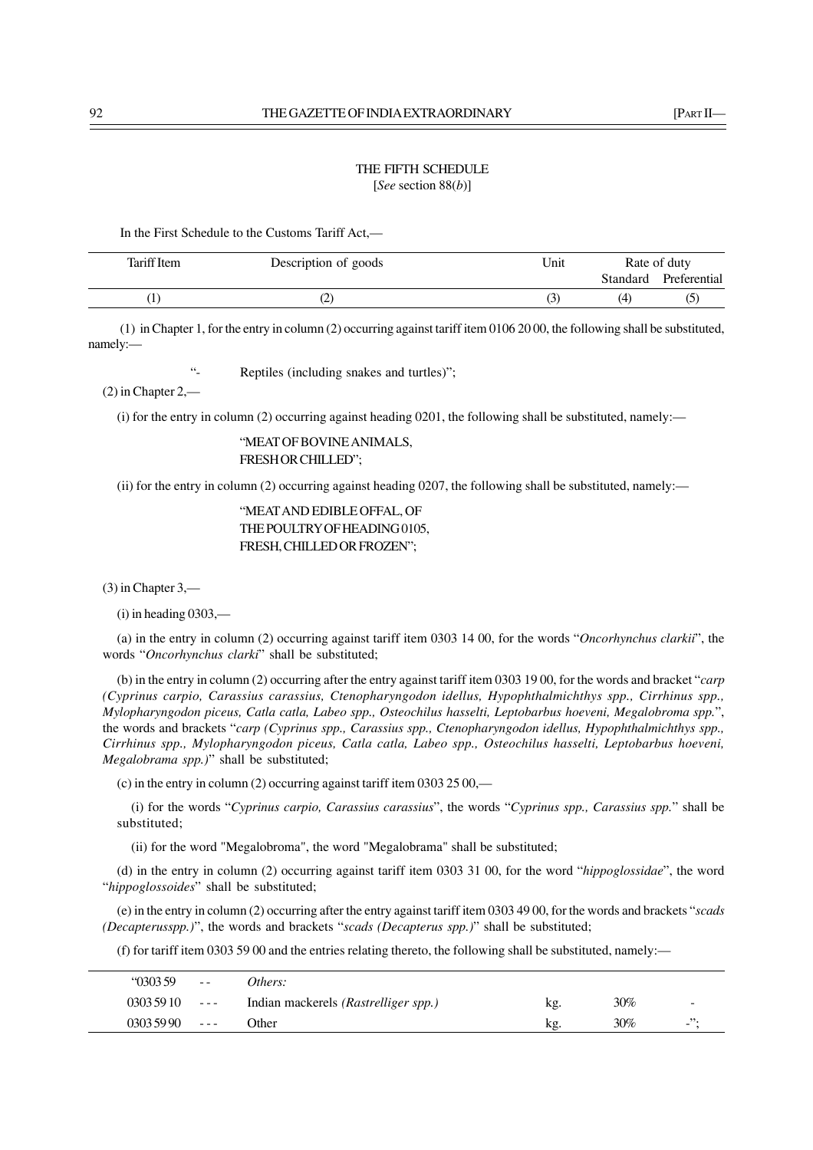# THE FIFTH SCHEDULE [*See* section 88(*b*)]

In the First Schedule to the Customs Tariff Act,––

| Tariff Item | Description of goods | Unit |          | Rate of duty |
|-------------|----------------------|------|----------|--------------|
|             |                      |      | Standard | Preferential |
|             |                      |      | (4)      |              |

(1) in Chapter 1, for the entry in column (2) occurring against tariff item 0106 20 00, the following shall be substituted, namely:—

"- Reptiles (including snakes and turtles)";

(2) in Chapter 2,—

(i) for the entry in column (2) occurring against heading 0201, the following shall be substituted, namely:—

"MEAT OF BOVINE ANIMALS, FRESH OR CHILLED";

(ii) for the entry in column (2) occurring against heading 0207, the following shall be substituted, namely:—

"MEAT AND EDIBLE OFFAL, OF THE POULTRY OF HEADING 0105, FRESH, CHILLED OR FROZEN";

(3) in Chapter 3,—

 $(i)$  in heading 0303,—

(a) in the entry in column (2) occurring against tariff item 0303 14 00, for the words "*Oncorhynchus clarkii*", the words "*Oncorhynchus clarki*" shall be substituted;

(b) in the entry in column (2) occurring after the entry against tariff item 0303 19 00, for the words and bracket "*carp (Cyprinus carpio, Carassius carassius, Ctenopharyngodon idellus, Hypophthalmichthys spp., Cirrhinus spp., Mylopharyngodon piceus, Catla catla, Labeo spp., Osteochilus hasselti, Leptobarbus hoeveni, Megalobroma spp.*", the words and brackets "*carp (Cyprinus spp., Carassius spp., Ctenopharyngodon idellus, Hypophthalmichthys spp., Cirrhinus spp., Mylopharyngodon piceus, Catla catla, Labeo spp., Osteochilus hasselti, Leptobarbus hoeveni, Megalobrama spp.)*" shall be substituted;

(c) in the entry in column (2) occurring against tariff item 0303 25 00,—

(i) for the words "*Cyprinus carpio, Carassius carassius*", the words "*Cyprinus spp., Carassius spp.*" shall be substituted;

(ii) for the word "Megalobroma", the word "Megalobrama" shall be substituted;

(d) in the entry in column (2) occurring against tariff item 0303 31 00, for the word "*hippoglossidae*", the word "*hippoglossoides*" shall be substituted;

(e) in the entry in column (2) occurring after the entry against tariff item 0303 49 00, for the words and brackets "*scads (Decapterusspp.)*", the words and brackets "*scads (Decapterus spp.)*" shall be substituted;

(f) for tariff item 0303 59 00 and the entries relating thereto, the following shall be substituted, namely:—

| 030359     | $\frac{1}{2}$   | Others:                              |     |        |                    |
|------------|-----------------|--------------------------------------|-----|--------|--------------------|
| 0303 59 10 | $\sim$ $  \sim$ | Indian mackerels (Rastrelliger spp.) | Kg. | 30%    | -                  |
| 0303 59 90 | $- - - -$       | <b>Other</b>                         | kg. | $30\%$ | $\mathbf{L}^{(2)}$ |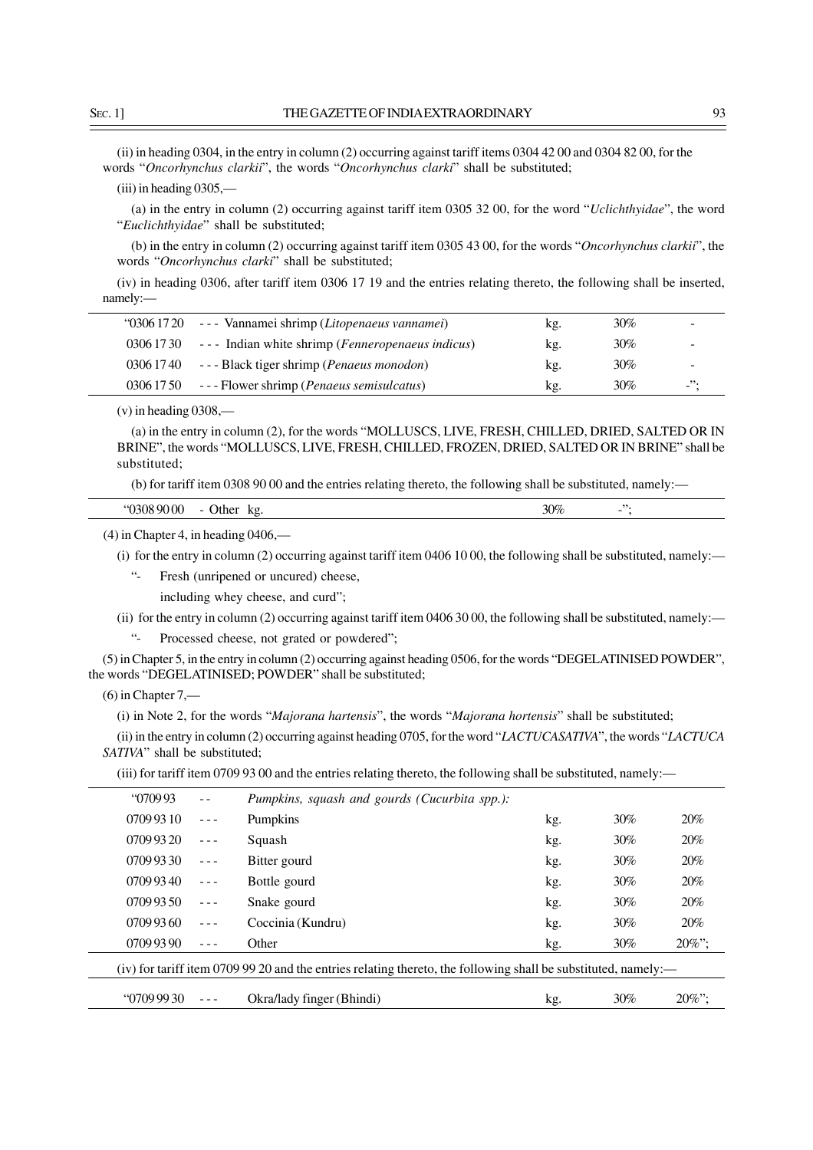(ii) in heading 0304, in the entry in column (2) occurring against tariff items 0304 42 00 and 0304 82 00, for the words "*Oncorhynchus clarkii*", the words "*Oncorhynchus clarki*" shall be substituted;

(iii) in heading 0305,—

(a) in the entry in column (2) occurring against tariff item 0305 32 00, for the word "*Uclichthyidae*", the word "*Euclichthyidae*" shall be substituted;

(b) in the entry in column (2) occurring against tariff item 0305 43 00, for the words "*Oncorhynchus clarkii*", the words "*Oncorhynchus clarki*" shall be substituted;

(iv) in heading 0306, after tariff item 0306 17 19 and the entries relating thereto, the following shall be inserted, namely:—

| "0306 17 20 --- Vannamei shrimp (Litopenaeus vannamei)      | kg. | 30%    |          |
|-------------------------------------------------------------|-----|--------|----------|
| 0306 1730 --- Indian white shrimp (Fenneropenaeus indicus)  | kg. | $30\%$ |          |
| 0306 1740 --- Black tiger shrimp ( <i>Penaeus monodon</i> ) | kg. | $30\%$ |          |
| 0306 1750 --- Flower shrimp ( <i>Penaeus semisulcatus</i> ) | kg. | 30%    | $ \cdot$ |

(v) in heading 0308,—

(a) in the entry in column (2), for the words "MOLLUSCS, LIVE, FRESH, CHILLED, DRIED, SALTED OR IN BRINE", the words "MOLLUSCS, LIVE, FRESH, CHILLED, FROZEN, DRIED, SALTED OR IN BRINE" shall be substituted;

(b) for tariff item 0308 90 00 and the entries relating thereto, the following shall be substituted, namely:—

| .<br>11 Ja<br>$\mathbf{u}$ | <br><br>___ | k o<br>n 2 | 30% | - |
|----------------------------|-------------|------------|-----|---|
|                            |             |            |     |   |

(4) in Chapter 4, in heading 0406,—

(i) for the entry in column (2) occurring against tariff item 0406 10 00, the following shall be substituted, namely:—

"- Fresh (unripened or uncured) cheese,

including whey cheese, and curd";

(ii) for the entry in column (2) occurring against tariff item 0406 30 00, the following shall be substituted, namely:—

"- Processed cheese, not grated or powdered";

(5) in Chapter 5, in the entry in column (2) occurring against heading 0506, for the words "DEGELATINISED POWDER", the words "DEGELATINISED; POWDER" shall be substituted;

 $(6)$  in Chapter 7,—

(i) in Note 2, for the words "*Majorana hartensis*", the words "*Majorana hortensis*" shall be substituted;

(ii) in the entry in column (2) occurring against heading 0705, for the word "*LACTUCASATIVA*", the words "*LACTUCA SATIVA*" shall be substituted;

(iii) for tariff item 0709 93 00 and the entries relating thereto, the following shall be substituted, namely:—

| 070993                                                                                                         |                                                                                                                                                                                                                                                                                                                                                                                              | Pumpkins, squash and gourds (Cucurbita spp.): |     |        |           |  |
|----------------------------------------------------------------------------------------------------------------|----------------------------------------------------------------------------------------------------------------------------------------------------------------------------------------------------------------------------------------------------------------------------------------------------------------------------------------------------------------------------------------------|-----------------------------------------------|-----|--------|-----------|--|
| 0709 93 10                                                                                                     |                                                                                                                                                                                                                                                                                                                                                                                              | Pumpkins                                      | kg. | 30%    | 20%       |  |
| 0709 93 20                                                                                                     |                                                                                                                                                                                                                                                                                                                                                                                              | Squash                                        | kg. | 30%    | 20%       |  |
| 0709 93 30                                                                                                     |                                                                                                                                                                                                                                                                                                                                                                                              | Bitter gourd                                  | kg. | 30%    | 20%       |  |
| 0709 93 40                                                                                                     | $\frac{1}{2} \frac{1}{2} \frac{1}{2} \frac{1}{2} \frac{1}{2} \frac{1}{2} \frac{1}{2} \frac{1}{2} \frac{1}{2} \frac{1}{2} \frac{1}{2} \frac{1}{2} \frac{1}{2} \frac{1}{2} \frac{1}{2} \frac{1}{2} \frac{1}{2} \frac{1}{2} \frac{1}{2} \frac{1}{2} \frac{1}{2} \frac{1}{2} \frac{1}{2} \frac{1}{2} \frac{1}{2} \frac{1}{2} \frac{1}{2} \frac{1}{2} \frac{1}{2} \frac{1}{2} \frac{1}{2} \frac{$ | Bottle gourd                                  | kg. | 30%    | 20%       |  |
| 0709 93 50                                                                                                     | $- - -$                                                                                                                                                                                                                                                                                                                                                                                      | Snake gourd                                   | kg. | $30\%$ | 20%       |  |
| 0709 93 60                                                                                                     | $- - -$                                                                                                                                                                                                                                                                                                                                                                                      | Coccinia (Kundru)                             | kg. | $30\%$ | 20%       |  |
| 0709 93 90                                                                                                     |                                                                                                                                                                                                                                                                                                                                                                                              | Other                                         | kg. | $30\%$ | $20\%$ "; |  |
| (iv) for tariff item 0709 99 20 and the entries relating thereto, the following shall be substituted, namely:— |                                                                                                                                                                                                                                                                                                                                                                                              |                                               |     |        |           |  |
| (07099930)                                                                                                     |                                                                                                                                                                                                                                                                                                                                                                                              | Okra/lady finger (Bhindi)                     | kg. | $30\%$ | $20\%$ ": |  |
|                                                                                                                |                                                                                                                                                                                                                                                                                                                                                                                              |                                               |     |        |           |  |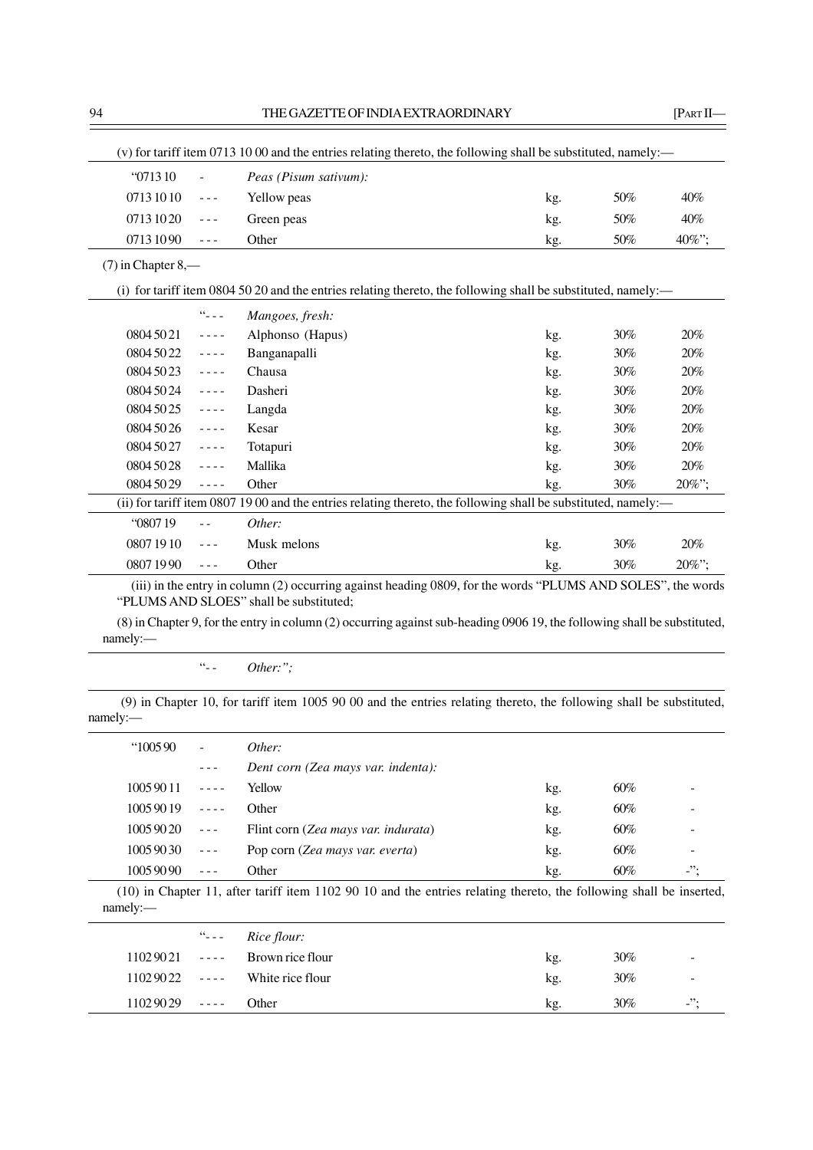| "071310              |                                                                                                                                                                                                                                                                                                                                                                                              | Peas (Pisum sativum):                                                                                          |     |        |       |
|----------------------|----------------------------------------------------------------------------------------------------------------------------------------------------------------------------------------------------------------------------------------------------------------------------------------------------------------------------------------------------------------------------------------------|----------------------------------------------------------------------------------------------------------------|-----|--------|-------|
| 07131010             | $\sim$ $\sim$ $\sim$                                                                                                                                                                                                                                                                                                                                                                         | Yellow peas                                                                                                    | kg. | 50%    | 40%   |
| 07131020             | $\frac{1}{2} \frac{1}{2} \frac{1}{2} \frac{1}{2} \frac{1}{2} \frac{1}{2} \frac{1}{2} \frac{1}{2} \frac{1}{2} \frac{1}{2} \frac{1}{2} \frac{1}{2} \frac{1}{2} \frac{1}{2} \frac{1}{2} \frac{1}{2} \frac{1}{2} \frac{1}{2} \frac{1}{2} \frac{1}{2} \frac{1}{2} \frac{1}{2} \frac{1}{2} \frac{1}{2} \frac{1}{2} \frac{1}{2} \frac{1}{2} \frac{1}{2} \frac{1}{2} \frac{1}{2} \frac{1}{2} \frac{$ | Green peas                                                                                                     | kg. | 50%    | 40%   |
| 07131090             | $\frac{1}{2} \frac{1}{2} \frac{1}{2} \frac{1}{2} \frac{1}{2} \frac{1}{2} \frac{1}{2} \frac{1}{2} \frac{1}{2} \frac{1}{2} \frac{1}{2} \frac{1}{2} \frac{1}{2} \frac{1}{2} \frac{1}{2} \frac{1}{2} \frac{1}{2} \frac{1}{2} \frac{1}{2} \frac{1}{2} \frac{1}{2} \frac{1}{2} \frac{1}{2} \frac{1}{2} \frac{1}{2} \frac{1}{2} \frac{1}{2} \frac{1}{2} \frac{1}{2} \frac{1}{2} \frac{1}{2} \frac{$ | Other                                                                                                          | kg. | 50%    | 40%"; |
| $(7)$ in Chapter 8,— |                                                                                                                                                                                                                                                                                                                                                                                              |                                                                                                                |     |        |       |
|                      |                                                                                                                                                                                                                                                                                                                                                                                              | (i) for tariff item 0804 50 20 and the entries relating thereto, the following shall be substituted, namely:—  |     |        |       |
|                      | $\Omega_{\rm m}$ $_{\rm m}$ $_{\rm m}$                                                                                                                                                                                                                                                                                                                                                       | Mangoes, fresh:                                                                                                |     |        |       |
| 0804 50 21           | $\sim$ $\sim$ $\sim$ $\sim$                                                                                                                                                                                                                                                                                                                                                                  | Alphonso (Hapus)                                                                                               | kg. | 30%    | 20%   |
| 0804 50 22           | $\sim$ $\sim$ $\sim$ $\sim$                                                                                                                                                                                                                                                                                                                                                                  | Banganapalli                                                                                                   | kg. | 30%    | 20%   |
| 0804 50 23           | $\omega = \omega/\omega$                                                                                                                                                                                                                                                                                                                                                                     | Chausa                                                                                                         | kg. | $30\%$ | 20%   |
| 0804 50 24           | $\omega = \omega/\omega$                                                                                                                                                                                                                                                                                                                                                                     | Dasheri                                                                                                        | kg. | 30%    | 20%   |
| 0804 50 25           | $- - - -$                                                                                                                                                                                                                                                                                                                                                                                    | Langda                                                                                                         | kg. | 30%    | 20%   |
| 0804 50 26           | $\omega = \omega/\omega$                                                                                                                                                                                                                                                                                                                                                                     | Kesar                                                                                                          | kg. | 30%    | 20%   |
| 0804 50 27           | $\frac{1}{2} \frac{1}{2} \frac{1}{2} \frac{1}{2} \frac{1}{2} \frac{1}{2} \frac{1}{2} \frac{1}{2} \frac{1}{2} \frac{1}{2} \frac{1}{2} \frac{1}{2} \frac{1}{2} \frac{1}{2} \frac{1}{2} \frac{1}{2} \frac{1}{2} \frac{1}{2} \frac{1}{2} \frac{1}{2} \frac{1}{2} \frac{1}{2} \frac{1}{2} \frac{1}{2} \frac{1}{2} \frac{1}{2} \frac{1}{2} \frac{1}{2} \frac{1}{2} \frac{1}{2} \frac{1}{2} \frac{$ | Totapuri                                                                                                       | kg. | 30%    | 20%   |
| 0804 50 28           | $- - - -$                                                                                                                                                                                                                                                                                                                                                                                    | Mallika                                                                                                        | kg. | 30%    | 20%   |
| 0804 50 29           | $\omega = \omega/\omega$                                                                                                                                                                                                                                                                                                                                                                     | Other                                                                                                          | kg. | 30%    | 20%"; |
|                      |                                                                                                                                                                                                                                                                                                                                                                                              | (ii) for tariff item 0807 19 00 and the entries relating thereto, the following shall be substituted, namely:— |     |        |       |
| "080719              | $\sim$ $\sim$                                                                                                                                                                                                                                                                                                                                                                                | Other:                                                                                                         |     |        |       |
| 08071910             | $\frac{1}{2} \frac{1}{2} \frac{1}{2} \frac{1}{2} \frac{1}{2} \frac{1}{2} \frac{1}{2} \frac{1}{2} \frac{1}{2} \frac{1}{2} \frac{1}{2} \frac{1}{2} \frac{1}{2} \frac{1}{2} \frac{1}{2} \frac{1}{2} \frac{1}{2} \frac{1}{2} \frac{1}{2} \frac{1}{2} \frac{1}{2} \frac{1}{2} \frac{1}{2} \frac{1}{2} \frac{1}{2} \frac{1}{2} \frac{1}{2} \frac{1}{2} \frac{1}{2} \frac{1}{2} \frac{1}{2} \frac{$ | Musk melons                                                                                                    | kg. | 30%    | 20%   |
| 08071990             | $- - -$                                                                                                                                                                                                                                                                                                                                                                                      | Other                                                                                                          | kg. | 30%    | 20%"; |

(8) in Chapter 9, for the entry in column (2) occurring against sub-heading 0906 19, the following shall be substituted, namely:—

# -<br>"-- *Other:*";

(9) in Chapter 10, for tariff item 1005 90 00 and the entries relating thereto, the following shall be substituted, namely:—

| 100590   | $\blacksquare$                                                                                                                                                                                                                                                                                                                                                                               | Other:                              |     |     |           |
|----------|----------------------------------------------------------------------------------------------------------------------------------------------------------------------------------------------------------------------------------------------------------------------------------------------------------------------------------------------------------------------------------------------|-------------------------------------|-----|-----|-----------|
|          |                                                                                                                                                                                                                                                                                                                                                                                              | Dent corn (Zea mays var. indenta):  |     |     |           |
| 10059011 | $\frac{1}{2} \frac{1}{2} \frac{1}{2} \frac{1}{2} \frac{1}{2} \frac{1}{2} \frac{1}{2} \frac{1}{2} \frac{1}{2} \frac{1}{2} \frac{1}{2} \frac{1}{2} \frac{1}{2} \frac{1}{2} \frac{1}{2} \frac{1}{2} \frac{1}{2} \frac{1}{2} \frac{1}{2} \frac{1}{2} \frac{1}{2} \frac{1}{2} \frac{1}{2} \frac{1}{2} \frac{1}{2} \frac{1}{2} \frac{1}{2} \frac{1}{2} \frac{1}{2} \frac{1}{2} \frac{1}{2} \frac{$ | Yellow                              | kg. | 60% |           |
| 10059019 |                                                                                                                                                                                                                                                                                                                                                                                              | Other                               | kg. | 60% |           |
| 10059020 |                                                                                                                                                                                                                                                                                                                                                                                              | Flint corn (Zea mays var. indurata) | kg. | 60% |           |
| 10059030 | $\sim$ $\sim$ $\sim$                                                                                                                                                                                                                                                                                                                                                                         | Pop corn (Zea mays var. everta)     | kg. | 60% |           |
| 10059090 |                                                                                                                                                                                                                                                                                                                                                                                              | Other                               | kg. | 60% | $\cdot$ . |
|          |                                                                                                                                                                                                                                                                                                                                                                                              |                                     |     |     |           |

(10) in Chapter 11, after tariff item 1102 90 10 and the entries relating thereto, the following shall be inserted, namely:—

|                       | "--- $Rice$ flour:               |     |        |     |
|-----------------------|----------------------------------|-----|--------|-----|
|                       | $11029021$ ---- Brown rice flour | kg. | 30%    | -   |
|                       | $11029022$ ---- White rice flour | kg. | 30%    | -   |
| $11029029$ ---- Other |                                  | kg. | $30\%$ | $-$ |
|                       |                                  |     |        |     |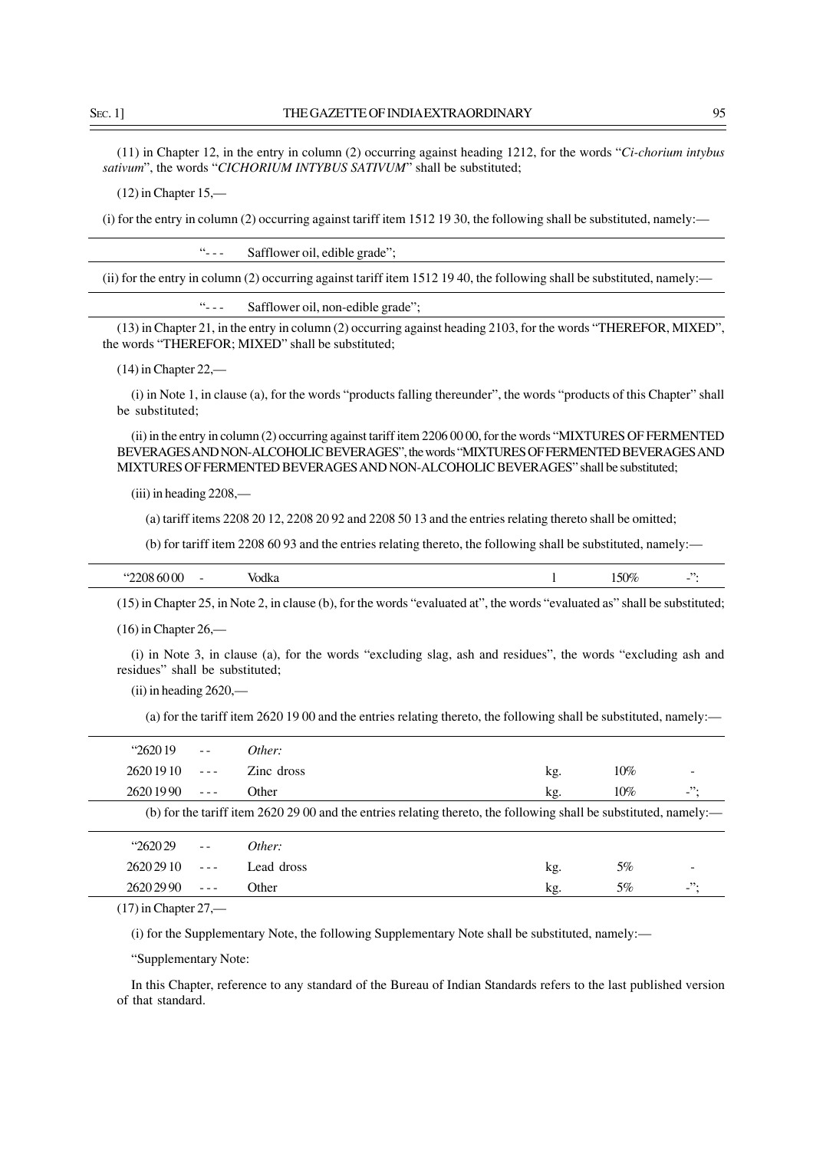(11) in Chapter 12, in the entry in column (2) occurring against heading 1212, for the words "*Ci-chorium intybus sativum*", the words "*CICHORIUM INTYBUS SATIVUM*" shall be substituted;

(12) in Chapter 15,—

(i) for the entry in column (2) occurring against tariff item 1512 19 30, the following shall be substituted, namely:—

"- - - Safflower oil, edible grade";

(ii) for the entry in column (2) occurring against tariff item 1512 19 40, the following shall be substituted, namely:—

"- - - Safflower oil, non-edible grade";

(13) in Chapter 21, in the entry in column (2) occurring against heading 2103, for the words "THEREFOR, MIXED", the words "THEREFOR; MIXED" shall be substituted;

(14) in Chapter 22,—

(i) in Note 1, in clause (a), for the words "products falling thereunder", the words "products of this Chapter" shall be substituted;

(ii) in the entry in column (2) occurring against tariff item 2206 00 00, for the words "MIXTURES OF FERMENTED BEVERAGES AND NON-ALCOHOLIC BEVERAGES", the words "MIXTURES OF FERMENTED BEVERAGES AND MIXTURES OF FERMENTED BEVERAGES AND NON-ALCOHOLIC BEVERAGES" shall be substituted;

(iii) in heading 2208,—

(a) tariff items 2208 20 12, 2208 20 92 and 2208 50 13 and the entries relating thereto shall be omitted;

(b) for tariff item 2208 60 93 and the entries relating thereto, the following shall be substituted, namely:—

| $\alpha$<br>'м<br>י ג<br>' V.A<br>-- | . . | $n_{\rm C}$<br>N<br>,, |  |
|--------------------------------------|-----|------------------------|--|
|                                      |     |                        |  |

(15) in Chapter 25, in Note 2, in clause (b), for the words "evaluated at", the words "evaluated as" shall be substituted;

(16) in Chapter 26,—

(i) in Note 3, in clause (a), for the words "excluding slag, ash and residues", the words "excluding ash and residues" shall be substituted;

 $(ii)$  in heading 2620,—

(a) for the tariff item 2620 19 00 and the entries relating thereto, the following shall be substituted, namely:—

| 262019   |                                                                                                                                                                                                                                                                                                                                                                                              | Other:                                                                                                            |     |        |             |
|----------|----------------------------------------------------------------------------------------------------------------------------------------------------------------------------------------------------------------------------------------------------------------------------------------------------------------------------------------------------------------------------------------------|-------------------------------------------------------------------------------------------------------------------|-----|--------|-------------|
| 26201910 | $\frac{1}{2} \frac{1}{2} \frac{1}{2} \frac{1}{2} \frac{1}{2} \frac{1}{2} \frac{1}{2} \frac{1}{2} \frac{1}{2} \frac{1}{2} \frac{1}{2} \frac{1}{2} \frac{1}{2} \frac{1}{2} \frac{1}{2} \frac{1}{2} \frac{1}{2} \frac{1}{2} \frac{1}{2} \frac{1}{2} \frac{1}{2} \frac{1}{2} \frac{1}{2} \frac{1}{2} \frac{1}{2} \frac{1}{2} \frac{1}{2} \frac{1}{2} \frac{1}{2} \frac{1}{2} \frac{1}{2} \frac{$ | Zinc dross                                                                                                        | kg. | $10\%$ |             |
| 26201990 |                                                                                                                                                                                                                                                                                                                                                                                              | Other                                                                                                             | kg. | $10\%$ | $\lrcorner$ |
|          |                                                                                                                                                                                                                                                                                                                                                                                              | (b) for the tariff item 2620 29 00 and the entries relating thereto, the following shall be substituted, namely:— |     |        |             |
| "262029" |                                                                                                                                                                                                                                                                                                                                                                                              | Other:                                                                                                            |     |        |             |
| 26202910 |                                                                                                                                                                                                                                                                                                                                                                                              | Lead dross                                                                                                        | kg. | 5%     |             |
| 26202990 |                                                                                                                                                                                                                                                                                                                                                                                              | Other                                                                                                             | kg. | 5%     | $\cdot$     |

(17) in Chapter 27,—

(i) for the Supplementary Note, the following Supplementary Note shall be substituted, namely:—

"Supplementary Note:

In this Chapter, reference to any standard of the Bureau of Indian Standards refers to the last published version of that standard.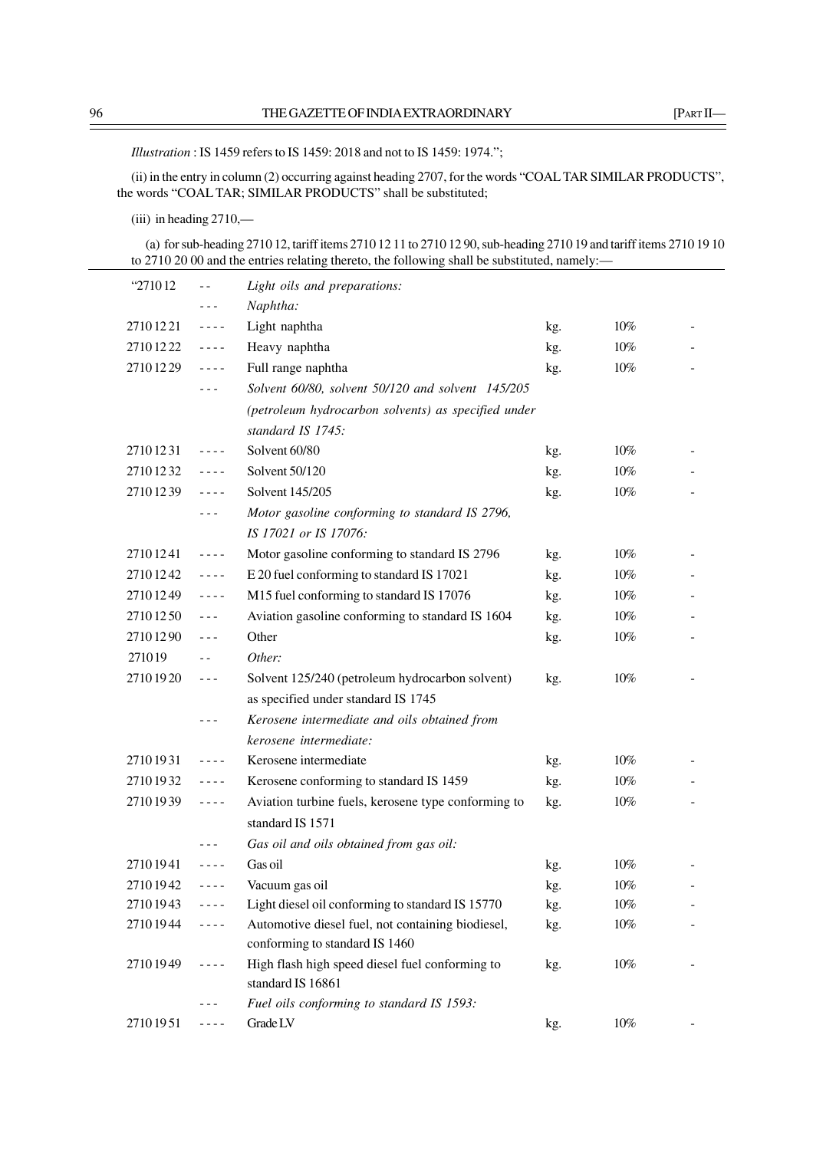*Illustration* : IS 1459 refers to IS 1459: 2018 and not to IS 1459: 1974.";

(ii) in the entry in column (2) occurring against heading 2707, for the words "COAL TAR SIMILAR PRODUCTS", the words "COAL TAR; SIMILAR PRODUCTS" shall be substituted;

(iii) in heading 2710,—

(a) for sub-heading 2710 12, tariff items 2710 12 11 to 2710 12 90, sub-heading 2710 19 and tariff items 2710 19 10 to 2710 20 00 and the entries relating thereto, the following shall be substituted, namely:—

| "271012  | $ -$                                                                                                                                                                                                                                                                                                                                                                                         | Light oils and preparations:                        |     |        |  |
|----------|----------------------------------------------------------------------------------------------------------------------------------------------------------------------------------------------------------------------------------------------------------------------------------------------------------------------------------------------------------------------------------------------|-----------------------------------------------------|-----|--------|--|
|          |                                                                                                                                                                                                                                                                                                                                                                                              | Naphtha:                                            |     |        |  |
| 27101221 | $\frac{1}{2} \frac{1}{2} \frac{1}{2} \frac{1}{2} \frac{1}{2} \frac{1}{2} \frac{1}{2}$                                                                                                                                                                                                                                                                                                        | Light naphtha                                       | kg. | 10%    |  |
| 27101222 | $- - - -$                                                                                                                                                                                                                                                                                                                                                                                    | Heavy naphtha                                       | kg. | 10%    |  |
| 27101229 | $\omega = \omega/\omega$                                                                                                                                                                                                                                                                                                                                                                     | Full range naphtha                                  | kg. | $10\%$ |  |
|          | - - -                                                                                                                                                                                                                                                                                                                                                                                        | Solvent 60/80, solvent 50/120 and solvent 145/205   |     |        |  |
|          |                                                                                                                                                                                                                                                                                                                                                                                              | (petroleum hydrocarbon solvents) as specified under |     |        |  |
|          |                                                                                                                                                                                                                                                                                                                                                                                              | standard IS 1745:                                   |     |        |  |
| 27101231 | $\sim$ $\sim$ $\sim$ $\sim$                                                                                                                                                                                                                                                                                                                                                                  | Solvent 60/80                                       | kg. | 10%    |  |
| 27101232 | $- - - -$                                                                                                                                                                                                                                                                                                                                                                                    | Solvent 50/120                                      | kg. | $10\%$ |  |
| 27101239 | $\sim$ $\sim$ $\sim$ $\sim$                                                                                                                                                                                                                                                                                                                                                                  | Solvent 145/205                                     | kg. | $10\%$ |  |
|          | $- - -$                                                                                                                                                                                                                                                                                                                                                                                      | Motor gasoline conforming to standard IS 2796,      |     |        |  |
|          |                                                                                                                                                                                                                                                                                                                                                                                              | IS 17021 or IS 17076:                               |     |        |  |
| 27101241 | $\sim$ $\sim$ $\sim$ $\sim$                                                                                                                                                                                                                                                                                                                                                                  | Motor gasoline conforming to standard IS 2796       | kg. | 10%    |  |
| 27101242 | $\omega = \omega/\omega$                                                                                                                                                                                                                                                                                                                                                                     | E 20 fuel conforming to standard IS 17021           | kg. | 10%    |  |
| 27101249 | $\omega = \omega/\omega$                                                                                                                                                                                                                                                                                                                                                                     | M15 fuel conforming to standard IS 17076            | kg. | 10%    |  |
| 27101250 | $\sim$ $\sim$ $\sim$                                                                                                                                                                                                                                                                                                                                                                         | Aviation gasoline conforming to standard IS 1604    | kg. | $10\%$ |  |
| 27101290 | $- - -$                                                                                                                                                                                                                                                                                                                                                                                      | Other                                               | kg. | 10%    |  |
| 271019   | $\overline{a}$                                                                                                                                                                                                                                                                                                                                                                               | Other:                                              |     |        |  |
| 27101920 | $\frac{1}{2} \frac{1}{2} \frac{1}{2} \frac{1}{2} \frac{1}{2} \frac{1}{2} \frac{1}{2} \frac{1}{2} \frac{1}{2} \frac{1}{2} \frac{1}{2} \frac{1}{2} \frac{1}{2} \frac{1}{2} \frac{1}{2} \frac{1}{2} \frac{1}{2} \frac{1}{2} \frac{1}{2} \frac{1}{2} \frac{1}{2} \frac{1}{2} \frac{1}{2} \frac{1}{2} \frac{1}{2} \frac{1}{2} \frac{1}{2} \frac{1}{2} \frac{1}{2} \frac{1}{2} \frac{1}{2} \frac{$ | Solvent 125/240 (petroleum hydrocarbon solvent)     | kg. | 10%    |  |
|          |                                                                                                                                                                                                                                                                                                                                                                                              | as specified under standard IS 1745                 |     |        |  |
|          | - - -                                                                                                                                                                                                                                                                                                                                                                                        | Kerosene intermediate and oils obtained from        |     |        |  |
|          |                                                                                                                                                                                                                                                                                                                                                                                              | kerosene intermediate:                              |     |        |  |
| 27101931 | $- - - -$                                                                                                                                                                                                                                                                                                                                                                                    | Kerosene intermediate                               | kg. | 10%    |  |
| 27101932 | $\omega = \omega/\omega$                                                                                                                                                                                                                                                                                                                                                                     | Kerosene conforming to standard IS 1459             | kg. | 10%    |  |
| 27101939 | $- - - -$                                                                                                                                                                                                                                                                                                                                                                                    | Aviation turbine fuels, kerosene type conforming to | kg. | 10%    |  |
|          |                                                                                                                                                                                                                                                                                                                                                                                              | standard IS 1571                                    |     |        |  |
|          |                                                                                                                                                                                                                                                                                                                                                                                              | Gas oil and oils obtained from gas oil:             |     |        |  |
| 27101941 | ----                                                                                                                                                                                                                                                                                                                                                                                         | Gas oil                                             | kg. | 10%    |  |
| 27101942 | - - - -                                                                                                                                                                                                                                                                                                                                                                                      | Vacuum gas oil                                      | kg. | 10%    |  |
| 27101943 | ----                                                                                                                                                                                                                                                                                                                                                                                         | Light diesel oil conforming to standard IS 15770    | kg. | $10\%$ |  |
| 27101944 | ----                                                                                                                                                                                                                                                                                                                                                                                         | Automotive diesel fuel, not containing biodiesel,   | kg. | $10\%$ |  |
|          |                                                                                                                                                                                                                                                                                                                                                                                              | conforming to standard IS 1460                      |     |        |  |
| 27101949 | ----                                                                                                                                                                                                                                                                                                                                                                                         | High flash high speed diesel fuel conforming to     | kg. | $10\%$ |  |
|          |                                                                                                                                                                                                                                                                                                                                                                                              | standard IS 16861                                   |     |        |  |
|          |                                                                                                                                                                                                                                                                                                                                                                                              | Fuel oils conforming to standard IS 1593:           |     |        |  |
| 27101951 | ----                                                                                                                                                                                                                                                                                                                                                                                         | Grade LV                                            | kg. | $10\%$ |  |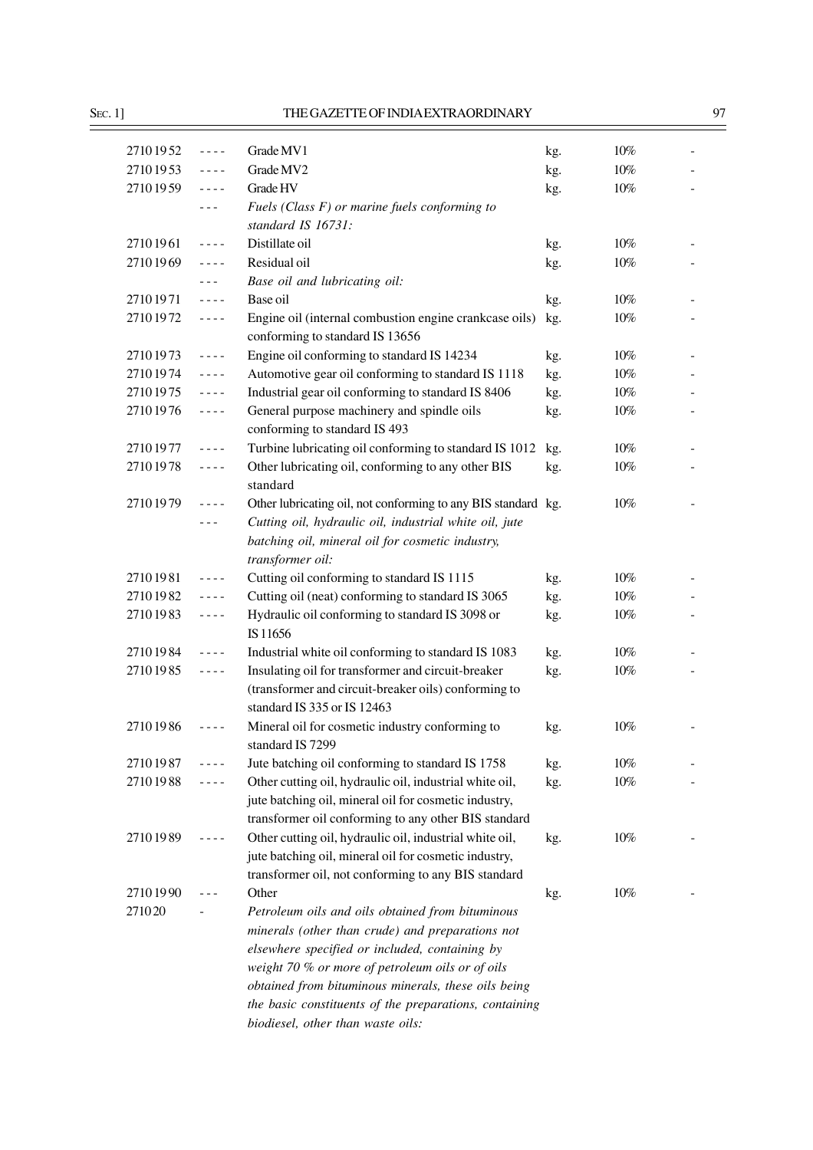| 27101952 | $\sim$ $\sim$ $\sim$ $\sim$                                                                                                                                                                                                                                                                                                                                                                  | Grade MV1                                                                                 | kg. | $10\%$ |  |
|----------|----------------------------------------------------------------------------------------------------------------------------------------------------------------------------------------------------------------------------------------------------------------------------------------------------------------------------------------------------------------------------------------------|-------------------------------------------------------------------------------------------|-----|--------|--|
| 27101953 | $\sim$ $\sim$ $\sim$ $\sim$                                                                                                                                                                                                                                                                                                                                                                  | Grade MV2                                                                                 | kg. | $10\%$ |  |
| 27101959 | $\frac{1}{2} \frac{1}{2} \frac{1}{2} \frac{1}{2} \frac{1}{2} \frac{1}{2} \frac{1}{2}$                                                                                                                                                                                                                                                                                                        | Grade HV                                                                                  | kg. | $10\%$ |  |
|          | $- - -$                                                                                                                                                                                                                                                                                                                                                                                      | Fuels (Class $F$ ) or marine fuels conforming to                                          |     |        |  |
|          |                                                                                                                                                                                                                                                                                                                                                                                              | standard IS 16731:                                                                        |     |        |  |
| 27101961 | $- - - -$                                                                                                                                                                                                                                                                                                                                                                                    | Distillate oil                                                                            | kg. | $10\%$ |  |
| 27101969 | $\frac{1}{2} \frac{1}{2} \frac{1}{2} \frac{1}{2} \frac{1}{2} \frac{1}{2} \frac{1}{2} \frac{1}{2} \frac{1}{2} \frac{1}{2} \frac{1}{2} \frac{1}{2} \frac{1}{2} \frac{1}{2} \frac{1}{2} \frac{1}{2} \frac{1}{2} \frac{1}{2} \frac{1}{2} \frac{1}{2} \frac{1}{2} \frac{1}{2} \frac{1}{2} \frac{1}{2} \frac{1}{2} \frac{1}{2} \frac{1}{2} \frac{1}{2} \frac{1}{2} \frac{1}{2} \frac{1}{2} \frac{$ | Residual oil                                                                              | kg. | $10\%$ |  |
|          | $\frac{1}{2} \frac{1}{2} \frac{1}{2} \frac{1}{2} \frac{1}{2} \frac{1}{2} \frac{1}{2} \frac{1}{2} \frac{1}{2} \frac{1}{2} \frac{1}{2} \frac{1}{2} \frac{1}{2} \frac{1}{2} \frac{1}{2} \frac{1}{2} \frac{1}{2} \frac{1}{2} \frac{1}{2} \frac{1}{2} \frac{1}{2} \frac{1}{2} \frac{1}{2} \frac{1}{2} \frac{1}{2} \frac{1}{2} \frac{1}{2} \frac{1}{2} \frac{1}{2} \frac{1}{2} \frac{1}{2} \frac{$ | Base oil and lubricating oil:                                                             |     |        |  |
| 27101971 | $\frac{1}{2} \frac{1}{2} \frac{1}{2} \frac{1}{2} \frac{1}{2} \frac{1}{2} \frac{1}{2} \frac{1}{2} \frac{1}{2} \frac{1}{2} \frac{1}{2} \frac{1}{2} \frac{1}{2} \frac{1}{2} \frac{1}{2} \frac{1}{2} \frac{1}{2} \frac{1}{2} \frac{1}{2} \frac{1}{2} \frac{1}{2} \frac{1}{2} \frac{1}{2} \frac{1}{2} \frac{1}{2} \frac{1}{2} \frac{1}{2} \frac{1}{2} \frac{1}{2} \frac{1}{2} \frac{1}{2} \frac{$ | Base oil                                                                                  | kg. | 10%    |  |
| 27101972 | $\frac{1}{2} \frac{1}{2} \frac{1}{2} \frac{1}{2} \frac{1}{2} \frac{1}{2} \frac{1}{2} \frac{1}{2} \frac{1}{2} \frac{1}{2} \frac{1}{2} \frac{1}{2} \frac{1}{2} \frac{1}{2} \frac{1}{2} \frac{1}{2} \frac{1}{2} \frac{1}{2} \frac{1}{2} \frac{1}{2} \frac{1}{2} \frac{1}{2} \frac{1}{2} \frac{1}{2} \frac{1}{2} \frac{1}{2} \frac{1}{2} \frac{1}{2} \frac{1}{2} \frac{1}{2} \frac{1}{2} \frac{$ | Engine oil (internal combustion engine crankcase oils)<br>conforming to standard IS 13656 | kg. | $10\%$ |  |
| 27101973 | $\frac{1}{2} \frac{1}{2} \frac{1}{2} \frac{1}{2} \frac{1}{2} \frac{1}{2} \frac{1}{2} \frac{1}{2} \frac{1}{2} \frac{1}{2} \frac{1}{2} \frac{1}{2} \frac{1}{2} \frac{1}{2} \frac{1}{2} \frac{1}{2} \frac{1}{2} \frac{1}{2} \frac{1}{2} \frac{1}{2} \frac{1}{2} \frac{1}{2} \frac{1}{2} \frac{1}{2} \frac{1}{2} \frac{1}{2} \frac{1}{2} \frac{1}{2} \frac{1}{2} \frac{1}{2} \frac{1}{2} \frac{$ | Engine oil conforming to standard IS 14234                                                | kg. | $10\%$ |  |
| 27101974 | $\frac{1}{2} \frac{1}{2} \frac{1}{2} \frac{1}{2} \frac{1}{2} \frac{1}{2} \frac{1}{2} \frac{1}{2} \frac{1}{2} \frac{1}{2} \frac{1}{2} \frac{1}{2} \frac{1}{2} \frac{1}{2} \frac{1}{2} \frac{1}{2} \frac{1}{2} \frac{1}{2} \frac{1}{2} \frac{1}{2} \frac{1}{2} \frac{1}{2} \frac{1}{2} \frac{1}{2} \frac{1}{2} \frac{1}{2} \frac{1}{2} \frac{1}{2} \frac{1}{2} \frac{1}{2} \frac{1}{2} \frac{$ | Automotive gear oil conforming to standard IS 1118                                        | kg. | $10\%$ |  |
| 27101975 | $\frac{1}{2} \frac{1}{2} \frac{1}{2} \frac{1}{2} \frac{1}{2} \frac{1}{2} \frac{1}{2} \frac{1}{2} \frac{1}{2} \frac{1}{2} \frac{1}{2} \frac{1}{2} \frac{1}{2} \frac{1}{2} \frac{1}{2} \frac{1}{2} \frac{1}{2} \frac{1}{2} \frac{1}{2} \frac{1}{2} \frac{1}{2} \frac{1}{2} \frac{1}{2} \frac{1}{2} \frac{1}{2} \frac{1}{2} \frac{1}{2} \frac{1}{2} \frac{1}{2} \frac{1}{2} \frac{1}{2} \frac{$ | Industrial gear oil conforming to standard IS 8406                                        | kg. | $10\%$ |  |
| 27101976 | $\frac{1}{2} \frac{1}{2} \frac{1}{2} \frac{1}{2} \frac{1}{2} \frac{1}{2} \frac{1}{2} \frac{1}{2} \frac{1}{2} \frac{1}{2} \frac{1}{2} \frac{1}{2} \frac{1}{2} \frac{1}{2} \frac{1}{2} \frac{1}{2} \frac{1}{2} \frac{1}{2} \frac{1}{2} \frac{1}{2} \frac{1}{2} \frac{1}{2} \frac{1}{2} \frac{1}{2} \frac{1}{2} \frac{1}{2} \frac{1}{2} \frac{1}{2} \frac{1}{2} \frac{1}{2} \frac{1}{2} \frac{$ | General purpose machinery and spindle oils<br>conforming to standard IS 493               | kg. | $10\%$ |  |
| 27101977 | $\frac{1}{2} \frac{1}{2} \frac{1}{2} \frac{1}{2} \frac{1}{2} \frac{1}{2} \frac{1}{2}$                                                                                                                                                                                                                                                                                                        | Turbine lubricating oil conforming to standard IS 1012                                    | kg. | $10\%$ |  |
| 27101978 | $\frac{1}{2} \frac{1}{2} \frac{1}{2} \frac{1}{2} \frac{1}{2} \frac{1}{2} \frac{1}{2} \frac{1}{2} \frac{1}{2} \frac{1}{2} \frac{1}{2} \frac{1}{2} \frac{1}{2} \frac{1}{2} \frac{1}{2} \frac{1}{2} \frac{1}{2} \frac{1}{2} \frac{1}{2} \frac{1}{2} \frac{1}{2} \frac{1}{2} \frac{1}{2} \frac{1}{2} \frac{1}{2} \frac{1}{2} \frac{1}{2} \frac{1}{2} \frac{1}{2} \frac{1}{2} \frac{1}{2} \frac{$ | Other lubricating oil, conforming to any other BIS                                        | kg. | $10\%$ |  |
|          |                                                                                                                                                                                                                                                                                                                                                                                              | standard                                                                                  |     |        |  |
| 27101979 | $\frac{1}{2} \frac{1}{2} \frac{1}{2} \frac{1}{2} \frac{1}{2} \frac{1}{2} \frac{1}{2} \frac{1}{2} \frac{1}{2} \frac{1}{2} \frac{1}{2} \frac{1}{2} \frac{1}{2} \frac{1}{2} \frac{1}{2} \frac{1}{2} \frac{1}{2} \frac{1}{2} \frac{1}{2} \frac{1}{2} \frac{1}{2} \frac{1}{2} \frac{1}{2} \frac{1}{2} \frac{1}{2} \frac{1}{2} \frac{1}{2} \frac{1}{2} \frac{1}{2} \frac{1}{2} \frac{1}{2} \frac{$ | Other lubricating oil, not conforming to any BIS standard kg.                             |     | $10\%$ |  |
|          |                                                                                                                                                                                                                                                                                                                                                                                              | Cutting oil, hydraulic oil, industrial white oil, jute                                    |     |        |  |
|          |                                                                                                                                                                                                                                                                                                                                                                                              | batching oil, mineral oil for cosmetic industry,<br>transformer oil:                      |     |        |  |
| 27101981 | $\sim$ $\sim$ $\sim$ $\sim$                                                                                                                                                                                                                                                                                                                                                                  | Cutting oil conforming to standard IS 1115                                                | kg. | 10%    |  |
| 27101982 | $\frac{1}{2} \frac{1}{2} \frac{1}{2} \frac{1}{2} \frac{1}{2} \frac{1}{2} \frac{1}{2}$                                                                                                                                                                                                                                                                                                        | Cutting oil (neat) conforming to standard IS 3065                                         | kg. | $10\%$ |  |
| 27101983 | $\omega = \omega/\omega$                                                                                                                                                                                                                                                                                                                                                                     | Hydraulic oil conforming to standard IS 3098 or<br>IS 11656                               | kg. | $10\%$ |  |
| 27101984 | $\frac{1}{2} \frac{1}{2} \frac{1}{2} \frac{1}{2} \frac{1}{2} \frac{1}{2} \frac{1}{2} \frac{1}{2} \frac{1}{2} \frac{1}{2} \frac{1}{2} \frac{1}{2} \frac{1}{2} \frac{1}{2} \frac{1}{2} \frac{1}{2} \frac{1}{2} \frac{1}{2} \frac{1}{2} \frac{1}{2} \frac{1}{2} \frac{1}{2} \frac{1}{2} \frac{1}{2} \frac{1}{2} \frac{1}{2} \frac{1}{2} \frac{1}{2} \frac{1}{2} \frac{1}{2} \frac{1}{2} \frac{$ | Industrial white oil conforming to standard IS 1083                                       | kg. | $10\%$ |  |
| 27101985 | $\frac{1}{2} \frac{1}{2} \frac{1}{2} \frac{1}{2} \frac{1}{2} \frac{1}{2} \frac{1}{2} \frac{1}{2} \frac{1}{2} \frac{1}{2} \frac{1}{2} \frac{1}{2} \frac{1}{2} \frac{1}{2} \frac{1}{2} \frac{1}{2} \frac{1}{2} \frac{1}{2} \frac{1}{2} \frac{1}{2} \frac{1}{2} \frac{1}{2} \frac{1}{2} \frac{1}{2} \frac{1}{2} \frac{1}{2} \frac{1}{2} \frac{1}{2} \frac{1}{2} \frac{1}{2} \frac{1}{2} \frac{$ | Insulating oil for transformer and circuit-breaker                                        | kg. | $10\%$ |  |
|          |                                                                                                                                                                                                                                                                                                                                                                                              | (transformer and circuit-breaker oils) conforming to<br>standard IS 335 or IS 12463       |     |        |  |
| 27101986 |                                                                                                                                                                                                                                                                                                                                                                                              | Mineral oil for cosmetic industry conforming to                                           | kg. | 10%    |  |
|          |                                                                                                                                                                                                                                                                                                                                                                                              | standard IS 7299                                                                          |     |        |  |
| 27101987 | $- - - -$                                                                                                                                                                                                                                                                                                                                                                                    | Jute batching oil conforming to standard IS 1758                                          | kg. | $10\%$ |  |
| 27101988 | ----                                                                                                                                                                                                                                                                                                                                                                                         | Other cutting oil, hydraulic oil, industrial white oil,                                   | kg. | $10\%$ |  |
|          |                                                                                                                                                                                                                                                                                                                                                                                              | jute batching oil, mineral oil for cosmetic industry,                                     |     |        |  |
|          |                                                                                                                                                                                                                                                                                                                                                                                              | transformer oil conforming to any other BIS standard                                      |     |        |  |
| 27101989 | ----                                                                                                                                                                                                                                                                                                                                                                                         | Other cutting oil, hydraulic oil, industrial white oil,                                   | kg. | $10\%$ |  |
|          |                                                                                                                                                                                                                                                                                                                                                                                              | jute batching oil, mineral oil for cosmetic industry,                                     |     |        |  |
|          |                                                                                                                                                                                                                                                                                                                                                                                              | transformer oil, not conforming to any BIS standard                                       |     |        |  |
| 27101990 |                                                                                                                                                                                                                                                                                                                                                                                              | Other                                                                                     | kg. | $10\%$ |  |
| 271020   |                                                                                                                                                                                                                                                                                                                                                                                              | Petroleum oils and oils obtained from bituminous                                          |     |        |  |
|          |                                                                                                                                                                                                                                                                                                                                                                                              | minerals (other than crude) and preparations not                                          |     |        |  |
|          |                                                                                                                                                                                                                                                                                                                                                                                              | elsewhere specified or included, containing by                                            |     |        |  |
|          |                                                                                                                                                                                                                                                                                                                                                                                              | weight 70 % or more of petroleum oils or of oils                                          |     |        |  |
|          |                                                                                                                                                                                                                                                                                                                                                                                              | obtained from bituminous minerals, these oils being                                       |     |        |  |
|          |                                                                                                                                                                                                                                                                                                                                                                                              | the basic constituents of the preparations, containing                                    |     |        |  |
|          |                                                                                                                                                                                                                                                                                                                                                                                              | biodiesel, other than waste oils:                                                         |     |        |  |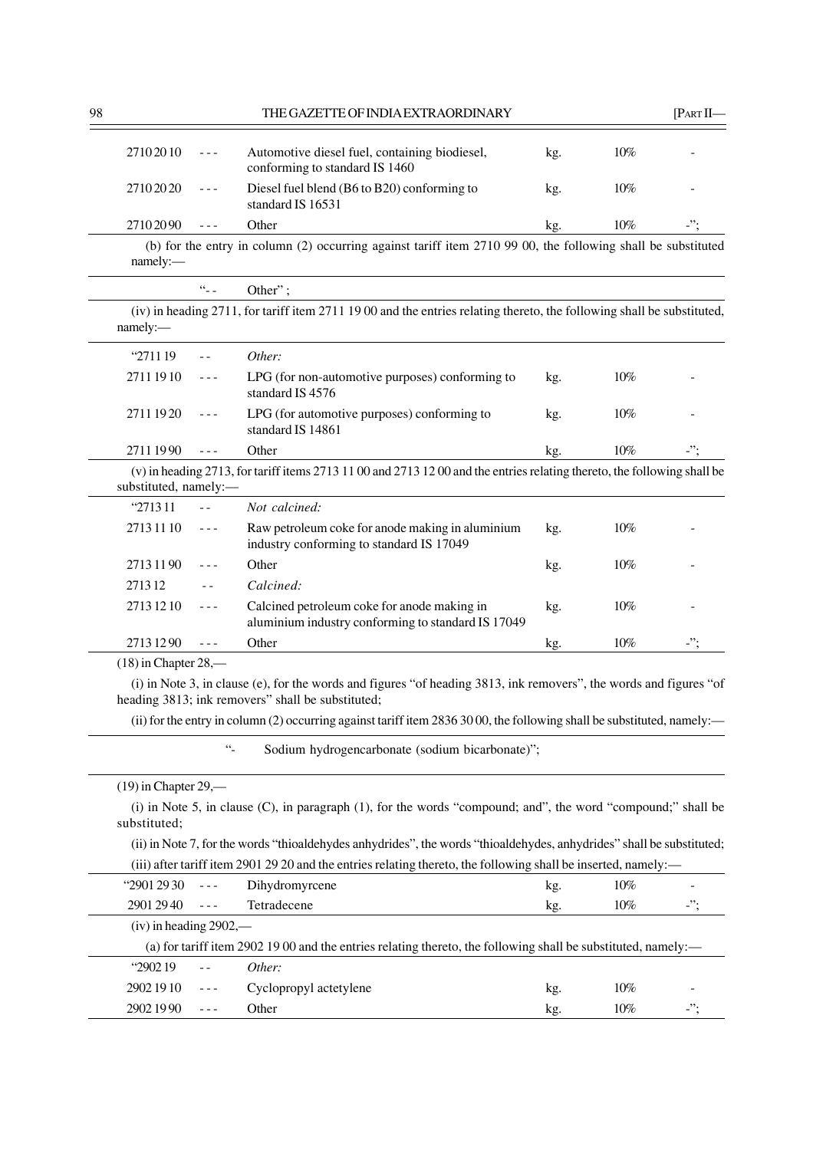| 98                     |                                                                                                                                                                                                                                                                                                                                                                                              | THE GAZETTE OF INDIA EXTRAORDINARY                                                                                                                                      |     |        | [PARTII]   |
|------------------------|----------------------------------------------------------------------------------------------------------------------------------------------------------------------------------------------------------------------------------------------------------------------------------------------------------------------------------------------------------------------------------------------|-------------------------------------------------------------------------------------------------------------------------------------------------------------------------|-----|--------|------------|
| 27102010               | $- - -$                                                                                                                                                                                                                                                                                                                                                                                      | Automotive diesel fuel, containing biodiesel,<br>conforming to standard IS 1460                                                                                         | kg. | $10\%$ |            |
| 27102020               | ---                                                                                                                                                                                                                                                                                                                                                                                          | Diesel fuel blend (B6 to B20) conforming to<br>standard IS 16531                                                                                                        | kg. | $10\%$ |            |
| 27102090               | $- - -$                                                                                                                                                                                                                                                                                                                                                                                      | Other                                                                                                                                                                   | kg. | 10%    |            |
| namely:                |                                                                                                                                                                                                                                                                                                                                                                                              | (b) for the entry in column (2) occurring against tariff item 2710 99 00, the following shall be substituted                                                            |     |        |            |
|                        | $\frac{1}{2}$                                                                                                                                                                                                                                                                                                                                                                                | Other";                                                                                                                                                                 |     |        |            |
| namely:                |                                                                                                                                                                                                                                                                                                                                                                                              | (iv) in heading 2711, for tariff item 2711 1900 and the entries relating thereto, the following shall be substituted,                                                   |     |        |            |
| "2711 19"              | $\sim$ $\sim$                                                                                                                                                                                                                                                                                                                                                                                | Other:                                                                                                                                                                  |     |        |            |
| 2711 1910              | $- - -$                                                                                                                                                                                                                                                                                                                                                                                      | LPG (for non-automotive purposes) conforming to<br>standard IS 4576                                                                                                     | kg. | 10%    |            |
| 27111920               | $\frac{1}{2} \frac{1}{2} \frac{1}{2} \frac{1}{2} \frac{1}{2} \frac{1}{2} \frac{1}{2} \frac{1}{2} \frac{1}{2} \frac{1}{2} \frac{1}{2} \frac{1}{2} \frac{1}{2} \frac{1}{2} \frac{1}{2} \frac{1}{2} \frac{1}{2} \frac{1}{2} \frac{1}{2} \frac{1}{2} \frac{1}{2} \frac{1}{2} \frac{1}{2} \frac{1}{2} \frac{1}{2} \frac{1}{2} \frac{1}{2} \frac{1}{2} \frac{1}{2} \frac{1}{2} \frac{1}{2} \frac{$ | LPG (for automotive purposes) conforming to<br>standard IS 14861                                                                                                        | kg. | $10\%$ |            |
| 27111990               | $\sim$ $\sim$ $\sim$                                                                                                                                                                                                                                                                                                                                                                         | Other                                                                                                                                                                   | kg. | 10%    | $\cdot$ "; |
| substituted, namely:-  |                                                                                                                                                                                                                                                                                                                                                                                              | (v) in heading 2713, for tariff items 2713 11 00 and 2713 12 00 and the entries relating thereto, the following shall be                                                |     |        |            |
| "271311                | $\sim$ $\sim$                                                                                                                                                                                                                                                                                                                                                                                | Not calcined:                                                                                                                                                           |     |        |            |
| 27131110               | $\sim$ $\sim$ $\sim$                                                                                                                                                                                                                                                                                                                                                                         | Raw petroleum coke for anode making in aluminium<br>industry conforming to standard IS 17049                                                                            | kg. | 10%    |            |
| 2713 11 90             | $- - -$                                                                                                                                                                                                                                                                                                                                                                                      | Other                                                                                                                                                                   | kg. | 10%    |            |
| 271312                 |                                                                                                                                                                                                                                                                                                                                                                                              | Calcined:                                                                                                                                                               |     |        |            |
| 2713 12 10             | $- - -$                                                                                                                                                                                                                                                                                                                                                                                      | Calcined petroleum coke for anode making in<br>aluminium industry conforming to standard IS 17049                                                                       | kg. | 10%    |            |
| 27131290               | $\frac{1}{2}$                                                                                                                                                                                                                                                                                                                                                                                | Other                                                                                                                                                                   | kg. | 10%    | -";        |
| $(18)$ in Chapter 28,— |                                                                                                                                                                                                                                                                                                                                                                                              |                                                                                                                                                                         |     |        |            |
|                        |                                                                                                                                                                                                                                                                                                                                                                                              | (i) in Note 3, in clause (e), for the words and figures "of heading 3813, ink removers", the words and figures "of<br>heading 3813; ink removers" shall be substituted; |     |        |            |
|                        |                                                                                                                                                                                                                                                                                                                                                                                              | (ii) for the entry in column (2) occurring against tariff item 2836 30 00, the following shall be substituted, namely:—                                                 |     |        |            |
|                        | $\ddotsc$                                                                                                                                                                                                                                                                                                                                                                                    | Sodium hydrogencarbonate (sodium bicarbonate)";                                                                                                                         |     |        |            |

| $(19)$ in Chapter 29,—   |                      |                                                                                                                       |     |        |     |
|--------------------------|----------------------|-----------------------------------------------------------------------------------------------------------------------|-----|--------|-----|
| substituted:             |                      | (i) in Note 5, in clause $(C)$ , in paragraph $(1)$ , for the words "compound; and", the word "compound;" shall be    |     |        |     |
|                          |                      | (ii) in Note 7, for the words "thioaldehydes anhydrides", the words "thioaldehydes, anhydrides" shall be substituted; |     |        |     |
|                          |                      | (iii) after tariff item 2901 29 20 and the entries relating thereto, the following shall be inserted, namely:—        |     |        |     |
| <b>"2901 29 30</b>       | $\sim$ $\sim$ $\sim$ | Dihydromyrcene                                                                                                        | kg. | 10%    |     |
| $29012940$ ---           |                      | Tetradecene                                                                                                           | kg. | $10\%$ | -"; |
| $(iv)$ in heading 2902,— |                      |                                                                                                                       |     |        |     |
|                          |                      | (a) for tariff item 2902 19 00 and the entries relating thereto, the following shall be substituted, namely:—         |     |        |     |
| "290219"                 |                      | Other:                                                                                                                |     |        |     |
| 2902 19 10               | $- - -$              | Cyclopropyl actetylene                                                                                                | kg. | 10%    |     |
| 29021990                 |                      | Other                                                                                                                 | kg. | $10\%$ | -"; |
|                          |                      |                                                                                                                       |     |        |     |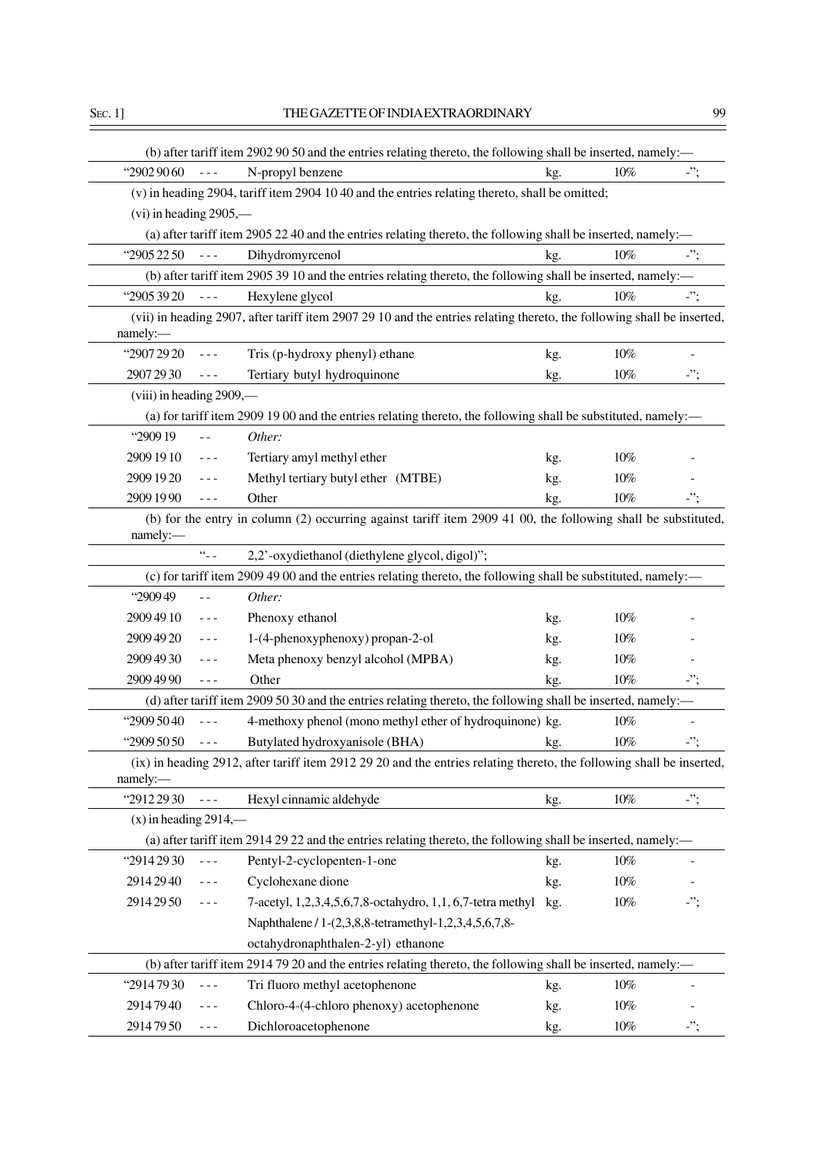|                          |                                                                                                                                                                                                                                                                                                                                                                                              | (b) after tariff item 2902 90 50 and the entries relating thereto, the following shall be inserted, namely:—           |     |        |            |
|--------------------------|----------------------------------------------------------------------------------------------------------------------------------------------------------------------------------------------------------------------------------------------------------------------------------------------------------------------------------------------------------------------------------------------|------------------------------------------------------------------------------------------------------------------------|-----|--------|------------|
| "2902 90 60              | $\frac{1}{2}$                                                                                                                                                                                                                                                                                                                                                                                | N-propyl benzene                                                                                                       | kg. | $10\%$ | -";        |
|                          |                                                                                                                                                                                                                                                                                                                                                                                              | (v) in heading 2904, tariff item 2904 10 40 and the entries relating thereto, shall be omitted;                        |     |        |            |
| $(vi)$ in heading 2905,— |                                                                                                                                                                                                                                                                                                                                                                                              |                                                                                                                        |     |        |            |
|                          |                                                                                                                                                                                                                                                                                                                                                                                              | (a) after tariff item 2905 22 40 and the entries relating thereto, the following shall be inserted, namely:-           |     |        |            |
| "2905 22 50              | $\frac{1}{2}$                                                                                                                                                                                                                                                                                                                                                                                | Dihydromyrcenol                                                                                                        | kg. | $10\%$ | $\cdot$ "; |
|                          |                                                                                                                                                                                                                                                                                                                                                                                              | (b) after tariff item 2905 39 10 and the entries relating thereto, the following shall be inserted, namely:—           |     |        |            |
| "2905 39 20              | $- - -$                                                                                                                                                                                                                                                                                                                                                                                      | Hexylene glycol                                                                                                        | kg. | $10\%$ | -";        |
|                          |                                                                                                                                                                                                                                                                                                                                                                                              | (vii) in heading 2907, after tariff item 2907 29 10 and the entries relating thereto, the following shall be inserted, |     |        |            |
| namely:-                 |                                                                                                                                                                                                                                                                                                                                                                                              |                                                                                                                        |     |        |            |
| "2907 29 20              | $\sim$ $\sim$ $\sim$                                                                                                                                                                                                                                                                                                                                                                         | Tris (p-hydroxy phenyl) ethane                                                                                         | kg. | $10\%$ |            |
| 2907 29 30               |                                                                                                                                                                                                                                                                                                                                                                                              | Tertiary butyl hydroquinone                                                                                            | kg. | $10\%$ | -";        |
| (viii) in heading 2909,— |                                                                                                                                                                                                                                                                                                                                                                                              |                                                                                                                        |     |        |            |
|                          |                                                                                                                                                                                                                                                                                                                                                                                              | (a) for tariff item 2909 19 00 and the entries relating thereto, the following shall be substituted, namely:—          |     |        |            |
| "290919                  | 44                                                                                                                                                                                                                                                                                                                                                                                           | Other:                                                                                                                 |     |        |            |
| 2909 19 10               | $\frac{1}{2} \frac{1}{2} \frac{1}{2} \frac{1}{2} \frac{1}{2} \frac{1}{2} \frac{1}{2} \frac{1}{2} \frac{1}{2} \frac{1}{2} \frac{1}{2} \frac{1}{2} \frac{1}{2} \frac{1}{2} \frac{1}{2} \frac{1}{2} \frac{1}{2} \frac{1}{2} \frac{1}{2} \frac{1}{2} \frac{1}{2} \frac{1}{2} \frac{1}{2} \frac{1}{2} \frac{1}{2} \frac{1}{2} \frac{1}{2} \frac{1}{2} \frac{1}{2} \frac{1}{2} \frac{1}{2} \frac{$ | Tertiary amyl methyl ether                                                                                             | kg. | 10%    |            |
| 2909 19 20               |                                                                                                                                                                                                                                                                                                                                                                                              | Methyl tertiary butyl ether (MTBE)                                                                                     | kg. | 10%    |            |
| 2909 19 90               | $- - -$                                                                                                                                                                                                                                                                                                                                                                                      | Other                                                                                                                  | kg. | $10\%$ | -";        |
|                          |                                                                                                                                                                                                                                                                                                                                                                                              | (b) for the entry in column (2) occurring against tariff item 2909 41 00, the following shall be substituted,          |     |        |            |
| namely:-                 |                                                                                                                                                                                                                                                                                                                                                                                              |                                                                                                                        |     |        |            |
|                          | $\alpha_{\perp}$                                                                                                                                                                                                                                                                                                                                                                             | 2,2'-oxydiethanol (diethylene glycol, digol)";                                                                         |     |        |            |
|                          |                                                                                                                                                                                                                                                                                                                                                                                              | (c) for tariff item 2909 49 00 and the entries relating thereto, the following shall be substituted, namely:-          |     |        |            |
| "290949                  | - -                                                                                                                                                                                                                                                                                                                                                                                          | Other:                                                                                                                 |     |        |            |
| 2909 49 10               | $- - -$                                                                                                                                                                                                                                                                                                                                                                                      | Phenoxy ethanol                                                                                                        | kg. | $10\%$ |            |
| 2909 49 20               | $- - -$                                                                                                                                                                                                                                                                                                                                                                                      | 1-(4-phenoxyphenoxy) propan-2-ol                                                                                       | kg. | 10%    |            |
| 2909 49 30               | $- - -$                                                                                                                                                                                                                                                                                                                                                                                      | Meta phenoxy benzyl alcohol (MPBA)                                                                                     | kg. | 10%    |            |
| 2909 49 90               | $- - -$                                                                                                                                                                                                                                                                                                                                                                                      | Other                                                                                                                  | kg. | $10\%$ | -";        |
|                          |                                                                                                                                                                                                                                                                                                                                                                                              | (d) after tariff item 2909 50 30 and the entries relating thereto, the following shall be inserted, namely:—           |     |        |            |
| "2909 50 40              | $- - -$                                                                                                                                                                                                                                                                                                                                                                                      | 4-methoxy phenol (mono methyl ether of hydroquinone) kg.                                                               |     | $10\%$ |            |
| "2909 50 50              | $- - -$                                                                                                                                                                                                                                                                                                                                                                                      | Butylated hydroxyanisole (BHA)                                                                                         | kg. | $10\%$ | -";        |
| namely:-                 |                                                                                                                                                                                                                                                                                                                                                                                              | (ix) in heading 2912, after tariff item 2912 29 20 and the entries relating thereto, the following shall be inserted,  |     |        |            |
| "2912 29 30              | $- - -$                                                                                                                                                                                                                                                                                                                                                                                      | Hexyl cinnamic aldehyde                                                                                                | kg. | $10\%$ | $\cdot$ "; |
| $(x)$ in heading 2914,—  |                                                                                                                                                                                                                                                                                                                                                                                              |                                                                                                                        |     |        |            |
|                          |                                                                                                                                                                                                                                                                                                                                                                                              | (a) after tariff item 2914 29 22 and the entries relating thereto, the following shall be inserted, namely:—           |     |        |            |
| "2914 29 30              | $- - -$                                                                                                                                                                                                                                                                                                                                                                                      | Pentyl-2-cyclopenten-1-one                                                                                             | kg. | $10\%$ |            |
| 2914 29 40               |                                                                                                                                                                                                                                                                                                                                                                                              | Cyclohexane dione                                                                                                      | kg. | $10\%$ |            |
| 2914 29 50               | $- - -$                                                                                                                                                                                                                                                                                                                                                                                      | 7-acetyl, 1,2,3,4,5,6,7,8-octahydro, 1,1, 6,7-tetra methyl                                                             | kg. | $10\%$ | -";        |
|                          |                                                                                                                                                                                                                                                                                                                                                                                              | Naphthalene / 1-(2,3,8,8-tetramethyl-1,2,3,4,5,6,7,8-                                                                  |     |        |            |
|                          |                                                                                                                                                                                                                                                                                                                                                                                              | octahydronaphthalen-2-yl) ethanone                                                                                     |     |        |            |
|                          |                                                                                                                                                                                                                                                                                                                                                                                              | (b) after tariff item 2914 79 20 and the entries relating thereto, the following shall be inserted, namely:—           |     |        |            |
| "29147930                | - - -                                                                                                                                                                                                                                                                                                                                                                                        | Tri fluoro methyl acetophenone                                                                                         | kg. | $10\%$ |            |
| 29147940                 |                                                                                                                                                                                                                                                                                                                                                                                              | Chloro-4-(4-chloro phenoxy) acetophenone                                                                               | kg. | $10\%$ |            |
| 29147950                 | $\frac{1}{2} \frac{1}{2} \frac{1}{2} \frac{1}{2} \frac{1}{2} \frac{1}{2} \frac{1}{2} \frac{1}{2} \frac{1}{2} \frac{1}{2} \frac{1}{2} \frac{1}{2} \frac{1}{2} \frac{1}{2} \frac{1}{2} \frac{1}{2} \frac{1}{2} \frac{1}{2} \frac{1}{2} \frac{1}{2} \frac{1}{2} \frac{1}{2} \frac{1}{2} \frac{1}{2} \frac{1}{2} \frac{1}{2} \frac{1}{2} \frac{1}{2} \frac{1}{2} \frac{1}{2} \frac{1}{2} \frac{$ | Dichloroacetophenone                                                                                                   | kg. | $10\%$ | $\cdot$ "; |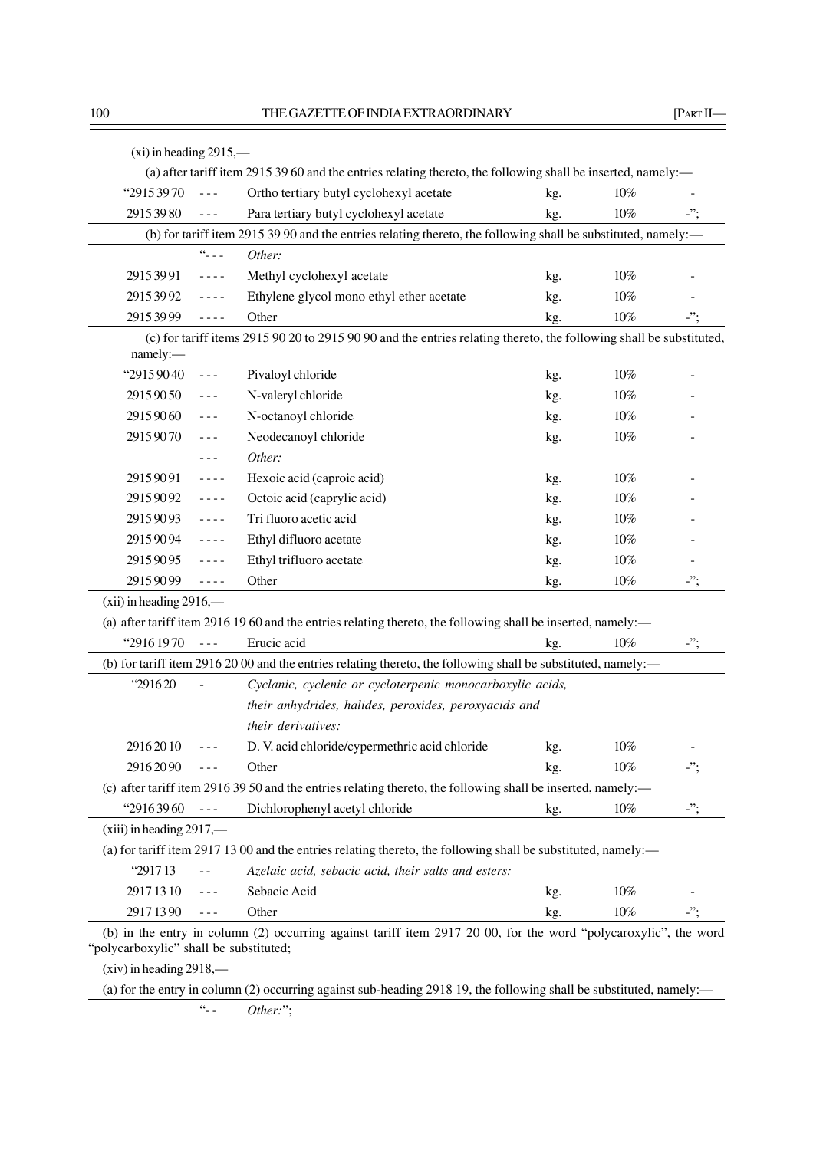| "29153970                  | $\sim$ $\sim$ $\sim$                                                                                                                                                                                                                                                                                                                                                                         | Ortho tertiary butyl cyclohexyl acetate                                                                             | kg. | 10%    |            |
|----------------------------|----------------------------------------------------------------------------------------------------------------------------------------------------------------------------------------------------------------------------------------------------------------------------------------------------------------------------------------------------------------------------------------------|---------------------------------------------------------------------------------------------------------------------|-----|--------|------------|
| 29153980                   | $\sim$ $\sim$ $\sim$                                                                                                                                                                                                                                                                                                                                                                         | Para tertiary butyl cyclohexyl acetate                                                                              | kg. | $10\%$ | $\cdot$ "; |
|                            |                                                                                                                                                                                                                                                                                                                                                                                              | (b) for tariff item 2915 39 90 and the entries relating thereto, the following shall be substituted, namely:-       |     |        |            |
|                            | $\Omega_{\perp\perp\perp}$                                                                                                                                                                                                                                                                                                                                                                   | Other:                                                                                                              |     |        |            |
| 29153991                   | $\frac{1}{2} \frac{1}{2} \frac{1}{2} \frac{1}{2} \frac{1}{2} \frac{1}{2} \frac{1}{2} \frac{1}{2} \frac{1}{2} \frac{1}{2} \frac{1}{2} \frac{1}{2} \frac{1}{2} \frac{1}{2} \frac{1}{2} \frac{1}{2} \frac{1}{2} \frac{1}{2} \frac{1}{2} \frac{1}{2} \frac{1}{2} \frac{1}{2} \frac{1}{2} \frac{1}{2} \frac{1}{2} \frac{1}{2} \frac{1}{2} \frac{1}{2} \frac{1}{2} \frac{1}{2} \frac{1}{2} \frac{$ | Methyl cyclohexyl acetate                                                                                           | kg. | $10\%$ |            |
| 29153992                   | $- - - -$                                                                                                                                                                                                                                                                                                                                                                                    | Ethylene glycol mono ethyl ether acetate                                                                            | kg. | 10%    |            |
| 29153999                   | $- - - -$                                                                                                                                                                                                                                                                                                                                                                                    | Other                                                                                                               | kg. | $10\%$ | -";        |
| namely:-                   |                                                                                                                                                                                                                                                                                                                                                                                              | (c) for tariff items 2915 90 20 to 2915 90 90 and the entries relating thereto, the following shall be substituted, |     |        |            |
| "29159040                  | $\frac{1}{2} \frac{1}{2} \frac{1}{2} \frac{1}{2} \frac{1}{2} \frac{1}{2} \frac{1}{2} \frac{1}{2} \frac{1}{2} \frac{1}{2} \frac{1}{2} \frac{1}{2} \frac{1}{2} \frac{1}{2} \frac{1}{2} \frac{1}{2} \frac{1}{2} \frac{1}{2} \frac{1}{2} \frac{1}{2} \frac{1}{2} \frac{1}{2} \frac{1}{2} \frac{1}{2} \frac{1}{2} \frac{1}{2} \frac{1}{2} \frac{1}{2} \frac{1}{2} \frac{1}{2} \frac{1}{2} \frac{$ | Pivaloyl chloride                                                                                                   | kg. | $10\%$ |            |
| 29159050                   | $- - -$                                                                                                                                                                                                                                                                                                                                                                                      | N-valeryl chloride                                                                                                  | kg. | 10%    |            |
| 29159060                   | $- - -$                                                                                                                                                                                                                                                                                                                                                                                      | N-octanoyl chloride                                                                                                 | kg. | $10\%$ |            |
| 29159070                   | - - -                                                                                                                                                                                                                                                                                                                                                                                        | Neodecanoyl chloride                                                                                                | kg. | $10\%$ |            |
|                            | $- - -$                                                                                                                                                                                                                                                                                                                                                                                      | Other:                                                                                                              |     |        |            |
| 29159091                   | $\sim$ $\sim$ $\sim$ $\sim$                                                                                                                                                                                                                                                                                                                                                                  | Hexoic acid (caproic acid)                                                                                          | kg. | $10\%$ |            |
| 29159092                   | $\frac{1}{2} \frac{1}{2} \frac{1}{2} \frac{1}{2} \frac{1}{2} \frac{1}{2} \frac{1}{2} \frac{1}{2} \frac{1}{2} \frac{1}{2} \frac{1}{2} \frac{1}{2} \frac{1}{2} \frac{1}{2} \frac{1}{2} \frac{1}{2} \frac{1}{2} \frac{1}{2} \frac{1}{2} \frac{1}{2} \frac{1}{2} \frac{1}{2} \frac{1}{2} \frac{1}{2} \frac{1}{2} \frac{1}{2} \frac{1}{2} \frac{1}{2} \frac{1}{2} \frac{1}{2} \frac{1}{2} \frac{$ | Octoic acid (caprylic acid)                                                                                         | kg. | $10\%$ |            |
| 29159093                   | $\sim$ $\sim$ $\sim$ $\sim$                                                                                                                                                                                                                                                                                                                                                                  | Tri fluoro acetic acid                                                                                              | kg. | $10\%$ |            |
| 29159094                   | $\omega = \omega/\omega$                                                                                                                                                                                                                                                                                                                                                                     | Ethyl difluoro acetate                                                                                              | kg. | $10\%$ |            |
| 29159095                   | ----                                                                                                                                                                                                                                                                                                                                                                                         | Ethyl trifluoro acetate                                                                                             | kg. | $10\%$ |            |
| 29159099                   | $\frac{1}{2} \frac{1}{2} \frac{1}{2} \frac{1}{2} \frac{1}{2} \frac{1}{2} \frac{1}{2} \frac{1}{2} \frac{1}{2} \frac{1}{2} \frac{1}{2} \frac{1}{2} \frac{1}{2} \frac{1}{2} \frac{1}{2} \frac{1}{2} \frac{1}{2} \frac{1}{2} \frac{1}{2} \frac{1}{2} \frac{1}{2} \frac{1}{2} \frac{1}{2} \frac{1}{2} \frac{1}{2} \frac{1}{2} \frac{1}{2} \frac{1}{2} \frac{1}{2} \frac{1}{2} \frac{1}{2} \frac{$ | Other                                                                                                               | kg. | $10\%$ | $\cdot$ "; |
| $(xii)$ in heading 2916,—  |                                                                                                                                                                                                                                                                                                                                                                                              |                                                                                                                     |     |        |            |
|                            |                                                                                                                                                                                                                                                                                                                                                                                              | (a) after tariff item 2916 19 60 and the entries relating thereto, the following shall be inserted, namely:-        |     |        |            |
| "2916 1970                 | $\omega = \omega$                                                                                                                                                                                                                                                                                                                                                                            | Erucic acid                                                                                                         | kg. | $10\%$ | $\cdot$ "; |
|                            |                                                                                                                                                                                                                                                                                                                                                                                              | (b) for tariff item 2916 20 00 and the entries relating thereto, the following shall be substituted, namely:—       |     |        |            |
| "291620                    | $\overline{a}$                                                                                                                                                                                                                                                                                                                                                                               | Cyclanic, cyclenic or cycloterpenic monocarboxylic acids,                                                           |     |        |            |
|                            |                                                                                                                                                                                                                                                                                                                                                                                              | their anhydrides, halides, peroxides, peroxyacids and                                                               |     |        |            |
|                            |                                                                                                                                                                                                                                                                                                                                                                                              | their derivatives:                                                                                                  |     |        |            |
| 29162010                   | $- - -$                                                                                                                                                                                                                                                                                                                                                                                      | D. V. acid chloride/cypermethric acid chloride                                                                      | kg. | $10\%$ |            |
| 29162090                   | $- - -$                                                                                                                                                                                                                                                                                                                                                                                      | Other                                                                                                               | kg. | $10\%$ | $\cdot$ "; |
|                            |                                                                                                                                                                                                                                                                                                                                                                                              | (c) after tariff item 2916 39 50 and the entries relating thereto, the following shall be inserted, namely:—        |     |        |            |
| "29163960                  | $\omega = \omega$                                                                                                                                                                                                                                                                                                                                                                            | Dichlorophenyl acetyl chloride                                                                                      | kg. | $10\%$ | $\cdot$ "; |
| $(xiii)$ in heading 2917,— |                                                                                                                                                                                                                                                                                                                                                                                              |                                                                                                                     |     |        |            |
|                            |                                                                                                                                                                                                                                                                                                                                                                                              | (a) for tariff item 2917 13 00 and the entries relating thereto, the following shall be substituted, namely:—       |     |        |            |
| "291713                    | $\sim$ $-$                                                                                                                                                                                                                                                                                                                                                                                   | Azelaic acid, sebacic acid, their salts and esters:                                                                 |     |        |            |
| 29171310                   | $- - -$                                                                                                                                                                                                                                                                                                                                                                                      | Sebacic Acid                                                                                                        | kg. | $10\%$ |            |
| 29171390                   | $- - -$                                                                                                                                                                                                                                                                                                                                                                                      | Other                                                                                                               | kg. | $10\%$ | -";        |

(xiv) in heading 2918,—

(a) for the entry in column (2) occurring against sub-heading 2918 19, the following shall be substituted, namely:—

"- - *Other:*";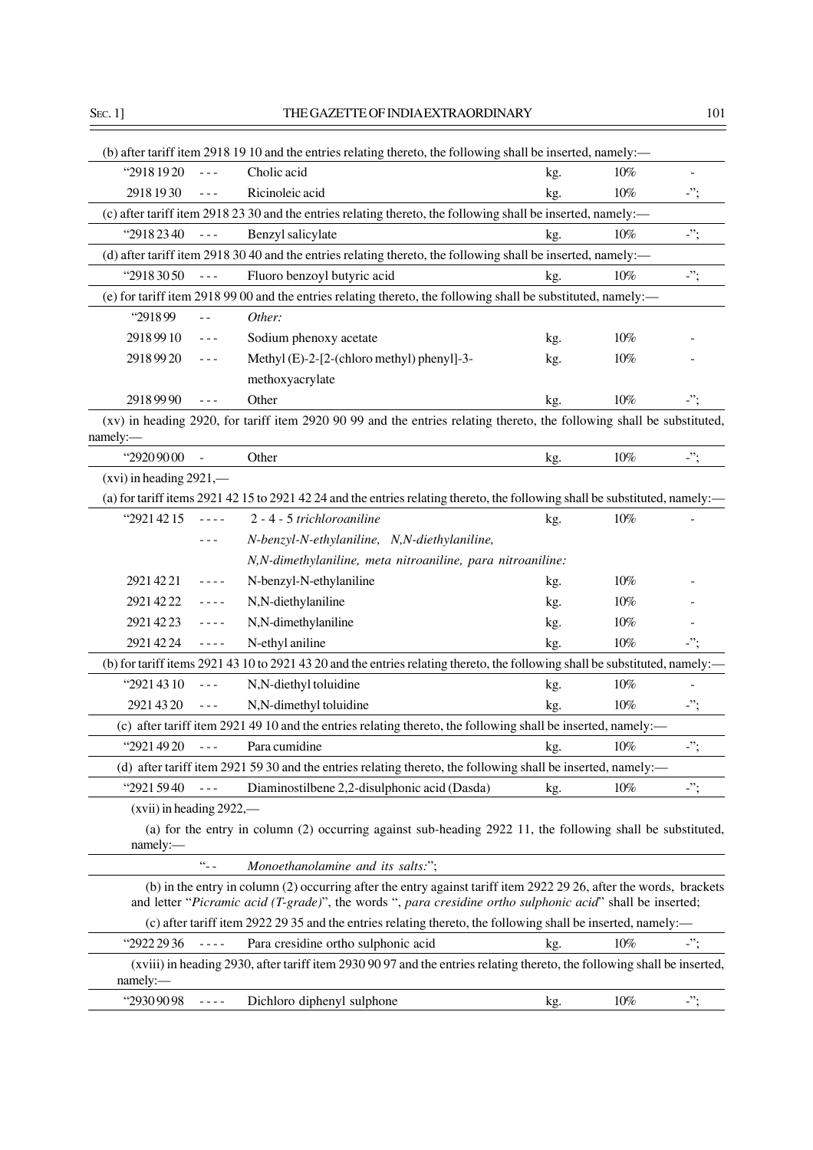| Cholic acid<br>"2918 1920<br>10%<br>$\frac{1}{2} \frac{1}{2} \frac{1}{2} \frac{1}{2} \frac{1}{2} \frac{1}{2} \frac{1}{2} \frac{1}{2} \frac{1}{2} \frac{1}{2} \frac{1}{2} \frac{1}{2} \frac{1}{2} \frac{1}{2} \frac{1}{2} \frac{1}{2} \frac{1}{2} \frac{1}{2} \frac{1}{2} \frac{1}{2} \frac{1}{2} \frac{1}{2} \frac{1}{2} \frac{1}{2} \frac{1}{2} \frac{1}{2} \frac{1}{2} \frac{1}{2} \frac{1}{2} \frac{1}{2} \frac{1}{2} \frac{$<br>kg.<br>$\blacksquare$<br>2918 1930<br>Ricinoleic acid<br>$10\%$<br>$\cdot$ ";<br>kg.<br>$\sim$ $\sim$ $\sim$<br>(c) after tariff item 2918 23 30 and the entries relating thereto, the following shall be inserted, namely:—<br>"2918 23 40<br>$\cdot$ ";<br>Benzyl salicylate<br>10%<br>$\omega = \omega$<br>kg.<br>(d) after tariff item 2918 30 40 and the entries relating thereto, the following shall be inserted, namely:-<br>"2918 30 50<br>Fluoro benzoyl butyric acid<br>$\cdot$ ";<br>10%<br>$\omega = \omega$<br>kg.<br>(e) for tariff item 2918 99 00 and the entries relating thereto, the following shall be substituted, namely:—<br>"291899<br>Other:<br>$\sim$ $\sim$<br>29189910<br>Sodium phenoxy acetate<br>$10\%$<br>kg.<br>$\frac{1}{2} \frac{1}{2} \frac{1}{2} \frac{1}{2} \frac{1}{2} \frac{1}{2} \frac{1}{2} \frac{1}{2} \frac{1}{2} \frac{1}{2} \frac{1}{2} \frac{1}{2} \frac{1}{2} \frac{1}{2} \frac{1}{2} \frac{1}{2} \frac{1}{2} \frac{1}{2} \frac{1}{2} \frac{1}{2} \frac{1}{2} \frac{1}{2} \frac{1}{2} \frac{1}{2} \frac{1}{2} \frac{1}{2} \frac{1}{2} \frac{1}{2} \frac{1}{2} \frac{1}{2} \frac{1}{2} \frac{$<br>29189920<br>Methyl (E)-2-[2-(chloro methyl) phenyl]-3-<br>$10\%$<br>kg.<br>$- - -$<br>methoxyacrylate<br>Other<br>$10\%$<br>$\cdot$ ";<br>29189990<br>kg.<br>$\sim$ $\sim$ $\sim$<br>(xv) in heading 2920, for tariff item 2920 90 99 and the entries relating thereto, the following shall be substituted,<br>namely:<br>"2920 90 00<br>$\cdot$ ";<br>Other<br>$10\%$<br>kg.<br>$(xvi)$ in heading 2921,—<br>(a) for tariff items 2921 42 15 to 2921 42 24 and the entries relating thereto, the following shall be substituted, namely:<br>"2921 42 15<br>2 - 4 - 5 trichloroaniline<br>$10\%$<br>$\sim$ $\sim$ $\sim$ $\sim$<br>kg.<br>N-benzyl-N-ethylaniline, N,N-diethylaniline,<br>$- - -$<br>N,N-dimethylaniline, meta nitroaniline, para nitroaniline:<br>29214221<br>N-benzyl-N-ethylaniline<br>10%<br>$\sim$ $\sim$ $\sim$ $\sim$<br>kg.<br>N,N-diethylaniline<br>2921 42 22<br>10%<br>kg.<br>$\frac{1}{2} \frac{1}{2} \frac{1}{2} \frac{1}{2} \frac{1}{2} \frac{1}{2} \frac{1}{2} \frac{1}{2} \frac{1}{2} \frac{1}{2} \frac{1}{2} \frac{1}{2} \frac{1}{2} \frac{1}{2} \frac{1}{2} \frac{1}{2} \frac{1}{2} \frac{1}{2} \frac{1}{2} \frac{1}{2} \frac{1}{2} \frac{1}{2} \frac{1}{2} \frac{1}{2} \frac{1}{2} \frac{1}{2} \frac{1}{2} \frac{1}{2} \frac{1}{2} \frac{1}{2} \frac{1}{2} \frac{$<br>2921 42 23<br>N,N-dimethylaniline<br>$10\%$<br>$\omega = \omega/\omega$<br>kg.<br>-";<br>2921 42 24<br>N-ethyl aniline<br>$10\%$<br>$\omega = \omega/\omega$<br>kg.<br>(b) for tariff items 2921 43 10 to 2921 43 20 and the entries relating thereto, the following shall be substituted, namely:<br>"2921 43 10<br>N,N-diethyl toluidine<br>10%<br>kg.<br>$\frac{1}{2} \frac{1}{2} \frac{1}{2} \frac{1}{2} \frac{1}{2} \frac{1}{2} \frac{1}{2} \frac{1}{2} \frac{1}{2} \frac{1}{2} \frac{1}{2} \frac{1}{2} \frac{1}{2} \frac{1}{2} \frac{1}{2} \frac{1}{2} \frac{1}{2} \frac{1}{2} \frac{1}{2} \frac{1}{2} \frac{1}{2} \frac{1}{2} \frac{1}{2} \frac{1}{2} \frac{1}{2} \frac{1}{2} \frac{1}{2} \frac{1}{2} \frac{1}{2} \frac{1}{2} \frac{1}{2} \frac{$<br>2921 43 20<br>N,N-dimethyl toluidine<br>$10\%$<br>-";<br>kg.<br>$\sim$ $\sim$ $\sim$<br>(c) after tariff item 2921 49 10 and the entries relating thereto, the following shall be inserted, namely:—<br>-";<br>"2921 49 20<br>$10\%$<br>Para cumidine<br>kg.<br>(d) after tariff item 2921 59 30 and the entries relating thereto, the following shall be inserted, namely:—<br>"2921 59 40<br>Diaminostilbene 2,2-disulphonic acid (Dasda)<br>10%<br>-";<br>kg.<br>$(xvii)$ in heading 2922,—<br>(a) for the entry in column (2) occurring against sub-heading 2922 11, the following shall be substituted,<br>namely:<br>$\alpha_{\perp}$<br>Monoethanolamine and its salts:";<br>(b) in the entry in column (2) occurring after the entry against tariff item 2922 29 26, after the words, brackets<br>and letter "Picramic acid (T-grade)", the words ", para cresidine ortho sulphonic acid" shall be inserted;<br>(c) after tariff item 2922 29 35 and the entries relating thereto, the following shall be inserted, namely:—<br>$10\%$<br>"2922 29 36<br>Para cresidine ortho sulphonic acid<br>$\cdot$ ";<br>$\omega = \omega/\omega$<br>kg.<br>(xviii) in heading 2930, after tariff item 2930 90 97 and the entries relating thereto, the following shall be inserted,<br>namely:-<br>"29309098<br>Dichloro diphenyl sulphone<br>$10\%$<br>$\cdot$ ";<br>kg.<br>$- - - -$ |  | (b) after tariff item 2918 19 10 and the entries relating thereto, the following shall be inserted, namely:— |  |  |
|-------------------------------------------------------------------------------------------------------------------------------------------------------------------------------------------------------------------------------------------------------------------------------------------------------------------------------------------------------------------------------------------------------------------------------------------------------------------------------------------------------------------------------------------------------------------------------------------------------------------------------------------------------------------------------------------------------------------------------------------------------------------------------------------------------------------------------------------------------------------------------------------------------------------------------------------------------------------------------------------------------------------------------------------------------------------------------------------------------------------------------------------------------------------------------------------------------------------------------------------------------------------------------------------------------------------------------------------------------------------------------------------------------------------------------------------------------------------------------------------------------------------------------------------------------------------------------------------------------------------------------------------------------------------------------------------------------------------------------------------------------------------------------------------------------------------------------------------------------------------------------------------------------------------------------------------------------------------------------------------------------------------------------------------------------------------------------------------------------------------------------------------------------------------------------------------------------------------------------------------------------------------------------------------------------------------------------------------------------------------------------------------------------------------------------------------------------------------------------------------------------------------------------------------------------------------------------------------------------------------------------------------------------------------------------------------------------------------------------------------------------------------------------------------------------------------------------------------------------------------------------------------------------------------------------------------------------------------------------------------------------------------------------------------------------------------------------------------------------------------------------------------------------------------------------------------------------------------------------------------------------------------------------------------------------------------------------------------------------------------------------------------------------------------------------------------------------------------------------------------------------------------------------------------------------------------------------------------------------------------------------------------------------------------------------------------------------------------------------------------------------------------------------------------------------------------------------------------------------------------------------------------------------------------------------------------------------------------------------------------------------------------------------------------------------------------------------------------------------------------------------------------------------------------------------------------------------------------------------------------------------------------------------------------------------------------------------------------------------------------------------------------------------------------------------------------------------------------------------------------------------------------------------------------------------------------------------------------------------------------------------------------------------------------------------------------------------------------------------------------------------------------------------------------------------------------------------------------------------------------------------------------------------------------------------------------------------------------------------------------------------------------------------------------------|--|--------------------------------------------------------------------------------------------------------------|--|--|
|                                                                                                                                                                                                                                                                                                                                                                                                                                                                                                                                                                                                                                                                                                                                                                                                                                                                                                                                                                                                                                                                                                                                                                                                                                                                                                                                                                                                                                                                                                                                                                                                                                                                                                                                                                                                                                                                                                                                                                                                                                                                                                                                                                                                                                                                                                                                                                                                                                                                                                                                                                                                                                                                                                                                                                                                                                                                                                                                                                                                                                                                                                                                                                                                                                                                                                                                                                                                                                                                                                                                                                                                                                                                                                                                                                                                                                                                                                                                                                                                                                                                                                                                                                                                                                                                                                                                                                                                                                                                                                                                                                                                                                                                                                                                                                                                                                                                                                                                                                                                                                                 |  |                                                                                                              |  |  |
|                                                                                                                                                                                                                                                                                                                                                                                                                                                                                                                                                                                                                                                                                                                                                                                                                                                                                                                                                                                                                                                                                                                                                                                                                                                                                                                                                                                                                                                                                                                                                                                                                                                                                                                                                                                                                                                                                                                                                                                                                                                                                                                                                                                                                                                                                                                                                                                                                                                                                                                                                                                                                                                                                                                                                                                                                                                                                                                                                                                                                                                                                                                                                                                                                                                                                                                                                                                                                                                                                                                                                                                                                                                                                                                                                                                                                                                                                                                                                                                                                                                                                                                                                                                                                                                                                                                                                                                                                                                                                                                                                                                                                                                                                                                                                                                                                                                                                                                                                                                                                                                 |  |                                                                                                              |  |  |
|                                                                                                                                                                                                                                                                                                                                                                                                                                                                                                                                                                                                                                                                                                                                                                                                                                                                                                                                                                                                                                                                                                                                                                                                                                                                                                                                                                                                                                                                                                                                                                                                                                                                                                                                                                                                                                                                                                                                                                                                                                                                                                                                                                                                                                                                                                                                                                                                                                                                                                                                                                                                                                                                                                                                                                                                                                                                                                                                                                                                                                                                                                                                                                                                                                                                                                                                                                                                                                                                                                                                                                                                                                                                                                                                                                                                                                                                                                                                                                                                                                                                                                                                                                                                                                                                                                                                                                                                                                                                                                                                                                                                                                                                                                                                                                                                                                                                                                                                                                                                                                                 |  |                                                                                                              |  |  |
|                                                                                                                                                                                                                                                                                                                                                                                                                                                                                                                                                                                                                                                                                                                                                                                                                                                                                                                                                                                                                                                                                                                                                                                                                                                                                                                                                                                                                                                                                                                                                                                                                                                                                                                                                                                                                                                                                                                                                                                                                                                                                                                                                                                                                                                                                                                                                                                                                                                                                                                                                                                                                                                                                                                                                                                                                                                                                                                                                                                                                                                                                                                                                                                                                                                                                                                                                                                                                                                                                                                                                                                                                                                                                                                                                                                                                                                                                                                                                                                                                                                                                                                                                                                                                                                                                                                                                                                                                                                                                                                                                                                                                                                                                                                                                                                                                                                                                                                                                                                                                                                 |  |                                                                                                              |  |  |
|                                                                                                                                                                                                                                                                                                                                                                                                                                                                                                                                                                                                                                                                                                                                                                                                                                                                                                                                                                                                                                                                                                                                                                                                                                                                                                                                                                                                                                                                                                                                                                                                                                                                                                                                                                                                                                                                                                                                                                                                                                                                                                                                                                                                                                                                                                                                                                                                                                                                                                                                                                                                                                                                                                                                                                                                                                                                                                                                                                                                                                                                                                                                                                                                                                                                                                                                                                                                                                                                                                                                                                                                                                                                                                                                                                                                                                                                                                                                                                                                                                                                                                                                                                                                                                                                                                                                                                                                                                                                                                                                                                                                                                                                                                                                                                                                                                                                                                                                                                                                                                                 |  |                                                                                                              |  |  |
|                                                                                                                                                                                                                                                                                                                                                                                                                                                                                                                                                                                                                                                                                                                                                                                                                                                                                                                                                                                                                                                                                                                                                                                                                                                                                                                                                                                                                                                                                                                                                                                                                                                                                                                                                                                                                                                                                                                                                                                                                                                                                                                                                                                                                                                                                                                                                                                                                                                                                                                                                                                                                                                                                                                                                                                                                                                                                                                                                                                                                                                                                                                                                                                                                                                                                                                                                                                                                                                                                                                                                                                                                                                                                                                                                                                                                                                                                                                                                                                                                                                                                                                                                                                                                                                                                                                                                                                                                                                                                                                                                                                                                                                                                                                                                                                                                                                                                                                                                                                                                                                 |  |                                                                                                              |  |  |
|                                                                                                                                                                                                                                                                                                                                                                                                                                                                                                                                                                                                                                                                                                                                                                                                                                                                                                                                                                                                                                                                                                                                                                                                                                                                                                                                                                                                                                                                                                                                                                                                                                                                                                                                                                                                                                                                                                                                                                                                                                                                                                                                                                                                                                                                                                                                                                                                                                                                                                                                                                                                                                                                                                                                                                                                                                                                                                                                                                                                                                                                                                                                                                                                                                                                                                                                                                                                                                                                                                                                                                                                                                                                                                                                                                                                                                                                                                                                                                                                                                                                                                                                                                                                                                                                                                                                                                                                                                                                                                                                                                                                                                                                                                                                                                                                                                                                                                                                                                                                                                                 |  |                                                                                                              |  |  |
|                                                                                                                                                                                                                                                                                                                                                                                                                                                                                                                                                                                                                                                                                                                                                                                                                                                                                                                                                                                                                                                                                                                                                                                                                                                                                                                                                                                                                                                                                                                                                                                                                                                                                                                                                                                                                                                                                                                                                                                                                                                                                                                                                                                                                                                                                                                                                                                                                                                                                                                                                                                                                                                                                                                                                                                                                                                                                                                                                                                                                                                                                                                                                                                                                                                                                                                                                                                                                                                                                                                                                                                                                                                                                                                                                                                                                                                                                                                                                                                                                                                                                                                                                                                                                                                                                                                                                                                                                                                                                                                                                                                                                                                                                                                                                                                                                                                                                                                                                                                                                                                 |  |                                                                                                              |  |  |
|                                                                                                                                                                                                                                                                                                                                                                                                                                                                                                                                                                                                                                                                                                                                                                                                                                                                                                                                                                                                                                                                                                                                                                                                                                                                                                                                                                                                                                                                                                                                                                                                                                                                                                                                                                                                                                                                                                                                                                                                                                                                                                                                                                                                                                                                                                                                                                                                                                                                                                                                                                                                                                                                                                                                                                                                                                                                                                                                                                                                                                                                                                                                                                                                                                                                                                                                                                                                                                                                                                                                                                                                                                                                                                                                                                                                                                                                                                                                                                                                                                                                                                                                                                                                                                                                                                                                                                                                                                                                                                                                                                                                                                                                                                                                                                                                                                                                                                                                                                                                                                                 |  |                                                                                                              |  |  |
|                                                                                                                                                                                                                                                                                                                                                                                                                                                                                                                                                                                                                                                                                                                                                                                                                                                                                                                                                                                                                                                                                                                                                                                                                                                                                                                                                                                                                                                                                                                                                                                                                                                                                                                                                                                                                                                                                                                                                                                                                                                                                                                                                                                                                                                                                                                                                                                                                                                                                                                                                                                                                                                                                                                                                                                                                                                                                                                                                                                                                                                                                                                                                                                                                                                                                                                                                                                                                                                                                                                                                                                                                                                                                                                                                                                                                                                                                                                                                                                                                                                                                                                                                                                                                                                                                                                                                                                                                                                                                                                                                                                                                                                                                                                                                                                                                                                                                                                                                                                                                                                 |  |                                                                                                              |  |  |
|                                                                                                                                                                                                                                                                                                                                                                                                                                                                                                                                                                                                                                                                                                                                                                                                                                                                                                                                                                                                                                                                                                                                                                                                                                                                                                                                                                                                                                                                                                                                                                                                                                                                                                                                                                                                                                                                                                                                                                                                                                                                                                                                                                                                                                                                                                                                                                                                                                                                                                                                                                                                                                                                                                                                                                                                                                                                                                                                                                                                                                                                                                                                                                                                                                                                                                                                                                                                                                                                                                                                                                                                                                                                                                                                                                                                                                                                                                                                                                                                                                                                                                                                                                                                                                                                                                                                                                                                                                                                                                                                                                                                                                                                                                                                                                                                                                                                                                                                                                                                                                                 |  |                                                                                                              |  |  |
|                                                                                                                                                                                                                                                                                                                                                                                                                                                                                                                                                                                                                                                                                                                                                                                                                                                                                                                                                                                                                                                                                                                                                                                                                                                                                                                                                                                                                                                                                                                                                                                                                                                                                                                                                                                                                                                                                                                                                                                                                                                                                                                                                                                                                                                                                                                                                                                                                                                                                                                                                                                                                                                                                                                                                                                                                                                                                                                                                                                                                                                                                                                                                                                                                                                                                                                                                                                                                                                                                                                                                                                                                                                                                                                                                                                                                                                                                                                                                                                                                                                                                                                                                                                                                                                                                                                                                                                                                                                                                                                                                                                                                                                                                                                                                                                                                                                                                                                                                                                                                                                 |  |                                                                                                              |  |  |
|                                                                                                                                                                                                                                                                                                                                                                                                                                                                                                                                                                                                                                                                                                                                                                                                                                                                                                                                                                                                                                                                                                                                                                                                                                                                                                                                                                                                                                                                                                                                                                                                                                                                                                                                                                                                                                                                                                                                                                                                                                                                                                                                                                                                                                                                                                                                                                                                                                                                                                                                                                                                                                                                                                                                                                                                                                                                                                                                                                                                                                                                                                                                                                                                                                                                                                                                                                                                                                                                                                                                                                                                                                                                                                                                                                                                                                                                                                                                                                                                                                                                                                                                                                                                                                                                                                                                                                                                                                                                                                                                                                                                                                                                                                                                                                                                                                                                                                                                                                                                                                                 |  |                                                                                                              |  |  |
|                                                                                                                                                                                                                                                                                                                                                                                                                                                                                                                                                                                                                                                                                                                                                                                                                                                                                                                                                                                                                                                                                                                                                                                                                                                                                                                                                                                                                                                                                                                                                                                                                                                                                                                                                                                                                                                                                                                                                                                                                                                                                                                                                                                                                                                                                                                                                                                                                                                                                                                                                                                                                                                                                                                                                                                                                                                                                                                                                                                                                                                                                                                                                                                                                                                                                                                                                                                                                                                                                                                                                                                                                                                                                                                                                                                                                                                                                                                                                                                                                                                                                                                                                                                                                                                                                                                                                                                                                                                                                                                                                                                                                                                                                                                                                                                                                                                                                                                                                                                                                                                 |  |                                                                                                              |  |  |
|                                                                                                                                                                                                                                                                                                                                                                                                                                                                                                                                                                                                                                                                                                                                                                                                                                                                                                                                                                                                                                                                                                                                                                                                                                                                                                                                                                                                                                                                                                                                                                                                                                                                                                                                                                                                                                                                                                                                                                                                                                                                                                                                                                                                                                                                                                                                                                                                                                                                                                                                                                                                                                                                                                                                                                                                                                                                                                                                                                                                                                                                                                                                                                                                                                                                                                                                                                                                                                                                                                                                                                                                                                                                                                                                                                                                                                                                                                                                                                                                                                                                                                                                                                                                                                                                                                                                                                                                                                                                                                                                                                                                                                                                                                                                                                                                                                                                                                                                                                                                                                                 |  |                                                                                                              |  |  |
|                                                                                                                                                                                                                                                                                                                                                                                                                                                                                                                                                                                                                                                                                                                                                                                                                                                                                                                                                                                                                                                                                                                                                                                                                                                                                                                                                                                                                                                                                                                                                                                                                                                                                                                                                                                                                                                                                                                                                                                                                                                                                                                                                                                                                                                                                                                                                                                                                                                                                                                                                                                                                                                                                                                                                                                                                                                                                                                                                                                                                                                                                                                                                                                                                                                                                                                                                                                                                                                                                                                                                                                                                                                                                                                                                                                                                                                                                                                                                                                                                                                                                                                                                                                                                                                                                                                                                                                                                                                                                                                                                                                                                                                                                                                                                                                                                                                                                                                                                                                                                                                 |  |                                                                                                              |  |  |
|                                                                                                                                                                                                                                                                                                                                                                                                                                                                                                                                                                                                                                                                                                                                                                                                                                                                                                                                                                                                                                                                                                                                                                                                                                                                                                                                                                                                                                                                                                                                                                                                                                                                                                                                                                                                                                                                                                                                                                                                                                                                                                                                                                                                                                                                                                                                                                                                                                                                                                                                                                                                                                                                                                                                                                                                                                                                                                                                                                                                                                                                                                                                                                                                                                                                                                                                                                                                                                                                                                                                                                                                                                                                                                                                                                                                                                                                                                                                                                                                                                                                                                                                                                                                                                                                                                                                                                                                                                                                                                                                                                                                                                                                                                                                                                                                                                                                                                                                                                                                                                                 |  |                                                                                                              |  |  |
|                                                                                                                                                                                                                                                                                                                                                                                                                                                                                                                                                                                                                                                                                                                                                                                                                                                                                                                                                                                                                                                                                                                                                                                                                                                                                                                                                                                                                                                                                                                                                                                                                                                                                                                                                                                                                                                                                                                                                                                                                                                                                                                                                                                                                                                                                                                                                                                                                                                                                                                                                                                                                                                                                                                                                                                                                                                                                                                                                                                                                                                                                                                                                                                                                                                                                                                                                                                                                                                                                                                                                                                                                                                                                                                                                                                                                                                                                                                                                                                                                                                                                                                                                                                                                                                                                                                                                                                                                                                                                                                                                                                                                                                                                                                                                                                                                                                                                                                                                                                                                                                 |  |                                                                                                              |  |  |
|                                                                                                                                                                                                                                                                                                                                                                                                                                                                                                                                                                                                                                                                                                                                                                                                                                                                                                                                                                                                                                                                                                                                                                                                                                                                                                                                                                                                                                                                                                                                                                                                                                                                                                                                                                                                                                                                                                                                                                                                                                                                                                                                                                                                                                                                                                                                                                                                                                                                                                                                                                                                                                                                                                                                                                                                                                                                                                                                                                                                                                                                                                                                                                                                                                                                                                                                                                                                                                                                                                                                                                                                                                                                                                                                                                                                                                                                                                                                                                                                                                                                                                                                                                                                                                                                                                                                                                                                                                                                                                                                                                                                                                                                                                                                                                                                                                                                                                                                                                                                                                                 |  |                                                                                                              |  |  |
|                                                                                                                                                                                                                                                                                                                                                                                                                                                                                                                                                                                                                                                                                                                                                                                                                                                                                                                                                                                                                                                                                                                                                                                                                                                                                                                                                                                                                                                                                                                                                                                                                                                                                                                                                                                                                                                                                                                                                                                                                                                                                                                                                                                                                                                                                                                                                                                                                                                                                                                                                                                                                                                                                                                                                                                                                                                                                                                                                                                                                                                                                                                                                                                                                                                                                                                                                                                                                                                                                                                                                                                                                                                                                                                                                                                                                                                                                                                                                                                                                                                                                                                                                                                                                                                                                                                                                                                                                                                                                                                                                                                                                                                                                                                                                                                                                                                                                                                                                                                                                                                 |  |                                                                                                              |  |  |
|                                                                                                                                                                                                                                                                                                                                                                                                                                                                                                                                                                                                                                                                                                                                                                                                                                                                                                                                                                                                                                                                                                                                                                                                                                                                                                                                                                                                                                                                                                                                                                                                                                                                                                                                                                                                                                                                                                                                                                                                                                                                                                                                                                                                                                                                                                                                                                                                                                                                                                                                                                                                                                                                                                                                                                                                                                                                                                                                                                                                                                                                                                                                                                                                                                                                                                                                                                                                                                                                                                                                                                                                                                                                                                                                                                                                                                                                                                                                                                                                                                                                                                                                                                                                                                                                                                                                                                                                                                                                                                                                                                                                                                                                                                                                                                                                                                                                                                                                                                                                                                                 |  |                                                                                                              |  |  |
|                                                                                                                                                                                                                                                                                                                                                                                                                                                                                                                                                                                                                                                                                                                                                                                                                                                                                                                                                                                                                                                                                                                                                                                                                                                                                                                                                                                                                                                                                                                                                                                                                                                                                                                                                                                                                                                                                                                                                                                                                                                                                                                                                                                                                                                                                                                                                                                                                                                                                                                                                                                                                                                                                                                                                                                                                                                                                                                                                                                                                                                                                                                                                                                                                                                                                                                                                                                                                                                                                                                                                                                                                                                                                                                                                                                                                                                                                                                                                                                                                                                                                                                                                                                                                                                                                                                                                                                                                                                                                                                                                                                                                                                                                                                                                                                                                                                                                                                                                                                                                                                 |  |                                                                                                              |  |  |
|                                                                                                                                                                                                                                                                                                                                                                                                                                                                                                                                                                                                                                                                                                                                                                                                                                                                                                                                                                                                                                                                                                                                                                                                                                                                                                                                                                                                                                                                                                                                                                                                                                                                                                                                                                                                                                                                                                                                                                                                                                                                                                                                                                                                                                                                                                                                                                                                                                                                                                                                                                                                                                                                                                                                                                                                                                                                                                                                                                                                                                                                                                                                                                                                                                                                                                                                                                                                                                                                                                                                                                                                                                                                                                                                                                                                                                                                                                                                                                                                                                                                                                                                                                                                                                                                                                                                                                                                                                                                                                                                                                                                                                                                                                                                                                                                                                                                                                                                                                                                                                                 |  |                                                                                                              |  |  |
|                                                                                                                                                                                                                                                                                                                                                                                                                                                                                                                                                                                                                                                                                                                                                                                                                                                                                                                                                                                                                                                                                                                                                                                                                                                                                                                                                                                                                                                                                                                                                                                                                                                                                                                                                                                                                                                                                                                                                                                                                                                                                                                                                                                                                                                                                                                                                                                                                                                                                                                                                                                                                                                                                                                                                                                                                                                                                                                                                                                                                                                                                                                                                                                                                                                                                                                                                                                                                                                                                                                                                                                                                                                                                                                                                                                                                                                                                                                                                                                                                                                                                                                                                                                                                                                                                                                                                                                                                                                                                                                                                                                                                                                                                                                                                                                                                                                                                                                                                                                                                                                 |  |                                                                                                              |  |  |
|                                                                                                                                                                                                                                                                                                                                                                                                                                                                                                                                                                                                                                                                                                                                                                                                                                                                                                                                                                                                                                                                                                                                                                                                                                                                                                                                                                                                                                                                                                                                                                                                                                                                                                                                                                                                                                                                                                                                                                                                                                                                                                                                                                                                                                                                                                                                                                                                                                                                                                                                                                                                                                                                                                                                                                                                                                                                                                                                                                                                                                                                                                                                                                                                                                                                                                                                                                                                                                                                                                                                                                                                                                                                                                                                                                                                                                                                                                                                                                                                                                                                                                                                                                                                                                                                                                                                                                                                                                                                                                                                                                                                                                                                                                                                                                                                                                                                                                                                                                                                                                                 |  |                                                                                                              |  |  |
|                                                                                                                                                                                                                                                                                                                                                                                                                                                                                                                                                                                                                                                                                                                                                                                                                                                                                                                                                                                                                                                                                                                                                                                                                                                                                                                                                                                                                                                                                                                                                                                                                                                                                                                                                                                                                                                                                                                                                                                                                                                                                                                                                                                                                                                                                                                                                                                                                                                                                                                                                                                                                                                                                                                                                                                                                                                                                                                                                                                                                                                                                                                                                                                                                                                                                                                                                                                                                                                                                                                                                                                                                                                                                                                                                                                                                                                                                                                                                                                                                                                                                                                                                                                                                                                                                                                                                                                                                                                                                                                                                                                                                                                                                                                                                                                                                                                                                                                                                                                                                                                 |  |                                                                                                              |  |  |
|                                                                                                                                                                                                                                                                                                                                                                                                                                                                                                                                                                                                                                                                                                                                                                                                                                                                                                                                                                                                                                                                                                                                                                                                                                                                                                                                                                                                                                                                                                                                                                                                                                                                                                                                                                                                                                                                                                                                                                                                                                                                                                                                                                                                                                                                                                                                                                                                                                                                                                                                                                                                                                                                                                                                                                                                                                                                                                                                                                                                                                                                                                                                                                                                                                                                                                                                                                                                                                                                                                                                                                                                                                                                                                                                                                                                                                                                                                                                                                                                                                                                                                                                                                                                                                                                                                                                                                                                                                                                                                                                                                                                                                                                                                                                                                                                                                                                                                                                                                                                                                                 |  |                                                                                                              |  |  |
|                                                                                                                                                                                                                                                                                                                                                                                                                                                                                                                                                                                                                                                                                                                                                                                                                                                                                                                                                                                                                                                                                                                                                                                                                                                                                                                                                                                                                                                                                                                                                                                                                                                                                                                                                                                                                                                                                                                                                                                                                                                                                                                                                                                                                                                                                                                                                                                                                                                                                                                                                                                                                                                                                                                                                                                                                                                                                                                                                                                                                                                                                                                                                                                                                                                                                                                                                                                                                                                                                                                                                                                                                                                                                                                                                                                                                                                                                                                                                                                                                                                                                                                                                                                                                                                                                                                                                                                                                                                                                                                                                                                                                                                                                                                                                                                                                                                                                                                                                                                                                                                 |  |                                                                                                              |  |  |
|                                                                                                                                                                                                                                                                                                                                                                                                                                                                                                                                                                                                                                                                                                                                                                                                                                                                                                                                                                                                                                                                                                                                                                                                                                                                                                                                                                                                                                                                                                                                                                                                                                                                                                                                                                                                                                                                                                                                                                                                                                                                                                                                                                                                                                                                                                                                                                                                                                                                                                                                                                                                                                                                                                                                                                                                                                                                                                                                                                                                                                                                                                                                                                                                                                                                                                                                                                                                                                                                                                                                                                                                                                                                                                                                                                                                                                                                                                                                                                                                                                                                                                                                                                                                                                                                                                                                                                                                                                                                                                                                                                                                                                                                                                                                                                                                                                                                                                                                                                                                                                                 |  |                                                                                                              |  |  |
|                                                                                                                                                                                                                                                                                                                                                                                                                                                                                                                                                                                                                                                                                                                                                                                                                                                                                                                                                                                                                                                                                                                                                                                                                                                                                                                                                                                                                                                                                                                                                                                                                                                                                                                                                                                                                                                                                                                                                                                                                                                                                                                                                                                                                                                                                                                                                                                                                                                                                                                                                                                                                                                                                                                                                                                                                                                                                                                                                                                                                                                                                                                                                                                                                                                                                                                                                                                                                                                                                                                                                                                                                                                                                                                                                                                                                                                                                                                                                                                                                                                                                                                                                                                                                                                                                                                                                                                                                                                                                                                                                                                                                                                                                                                                                                                                                                                                                                                                                                                                                                                 |  |                                                                                                              |  |  |
|                                                                                                                                                                                                                                                                                                                                                                                                                                                                                                                                                                                                                                                                                                                                                                                                                                                                                                                                                                                                                                                                                                                                                                                                                                                                                                                                                                                                                                                                                                                                                                                                                                                                                                                                                                                                                                                                                                                                                                                                                                                                                                                                                                                                                                                                                                                                                                                                                                                                                                                                                                                                                                                                                                                                                                                                                                                                                                                                                                                                                                                                                                                                                                                                                                                                                                                                                                                                                                                                                                                                                                                                                                                                                                                                                                                                                                                                                                                                                                                                                                                                                                                                                                                                                                                                                                                                                                                                                                                                                                                                                                                                                                                                                                                                                                                                                                                                                                                                                                                                                                                 |  |                                                                                                              |  |  |
|                                                                                                                                                                                                                                                                                                                                                                                                                                                                                                                                                                                                                                                                                                                                                                                                                                                                                                                                                                                                                                                                                                                                                                                                                                                                                                                                                                                                                                                                                                                                                                                                                                                                                                                                                                                                                                                                                                                                                                                                                                                                                                                                                                                                                                                                                                                                                                                                                                                                                                                                                                                                                                                                                                                                                                                                                                                                                                                                                                                                                                                                                                                                                                                                                                                                                                                                                                                                                                                                                                                                                                                                                                                                                                                                                                                                                                                                                                                                                                                                                                                                                                                                                                                                                                                                                                                                                                                                                                                                                                                                                                                                                                                                                                                                                                                                                                                                                                                                                                                                                                                 |  |                                                                                                              |  |  |
|                                                                                                                                                                                                                                                                                                                                                                                                                                                                                                                                                                                                                                                                                                                                                                                                                                                                                                                                                                                                                                                                                                                                                                                                                                                                                                                                                                                                                                                                                                                                                                                                                                                                                                                                                                                                                                                                                                                                                                                                                                                                                                                                                                                                                                                                                                                                                                                                                                                                                                                                                                                                                                                                                                                                                                                                                                                                                                                                                                                                                                                                                                                                                                                                                                                                                                                                                                                                                                                                                                                                                                                                                                                                                                                                                                                                                                                                                                                                                                                                                                                                                                                                                                                                                                                                                                                                                                                                                                                                                                                                                                                                                                                                                                                                                                                                                                                                                                                                                                                                                                                 |  |                                                                                                              |  |  |
|                                                                                                                                                                                                                                                                                                                                                                                                                                                                                                                                                                                                                                                                                                                                                                                                                                                                                                                                                                                                                                                                                                                                                                                                                                                                                                                                                                                                                                                                                                                                                                                                                                                                                                                                                                                                                                                                                                                                                                                                                                                                                                                                                                                                                                                                                                                                                                                                                                                                                                                                                                                                                                                                                                                                                                                                                                                                                                                                                                                                                                                                                                                                                                                                                                                                                                                                                                                                                                                                                                                                                                                                                                                                                                                                                                                                                                                                                                                                                                                                                                                                                                                                                                                                                                                                                                                                                                                                                                                                                                                                                                                                                                                                                                                                                                                                                                                                                                                                                                                                                                                 |  |                                                                                                              |  |  |
|                                                                                                                                                                                                                                                                                                                                                                                                                                                                                                                                                                                                                                                                                                                                                                                                                                                                                                                                                                                                                                                                                                                                                                                                                                                                                                                                                                                                                                                                                                                                                                                                                                                                                                                                                                                                                                                                                                                                                                                                                                                                                                                                                                                                                                                                                                                                                                                                                                                                                                                                                                                                                                                                                                                                                                                                                                                                                                                                                                                                                                                                                                                                                                                                                                                                                                                                                                                                                                                                                                                                                                                                                                                                                                                                                                                                                                                                                                                                                                                                                                                                                                                                                                                                                                                                                                                                                                                                                                                                                                                                                                                                                                                                                                                                                                                                                                                                                                                                                                                                                                                 |  |                                                                                                              |  |  |
|                                                                                                                                                                                                                                                                                                                                                                                                                                                                                                                                                                                                                                                                                                                                                                                                                                                                                                                                                                                                                                                                                                                                                                                                                                                                                                                                                                                                                                                                                                                                                                                                                                                                                                                                                                                                                                                                                                                                                                                                                                                                                                                                                                                                                                                                                                                                                                                                                                                                                                                                                                                                                                                                                                                                                                                                                                                                                                                                                                                                                                                                                                                                                                                                                                                                                                                                                                                                                                                                                                                                                                                                                                                                                                                                                                                                                                                                                                                                                                                                                                                                                                                                                                                                                                                                                                                                                                                                                                                                                                                                                                                                                                                                                                                                                                                                                                                                                                                                                                                                                                                 |  |                                                                                                              |  |  |
|                                                                                                                                                                                                                                                                                                                                                                                                                                                                                                                                                                                                                                                                                                                                                                                                                                                                                                                                                                                                                                                                                                                                                                                                                                                                                                                                                                                                                                                                                                                                                                                                                                                                                                                                                                                                                                                                                                                                                                                                                                                                                                                                                                                                                                                                                                                                                                                                                                                                                                                                                                                                                                                                                                                                                                                                                                                                                                                                                                                                                                                                                                                                                                                                                                                                                                                                                                                                                                                                                                                                                                                                                                                                                                                                                                                                                                                                                                                                                                                                                                                                                                                                                                                                                                                                                                                                                                                                                                                                                                                                                                                                                                                                                                                                                                                                                                                                                                                                                                                                                                                 |  |                                                                                                              |  |  |
|                                                                                                                                                                                                                                                                                                                                                                                                                                                                                                                                                                                                                                                                                                                                                                                                                                                                                                                                                                                                                                                                                                                                                                                                                                                                                                                                                                                                                                                                                                                                                                                                                                                                                                                                                                                                                                                                                                                                                                                                                                                                                                                                                                                                                                                                                                                                                                                                                                                                                                                                                                                                                                                                                                                                                                                                                                                                                                                                                                                                                                                                                                                                                                                                                                                                                                                                                                                                                                                                                                                                                                                                                                                                                                                                                                                                                                                                                                                                                                                                                                                                                                                                                                                                                                                                                                                                                                                                                                                                                                                                                                                                                                                                                                                                                                                                                                                                                                                                                                                                                                                 |  |                                                                                                              |  |  |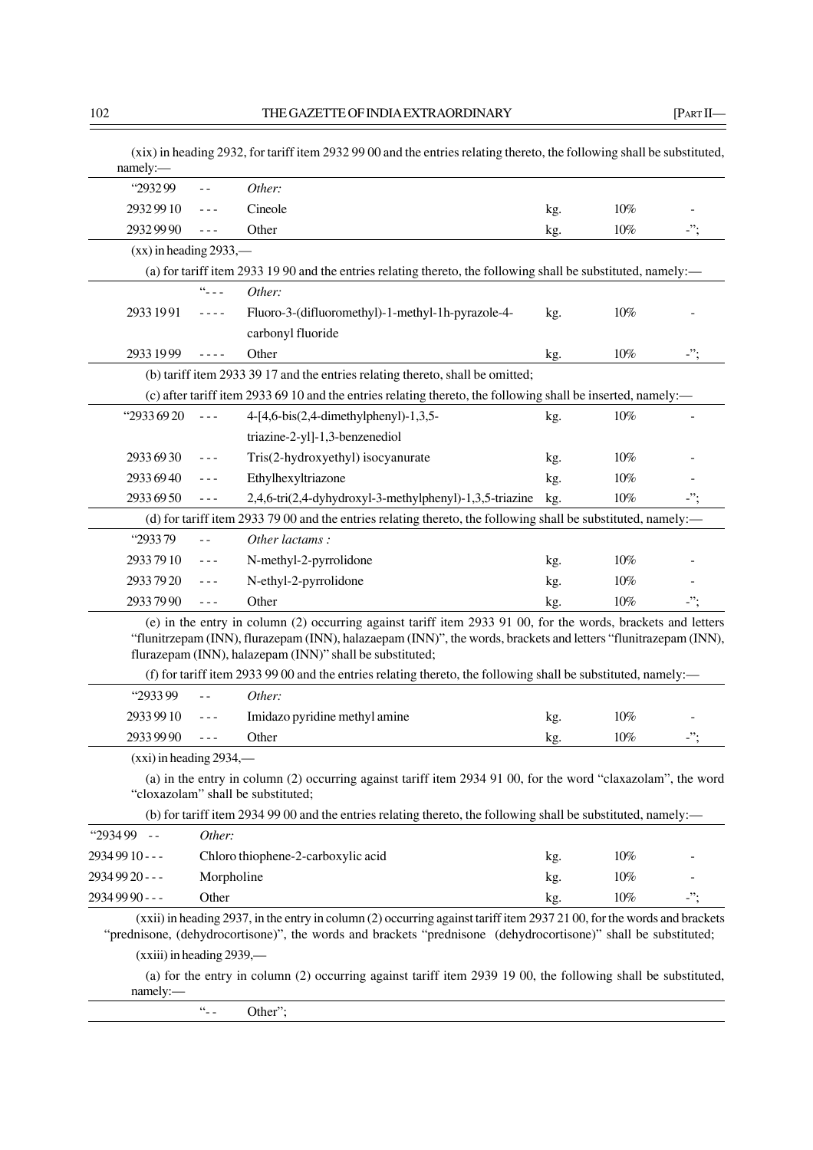| "293299<br>Other:<br>Cineole<br>29329910<br>29329990<br>Other<br>$(xx)$ in heading 2933,—<br>(a) for tariff item 2933 19 90 and the entries relating thereto, the following shall be substituted, namely:—<br>$66 - 12 = 1$<br>Other:<br>2933 1991<br>Fluoro-3-(difluoromethyl)-1-methyl-1h-pyrazole-4-<br>$\frac{1}{2} \frac{1}{2} \frac{1}{2} \frac{1}{2} \frac{1}{2} \frac{1}{2} \frac{1}{2} \frac{1}{2} \frac{1}{2} \frac{1}{2} \frac{1}{2} \frac{1}{2} \frac{1}{2} \frac{1}{2} \frac{1}{2} \frac{1}{2} \frac{1}{2} \frac{1}{2} \frac{1}{2} \frac{1}{2} \frac{1}{2} \frac{1}{2} \frac{1}{2} \frac{1}{2} \frac{1}{2} \frac{1}{2} \frac{1}{2} \frac{1}{2} \frac{1}{2} \frac{1}{2} \frac{1}{2} \frac{$<br>carbonyl fluoride<br>Other<br>2933 1999<br>$\frac{1}{2} \frac{1}{2} \frac{1}{2} \frac{1}{2} \frac{1}{2} \frac{1}{2} \frac{1}{2} \frac{1}{2} \frac{1}{2} \frac{1}{2} \frac{1}{2} \frac{1}{2} \frac{1}{2} \frac{1}{2} \frac{1}{2} \frac{1}{2} \frac{1}{2} \frac{1}{2} \frac{1}{2} \frac{1}{2} \frac{1}{2} \frac{1}{2} \frac{1}{2} \frac{1}{2} \frac{1}{2} \frac{1}{2} \frac{1}{2} \frac{1}{2} \frac{1}{2} \frac{1}{2} \frac{1}{2} \frac{$ | kg.<br>kg.<br>kg. | $10\%$<br>10% | -";        |
|----------------------------------------------------------------------------------------------------------------------------------------------------------------------------------------------------------------------------------------------------------------------------------------------------------------------------------------------------------------------------------------------------------------------------------------------------------------------------------------------------------------------------------------------------------------------------------------------------------------------------------------------------------------------------------------------------------------------------------------------------------------------------------------------------------------------------------------------------------------------------------------------------------------------------------------------------------------------------------------------------------------------------------------------------------------------------------------------------------------------------------------------------|-------------------|---------------|------------|
|                                                                                                                                                                                                                                                                                                                                                                                                                                                                                                                                                                                                                                                                                                                                                                                                                                                                                                                                                                                                                                                                                                                                                    |                   |               |            |
|                                                                                                                                                                                                                                                                                                                                                                                                                                                                                                                                                                                                                                                                                                                                                                                                                                                                                                                                                                                                                                                                                                                                                    |                   |               |            |
|                                                                                                                                                                                                                                                                                                                                                                                                                                                                                                                                                                                                                                                                                                                                                                                                                                                                                                                                                                                                                                                                                                                                                    |                   |               |            |
|                                                                                                                                                                                                                                                                                                                                                                                                                                                                                                                                                                                                                                                                                                                                                                                                                                                                                                                                                                                                                                                                                                                                                    |                   |               |            |
|                                                                                                                                                                                                                                                                                                                                                                                                                                                                                                                                                                                                                                                                                                                                                                                                                                                                                                                                                                                                                                                                                                                                                    |                   |               |            |
|                                                                                                                                                                                                                                                                                                                                                                                                                                                                                                                                                                                                                                                                                                                                                                                                                                                                                                                                                                                                                                                                                                                                                    |                   | $10\%$        |            |
|                                                                                                                                                                                                                                                                                                                                                                                                                                                                                                                                                                                                                                                                                                                                                                                                                                                                                                                                                                                                                                                                                                                                                    |                   |               |            |
|                                                                                                                                                                                                                                                                                                                                                                                                                                                                                                                                                                                                                                                                                                                                                                                                                                                                                                                                                                                                                                                                                                                                                    | kg.               | $10\%$        | $\cdot$ "; |
| (b) tariff item 2933 39 17 and the entries relating thereto, shall be omitted;                                                                                                                                                                                                                                                                                                                                                                                                                                                                                                                                                                                                                                                                                                                                                                                                                                                                                                                                                                                                                                                                     |                   |               |            |
| (c) after tariff item 2933 69 10 and the entries relating thereto, the following shall be inserted, namely:—                                                                                                                                                                                                                                                                                                                                                                                                                                                                                                                                                                                                                                                                                                                                                                                                                                                                                                                                                                                                                                       |                   |               |            |
| "2933 69 20<br>$4-[4,6-bis(2,4-dimethylphenyl)-1,3,5-$<br>$- - -$                                                                                                                                                                                                                                                                                                                                                                                                                                                                                                                                                                                                                                                                                                                                                                                                                                                                                                                                                                                                                                                                                  | kg.               | $10\%$        |            |
| triazine-2-yl]-1,3-benzenediol                                                                                                                                                                                                                                                                                                                                                                                                                                                                                                                                                                                                                                                                                                                                                                                                                                                                                                                                                                                                                                                                                                                     |                   |               |            |
| Tris(2-hydroxyethyl) isocyanurate<br>2933 69 30                                                                                                                                                                                                                                                                                                                                                                                                                                                                                                                                                                                                                                                                                                                                                                                                                                                                                                                                                                                                                                                                                                    |                   | $10\%$        |            |
| 2933 69 40<br>Ethylhexyltriazone<br>$- - -$                                                                                                                                                                                                                                                                                                                                                                                                                                                                                                                                                                                                                                                                                                                                                                                                                                                                                                                                                                                                                                                                                                        | kg.               | 10%           |            |
| 2933 69 50<br>$- - -$                                                                                                                                                                                                                                                                                                                                                                                                                                                                                                                                                                                                                                                                                                                                                                                                                                                                                                                                                                                                                                                                                                                              | kg.               | $10\%$        | -";        |
| 2,4,6-tri(2,4-dyhydroxyl-3-methylphenyl)-1,3,5-triazine                                                                                                                                                                                                                                                                                                                                                                                                                                                                                                                                                                                                                                                                                                                                                                                                                                                                                                                                                                                                                                                                                            | kg.               |               |            |
| (d) for tariff item 2933 79 00 and the entries relating thereto, the following shall be substituted, namely:—<br>"293379<br>Other lactams:                                                                                                                                                                                                                                                                                                                                                                                                                                                                                                                                                                                                                                                                                                                                                                                                                                                                                                                                                                                                         |                   |               |            |
| $ -$                                                                                                                                                                                                                                                                                                                                                                                                                                                                                                                                                                                                                                                                                                                                                                                                                                                                                                                                                                                                                                                                                                                                               |                   |               |            |
| 29337910<br>N-methyl-2-pyrrolidone<br>$- - -$                                                                                                                                                                                                                                                                                                                                                                                                                                                                                                                                                                                                                                                                                                                                                                                                                                                                                                                                                                                                                                                                                                      | kg.               | 10%           |            |
| 29337920<br>N-ethyl-2-pyrrolidone<br>$- - -$                                                                                                                                                                                                                                                                                                                                                                                                                                                                                                                                                                                                                                                                                                                                                                                                                                                                                                                                                                                                                                                                                                       | kg.               | 10%           |            |
| Other<br>29337990<br>$- - -$                                                                                                                                                                                                                                                                                                                                                                                                                                                                                                                                                                                                                                                                                                                                                                                                                                                                                                                                                                                                                                                                                                                       | kg.               | $10\%$        | -";        |
| (e) in the entry in column (2) occurring against tariff item 2933 91 00, for the words, brackets and letters<br>"flunitrzepam (INN), flurazepam (INN), halazaepam (INN)", the words, brackets and letters "flunitrazepam (INN),<br>flurazepam (INN), halazepam (INN)" shall be substituted;                                                                                                                                                                                                                                                                                                                                                                                                                                                                                                                                                                                                                                                                                                                                                                                                                                                        |                   |               |            |
| (f) for tariff item 2933 99 00 and the entries relating thereto, the following shall be substituted, namely:—                                                                                                                                                                                                                                                                                                                                                                                                                                                                                                                                                                                                                                                                                                                                                                                                                                                                                                                                                                                                                                      |                   |               |            |
| "293399<br>Other:<br>$=$ $=$                                                                                                                                                                                                                                                                                                                                                                                                                                                                                                                                                                                                                                                                                                                                                                                                                                                                                                                                                                                                                                                                                                                       |                   |               |            |
| 29339910<br>Imidazo pyridine methyl amine<br>---                                                                                                                                                                                                                                                                                                                                                                                                                                                                                                                                                                                                                                                                                                                                                                                                                                                                                                                                                                                                                                                                                                   | kg.               | 10%           |            |
| 2933 99 90<br>Other<br>$- - -$                                                                                                                                                                                                                                                                                                                                                                                                                                                                                                                                                                                                                                                                                                                                                                                                                                                                                                                                                                                                                                                                                                                     | kg.               | 10%           |            |
| $(xxi)$ in heading 2934,—                                                                                                                                                                                                                                                                                                                                                                                                                                                                                                                                                                                                                                                                                                                                                                                                                                                                                                                                                                                                                                                                                                                          |                   |               |            |
| (a) in the entry in column (2) occurring against tariff item 2934 91 00, for the word "claxazolam", the word<br>"cloxazolam" shall be substituted;                                                                                                                                                                                                                                                                                                                                                                                                                                                                                                                                                                                                                                                                                                                                                                                                                                                                                                                                                                                                 |                   |               |            |
| (b) for tariff item 2934 99 00 and the entries relating thereto, the following shall be substituted, namely:—                                                                                                                                                                                                                                                                                                                                                                                                                                                                                                                                                                                                                                                                                                                                                                                                                                                                                                                                                                                                                                      |                   |               |            |
| $"293499 -$<br>Other:                                                                                                                                                                                                                                                                                                                                                                                                                                                                                                                                                                                                                                                                                                                                                                                                                                                                                                                                                                                                                                                                                                                              |                   |               |            |
| 2934 99 10 - - -<br>Chloro thiophene-2-carboxylic acid                                                                                                                                                                                                                                                                                                                                                                                                                                                                                                                                                                                                                                                                                                                                                                                                                                                                                                                                                                                                                                                                                             | kg.               | $10\%$        |            |
| 2934 99 20 - - -<br>Morpholine                                                                                                                                                                                                                                                                                                                                                                                                                                                                                                                                                                                                                                                                                                                                                                                                                                                                                                                                                                                                                                                                                                                     | kg.               | $10\%$        |            |
| 2934 99 90 - - -<br>Other                                                                                                                                                                                                                                                                                                                                                                                                                                                                                                                                                                                                                                                                                                                                                                                                                                                                                                                                                                                                                                                                                                                          | kg.               | 10%           | -";        |
| (xxii) in heading 2937, in the entry in column (2) occurring against tariff item 2937 21 00, for the words and brackets<br>"prednisone, (dehydrocortisone)", the words and brackets "prednisone (dehydrocortisone)" shall be substituted;                                                                                                                                                                                                                                                                                                                                                                                                                                                                                                                                                                                                                                                                                                                                                                                                                                                                                                          |                   |               |            |
| $(xxiii)$ in heading 2939,—                                                                                                                                                                                                                                                                                                                                                                                                                                                                                                                                                                                                                                                                                                                                                                                                                                                                                                                                                                                                                                                                                                                        |                   |               |            |
| (a) for the entry in column (2) occurring against tariff item 2939 19 00, the following shall be substituted,                                                                                                                                                                                                                                                                                                                                                                                                                                                                                                                                                                                                                                                                                                                                                                                                                                                                                                                                                                                                                                      |                   |               |            |

"-- Other";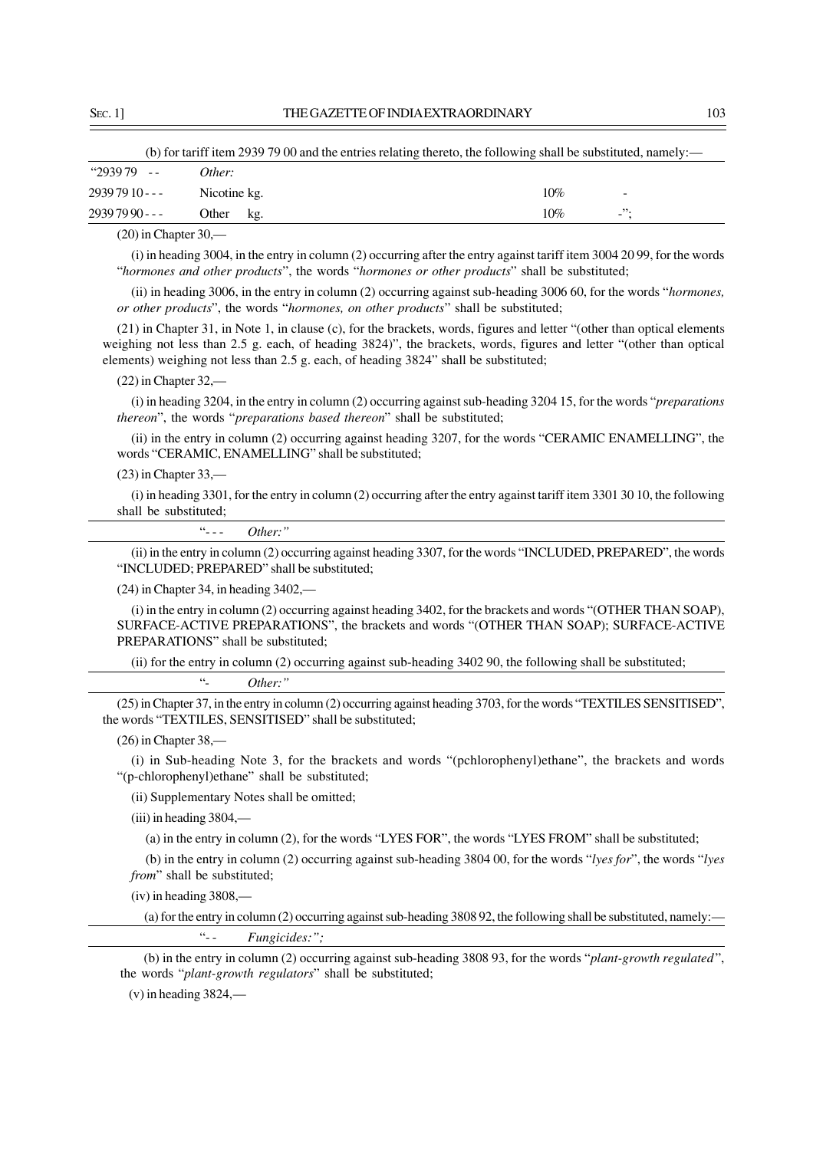| (b) for tariff item 2939 79 00 and the entries relating thereto, the following shall be substituted, namely:— |              |     |                             |  |  |  |
|---------------------------------------------------------------------------------------------------------------|--------------|-----|-----------------------------|--|--|--|
| $"293979 --$                                                                                                  | Other:       |     |                             |  |  |  |
| 2939 79 10 - - -                                                                                              | Nicotine kg. | 10% |                             |  |  |  |
| 2939 79 90 - - -                                                                                              | Other<br>kg. | 10% | $\mathbf{L}^{\prime\prime}$ |  |  |  |

(20) in Chapter 30,—

(i) in heading 3004, in the entry in column (2) occurring after the entry against tariff item 3004 20 99, for the words "*hormones and other products*", the words "*hormones or other products*" shall be substituted;

(ii) in heading 3006, in the entry in column (2) occurring against sub-heading 3006 60, for the words "*hormones, or other products*", the words "*hormones, on other products*" shall be substituted;

(21) in Chapter 31, in Note 1, in clause (c), for the brackets, words, figures and letter "(other than optical elements weighing not less than 2.5 g. each, of heading 3824)", the brackets, words, figures and letter "(other than optical elements) weighing not less than 2.5 g. each, of heading 3824" shall be substituted;

# $(22)$  in Chapter 32,-

(i) in heading 3204, in the entry in column (2) occurring against sub-heading 3204 15, for the words "*preparations thereon*", the words "*preparations based thereon*" shall be substituted;

(ii) in the entry in column (2) occurring against heading 3207, for the words "CERAMIC ENAMELLING", the words "CERAMIC, ENAMELLING" shall be substituted;

### $(23)$  in Chapter 33,-

(i) in heading 3301, for the entry in column (2) occurring after the entry against tariff item 3301 30 10, the following shall be substituted;

"- - - *Other:"*

(ii) in the entry in column (2) occurring against heading 3307, for the words "INCLUDED, PREPARED", the words "INCLUDED; PREPARED" shall be substituted;

(24) in Chapter 34, in heading 3402,—

(i) in the entry in column (2) occurring against heading 3402, for the brackets and words "(OTHER THAN SOAP), SURFACE-ACTIVE PREPARATIONS", the brackets and words "(OTHER THAN SOAP); SURFACE-ACTIVE PREPARATIONS" shall be substituted;

(ii) for the entry in column (2) occurring against sub-heading 3402 90, the following shall be substituted;

"- *Other:"*

(25) in Chapter 37, in the entry in column (2) occurring against heading 3703, for the words "TEXTILES SENSITISED", the words "TEXTILES, SENSITISED" shall be substituted;

(26) in Chapter 38,—

(i) in Sub-heading Note 3, for the brackets and words "(pchlorophenyl)ethane", the brackets and words "(p-chlorophenyl)ethane" shall be substituted;

(ii) Supplementary Notes shall be omitted;

(iii) in heading 3804,—

(a) in the entry in column (2), for the words "LYES FOR", the words "LYES FROM" shall be substituted;

(b) in the entry in column (2) occurring against sub-heading 3804 00, for the words "*lyes for*", the words "*lyes from*" shall be substituted;

(iv) in heading 3808,—

(a) for the entry in column (2) occurring against sub-heading 3808 92, the following shall be substituted, namely:— "- - *Fungicides:";*

(b) in the entry in column (2) occurring against sub-heading 3808 93, for the words "*plant-growth regulated*", the words "*plant-growth regulators*" shall be substituted;

 $(v)$  in heading 3824,—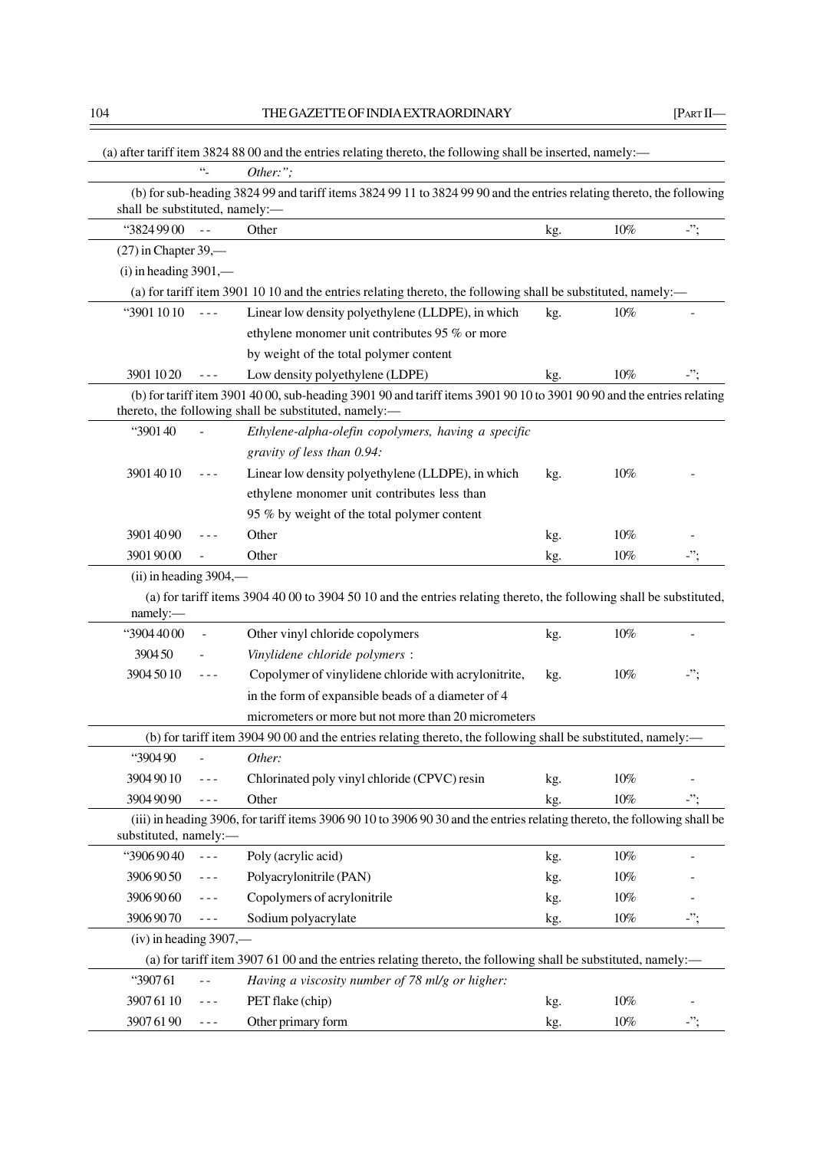|                                                                                                                                                                                                                                                                                                                                                                                                          | (a) after tariff item 3824 88 00 and the entries relating thereto, the following shall be inserted, namely:—                                                                    |     |        |            |
|----------------------------------------------------------------------------------------------------------------------------------------------------------------------------------------------------------------------------------------------------------------------------------------------------------------------------------------------------------------------------------------------------------|---------------------------------------------------------------------------------------------------------------------------------------------------------------------------------|-----|--------|------------|
| $\ddot{\phantom{1}}$                                                                                                                                                                                                                                                                                                                                                                                     | Other:";                                                                                                                                                                        |     |        |            |
| shall be substituted, namely:-                                                                                                                                                                                                                                                                                                                                                                           | (b) for sub-heading 3824 99 and tariff items 3824 99 11 to 3824 99 90 and the entries relating thereto, the following                                                           |     |        |            |
| "3824 99 00<br>$\equiv$ $\equiv$                                                                                                                                                                                                                                                                                                                                                                         | Other                                                                                                                                                                           | kg. | $10\%$ | $\cdot$ "; |
| $(27)$ in Chapter 39,—                                                                                                                                                                                                                                                                                                                                                                                   |                                                                                                                                                                                 |     |        |            |
| $(i)$ in heading 3901,—                                                                                                                                                                                                                                                                                                                                                                                  |                                                                                                                                                                                 |     |        |            |
|                                                                                                                                                                                                                                                                                                                                                                                                          | (a) for tariff item 3901 10 10 and the entries relating thereto, the following shall be substituted, namely:—                                                                   |     |        |            |
| "3901 10 10<br>$\frac{1}{2}$                                                                                                                                                                                                                                                                                                                                                                             | Linear low density polyethylene (LLDPE), in which                                                                                                                               | kg. | $10\%$ |            |
|                                                                                                                                                                                                                                                                                                                                                                                                          | ethylene monomer unit contributes 95 % or more                                                                                                                                  |     |        |            |
|                                                                                                                                                                                                                                                                                                                                                                                                          | by weight of the total polymer content                                                                                                                                          |     |        |            |
| 3901 10 20                                                                                                                                                                                                                                                                                                                                                                                               | Low density polyethylene (LDPE)                                                                                                                                                 | kg. | 10%    |            |
|                                                                                                                                                                                                                                                                                                                                                                                                          | (b) for tariff item 3901 40 00, sub-heading 3901 90 and tariff items 3901 90 10 to 3901 90 90 and the entries relating<br>thereto, the following shall be substituted, namely:- |     |        |            |
| "390140                                                                                                                                                                                                                                                                                                                                                                                                  | Ethylene-alpha-olefin copolymers, having a specific                                                                                                                             |     |        |            |
|                                                                                                                                                                                                                                                                                                                                                                                                          | gravity of less than 0.94:                                                                                                                                                      |     |        |            |
| 3901 40 10<br>$- - -$                                                                                                                                                                                                                                                                                                                                                                                    | Linear low density polyethylene (LLDPE), in which                                                                                                                               | kg. | $10\%$ |            |
|                                                                                                                                                                                                                                                                                                                                                                                                          | ethylene monomer unit contributes less than                                                                                                                                     |     |        |            |
|                                                                                                                                                                                                                                                                                                                                                                                                          | 95 % by weight of the total polymer content                                                                                                                                     |     |        |            |
| 39014090                                                                                                                                                                                                                                                                                                                                                                                                 | Other                                                                                                                                                                           | kg. | 10%    |            |
| 39019000                                                                                                                                                                                                                                                                                                                                                                                                 | Other                                                                                                                                                                           | kg. | $10\%$ | $\cdot$ "; |
| $(ii)$ in heading 3904,—                                                                                                                                                                                                                                                                                                                                                                                 |                                                                                                                                                                                 |     |        |            |
| namely:-                                                                                                                                                                                                                                                                                                                                                                                                 | (a) for tariff items 3904 40 00 to 3904 50 10 and the entries relating thereto, the following shall be substituted,                                                             |     |        |            |
| "3904 4000                                                                                                                                                                                                                                                                                                                                                                                               | Other vinyl chloride copolymers                                                                                                                                                 | kg. | $10\%$ |            |
| 390450                                                                                                                                                                                                                                                                                                                                                                                                   | Vinylidene chloride polymers :                                                                                                                                                  |     |        |            |
| 3904 50 10                                                                                                                                                                                                                                                                                                                                                                                               | Copolymer of vinylidene chloride with acrylonitrite,                                                                                                                            | kg. | 10%    | -";        |
|                                                                                                                                                                                                                                                                                                                                                                                                          | in the form of expansible beads of a diameter of 4                                                                                                                              |     |        |            |
|                                                                                                                                                                                                                                                                                                                                                                                                          | micrometers or more but not more than 20 micrometers                                                                                                                            |     |        |            |
|                                                                                                                                                                                                                                                                                                                                                                                                          | (b) for tariff item 3904 90 00 and the entries relating thereto, the following shall be substituted, namely:—                                                                   |     |        |            |
| "390490                                                                                                                                                                                                                                                                                                                                                                                                  | Other:                                                                                                                                                                          |     |        |            |
| 3904 90 10<br>- - -                                                                                                                                                                                                                                                                                                                                                                                      | Chlorinated poly vinyl chloride (CPVC) resin                                                                                                                                    | kg. | $10\%$ |            |
| 39049090<br>$- - -$                                                                                                                                                                                                                                                                                                                                                                                      | Other                                                                                                                                                                           | kg. | $10\%$ | -";        |
| substituted, namely:-                                                                                                                                                                                                                                                                                                                                                                                    | (iii) in heading 3906, for tariff items 3906 90 10 to 3906 90 30 and the entries relating thereto, the following shall be                                                       |     |        |            |
| "39069040<br>$- - -$                                                                                                                                                                                                                                                                                                                                                                                     | Poly (acrylic acid)                                                                                                                                                             | kg. | $10\%$ |            |
| 39069050<br>- - -                                                                                                                                                                                                                                                                                                                                                                                        | Polyacrylonitrile (PAN)                                                                                                                                                         | kg. | $10\%$ |            |
| 39069060                                                                                                                                                                                                                                                                                                                                                                                                 | Copolymers of acrylonitrile                                                                                                                                                     | kg. | $10\%$ |            |
| 39069070<br>---                                                                                                                                                                                                                                                                                                                                                                                          | Sodium polyacrylate                                                                                                                                                             | kg. | $10\%$ | $\cdot$ "; |
| $(iv)$ in heading 3907,—                                                                                                                                                                                                                                                                                                                                                                                 |                                                                                                                                                                                 |     |        |            |
|                                                                                                                                                                                                                                                                                                                                                                                                          | (a) for tariff item 3907 61 00 and the entries relating thereto, the following shall be substituted, namely:-                                                                   |     |        |            |
| "390761                                                                                                                                                                                                                                                                                                                                                                                                  | Having a viscosity number of 78 ml/g or higher:                                                                                                                                 |     |        |            |
| 39076110<br>---                                                                                                                                                                                                                                                                                                                                                                                          | PET flake (chip)                                                                                                                                                                | kg. | $10\%$ |            |
| 39076190<br>$\frac{1}{2} \frac{1}{2} \frac{1}{2} \frac{1}{2} \frac{1}{2} \frac{1}{2} \frac{1}{2} \frac{1}{2} \frac{1}{2} \frac{1}{2} \frac{1}{2} \frac{1}{2} \frac{1}{2} \frac{1}{2} \frac{1}{2} \frac{1}{2} \frac{1}{2} \frac{1}{2} \frac{1}{2} \frac{1}{2} \frac{1}{2} \frac{1}{2} \frac{1}{2} \frac{1}{2} \frac{1}{2} \frac{1}{2} \frac{1}{2} \frac{1}{2} \frac{1}{2} \frac{1}{2} \frac{1}{2} \frac{$ | Other primary form                                                                                                                                                              | kg. | $10\%$ | $\cdot$ "; |
|                                                                                                                                                                                                                                                                                                                                                                                                          |                                                                                                                                                                                 |     |        |            |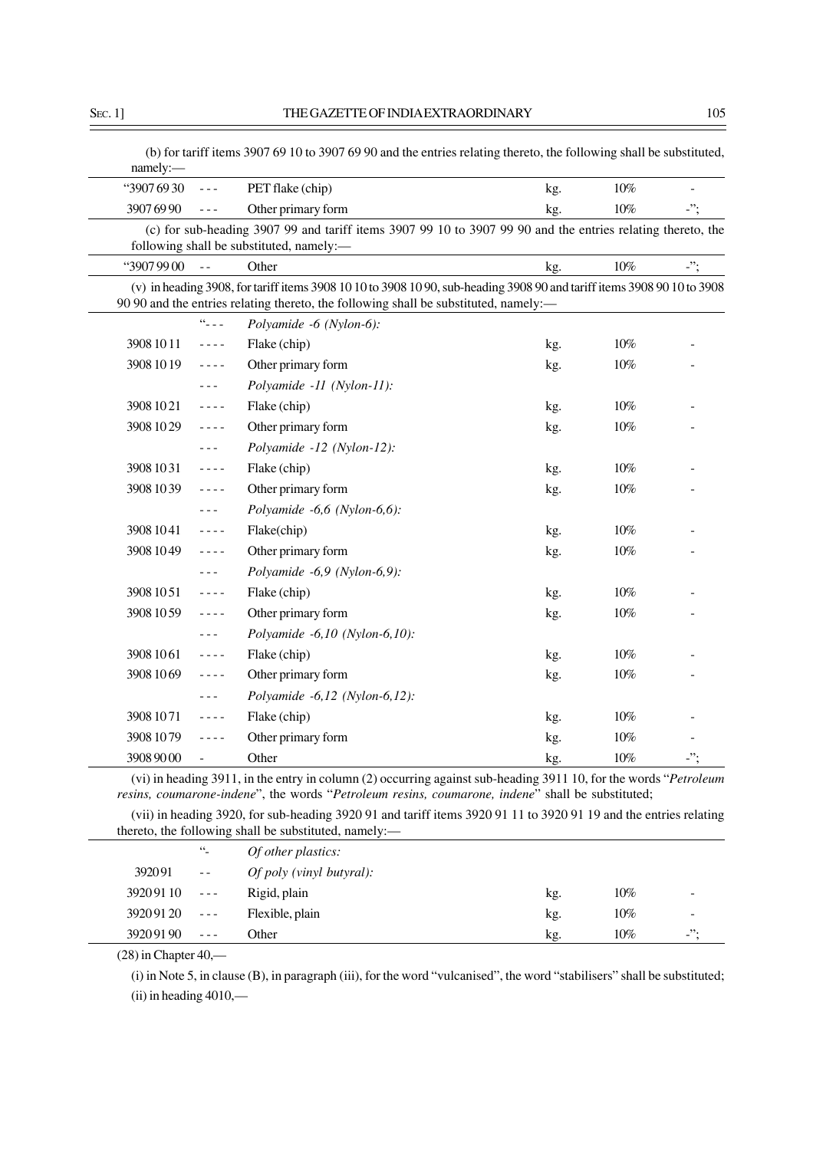| "3907 69 30 | $\omega = \omega$                                                                                                                                                                                                                                                                                                                                                                            | PET flake (chip)                                                                                                                                                                                                | kg. | $10\%$ |            |
|-------------|----------------------------------------------------------------------------------------------------------------------------------------------------------------------------------------------------------------------------------------------------------------------------------------------------------------------------------------------------------------------------------------------|-----------------------------------------------------------------------------------------------------------------------------------------------------------------------------------------------------------------|-----|--------|------------|
| 39076990    | $\omega = \omega$                                                                                                                                                                                                                                                                                                                                                                            | Other primary form                                                                                                                                                                                              | kg. | $10\%$ | $\cdot$ "; |
|             |                                                                                                                                                                                                                                                                                                                                                                                              | (c) for sub-heading 3907 99 and tariff items 3907 99 10 to 3907 99 90 and the entries relating thereto, the<br>following shall be substituted, namely:-                                                         |     |        |            |
| "39079900   | $\overline{a}$                                                                                                                                                                                                                                                                                                                                                                               | Other                                                                                                                                                                                                           | kg. | 10%    | $\cdot$ "; |
|             |                                                                                                                                                                                                                                                                                                                                                                                              | (v) in heading 3908, for tariff items 3908 10 10 to 3908 10 90, sub-heading 3908 90 and tariff items 3908 90 10 to 3908<br>90 90 and the entries relating thereto, the following shall be substituted, namely:- |     |        |            |
|             | $66 - 12$                                                                                                                                                                                                                                                                                                                                                                                    | Polyamide -6 (Nylon-6):                                                                                                                                                                                         |     |        |            |
| 3908 10 11  | $\omega = \omega/\omega$                                                                                                                                                                                                                                                                                                                                                                     | Flake (chip)                                                                                                                                                                                                    | kg. | $10\%$ |            |
| 3908 10 19  | $\frac{1}{2} \frac{1}{2} \frac{1}{2} \frac{1}{2} \frac{1}{2} \frac{1}{2} \frac{1}{2} \frac{1}{2} \frac{1}{2} \frac{1}{2} \frac{1}{2} \frac{1}{2} \frac{1}{2} \frac{1}{2} \frac{1}{2} \frac{1}{2} \frac{1}{2} \frac{1}{2} \frac{1}{2} \frac{1}{2} \frac{1}{2} \frac{1}{2} \frac{1}{2} \frac{1}{2} \frac{1}{2} \frac{1}{2} \frac{1}{2} \frac{1}{2} \frac{1}{2} \frac{1}{2} \frac{1}{2} \frac{$ | Other primary form                                                                                                                                                                                              | kg. | $10\%$ |            |
|             | $- - -$                                                                                                                                                                                                                                                                                                                                                                                      | Polyamide -11 (Nylon-11):                                                                                                                                                                                       |     |        |            |
| 3908 10 21  | $\omega = \omega/\omega$                                                                                                                                                                                                                                                                                                                                                                     | Flake (chip)                                                                                                                                                                                                    | kg. | 10%    |            |
| 3908 10 29  | $\omega = \omega/\omega$                                                                                                                                                                                                                                                                                                                                                                     | Other primary form                                                                                                                                                                                              | kg. | 10%    |            |
|             | $\sim$ $ -$                                                                                                                                                                                                                                                                                                                                                                                  | Polyamide -12 (Nylon-12):                                                                                                                                                                                       |     |        |            |
| 3908 10 31  | $\frac{1}{2} \frac{1}{2} \frac{1}{2} \frac{1}{2} \frac{1}{2} \frac{1}{2} \frac{1}{2} \frac{1}{2} \frac{1}{2} \frac{1}{2} \frac{1}{2} \frac{1}{2} \frac{1}{2} \frac{1}{2} \frac{1}{2} \frac{1}{2} \frac{1}{2} \frac{1}{2} \frac{1}{2} \frac{1}{2} \frac{1}{2} \frac{1}{2} \frac{1}{2} \frac{1}{2} \frac{1}{2} \frac{1}{2} \frac{1}{2} \frac{1}{2} \frac{1}{2} \frac{1}{2} \frac{1}{2} \frac{$ | Flake (chip)                                                                                                                                                                                                    | kg. | 10%    |            |
| 3908 1039   | $- - - -$                                                                                                                                                                                                                                                                                                                                                                                    | Other primary form                                                                                                                                                                                              | kg. | $10\%$ |            |
|             | $\sim$ $ \sim$                                                                                                                                                                                                                                                                                                                                                                               | Polyamide -6,6 (Nylon-6,6):                                                                                                                                                                                     |     |        |            |
| 3908 1041   | $\omega = \omega/\omega$                                                                                                                                                                                                                                                                                                                                                                     | Flake(chip)                                                                                                                                                                                                     | kg. | $10\%$ |            |
| 3908 1049   | $- - - -$                                                                                                                                                                                                                                                                                                                                                                                    | Other primary form                                                                                                                                                                                              | kg. | $10\%$ |            |
|             | $\frac{1}{2} \frac{1}{2} \frac{1}{2} \frac{1}{2} \frac{1}{2} \frac{1}{2} \frac{1}{2} \frac{1}{2} \frac{1}{2} \frac{1}{2} \frac{1}{2} \frac{1}{2} \frac{1}{2} \frac{1}{2} \frac{1}{2} \frac{1}{2} \frac{1}{2} \frac{1}{2} \frac{1}{2} \frac{1}{2} \frac{1}{2} \frac{1}{2} \frac{1}{2} \frac{1}{2} \frac{1}{2} \frac{1}{2} \frac{1}{2} \frac{1}{2} \frac{1}{2} \frac{1}{2} \frac{1}{2} \frac{$ | Polyamide -6,9 (Nylon-6,9):                                                                                                                                                                                     |     |        |            |
| 3908 10 51  | $\omega = \omega/\omega$                                                                                                                                                                                                                                                                                                                                                                     | Flake (chip)                                                                                                                                                                                                    | kg. | $10\%$ |            |
| 3908 1059   | $\omega = \omega/\omega$                                                                                                                                                                                                                                                                                                                                                                     | Other primary form                                                                                                                                                                                              | kg. | $10\%$ |            |
|             | $\frac{1}{2} \frac{1}{2} \frac{1}{2} \frac{1}{2} \frac{1}{2} \frac{1}{2} \frac{1}{2} \frac{1}{2} \frac{1}{2} \frac{1}{2} \frac{1}{2} \frac{1}{2} \frac{1}{2} \frac{1}{2} \frac{1}{2} \frac{1}{2} \frac{1}{2} \frac{1}{2} \frac{1}{2} \frac{1}{2} \frac{1}{2} \frac{1}{2} \frac{1}{2} \frac{1}{2} \frac{1}{2} \frac{1}{2} \frac{1}{2} \frac{1}{2} \frac{1}{2} \frac{1}{2} \frac{1}{2} \frac{$ | Polyamide -6,10 (Nylon-6,10):                                                                                                                                                                                   |     |        |            |
| 3908 1061   | $\sim$ $\sim$ $\sim$ $\sim$                                                                                                                                                                                                                                                                                                                                                                  | Flake (chip)                                                                                                                                                                                                    | kg. | 10%    |            |
| 3908 1069   | $\omega = \omega/\omega$                                                                                                                                                                                                                                                                                                                                                                     | Other primary form                                                                                                                                                                                              | kg. | $10\%$ |            |
|             | $\sim$ $ \sim$                                                                                                                                                                                                                                                                                                                                                                               | Polyamide -6,12 (Nylon-6,12):                                                                                                                                                                                   |     |        |            |
| 3908 1071   | $\frac{1}{2} \frac{1}{2} \frac{1}{2} \frac{1}{2} \frac{1}{2} \frac{1}{2} \frac{1}{2} \frac{1}{2} \frac{1}{2} \frac{1}{2} \frac{1}{2} \frac{1}{2} \frac{1}{2} \frac{1}{2} \frac{1}{2} \frac{1}{2} \frac{1}{2} \frac{1}{2} \frac{1}{2} \frac{1}{2} \frac{1}{2} \frac{1}{2} \frac{1}{2} \frac{1}{2} \frac{1}{2} \frac{1}{2} \frac{1}{2} \frac{1}{2} \frac{1}{2} \frac{1}{2} \frac{1}{2} \frac{$ | Flake (chip)                                                                                                                                                                                                    | kg. | $10\%$ |            |
| 3908 1079   | $\frac{1}{2} \frac{1}{2} \frac{1}{2} \frac{1}{2} \frac{1}{2} \frac{1}{2} \frac{1}{2} \frac{1}{2} \frac{1}{2} \frac{1}{2} \frac{1}{2} \frac{1}{2} \frac{1}{2} \frac{1}{2} \frac{1}{2} \frac{1}{2} \frac{1}{2} \frac{1}{2} \frac{1}{2} \frac{1}{2} \frac{1}{2} \frac{1}{2} \frac{1}{2} \frac{1}{2} \frac{1}{2} \frac{1}{2} \frac{1}{2} \frac{1}{2} \frac{1}{2} \frac{1}{2} \frac{1}{2} \frac{$ | Other primary form                                                                                                                                                                                              | kg. | $10\%$ |            |
| 39089000    | ÷.                                                                                                                                                                                                                                                                                                                                                                                           | Other                                                                                                                                                                                                           | kg. | $10\%$ | $\cdot$    |

(vi) in heading 3911, in the entry in column (2) occurring against sub-heading 3911 10, for the words "*Petroleum resins, coumarone-indene*", the words "*Petroleum resins, coumarone, indene*" shall be substituted;

(vii) in heading 3920, for sub-heading 3920 91 and tariff items 3920 91 11 to 3920 91 19 and the entries relating thereto, the following shall be substituted, namely:—

|          | $\ddot{\phantom{0}}$ | Of other plastics:       |     |        |                          |
|----------|----------------------|--------------------------|-----|--------|--------------------------|
| 392091   | $\sim$ $-$           | Of poly (vinyl butyral): |     |        |                          |
| 39209110 | $\sim$ $ \sim$       | Rigid, plain             | kg. | $10\%$ | -                        |
| 39209120 | $\sim$ $ -$          | Flexible, plain          | kg. | $10\%$ | $\overline{\phantom{0}}$ |
| 39209190 | $\frac{1}{2}$        | Other                    | kg. | $10\%$ | $ \cdot$                 |

(28) in Chapter 40,—

(i) in Note 5, in clause (B), in paragraph (iii), for the word "vulcanised", the word "stabilisers" shall be substituted; (ii) in heading 4010,—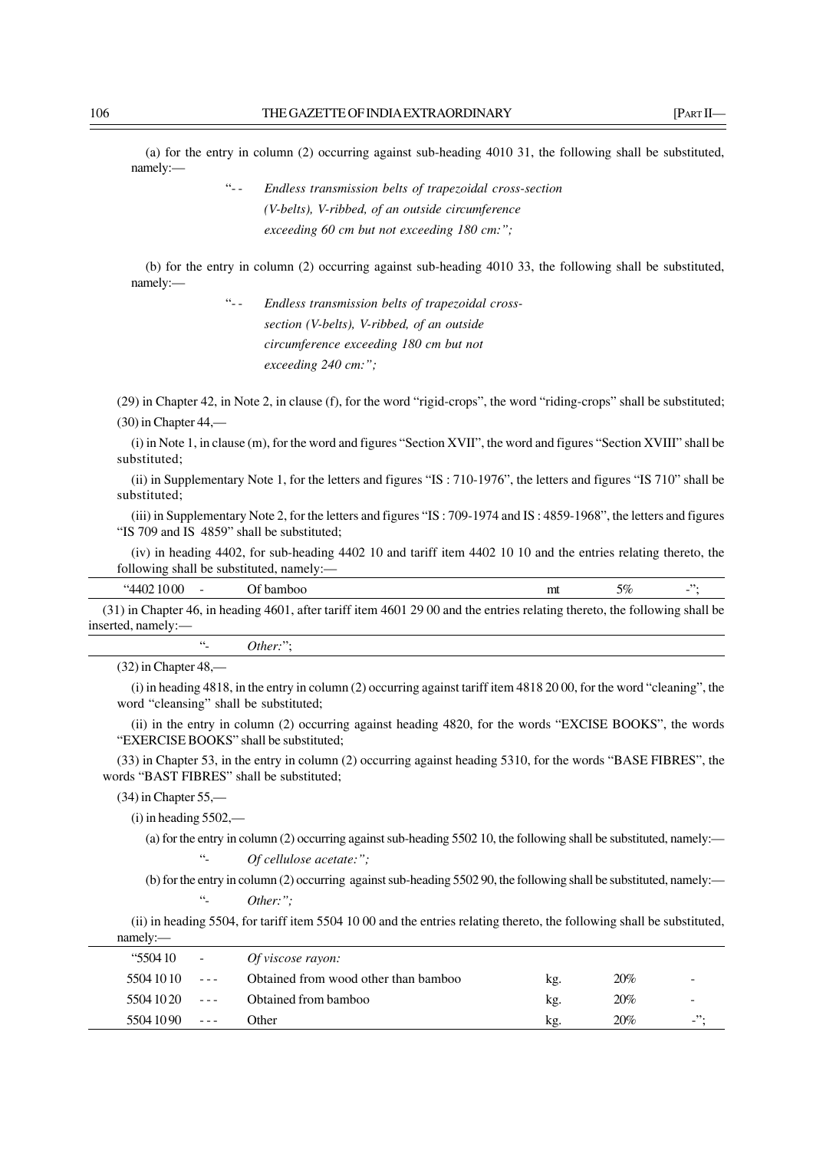(a) for the entry in column (2) occurring against sub-heading 4010 31, the following shall be substituted, namely:—

> "- - *Endless transmission belts of trapezoidal cross-section (V-belts), V-ribbed, of an outside circumference exceeding 60 cm but not exceeding 180 cm:";*

(b) for the entry in column (2) occurring against sub-heading 4010 33, the following shall be substituted, namely:—

> "- - *Endless transmission belts of trapezoidal crosssection (V-belts), V-ribbed, of an outside circumference exceeding 180 cm but not exceeding 240 cm:";*

(29) in Chapter 42, in Note 2, in clause (f), for the word "rigid-crops", the word "riding-crops" shall be substituted; (30) in Chapter 44,—

(i) in Note 1, in clause (m), for the word and figures "Section XVII", the word and figures "Section XVIII" shall be substituted;

(ii) in Supplementary Note 1, for the letters and figures "IS : 710-1976", the letters and figures "IS 710" shall be substituted;

(iii) in Supplementary Note 2, for the letters and figures "IS : 709-1974 and IS : 4859-1968", the letters and figures "IS 709 and IS 4859" shall be substituted;

(iv) in heading 4402, for sub-heading 4402 10 and tariff item 4402 10 10 and the entries relating thereto, the following shall be substituted, namely:—

| $44021000$ - Of bamboo |                                                                                                                            | 5% | $\mathcal{L}^{\prime\prime}$ : |
|------------------------|----------------------------------------------------------------------------------------------------------------------------|----|--------------------------------|
|                        | (31) in Chapter 46, in heading 4601, after tariff item 4601 29 00 and the entries relating thereto, the following shall be |    |                                |

inserted, namely:—

"- *Other:*";

 $(32)$  in Chapter 48,-

(i) in heading 4818, in the entry in column (2) occurring against tariff item 4818 20 00, for the word "cleaning", the word "cleansing" shall be substituted;

(ii) in the entry in column (2) occurring against heading 4820, for the words "EXCISE BOOKS", the words "EXERCISE BOOKS" shall be substituted;

(33) in Chapter 53, in the entry in column (2) occurring against heading 5310, for the words "BASE FIBRES", the words "BAST FIBRES" shall be substituted;

(34) in Chapter 55,—

 $(i)$  in heading  $5502$ ,—

(a) for the entry in column (2) occurring against sub-heading 5502 10, the following shall be substituted, namely:— Of cellulose acetate:";

(b) for the entry in column (2) occurring against sub-heading 5502 90, the following shall be substituted, namely:— "- *Other:";*

(ii) in heading 5504, for tariff item 5504 10 00 and the entries relating thereto, the following shall be substituted, namely:—

| <b>"550410</b> | $\sim 100$               | Of viscose rayon:                    |     |     |          |
|----------------|--------------------------|--------------------------------------|-----|-----|----------|
| 5504 10 10     | $\sim 100$ m s $^{-1}$   | Obtained from wood other than bamboo | kg. | 20% | -        |
| 5504 10 20     | <b>Contract Contract</b> | Obtained from bamboo                 | kg. | 20% | -        |
| 55041090       | $\sim 100$ m $\sim 100$  | Other                                | kg. | 20% | $ \cdot$ |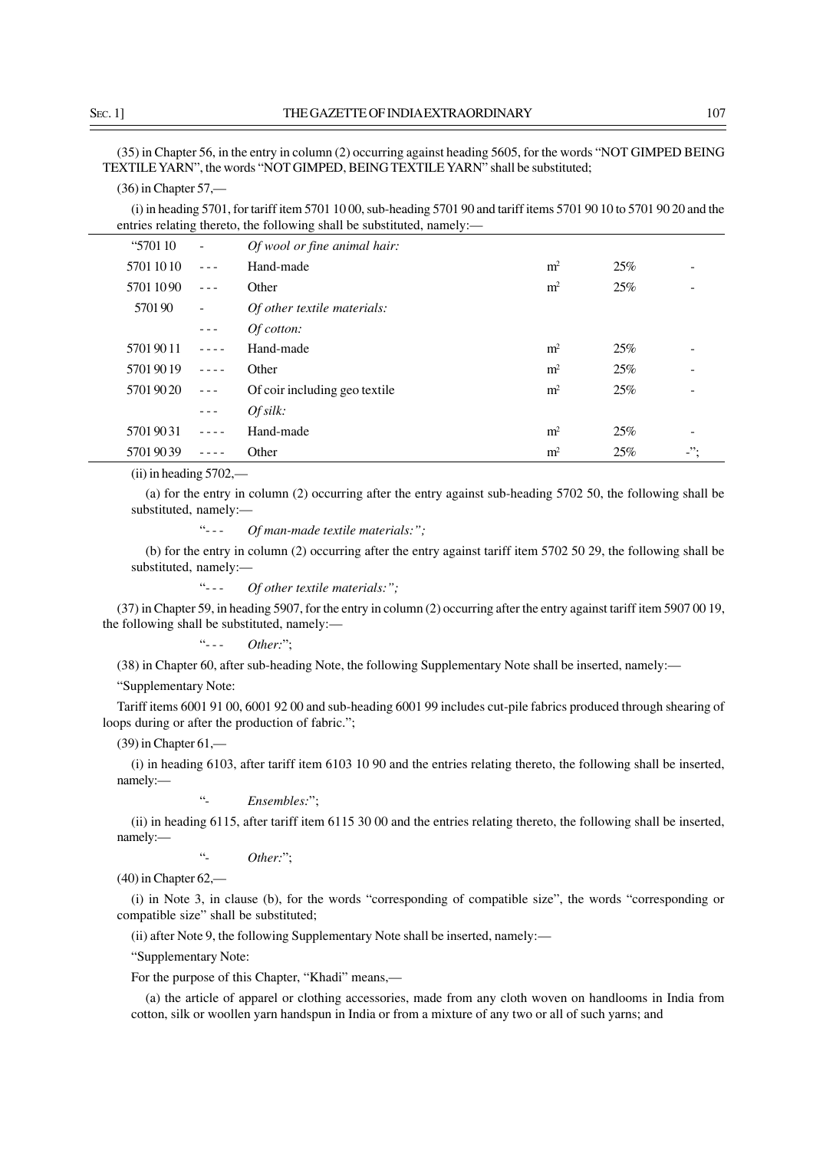(35) in Chapter 56, in the entry in column (2) occurring against heading 5605, for the words "NOT GIMPED BEING TEXTILE YARN", the words "NOT GIMPED, BEING TEXTILE YARN" shall be substituted;

## (36) in Chapter 57,—

(i) in heading 5701, for tariff item 5701 10 00, sub-heading 5701 90 and tariff items 5701 90 10 to 5701 90 20 and the entries relating thereto, the following shall be substituted, namely:—

| "570110" | $\overline{\phantom{a}}$                                                                                                                                                                                                                                                                                                                                                                     | <i>Of wool or fine animal hair:</i> |                |     |         |
|----------|----------------------------------------------------------------------------------------------------------------------------------------------------------------------------------------------------------------------------------------------------------------------------------------------------------------------------------------------------------------------------------------------|-------------------------------------|----------------|-----|---------|
| 57011010 |                                                                                                                                                                                                                                                                                                                                                                                              | Hand-made                           | m <sup>2</sup> | 25% |         |
| 57011090 |                                                                                                                                                                                                                                                                                                                                                                                              | Other                               | m <sup>2</sup> | 25% |         |
| 570190   | $\overline{\phantom{a}}$                                                                                                                                                                                                                                                                                                                                                                     | Of other textile materials:         |                |     |         |
|          | $\frac{1}{2} \frac{1}{2} \frac{1}{2} \frac{1}{2} \frac{1}{2} \frac{1}{2} \frac{1}{2} \frac{1}{2} \frac{1}{2} \frac{1}{2} \frac{1}{2} \frac{1}{2} \frac{1}{2} \frac{1}{2} \frac{1}{2} \frac{1}{2} \frac{1}{2} \frac{1}{2} \frac{1}{2} \frac{1}{2} \frac{1}{2} \frac{1}{2} \frac{1}{2} \frac{1}{2} \frac{1}{2} \frac{1}{2} \frac{1}{2} \frac{1}{2} \frac{1}{2} \frac{1}{2} \frac{1}{2} \frac{$ | Of cotton:                          |                |     |         |
| 57019011 |                                                                                                                                                                                                                                                                                                                                                                                              | Hand-made                           | m <sup>2</sup> | 25% |         |
| 57019019 | $\frac{1}{2} \frac{1}{2} \frac{1}{2} \frac{1}{2} \frac{1}{2} \frac{1}{2} \frac{1}{2} \frac{1}{2}$                                                                                                                                                                                                                                                                                            | Other                               | m <sup>2</sup> | 25% |         |
| 57019020 | $\frac{1}{2} \frac{1}{2} \frac{1}{2} \frac{1}{2} \frac{1}{2} \frac{1}{2} \frac{1}{2} \frac{1}{2} \frac{1}{2} \frac{1}{2} \frac{1}{2} \frac{1}{2} \frac{1}{2} \frac{1}{2} \frac{1}{2} \frac{1}{2} \frac{1}{2} \frac{1}{2} \frac{1}{2} \frac{1}{2} \frac{1}{2} \frac{1}{2} \frac{1}{2} \frac{1}{2} \frac{1}{2} \frac{1}{2} \frac{1}{2} \frac{1}{2} \frac{1}{2} \frac{1}{2} \frac{1}{2} \frac{$ | Of coir including geo textile       | m <sup>2</sup> | 25% |         |
|          | $\frac{1}{2} \frac{1}{2} \frac{1}{2} \frac{1}{2} \frac{1}{2} \frac{1}{2} \frac{1}{2} \frac{1}{2} \frac{1}{2} \frac{1}{2} \frac{1}{2} \frac{1}{2} \frac{1}{2} \frac{1}{2} \frac{1}{2} \frac{1}{2} \frac{1}{2} \frac{1}{2} \frac{1}{2} \frac{1}{2} \frac{1}{2} \frac{1}{2} \frac{1}{2} \frac{1}{2} \frac{1}{2} \frac{1}{2} \frac{1}{2} \frac{1}{2} \frac{1}{2} \frac{1}{2} \frac{1}{2} \frac{$ | Ofsilk:                             |                |     |         |
| 57019031 |                                                                                                                                                                                                                                                                                                                                                                                              | Hand-made                           | m <sup>2</sup> | 25% |         |
| 57019039 |                                                                                                                                                                                                                                                                                                                                                                                              | Other                               | m <sup>2</sup> | 25% | $\cdot$ |

(ii) in heading 5702,—

(a) for the entry in column (2) occurring after the entry against sub-heading 5702 50, the following shall be substituted, namely:—

"- - - *Of man-made textile materials:";*

(b) for the entry in column (2) occurring after the entry against tariff item 5702 50 29, the following shall be substituted, namely:—

"- - - *Of other textile materials:";*

(37) in Chapter 59, in heading 5907, for the entry in column (2) occurring after the entry against tariff item 5907 00 19, the following shall be substituted, namely:—

"- - - *Other:*";

(38) in Chapter 60, after sub-heading Note, the following Supplementary Note shall be inserted, namely:—

"Supplementary Note:

Tariff items 6001 91 00, 6001 92 00 and sub-heading 6001 99 includes cut-pile fabrics produced through shearing of loops during or after the production of fabric.";

(39) in Chapter 61,—

(i) in heading 6103, after tariff item 6103 10 90 and the entries relating thereto, the following shall be inserted, namely:—

"- *Ensembles:*";

(ii) in heading 6115, after tariff item 6115 30 00 and the entries relating thereto, the following shall be inserted, namely:—

"- *Other:*";

(40) in Chapter 62,—

(i) in Note 3, in clause (b), for the words "corresponding of compatible size", the words "corresponding or compatible size" shall be substituted;

(ii) after Note 9, the following Supplementary Note shall be inserted, namely:—

"Supplementary Note:

For the purpose of this Chapter, "Khadi" means,—

(a) the article of apparel or clothing accessories, made from any cloth woven on handlooms in India from cotton, silk or woollen yarn handspun in India or from a mixture of any two or all of such yarns; and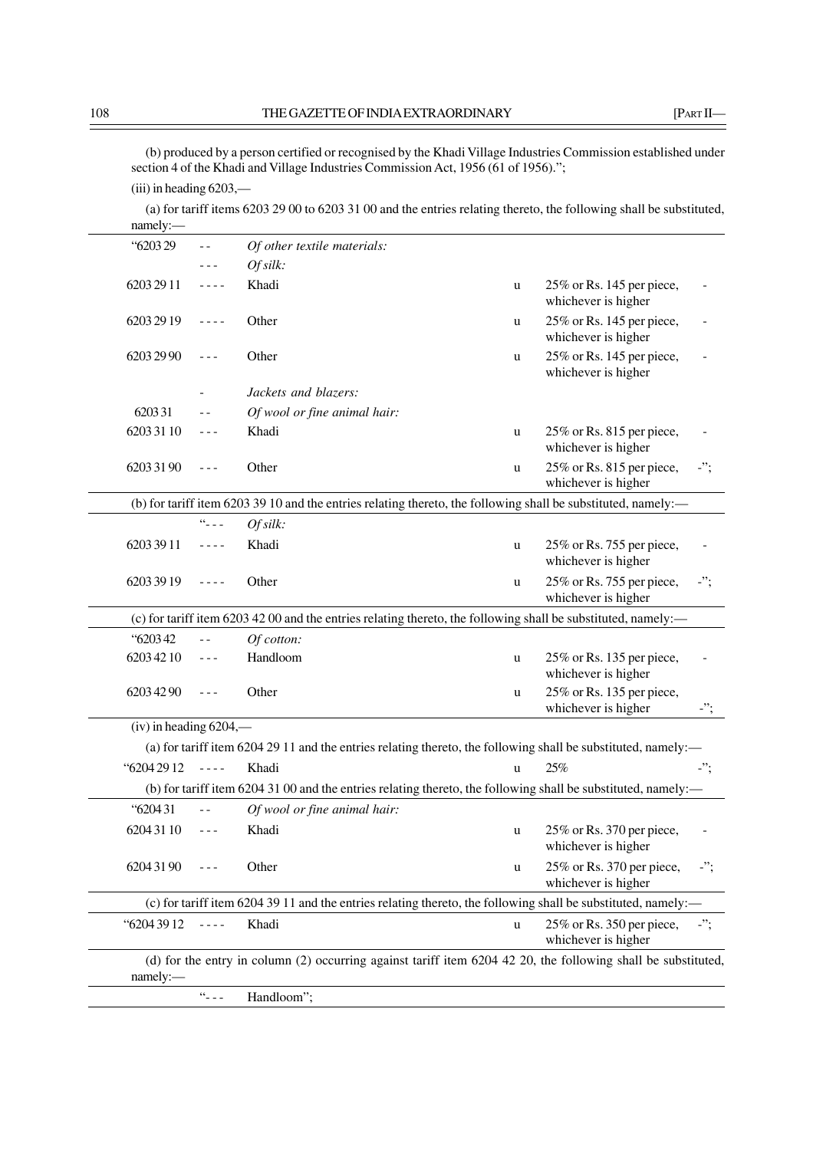(b) produced by a person certified or recognised by the Khadi Village Industries Commission established under section 4 of the Khadi and Village Industries Commission Act, 1956 (61 of 1956).";

(iii) in heading 6203,—

(a) for tariff items 6203 29 00 to 6203 31 00 and the entries relating thereto, the following shall be substituted, namely:—

| "620329                     |                                                                                                                                                                                                                                                                                                                                                                                              | Of other textile materials:                                                                                   |             |                                                  |     |
|-----------------------------|----------------------------------------------------------------------------------------------------------------------------------------------------------------------------------------------------------------------------------------------------------------------------------------------------------------------------------------------------------------------------------------------|---------------------------------------------------------------------------------------------------------------|-------------|--------------------------------------------------|-----|
|                             |                                                                                                                                                                                                                                                                                                                                                                                              | Ofsilk                                                                                                        |             |                                                  |     |
| 6203 29 11                  | $- - - -$                                                                                                                                                                                                                                                                                                                                                                                    | Khadi                                                                                                         | u           | 25% or Rs. 145 per piece,<br>whichever is higher |     |
| 6203 29 19                  | $- - - -$                                                                                                                                                                                                                                                                                                                                                                                    | Other                                                                                                         | u           | 25% or Rs. 145 per piece,<br>whichever is higher |     |
| 6203 29 90                  | $- - -$                                                                                                                                                                                                                                                                                                                                                                                      | Other                                                                                                         | $\mathbf u$ | 25% or Rs. 145 per piece,<br>whichever is higher |     |
|                             |                                                                                                                                                                                                                                                                                                                                                                                              | Jackets and blazers:                                                                                          |             |                                                  |     |
| 620331                      |                                                                                                                                                                                                                                                                                                                                                                                              | Of wool or fine animal hair:                                                                                  |             |                                                  |     |
| 6203 31 10                  | $\frac{1}{2} \frac{1}{2} \frac{1}{2} \frac{1}{2} \frac{1}{2} \frac{1}{2} \frac{1}{2} \frac{1}{2} \frac{1}{2} \frac{1}{2} \frac{1}{2} \frac{1}{2} \frac{1}{2} \frac{1}{2} \frac{1}{2} \frac{1}{2} \frac{1}{2} \frac{1}{2} \frac{1}{2} \frac{1}{2} \frac{1}{2} \frac{1}{2} \frac{1}{2} \frac{1}{2} \frac{1}{2} \frac{1}{2} \frac{1}{2} \frac{1}{2} \frac{1}{2} \frac{1}{2} \frac{1}{2} \frac{$ | Khadi                                                                                                         | u           | 25% or Rs. 815 per piece,<br>whichever is higher |     |
| 6203 31 90                  | $- - -$                                                                                                                                                                                                                                                                                                                                                                                      | Other                                                                                                         | u           | 25% or Rs. 815 per piece,<br>whichever is higher | -"; |
|                             |                                                                                                                                                                                                                                                                                                                                                                                              | (b) for tariff item 6203 39 10 and the entries relating thereto, the following shall be substituted, namely:— |             |                                                  |     |
|                             | $66 - 12$                                                                                                                                                                                                                                                                                                                                                                                    | Of silk:                                                                                                      |             |                                                  |     |
| 6203 39 11                  | $\frac{1}{2} \frac{1}{2} \frac{1}{2} \frac{1}{2} \frac{1}{2} \frac{1}{2} \frac{1}{2} \frac{1}{2} \frac{1}{2} \frac{1}{2} \frac{1}{2} \frac{1}{2} \frac{1}{2} \frac{1}{2} \frac{1}{2} \frac{1}{2} \frac{1}{2} \frac{1}{2} \frac{1}{2} \frac{1}{2} \frac{1}{2} \frac{1}{2} \frac{1}{2} \frac{1}{2} \frac{1}{2} \frac{1}{2} \frac{1}{2} \frac{1}{2} \frac{1}{2} \frac{1}{2} \frac{1}{2} \frac{$ | Khadi                                                                                                         | $\mathbf u$ | 25% or Rs. 755 per piece,<br>whichever is higher |     |
| 6203 39 19                  | $- - - -$                                                                                                                                                                                                                                                                                                                                                                                    | Other                                                                                                         | u           | 25% or Rs. 755 per piece,<br>whichever is higher | -"; |
|                             |                                                                                                                                                                                                                                                                                                                                                                                              | (c) for tariff item 6203 42 00 and the entries relating thereto, the following shall be substituted, namely:— |             |                                                  |     |
| "620342                     |                                                                                                                                                                                                                                                                                                                                                                                              | Of cotton:                                                                                                    |             |                                                  |     |
| 6203 42 10                  | $\frac{1}{2} \frac{1}{2} \frac{1}{2} \frac{1}{2} \frac{1}{2} \frac{1}{2} \frac{1}{2} \frac{1}{2} \frac{1}{2} \frac{1}{2} \frac{1}{2} \frac{1}{2} \frac{1}{2} \frac{1}{2} \frac{1}{2} \frac{1}{2} \frac{1}{2} \frac{1}{2} \frac{1}{2} \frac{1}{2} \frac{1}{2} \frac{1}{2} \frac{1}{2} \frac{1}{2} \frac{1}{2} \frac{1}{2} \frac{1}{2} \frac{1}{2} \frac{1}{2} \frac{1}{2} \frac{1}{2} \frac{$ | Handloom                                                                                                      | $\mathbf u$ | 25% or Rs. 135 per piece,<br>whichever is higher |     |
| 6203 42 90                  | $- - -$                                                                                                                                                                                                                                                                                                                                                                                      | Other                                                                                                         | $\mathbf u$ | 25% or Rs. 135 per piece,<br>whichever is higher | -"; |
| $(iv)$ in heading $6204,$ — |                                                                                                                                                                                                                                                                                                                                                                                              |                                                                                                               |             |                                                  |     |
|                             |                                                                                                                                                                                                                                                                                                                                                                                              | (a) for tariff item 6204 29 11 and the entries relating thereto, the following shall be substituted, namely:— |             |                                                  |     |
| "6204 29 12                 | $\omega$ is $\omega$ in                                                                                                                                                                                                                                                                                                                                                                      | Khadi                                                                                                         | u           | 25%                                              |     |
|                             |                                                                                                                                                                                                                                                                                                                                                                                              | (b) for tariff item 6204 31 00 and the entries relating thereto, the following shall be substituted, namely:— |             |                                                  |     |
| "620431                     | $=$ $=$                                                                                                                                                                                                                                                                                                                                                                                      | Of wool or fine animal hair:                                                                                  |             |                                                  |     |
| 62043110                    | $\frac{1}{2} \frac{1}{2} \frac{1}{2} \frac{1}{2} \frac{1}{2} \frac{1}{2} \frac{1}{2} \frac{1}{2} \frac{1}{2} \frac{1}{2} \frac{1}{2} \frac{1}{2} \frac{1}{2} \frac{1}{2} \frac{1}{2} \frac{1}{2} \frac{1}{2} \frac{1}{2} \frac{1}{2} \frac{1}{2} \frac{1}{2} \frac{1}{2} \frac{1}{2} \frac{1}{2} \frac{1}{2} \frac{1}{2} \frac{1}{2} \frac{1}{2} \frac{1}{2} \frac{1}{2} \frac{1}{2} \frac{$ | Khadi                                                                                                         | u           | 25% or Rs. 370 per piece,<br>whichever is higher |     |
| 62043190                    |                                                                                                                                                                                                                                                                                                                                                                                              | Other                                                                                                         | u           | 25% or Rs. 370 per piece,<br>whichever is higher | -"; |
|                             |                                                                                                                                                                                                                                                                                                                                                                                              | (c) for tariff item 6204 39 11 and the entries relating thereto, the following shall be substituted, namely:— |             |                                                  |     |
| "6204 39 12                 | $- - - -$                                                                                                                                                                                                                                                                                                                                                                                    | Khadi                                                                                                         | u           | 25% or Rs. 350 per piece,<br>whichever is higher |     |
| namely:                     |                                                                                                                                                                                                                                                                                                                                                                                              | (d) for the entry in column (2) occurring against tariff item 6204 42 20, the following shall be substituted, |             |                                                  |     |
|                             | $66 - 12 = 1$                                                                                                                                                                                                                                                                                                                                                                                | Handloom";                                                                                                    |             |                                                  |     |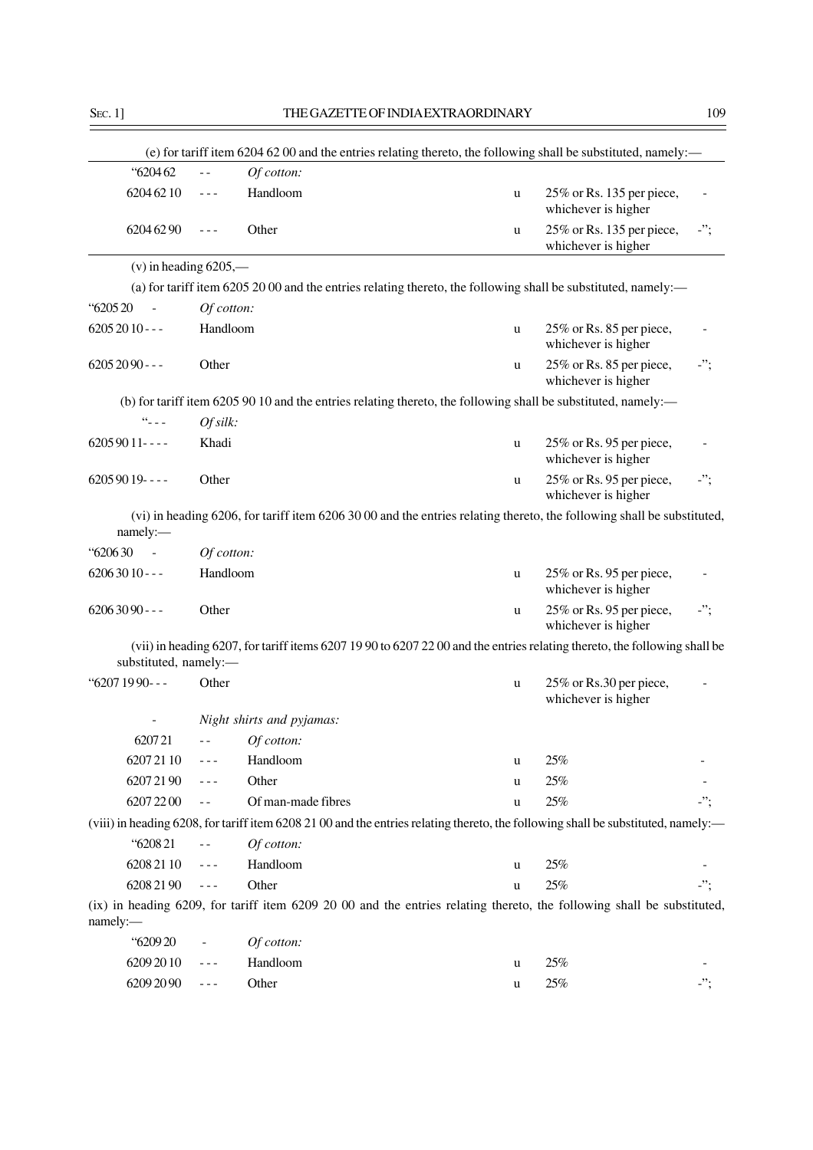|                         |                |                           |             | (e) for tariff item 6204 62 00 and the entries relating thereto, the following shall be substituted, namely:—                     |            |
|-------------------------|----------------|---------------------------|-------------|-----------------------------------------------------------------------------------------------------------------------------------|------------|
| "620462                 | $\overline{a}$ | Of cotton:                |             |                                                                                                                                   |            |
| 6204 62 10              | $- - -$        | Handloom                  | u           | 25% or Rs. 135 per piece,<br>whichever is higher                                                                                  |            |
| 6204 62 90              | ---            | Other                     | u           | 25% or Rs. 135 per piece,<br>whichever is higher                                                                                  | $-$ ";     |
| $(v)$ in heading 6205,— |                |                           |             |                                                                                                                                   |            |
|                         |                |                           |             | (a) for tariff item 6205 20 00 and the entries relating thereto, the following shall be substituted, namely:—                     |            |
| "620520                 | Of cotton:     |                           |             |                                                                                                                                   |            |
| $62052010--$            | Handloom       |                           | u           | 25% or Rs. 85 per piece,<br>whichever is higher                                                                                   |            |
| $62052090--$            | Other          |                           | u           | 25% or Rs. 85 per piece,<br>whichever is higher                                                                                   | $\cdot$ "; |
|                         |                |                           |             | (b) for tariff item 6205 90 10 and the entries relating thereto, the following shall be substituted, namely:—                     |            |
| $66 - 12 = 1$           | Of silk:       |                           |             |                                                                                                                                   |            |
| $62059011---$           | Khadi          |                           | u           | 25% or Rs. 95 per piece,<br>whichever is higher                                                                                   |            |
| $62059019$ ----         | Other          |                           | u           | 25% or Rs. 95 per piece,<br>whichever is higher                                                                                   | $\cdot$ "; |
| namely:-                |                |                           |             | (vi) in heading 6206, for tariff item 6206 30 00 and the entries relating thereto, the following shall be substituted,            |            |
| "620630"                | Of cotton:     |                           |             |                                                                                                                                   |            |
| $62063010 - -$          | Handloom       |                           | u           | 25% or Rs. 95 per piece,<br>whichever is higher                                                                                   |            |
| $62063090 - -$          | Other          |                           | u           | 25% or Rs. 95 per piece,<br>whichever is higher                                                                                   | $\cdot$ "; |
| substituted, namely:-   |                |                           |             | (vii) in heading 6207, for tariff items 6207 19 90 to 6207 22 00 and the entries relating thereto, the following shall be         |            |
| "6207 19 90---          | Other          |                           | u           | 25% or Rs.30 per piece,<br>whichever is higher                                                                                    |            |
|                         |                | Night shirts and pyjamas: |             |                                                                                                                                   |            |
| 620721                  | $ -$           | Of cotton:                |             |                                                                                                                                   |            |
| 62072110                |                | Handloom                  | u           | 25%                                                                                                                               |            |
| 62072190                |                | Other                     | u           | 25%                                                                                                                               |            |
| 6207 22 00              |                | Of man-made fibres        | u           | 25%                                                                                                                               | -";        |
|                         |                |                           |             | (viii) in heading 6208, for tariff item 6208 21 00 and the entries relating thereto, the following shall be substituted, namely:— |            |
| "620821                 |                | Of cotton:                |             |                                                                                                                                   |            |
| 6208 21 10              | - - -          | Handloom                  | u           | 25%                                                                                                                               |            |
| 6208 21 90              | $- - -$        | Other                     | u           | 25%                                                                                                                               | -";        |
| namely:                 |                |                           |             | (ix) in heading 6209, for tariff item 6209 20 00 and the entries relating thereto, the following shall be substituted,            |            |
| "620920                 |                | Of cotton:                |             |                                                                                                                                   |            |
| 6209 2010               |                | Handloom                  | $\mathbf u$ | 25%                                                                                                                               |            |
| 6209 20 90              | - - -          | Other                     | u           | $25\%$                                                                                                                            |            |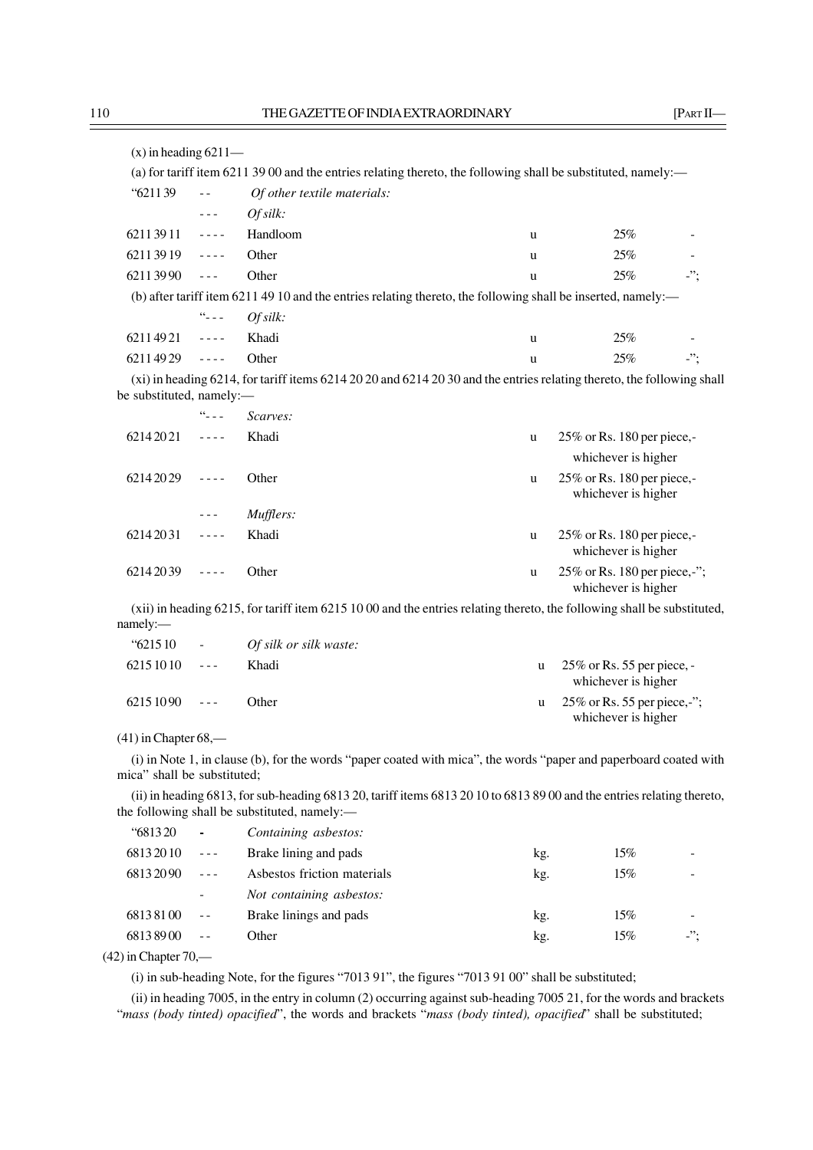| $(x)$ in heading 6211—   |                                                                                                                                                                                                                                                                                                                                                                                              |                                                                                                                          |   |     |          |
|--------------------------|----------------------------------------------------------------------------------------------------------------------------------------------------------------------------------------------------------------------------------------------------------------------------------------------------------------------------------------------------------------------------------------------|--------------------------------------------------------------------------------------------------------------------------|---|-----|----------|
|                          |                                                                                                                                                                                                                                                                                                                                                                                              | (a) for tariff item 6211 39 00 and the entries relating thereto, the following shall be substituted, namely:—            |   |     |          |
| $\frac{139}{21139}$      |                                                                                                                                                                                                                                                                                                                                                                                              | Of other textile materials:                                                                                              |   |     |          |
|                          | $\sim$ $\sim$ $\sim$                                                                                                                                                                                                                                                                                                                                                                         | Ofsilk:                                                                                                                  |   |     |          |
| $62113911$ ----          |                                                                                                                                                                                                                                                                                                                                                                                              | Handloom                                                                                                                 | u | 25% |          |
| $62113919$ ----          |                                                                                                                                                                                                                                                                                                                                                                                              | Other                                                                                                                    | u | 25% |          |
| 62113990                 | $\frac{1}{2} \frac{1}{2} \frac{1}{2} \frac{1}{2} \frac{1}{2} \frac{1}{2} \frac{1}{2} \frac{1}{2} \frac{1}{2} \frac{1}{2} \frac{1}{2} \frac{1}{2} \frac{1}{2} \frac{1}{2} \frac{1}{2} \frac{1}{2} \frac{1}{2} \frac{1}{2} \frac{1}{2} \frac{1}{2} \frac{1}{2} \frac{1}{2} \frac{1}{2} \frac{1}{2} \frac{1}{2} \frac{1}{2} \frac{1}{2} \frac{1}{2} \frac{1}{2} \frac{1}{2} \frac{1}{2} \frac{$ | Other                                                                                                                    | u | 25% | -":      |
|                          |                                                                                                                                                                                                                                                                                                                                                                                              | (b) after tariff item 6211 49 10 and the entries relating thereto, the following shall be inserted, namely:—             |   |     |          |
|                          | $\frac{1}{2}$ = $\frac{1}{2}$                                                                                                                                                                                                                                                                                                                                                                | Of silk:                                                                                                                 |   |     |          |
| $62114921$ ----          |                                                                                                                                                                                                                                                                                                                                                                                              | Khadi                                                                                                                    | u | 25% |          |
| $62114929$ ----          |                                                                                                                                                                                                                                                                                                                                                                                              | Other                                                                                                                    | u | 25% | $ \cdot$ |
|                          |                                                                                                                                                                                                                                                                                                                                                                                              | $(xi)$ in heading 6214, for tariff items 6214 20 20 and 6214 20 30 and the entries relating thereto, the following shall |   |     |          |
| be substituted, namely:— |                                                                                                                                                                                                                                                                                                                                                                                              |                                                                                                                          |   |     |          |
|                          | $66 - 16$                                                                                                                                                                                                                                                                                                                                                                                    | <i>Scarves:</i>                                                                                                          |   |     |          |
|                          |                                                                                                                                                                                                                                                                                                                                                                                              |                                                                                                                          |   |     |          |

| 62142021        | الداعات المستند                                                                                                                                                                                                                                                                                                                                                                                                                           | Khadi     | u | $25\%$ or Rs. 180 per piece,-                          |
|-----------------|-------------------------------------------------------------------------------------------------------------------------------------------------------------------------------------------------------------------------------------------------------------------------------------------------------------------------------------------------------------------------------------------------------------------------------------------|-----------|---|--------------------------------------------------------|
|                 |                                                                                                                                                                                                                                                                                                                                                                                                                                           |           |   | whichever is higher                                    |
| $62142029$ ---- |                                                                                                                                                                                                                                                                                                                                                                                                                                           | Other     | u | $25\%$ or Rs. 180 per piece,-<br>whichever is higher   |
|                 |                                                                                                                                                                                                                                                                                                                                                                                                                                           | Mufflers: |   |                                                        |
| 62142031        | $\sim$ $\sim$ $\sim$ $\sim$                                                                                                                                                                                                                                                                                                                                                                                                               | Khadi     | u | $25\%$ or Rs. 180 per piece,-<br>whichever is higher   |
| 6214 20 39      | $\mathcal{L}^{\mathcal{A}}\mathcal{A}^{\mathcal{B}}\mathcal{A}^{\mathcal{B}}\mathcal{A}^{\mathcal{B}}\mathcal{A}^{\mathcal{B}}\mathcal{A}^{\mathcal{B}}\mathcal{A}^{\mathcal{B}}\mathcal{A}^{\mathcal{B}}\mathcal{A}^{\mathcal{B}}\mathcal{A}^{\mathcal{B}}\mathcal{A}^{\mathcal{B}}\mathcal{A}^{\mathcal{B}}\mathcal{A}^{\mathcal{B}}\mathcal{A}^{\mathcal{B}}\mathcal{A}^{\mathcal{B}}\mathcal{A}^{\mathcal{B}}\mathcal{A}^{\mathcal{B$ | Other     | u | $25\%$ or Rs. 180 per piece,-";<br>whichever is higher |

(xii) in heading 6215, for tariff item 6215 10 00 and the entries relating thereto, the following shall be substituted, namely:—

| $\cdot$ 6215 10 | $\sim$                  | Of silk or silk waste: |                                                         |
|-----------------|-------------------------|------------------------|---------------------------------------------------------|
| $62151010$ ---  |                         | Khadi                  | $\mu$ 25% or Rs. 55 per piece, -<br>whichever is higher |
| 6215 10 90      | $\sim 100$ m $\sim 100$ | Other                  | u $25\%$ or Rs. 55 per piece,-";<br>whichever is higher |

(41) in Chapter 68,—

(i) in Note 1, in clause (b), for the words "paper coated with mica", the words "paper and paperboard coated with mica" shall be substituted;

(ii) in heading 6813, for sub-heading 6813 20, tariff items 6813 20 10 to 6813 89 00 and the entries relating thereto, the following shall be substituted, namely:—

| "681320  | $\blacksquare$                        | Containing asbestos:        |     |     |                                |
|----------|---------------------------------------|-----------------------------|-----|-----|--------------------------------|
| 68132010 | $\omega_{\rm c}$ and $\omega_{\rm c}$ | Brake lining and pads       | kg. | 15% |                                |
| 68132090 |                                       | Asbestos friction materials | kg. | 15% |                                |
|          | $\overline{\phantom{a}}$              | Not containing asbestos:    |     |     |                                |
| 68138100 | $\sim$ $\sim$                         | Brake linings and pads      | kg. | 15% |                                |
| 68138900 | $ -$                                  | Other                       | kg. | 15% | $\mathcal{L}^{\bullet\bullet}$ |

(42) in Chapter 70,—

(i) in sub-heading Note, for the figures "7013 91", the figures "7013 91 00" shall be substituted;

(ii) in heading 7005, in the entry in column (2) occurring against sub-heading 7005 21, for the words and brackets "*mass (body tinted) opacified*", the words and brackets "*mass (body tinted), opacified*" shall be substituted;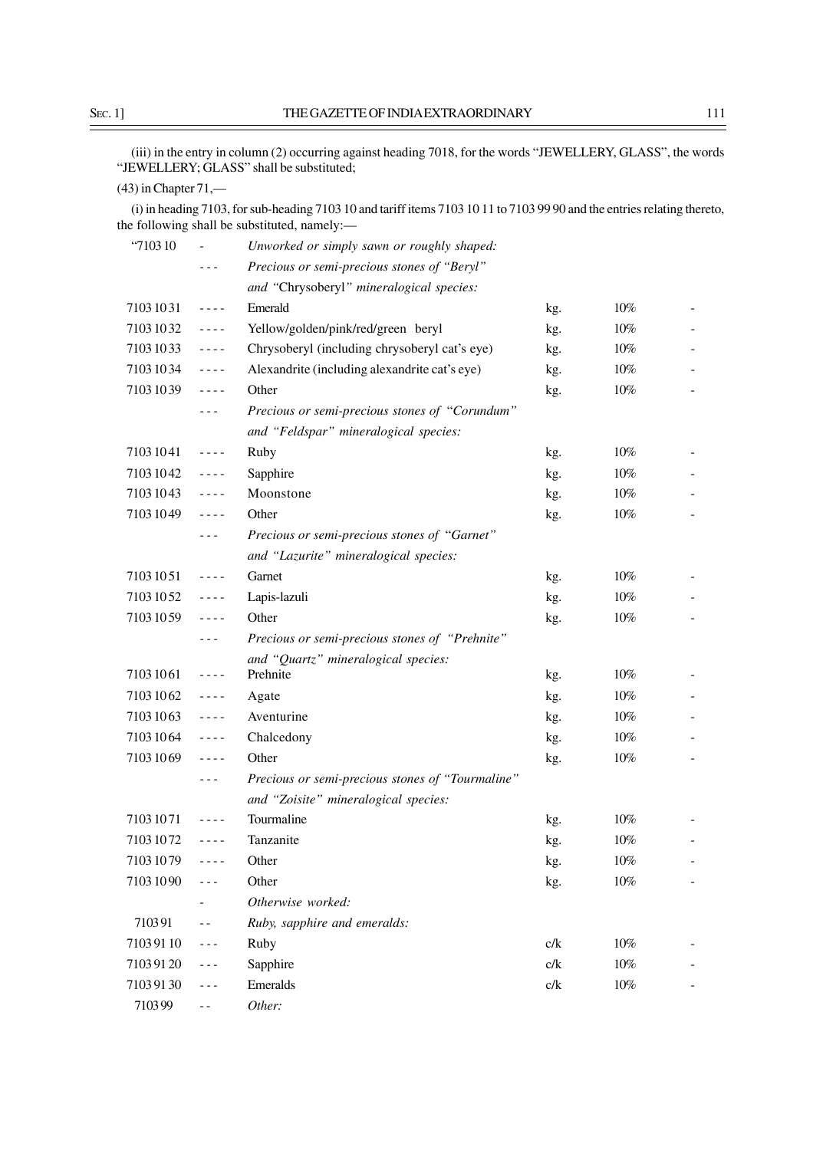(iii) in the entry in column (2) occurring against heading 7018, for the words "JEWELLERY, GLASS", the words "JEWELLERY; GLASS" shall be substituted;

## (43) in Chapter 71,—

(i) in heading 7103, for sub-heading 7103 10 and tariff items 7103 10 11 to 7103 99 90 and the entries relating thereto, the following shall be substituted, namely:—

| "710310"   |                                                                                                                                                                                                                                                                                                                                                                                              | Unworked or simply sawn or roughly shaped:       |     |        |  |
|------------|----------------------------------------------------------------------------------------------------------------------------------------------------------------------------------------------------------------------------------------------------------------------------------------------------------------------------------------------------------------------------------------------|--------------------------------------------------|-----|--------|--|
|            | - - -                                                                                                                                                                                                                                                                                                                                                                                        | Precious or semi-precious stones of "Beryl"      |     |        |  |
|            |                                                                                                                                                                                                                                                                                                                                                                                              | and "Chrysoberyl" mineralogical species:         |     |        |  |
| 71031031   | $\sim$ $\sim$ $\sim$ $\sim$                                                                                                                                                                                                                                                                                                                                                                  | Emerald                                          | kg. | 10%    |  |
| 71031032   | $\sim$ $\sim$ $\sim$ $\sim$                                                                                                                                                                                                                                                                                                                                                                  | Yellow/golden/pink/red/green beryl               | kg. | 10%    |  |
| 7103 10 33 | $\frac{1}{2} \frac{1}{2} \frac{1}{2} \frac{1}{2} \frac{1}{2} \frac{1}{2} \frac{1}{2} \frac{1}{2} \frac{1}{2} \frac{1}{2} \frac{1}{2} \frac{1}{2} \frac{1}{2} \frac{1}{2} \frac{1}{2} \frac{1}{2} \frac{1}{2} \frac{1}{2} \frac{1}{2} \frac{1}{2} \frac{1}{2} \frac{1}{2} \frac{1}{2} \frac{1}{2} \frac{1}{2} \frac{1}{2} \frac{1}{2} \frac{1}{2} \frac{1}{2} \frac{1}{2} \frac{1}{2} \frac{$ | Chrysoberyl (including chrysoberyl cat's eye)    | kg. | 10%    |  |
| 71031034   | $\sim$ $\sim$ $\sim$ $\sim$                                                                                                                                                                                                                                                                                                                                                                  | Alexandrite (including alexandrite cat's eye)    | kg. | 10%    |  |
| 71031039   | $\sim$ $\sim$ $\sim$ $\sim$                                                                                                                                                                                                                                                                                                                                                                  | Other                                            | kg. | 10%    |  |
|            | $- - -$                                                                                                                                                                                                                                                                                                                                                                                      | Precious or semi-precious stones of "Corundum"   |     |        |  |
|            |                                                                                                                                                                                                                                                                                                                                                                                              | and "Feldspar" mineralogical species:            |     |        |  |
| 71031041   | $\sim$ $\sim$ $\sim$ $\sim$                                                                                                                                                                                                                                                                                                                                                                  | Ruby                                             | kg. | 10%    |  |
| 71031042   | $\frac{1}{2} \frac{1}{2} \frac{1}{2} \frac{1}{2} \frac{1}{2} \frac{1}{2} \frac{1}{2} \frac{1}{2} \frac{1}{2} \frac{1}{2} \frac{1}{2} \frac{1}{2} \frac{1}{2} \frac{1}{2} \frac{1}{2} \frac{1}{2} \frac{1}{2} \frac{1}{2} \frac{1}{2} \frac{1}{2} \frac{1}{2} \frac{1}{2} \frac{1}{2} \frac{1}{2} \frac{1}{2} \frac{1}{2} \frac{1}{2} \frac{1}{2} \frac{1}{2} \frac{1}{2} \frac{1}{2} \frac{$ | Sapphire                                         | kg. | $10\%$ |  |
| 71031043   | $- - - -$                                                                                                                                                                                                                                                                                                                                                                                    | Moonstone                                        | kg. | 10%    |  |
| 71031049   | $\frac{1}{2} \frac{1}{2} \frac{1}{2} \frac{1}{2} \frac{1}{2} \frac{1}{2} \frac{1}{2} \frac{1}{2} \frac{1}{2} \frac{1}{2} \frac{1}{2} \frac{1}{2} \frac{1}{2} \frac{1}{2} \frac{1}{2} \frac{1}{2} \frac{1}{2} \frac{1}{2} \frac{1}{2} \frac{1}{2} \frac{1}{2} \frac{1}{2} \frac{1}{2} \frac{1}{2} \frac{1}{2} \frac{1}{2} \frac{1}{2} \frac{1}{2} \frac{1}{2} \frac{1}{2} \frac{1}{2} \frac{$ | Other                                            | kg. | $10\%$ |  |
|            | - - -                                                                                                                                                                                                                                                                                                                                                                                        | Precious or semi-precious stones of "Garnet"     |     |        |  |
|            |                                                                                                                                                                                                                                                                                                                                                                                              | and "Lazurite" mineralogical species:            |     |        |  |
| 71031051   | $\frac{1}{2} \frac{1}{2} \frac{1}{2} \frac{1}{2} \frac{1}{2} \frac{1}{2} \frac{1}{2} \frac{1}{2} \frac{1}{2} \frac{1}{2} \frac{1}{2} \frac{1}{2} \frac{1}{2} \frac{1}{2} \frac{1}{2} \frac{1}{2} \frac{1}{2} \frac{1}{2} \frac{1}{2} \frac{1}{2} \frac{1}{2} \frac{1}{2} \frac{1}{2} \frac{1}{2} \frac{1}{2} \frac{1}{2} \frac{1}{2} \frac{1}{2} \frac{1}{2} \frac{1}{2} \frac{1}{2} \frac{$ | Garnet                                           | kg. | 10%    |  |
| 71031052   | $\frac{1}{2} \frac{1}{2} \frac{1}{2} \frac{1}{2} \frac{1}{2} \frac{1}{2} \frac{1}{2} \frac{1}{2} \frac{1}{2} \frac{1}{2} \frac{1}{2} \frac{1}{2} \frac{1}{2} \frac{1}{2} \frac{1}{2} \frac{1}{2} \frac{1}{2} \frac{1}{2} \frac{1}{2} \frac{1}{2} \frac{1}{2} \frac{1}{2} \frac{1}{2} \frac{1}{2} \frac{1}{2} \frac{1}{2} \frac{1}{2} \frac{1}{2} \frac{1}{2} \frac{1}{2} \frac{1}{2} \frac{$ | Lapis-lazuli                                     | kg. | $10\%$ |  |
| 71031059   | $\frac{1}{2} \frac{1}{2} \frac{1}{2} \frac{1}{2} \frac{1}{2} \frac{1}{2} \frac{1}{2} \frac{1}{2} \frac{1}{2} \frac{1}{2} \frac{1}{2} \frac{1}{2} \frac{1}{2} \frac{1}{2} \frac{1}{2} \frac{1}{2} \frac{1}{2} \frac{1}{2} \frac{1}{2} \frac{1}{2} \frac{1}{2} \frac{1}{2} \frac{1}{2} \frac{1}{2} \frac{1}{2} \frac{1}{2} \frac{1}{2} \frac{1}{2} \frac{1}{2} \frac{1}{2} \frac{1}{2} \frac{$ | Other                                            | kg. | 10%    |  |
|            | $- - -$                                                                                                                                                                                                                                                                                                                                                                                      | Precious or semi-precious stones of "Prehnite"   |     |        |  |
|            |                                                                                                                                                                                                                                                                                                                                                                                              | and "Quartz" mineralogical species:              |     |        |  |
| 71031061   | $\frac{1}{2} \frac{1}{2} \frac{1}{2} \frac{1}{2} \frac{1}{2} \frac{1}{2} \frac{1}{2} \frac{1}{2} \frac{1}{2} \frac{1}{2} \frac{1}{2} \frac{1}{2} \frac{1}{2} \frac{1}{2} \frac{1}{2} \frac{1}{2} \frac{1}{2} \frac{1}{2} \frac{1}{2} \frac{1}{2} \frac{1}{2} \frac{1}{2} \frac{1}{2} \frac{1}{2} \frac{1}{2} \frac{1}{2} \frac{1}{2} \frac{1}{2} \frac{1}{2} \frac{1}{2} \frac{1}{2} \frac{$ | Prehnite                                         | kg. | $10\%$ |  |
| 71031062   | $- - - -$                                                                                                                                                                                                                                                                                                                                                                                    | Agate                                            | kg. | $10\%$ |  |
| 71031063   | $\frac{1}{2} \frac{1}{2} \frac{1}{2} \frac{1}{2} \frac{1}{2} \frac{1}{2} \frac{1}{2} \frac{1}{2} \frac{1}{2} \frac{1}{2} \frac{1}{2} \frac{1}{2} \frac{1}{2} \frac{1}{2} \frac{1}{2} \frac{1}{2} \frac{1}{2} \frac{1}{2} \frac{1}{2} \frac{1}{2} \frac{1}{2} \frac{1}{2} \frac{1}{2} \frac{1}{2} \frac{1}{2} \frac{1}{2} \frac{1}{2} \frac{1}{2} \frac{1}{2} \frac{1}{2} \frac{1}{2} \frac{$ | Aventurine                                       | kg. | 10%    |  |
| 71031064   | $\frac{1}{2} \frac{1}{2} \frac{1}{2} \frac{1}{2} \frac{1}{2} \frac{1}{2} \frac{1}{2} \frac{1}{2} \frac{1}{2} \frac{1}{2} \frac{1}{2} \frac{1}{2} \frac{1}{2} \frac{1}{2} \frac{1}{2} \frac{1}{2} \frac{1}{2} \frac{1}{2} \frac{1}{2} \frac{1}{2} \frac{1}{2} \frac{1}{2} \frac{1}{2} \frac{1}{2} \frac{1}{2} \frac{1}{2} \frac{1}{2} \frac{1}{2} \frac{1}{2} \frac{1}{2} \frac{1}{2} \frac{$ | Chalcedony                                       | kg. | 10%    |  |
| 71031069   | $- - - -$                                                                                                                                                                                                                                                                                                                                                                                    | Other                                            | kg. | $10\%$ |  |
|            | - - -                                                                                                                                                                                                                                                                                                                                                                                        | Precious or semi-precious stones of "Tourmaline" |     |        |  |
|            |                                                                                                                                                                                                                                                                                                                                                                                              | and "Zoisite" mineralogical species:             |     |        |  |
| 71031071   | $- - - -$                                                                                                                                                                                                                                                                                                                                                                                    | Tourmaline                                       | kg. | 10%    |  |
| 71031072   | ----                                                                                                                                                                                                                                                                                                                                                                                         | Tanzanite                                        | kg. | 10%    |  |
| 71031079   |                                                                                                                                                                                                                                                                                                                                                                                              | Other                                            | kg. | $10\%$ |  |
| 71031090   | - - -                                                                                                                                                                                                                                                                                                                                                                                        | Other                                            | kg. | $10\%$ |  |
|            |                                                                                                                                                                                                                                                                                                                                                                                              | Otherwise worked:                                |     |        |  |
| 710391     | $ -$                                                                                                                                                                                                                                                                                                                                                                                         | Ruby, sapphire and emeralds:                     |     |        |  |
| 71039110   | $- - -$                                                                                                                                                                                                                                                                                                                                                                                      | Ruby                                             | c/k | 10%    |  |
| 71039120   | $- - -$                                                                                                                                                                                                                                                                                                                                                                                      | Sapphire                                         | c/k | 10%    |  |
| 71039130   | $- - -$                                                                                                                                                                                                                                                                                                                                                                                      | Emeralds                                         | c/k | 10%    |  |
| 710399     | $ -$                                                                                                                                                                                                                                                                                                                                                                                         | Other:                                           |     |        |  |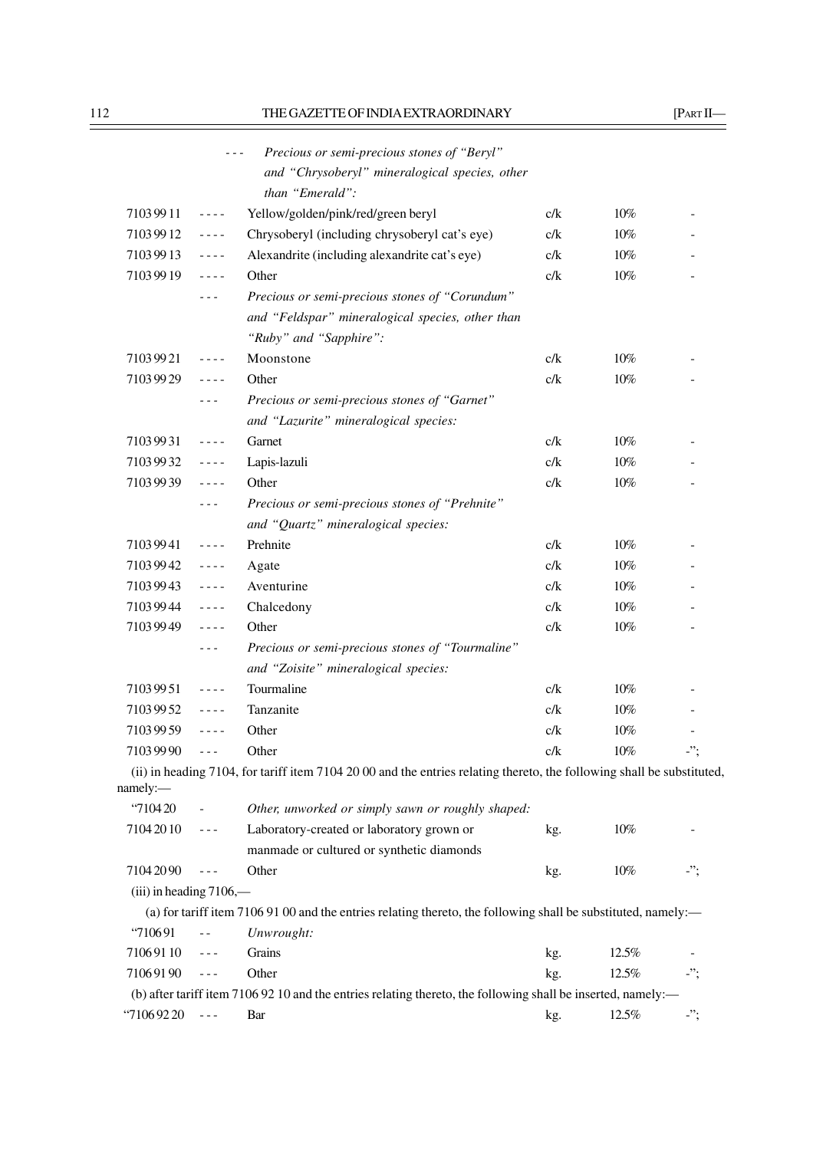|                           | $- - -$                                                                                                                                                                                                                                                                                                                                                                                      | Precious or semi-precious stones of "Beryl"                                                                            |     |        |     |
|---------------------------|----------------------------------------------------------------------------------------------------------------------------------------------------------------------------------------------------------------------------------------------------------------------------------------------------------------------------------------------------------------------------------------------|------------------------------------------------------------------------------------------------------------------------|-----|--------|-----|
|                           |                                                                                                                                                                                                                                                                                                                                                                                              | and "Chrysoberyl" mineralogical species, other                                                                         |     |        |     |
|                           |                                                                                                                                                                                                                                                                                                                                                                                              | than "Emerald":                                                                                                        |     |        |     |
| 71039911                  | $\frac{1}{2} \frac{1}{2} \frac{1}{2} \frac{1}{2} \frac{1}{2} \frac{1}{2} \frac{1}{2} \frac{1}{2} \frac{1}{2} \frac{1}{2} \frac{1}{2} \frac{1}{2} \frac{1}{2} \frac{1}{2} \frac{1}{2} \frac{1}{2} \frac{1}{2} \frac{1}{2} \frac{1}{2} \frac{1}{2} \frac{1}{2} \frac{1}{2} \frac{1}{2} \frac{1}{2} \frac{1}{2} \frac{1}{2} \frac{1}{2} \frac{1}{2} \frac{1}{2} \frac{1}{2} \frac{1}{2} \frac{$ | Yellow/golden/pink/red/green beryl                                                                                     | c/k | 10%    |     |
| 71039912                  | ----                                                                                                                                                                                                                                                                                                                                                                                         | Chrysoberyl (including chrysoberyl cat's eye)                                                                          | c/k | 10%    |     |
| 71039913                  | $\frac{1}{2} \frac{1}{2} \frac{1}{2} \frac{1}{2} \frac{1}{2} \frac{1}{2} \frac{1}{2} \frac{1}{2} \frac{1}{2} \frac{1}{2} \frac{1}{2} \frac{1}{2} \frac{1}{2} \frac{1}{2} \frac{1}{2} \frac{1}{2} \frac{1}{2} \frac{1}{2} \frac{1}{2} \frac{1}{2} \frac{1}{2} \frac{1}{2} \frac{1}{2} \frac{1}{2} \frac{1}{2} \frac{1}{2} \frac{1}{2} \frac{1}{2} \frac{1}{2} \frac{1}{2} \frac{1}{2} \frac{$ | Alexandrite (including alexandrite cat's eye)                                                                          | c/k | $10\%$ |     |
| 71039919                  | ----                                                                                                                                                                                                                                                                                                                                                                                         | Other                                                                                                                  | c/k | $10\%$ |     |
|                           | - - -                                                                                                                                                                                                                                                                                                                                                                                        | Precious or semi-precious stones of "Corundum"                                                                         |     |        |     |
|                           |                                                                                                                                                                                                                                                                                                                                                                                              | and "Feldspar" mineralogical species, other than                                                                       |     |        |     |
|                           |                                                                                                                                                                                                                                                                                                                                                                                              | "Ruby" and "Sapphire":                                                                                                 |     |        |     |
| 71039921                  | $\frac{1}{2} \frac{1}{2} \frac{1}{2} \frac{1}{2} \frac{1}{2} \frac{1}{2} \frac{1}{2} \frac{1}{2} \frac{1}{2} \frac{1}{2} \frac{1}{2} \frac{1}{2} \frac{1}{2} \frac{1}{2} \frac{1}{2} \frac{1}{2} \frac{1}{2} \frac{1}{2} \frac{1}{2} \frac{1}{2} \frac{1}{2} \frac{1}{2} \frac{1}{2} \frac{1}{2} \frac{1}{2} \frac{1}{2} \frac{1}{2} \frac{1}{2} \frac{1}{2} \frac{1}{2} \frac{1}{2} \frac{$ | Moonstone                                                                                                              | c/k | $10\%$ |     |
| 71039929                  | ----                                                                                                                                                                                                                                                                                                                                                                                         | Other                                                                                                                  | c/k | 10%    |     |
|                           | - - -                                                                                                                                                                                                                                                                                                                                                                                        | Precious or semi-precious stones of "Garnet"                                                                           |     |        |     |
|                           |                                                                                                                                                                                                                                                                                                                                                                                              | and "Lazurite" mineralogical species:                                                                                  |     |        |     |
| 71039931                  | $\frac{1}{2} \frac{1}{2} \frac{1}{2} \frac{1}{2} \frac{1}{2} \frac{1}{2} \frac{1}{2}$                                                                                                                                                                                                                                                                                                        | Garnet                                                                                                                 | c/k | 10%    |     |
| 71039932                  | ----                                                                                                                                                                                                                                                                                                                                                                                         | Lapis-lazuli                                                                                                           | c/k | $10\%$ |     |
| 71039939                  | $- - - -$                                                                                                                                                                                                                                                                                                                                                                                    | Other                                                                                                                  | c/k | 10%    |     |
|                           | - - -                                                                                                                                                                                                                                                                                                                                                                                        | Precious or semi-precious stones of "Prehnite"                                                                         |     |        |     |
|                           |                                                                                                                                                                                                                                                                                                                                                                                              | and "Quartz" mineralogical species:                                                                                    |     |        |     |
| 71039941                  | $- - - -$                                                                                                                                                                                                                                                                                                                                                                                    | Prehnite                                                                                                               | c/k | 10%    |     |
| 71039942                  | $\frac{1}{2} \frac{1}{2} \frac{1}{2} \frac{1}{2} \frac{1}{2} \frac{1}{2} \frac{1}{2} \frac{1}{2} \frac{1}{2} \frac{1}{2} \frac{1}{2} \frac{1}{2} \frac{1}{2} \frac{1}{2} \frac{1}{2} \frac{1}{2} \frac{1}{2} \frac{1}{2} \frac{1}{2} \frac{1}{2} \frac{1}{2} \frac{1}{2} \frac{1}{2} \frac{1}{2} \frac{1}{2} \frac{1}{2} \frac{1}{2} \frac{1}{2} \frac{1}{2} \frac{1}{2} \frac{1}{2} \frac{$ | Agate                                                                                                                  | c/k | 10%    |     |
| 71039943                  | $\frac{1}{2} \frac{1}{2} \frac{1}{2} \frac{1}{2} \frac{1}{2} \frac{1}{2} \frac{1}{2} \frac{1}{2} \frac{1}{2} \frac{1}{2} \frac{1}{2} \frac{1}{2} \frac{1}{2} \frac{1}{2} \frac{1}{2} \frac{1}{2} \frac{1}{2} \frac{1}{2} \frac{1}{2} \frac{1}{2} \frac{1}{2} \frac{1}{2} \frac{1}{2} \frac{1}{2} \frac{1}{2} \frac{1}{2} \frac{1}{2} \frac{1}{2} \frac{1}{2} \frac{1}{2} \frac{1}{2} \frac{$ | Aventurine                                                                                                             | c/k | 10%    |     |
| 71039944                  | ----                                                                                                                                                                                                                                                                                                                                                                                         | Chalcedony                                                                                                             | c/k | 10%    |     |
| 71039949                  | - - - -                                                                                                                                                                                                                                                                                                                                                                                      | Other                                                                                                                  | c/k | 10%    |     |
|                           |                                                                                                                                                                                                                                                                                                                                                                                              | Precious or semi-precious stones of "Tourmaline"                                                                       |     |        |     |
|                           |                                                                                                                                                                                                                                                                                                                                                                                              | and "Zoisite" mineralogical species:                                                                                   |     |        |     |
| 71039951                  | $- - - - -$                                                                                                                                                                                                                                                                                                                                                                                  | Tourmaline                                                                                                             | c/k | 10%    |     |
| 71039952                  | ----                                                                                                                                                                                                                                                                                                                                                                                         | Tanzanite                                                                                                              | c/k | 10%    |     |
| 71039959                  | ----                                                                                                                                                                                                                                                                                                                                                                                         | Other                                                                                                                  | c/k | 10%    |     |
| 71039990                  | $- - -$                                                                                                                                                                                                                                                                                                                                                                                      | Other                                                                                                                  | c/k | 10%    | ".  |
|                           |                                                                                                                                                                                                                                                                                                                                                                                              | (ii) in heading 7104, for tariff item 7104 20 00 and the entries relating thereto, the following shall be substituted, |     |        |     |
| namely:                   |                                                                                                                                                                                                                                                                                                                                                                                              |                                                                                                                        |     |        |     |
| "710420                   | $\equiv$                                                                                                                                                                                                                                                                                                                                                                                     | Other, unworked or simply sawn or roughly shaped:                                                                      |     |        |     |
| 7104 2010                 | $\omega = \omega$                                                                                                                                                                                                                                                                                                                                                                            | Laboratory-created or laboratory grown or                                                                              | kg. | $10\%$ |     |
|                           |                                                                                                                                                                                                                                                                                                                                                                                              | manmade or cultured or synthetic diamonds                                                                              |     |        |     |
| 71042090                  | $\sim$ $\sim$ $\sim$                                                                                                                                                                                                                                                                                                                                                                         | Other                                                                                                                  | kg. | $10\%$ | -"; |
| $(iii)$ in heading 7106,— |                                                                                                                                                                                                                                                                                                                                                                                              |                                                                                                                        |     |        |     |
|                           |                                                                                                                                                                                                                                                                                                                                                                                              | (a) for tariff item 7106 91 00 and the entries relating thereto, the following shall be substituted, namely:—          |     |        |     |
| "710691                   | $\sim$ $-$                                                                                                                                                                                                                                                                                                                                                                                   | Unwrought:                                                                                                             |     |        |     |
| 71069110                  | $\frac{1}{2} \frac{1}{2} \frac{1}{2} \frac{1}{2} \frac{1}{2} \frac{1}{2} \frac{1}{2} \frac{1}{2} \frac{1}{2} \frac{1}{2} \frac{1}{2} \frac{1}{2} \frac{1}{2} \frac{1}{2} \frac{1}{2} \frac{1}{2} \frac{1}{2} \frac{1}{2} \frac{1}{2} \frac{1}{2} \frac{1}{2} \frac{1}{2} \frac{1}{2} \frac{1}{2} \frac{1}{2} \frac{1}{2} \frac{1}{2} \frac{1}{2} \frac{1}{2} \frac{1}{2} \frac{1}{2} \frac{$ | Grains                                                                                                                 | kg. | 12.5%  |     |
| 71069190                  | $\omega = \omega$                                                                                                                                                                                                                                                                                                                                                                            | Other                                                                                                                  | kg. | 12.5%  |     |
|                           |                                                                                                                                                                                                                                                                                                                                                                                              | (b) after tariff item 7106 92 10 and the entries relating thereto, the following shall be inserted, namely:—           |     |        |     |
| $\cdot$ 7106 92 20        | $\sim$ $ -$                                                                                                                                                                                                                                                                                                                                                                                  | Bar                                                                                                                    | kg. | 12.5%  | -"; |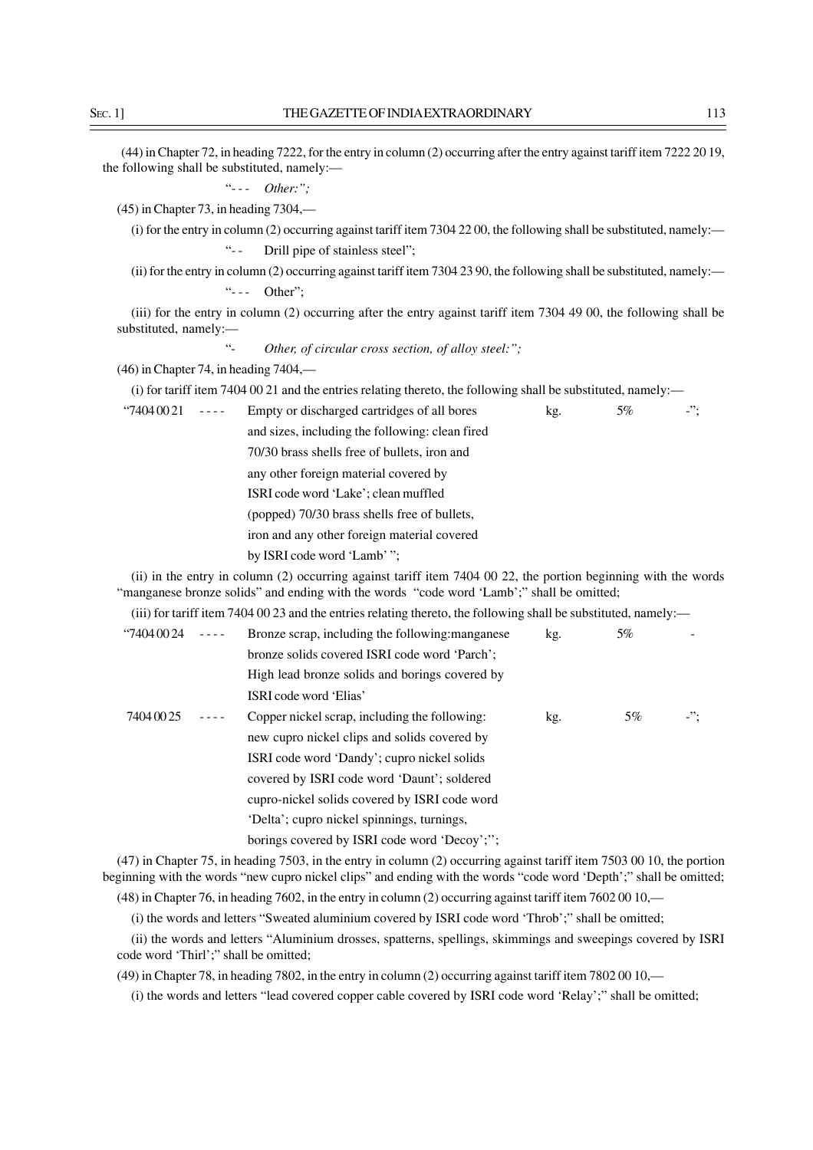(44) in Chapter 72, in heading 7222, for the entry in column (2) occurring after the entry against tariff item 7222 20 19, the following shall be substituted, namely:—

"- - - *Other:";*

(45) in Chapter 73, in heading 7304,—

(i) for the entry in column (2) occurring against tariff item 7304 22 00, the following shall be substituted, namely:— "-- Drill pipe of stainless steel";

(ii) for the entry in column (2) occurring against tariff item 7304 23 90, the following shall be substituted, namely:— "--- Other";

(iii) for the entry in column (2) occurring after the entry against tariff item 7304 49 00, the following shall be substituted, namely:—

Other, of circular cross section, of alloy steel:";

(46) in Chapter 74, in heading 7404,—

(i) for tariff item 7404 00 21 and the entries relating thereto, the following shall be substituted, namely:—

"7404 00 21  $\cdots$  Empty or discharged cartridges of all bores kg. 5%  $\cdots$ "; and sizes, including the following: clean fired 70/30 brass shells free of bullets, iron and any other foreign material covered by ISRI code word 'Lake'; clean muffled (popped) 70/30 brass shells free of bullets, iron and any other foreign material covered by ISRI code word 'Lamb' ";

(ii) in the entry in column (2) occurring against tariff item 7404 00 22, the portion beginning with the words "manganese bronze solids" and ending with the words "code word 'Lamb';" shall be omitted;

(iii) for tariff item 7404 00 23 and the entries relating thereto, the following shall be substituted, namely:—

| $\cdot$ 7404 00 24 | Bronze scrap, including the following: manganese | kg. | 5%    |            |
|--------------------|--------------------------------------------------|-----|-------|------------|
|                    | bronze solids covered ISRI code word 'Parch';    |     |       |            |
|                    | High lead bronze solids and borings covered by   |     |       |            |
|                    | ISRI code word 'Elias'                           |     |       |            |
| 7404 00 25         | Copper nickel scrap, including the following:    | kg. | $5\%$ | $\cdot$ "; |
|                    | new cupro nickel clips and solids covered by     |     |       |            |
|                    | ISRI code word 'Dandy'; cupro nickel solids      |     |       |            |
|                    | covered by ISRI code word 'Daunt'; soldered      |     |       |            |
|                    | cupro-nickel solids covered by ISRI code word    |     |       |            |
|                    | 'Delta'; cupro nickel spinnings, turnings,       |     |       |            |
|                    | borings covered by ISRI code word 'Decoy';";     |     |       |            |

(47) in Chapter 75, in heading 7503, in the entry in column (2) occurring against tariff item 7503 00 10, the portion beginning with the words "new cupro nickel clips" and ending with the words "code word 'Depth';" shall be omitted;

(48) in Chapter 76, in heading 7602, in the entry in column (2) occurring against tariff item 7602 00 10,—

(i) the words and letters "Sweated aluminium covered by ISRI code word 'Throb';" shall be omitted;

(ii) the words and letters "Aluminium drosses, spatterns, spellings, skimmings and sweepings covered by ISRI code word 'Thirl';" shall be omitted;

(49) in Chapter 78, in heading 7802, in the entry in column (2) occurring against tariff item 7802 00 10,—

(i) the words and letters "lead covered copper cable covered by ISRI code word 'Relay';" shall be omitted;